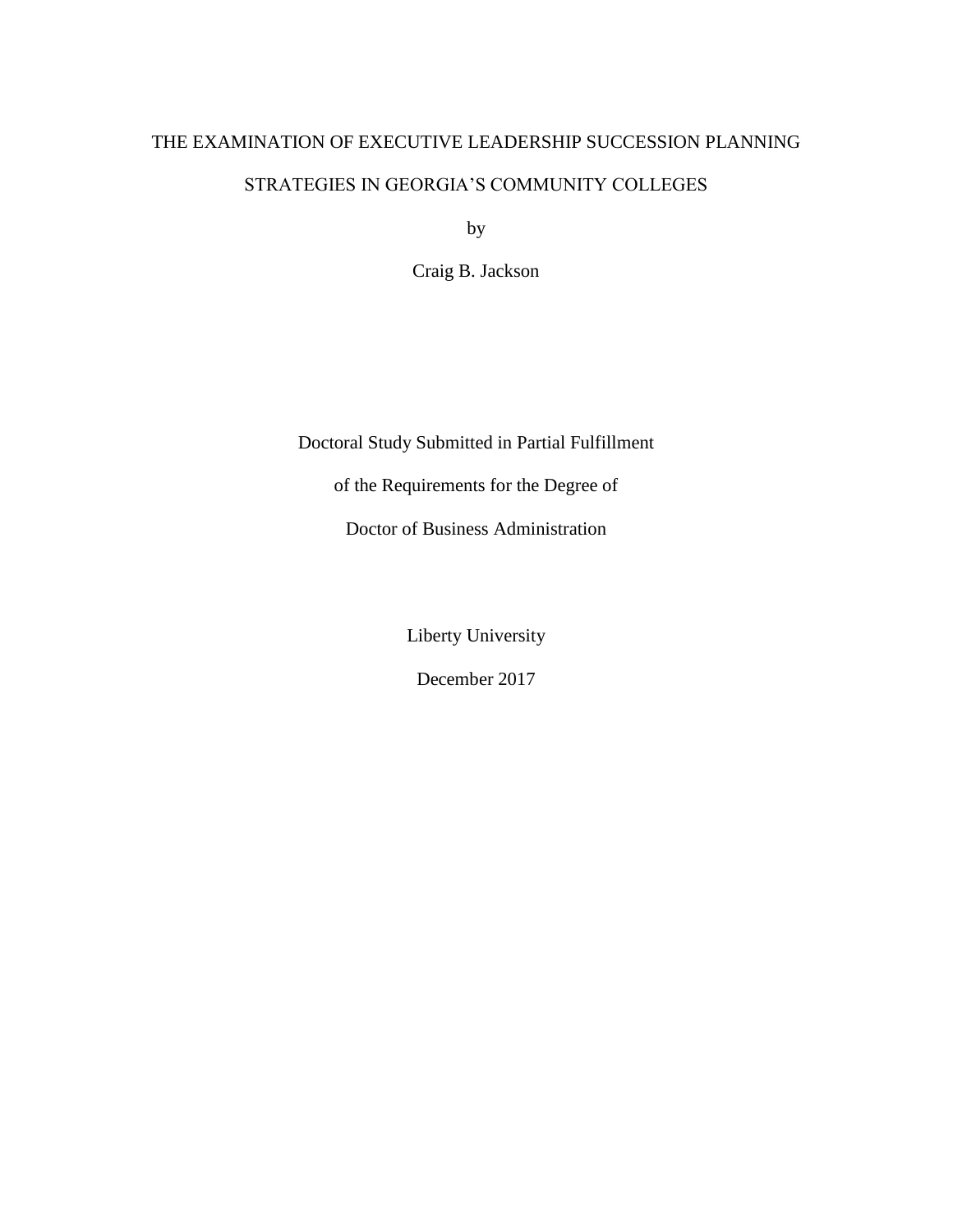# THE EXAMINATION OF EXECUTIVE LEADERSHIP SUCCESSION PLANNING

# STRATEGIES IN GEORGIA'S COMMUNITY COLLEGES

by

Craig B. Jackson

Doctoral Study Submitted in Partial Fulfillment of the Requirements for the Degree of

Doctor of Business Administration

Liberty University

December 2017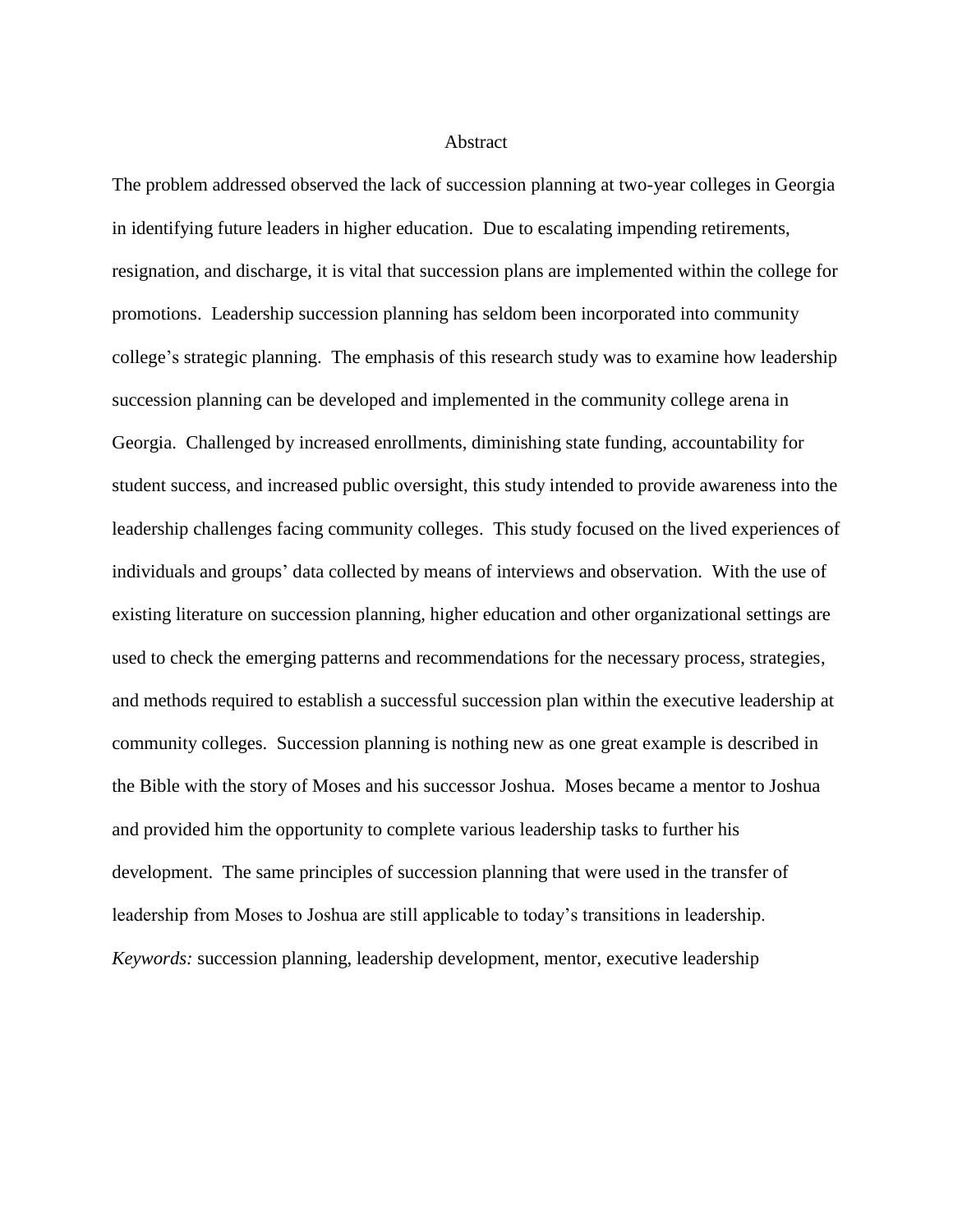#### Abstract

The problem addressed observed the lack of succession planning at two-year colleges in Georgia in identifying future leaders in higher education. Due to escalating impending retirements, resignation, and discharge, it is vital that succession plans are implemented within the college for promotions. Leadership succession planning has seldom been incorporated into community college's strategic planning. The emphasis of this research study was to examine how leadership succession planning can be developed and implemented in the community college arena in Georgia. Challenged by increased enrollments, diminishing state funding, accountability for student success, and increased public oversight, this study intended to provide awareness into the leadership challenges facing community colleges. This study focused on the lived experiences of individuals and groups' data collected by means of interviews and observation. With the use of existing literature on succession planning, higher education and other organizational settings are used to check the emerging patterns and recommendations for the necessary process, strategies, and methods required to establish a successful succession plan within the executive leadership at community colleges. Succession planning is nothing new as one great example is described in the Bible with the story of Moses and his successor Joshua. Moses became a mentor to Joshua and provided him the opportunity to complete various leadership tasks to further his development. The same principles of succession planning that were used in the transfer of leadership from Moses to Joshua are still applicable to today's transitions in leadership. *Keywords:* succession planning, leadership development, mentor, executive leadership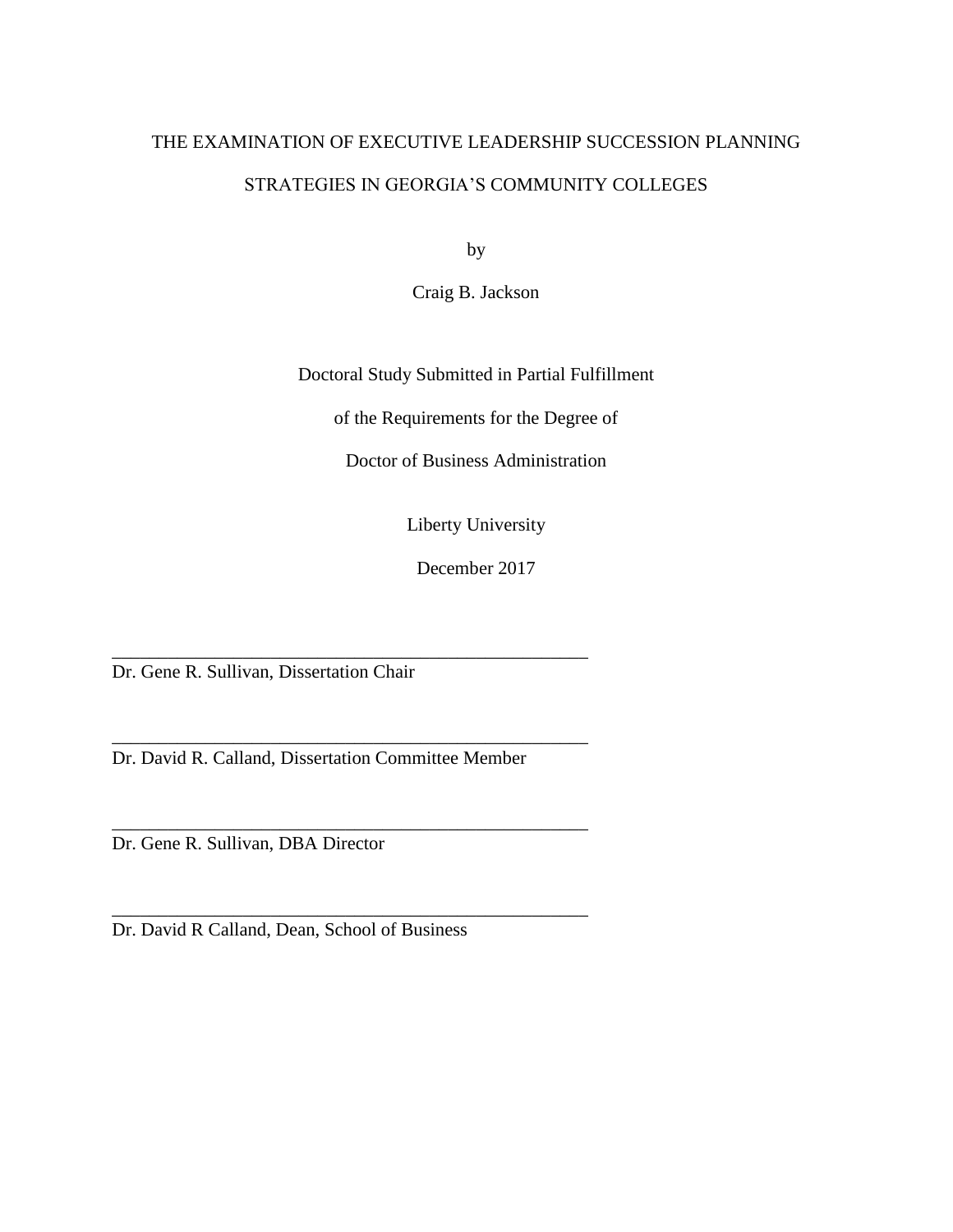# THE EXAMINATION OF EXECUTIVE LEADERSHIP SUCCESSION PLANNING STRATEGIES IN GEORGIA'S COMMUNITY COLLEGES

by

Craig B. Jackson

Doctoral Study Submitted in Partial Fulfillment

of the Requirements for the Degree of

Doctor of Business Administration

Liberty University

December 2017

\_\_\_\_\_\_\_\_\_\_\_\_\_\_\_\_\_\_\_\_\_\_\_\_\_\_\_\_\_\_\_\_\_\_\_\_\_\_\_\_\_\_\_\_\_\_\_\_\_\_\_ Dr. Gene R. Sullivan, Dissertation Chair

Dr. David R. Calland, Dissertation Committee Member

\_\_\_\_\_\_\_\_\_\_\_\_\_\_\_\_\_\_\_\_\_\_\_\_\_\_\_\_\_\_\_\_\_\_\_\_\_\_\_\_\_\_\_\_\_\_\_\_\_\_\_

\_\_\_\_\_\_\_\_\_\_\_\_\_\_\_\_\_\_\_\_\_\_\_\_\_\_\_\_\_\_\_\_\_\_\_\_\_\_\_\_\_\_\_\_\_\_\_\_\_\_\_

\_\_\_\_\_\_\_\_\_\_\_\_\_\_\_\_\_\_\_\_\_\_\_\_\_\_\_\_\_\_\_\_\_\_\_\_\_\_\_\_\_\_\_\_\_\_\_\_\_\_\_

Dr. Gene R. Sullivan, DBA Director

Dr. David R Calland, Dean, School of Business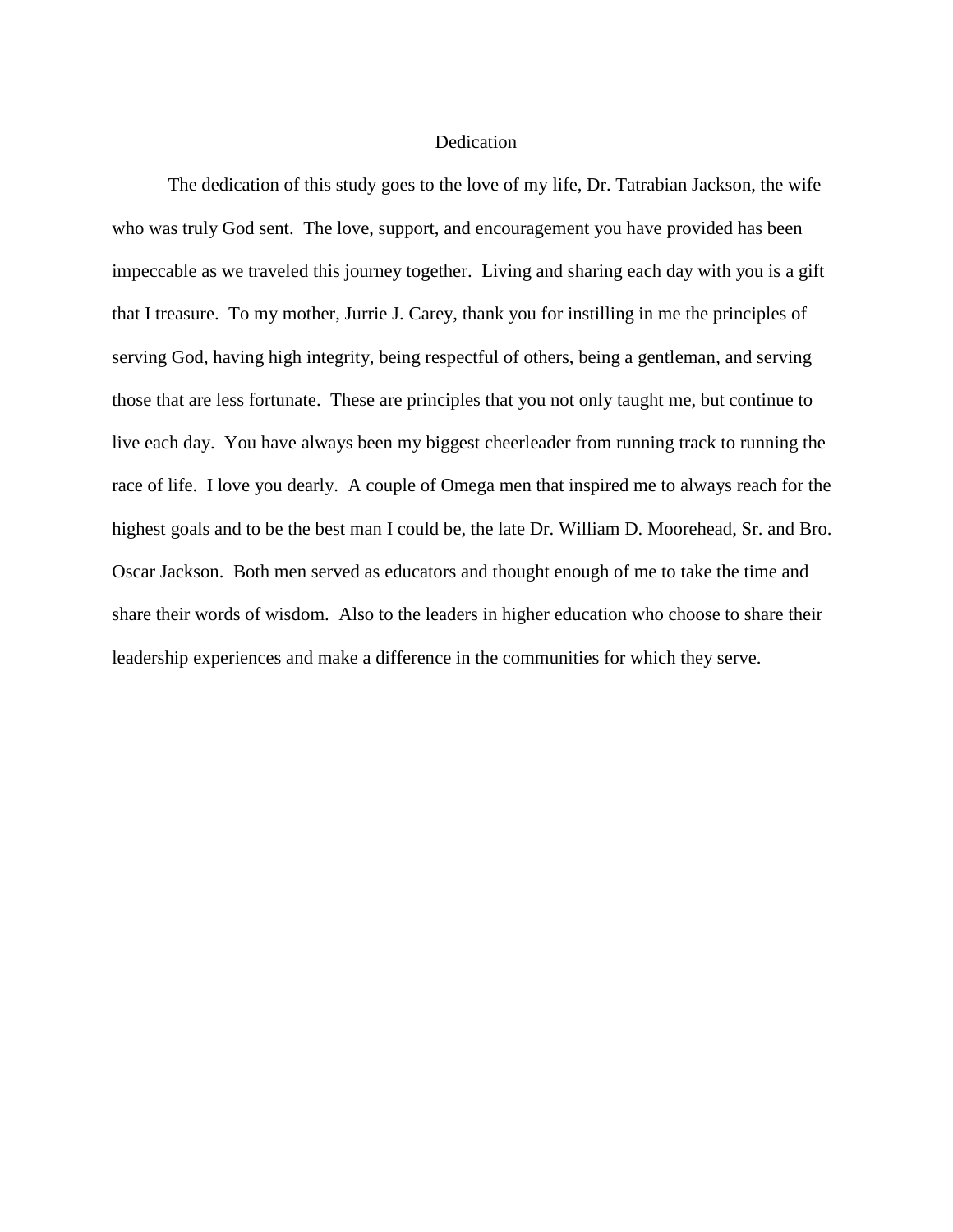#### Dedication

The dedication of this study goes to the love of my life, Dr. Tatrabian Jackson, the wife who was truly God sent. The love, support, and encouragement you have provided has been impeccable as we traveled this journey together. Living and sharing each day with you is a gift that I treasure. To my mother, Jurrie J. Carey, thank you for instilling in me the principles of serving God, having high integrity, being respectful of others, being a gentleman, and serving those that are less fortunate. These are principles that you not only taught me, but continue to live each day. You have always been my biggest cheerleader from running track to running the race of life. I love you dearly. A couple of Omega men that inspired me to always reach for the highest goals and to be the best man I could be, the late Dr. William D. Moorehead, Sr. and Bro. Oscar Jackson. Both men served as educators and thought enough of me to take the time and share their words of wisdom. Also to the leaders in higher education who choose to share their leadership experiences and make a difference in the communities for which they serve.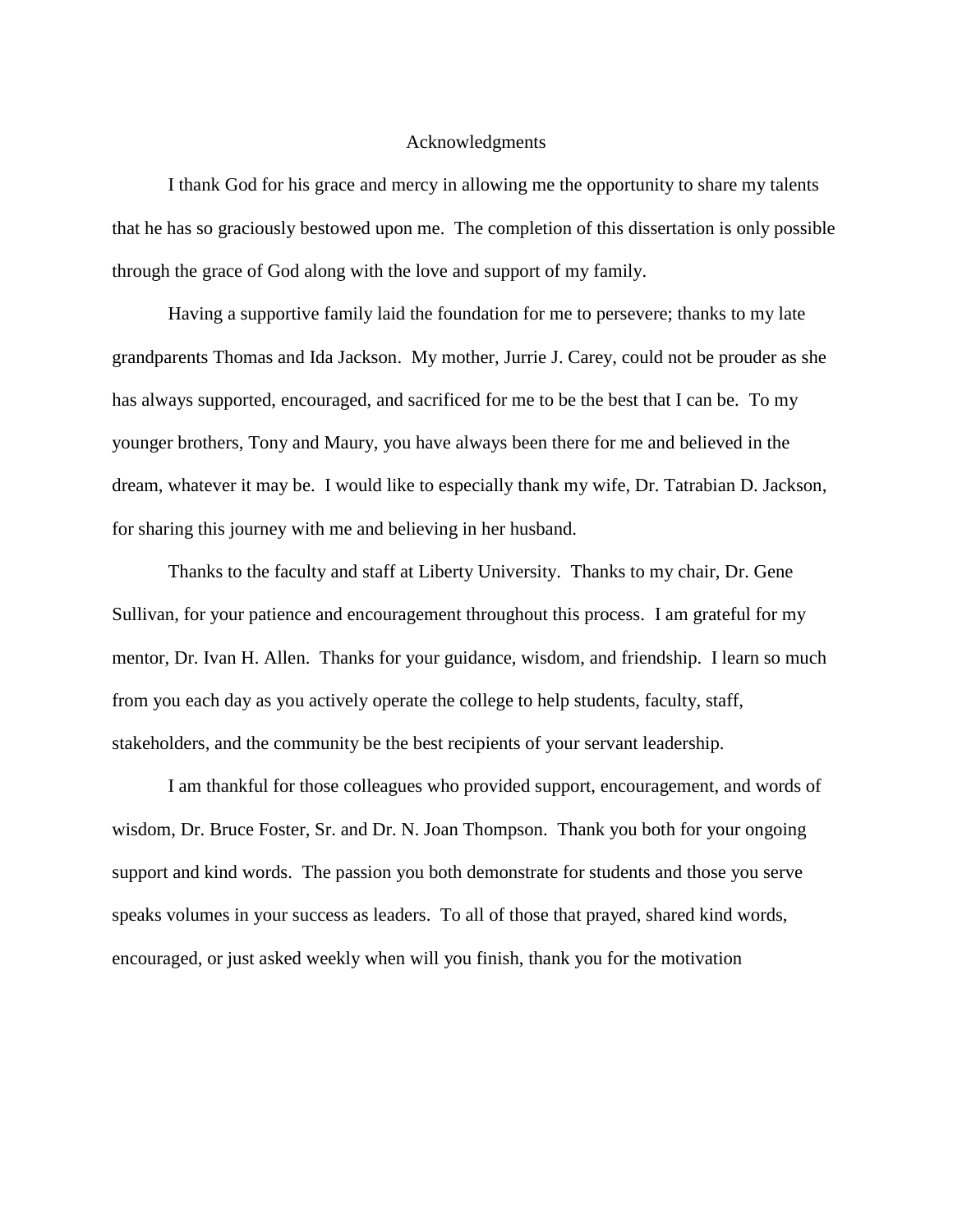# Acknowledgments

I thank God for his grace and mercy in allowing me the opportunity to share my talents that he has so graciously bestowed upon me. The completion of this dissertation is only possible through the grace of God along with the love and support of my family.

Having a supportive family laid the foundation for me to persevere; thanks to my late grandparents Thomas and Ida Jackson. My mother, Jurrie J. Carey, could not be prouder as she has always supported, encouraged, and sacrificed for me to be the best that I can be. To my younger brothers, Tony and Maury, you have always been there for me and believed in the dream, whatever it may be. I would like to especially thank my wife, Dr. Tatrabian D. Jackson, for sharing this journey with me and believing in her husband.

Thanks to the faculty and staff at Liberty University. Thanks to my chair, Dr. Gene Sullivan, for your patience and encouragement throughout this process. I am grateful for my mentor, Dr. Ivan H. Allen. Thanks for your guidance, wisdom, and friendship. I learn so much from you each day as you actively operate the college to help students, faculty, staff, stakeholders, and the community be the best recipients of your servant leadership.

I am thankful for those colleagues who provided support, encouragement, and words of wisdom, Dr. Bruce Foster, Sr. and Dr. N. Joan Thompson. Thank you both for your ongoing support and kind words. The passion you both demonstrate for students and those you serve speaks volumes in your success as leaders. To all of those that prayed, shared kind words, encouraged, or just asked weekly when will you finish, thank you for the motivation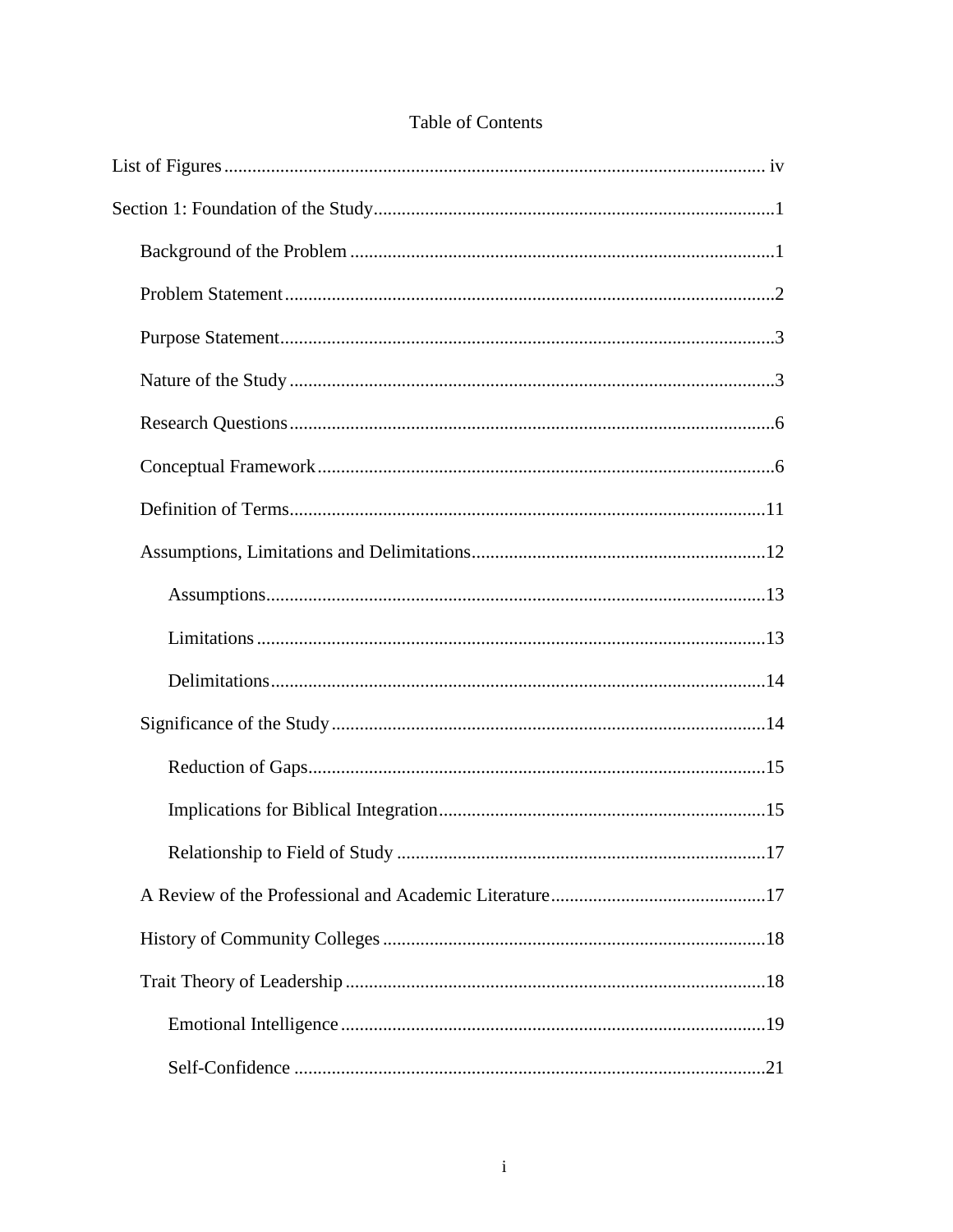# Table of Contents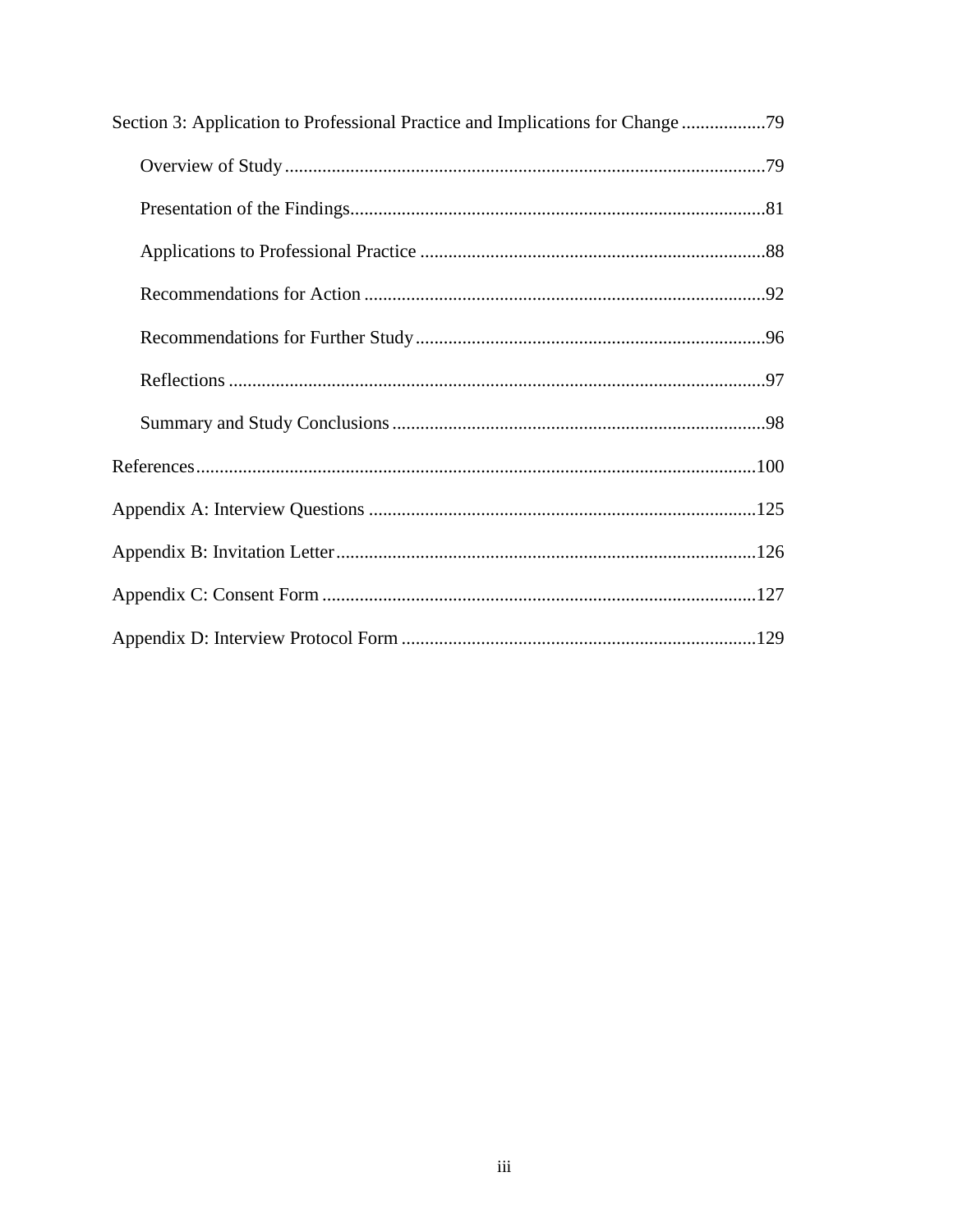| Section 3: Application to Professional Practice and Implications for Change |
|-----------------------------------------------------------------------------|
|                                                                             |
|                                                                             |
|                                                                             |
|                                                                             |
|                                                                             |
|                                                                             |
|                                                                             |
|                                                                             |
|                                                                             |
|                                                                             |
|                                                                             |
|                                                                             |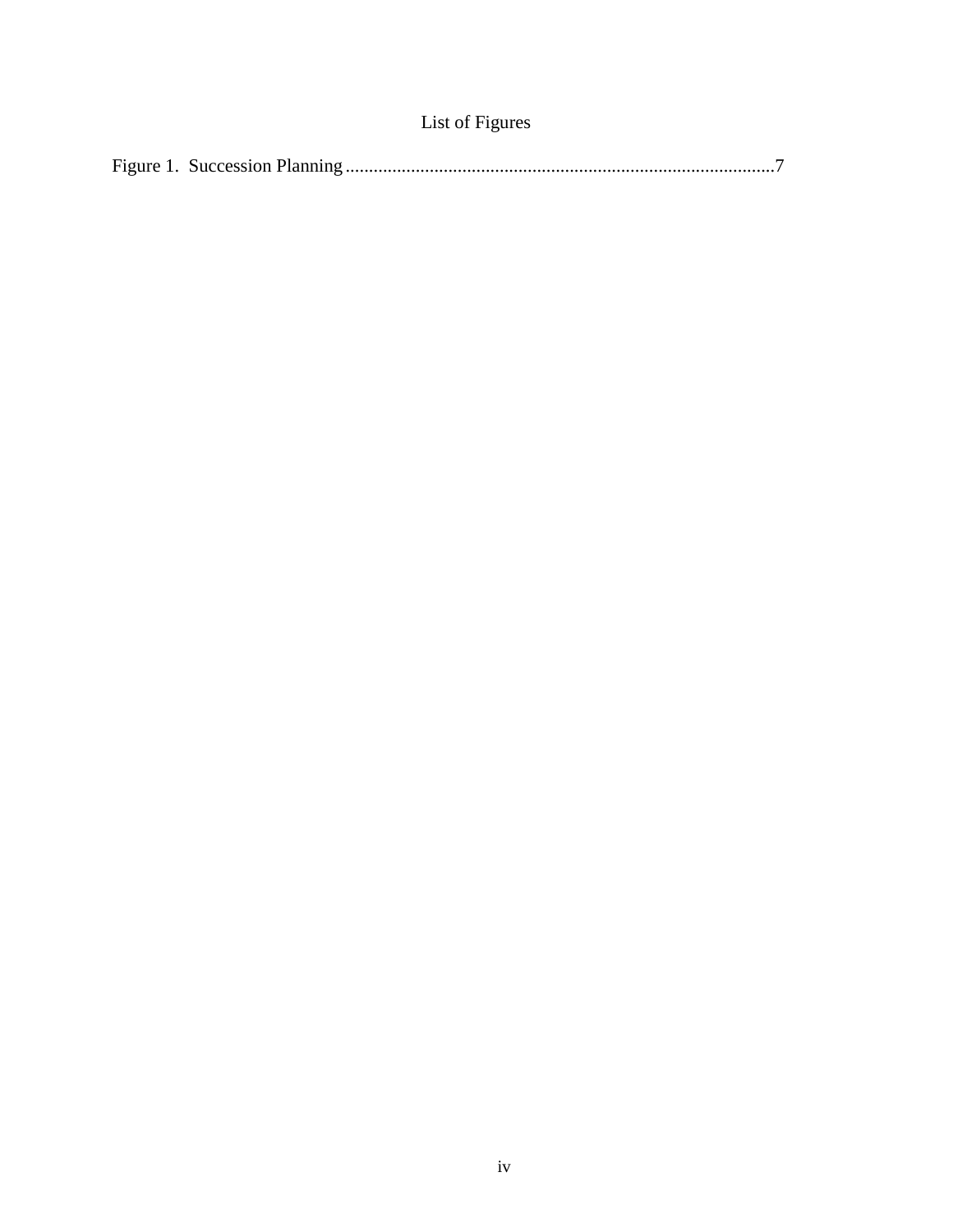| List of Figures |
|-----------------|
|-----------------|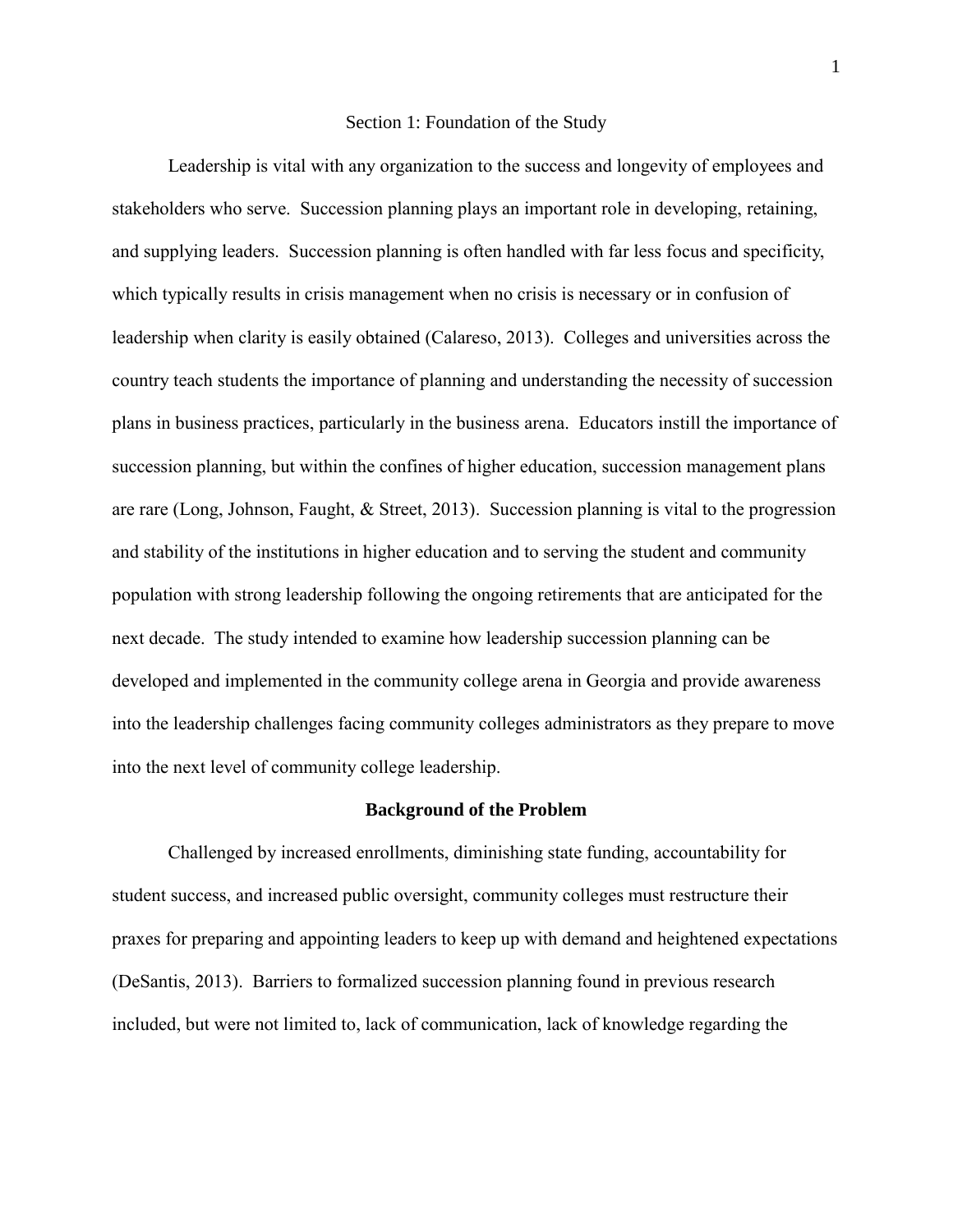#### Section 1: Foundation of the Study

Leadership is vital with any organization to the success and longevity of employees and stakeholders who serve. Succession planning plays an important role in developing, retaining, and supplying leaders. Succession planning is often handled with far less focus and specificity, which typically results in crisis management when no crisis is necessary or in confusion of leadership when clarity is easily obtained (Calareso, 2013). Colleges and universities across the country teach students the importance of planning and understanding the necessity of succession plans in business practices, particularly in the business arena. Educators instill the importance of succession planning, but within the confines of higher education, succession management plans are rare (Long, Johnson, Faught, & Street, 2013). Succession planning is vital to the progression and stability of the institutions in higher education and to serving the student and community population with strong leadership following the ongoing retirements that are anticipated for the next decade. The study intended to examine how leadership succession planning can be developed and implemented in the community college arena in Georgia and provide awareness into the leadership challenges facing community colleges administrators as they prepare to move into the next level of community college leadership.

#### **Background of the Problem**

Challenged by increased enrollments, diminishing state funding, accountability for student success, and increased public oversight, community colleges must restructure their praxes for preparing and appointing leaders to keep up with demand and heightened expectations (DeSantis, 2013). Barriers to formalized succession planning found in previous research included, but were not limited to, lack of communication, lack of knowledge regarding the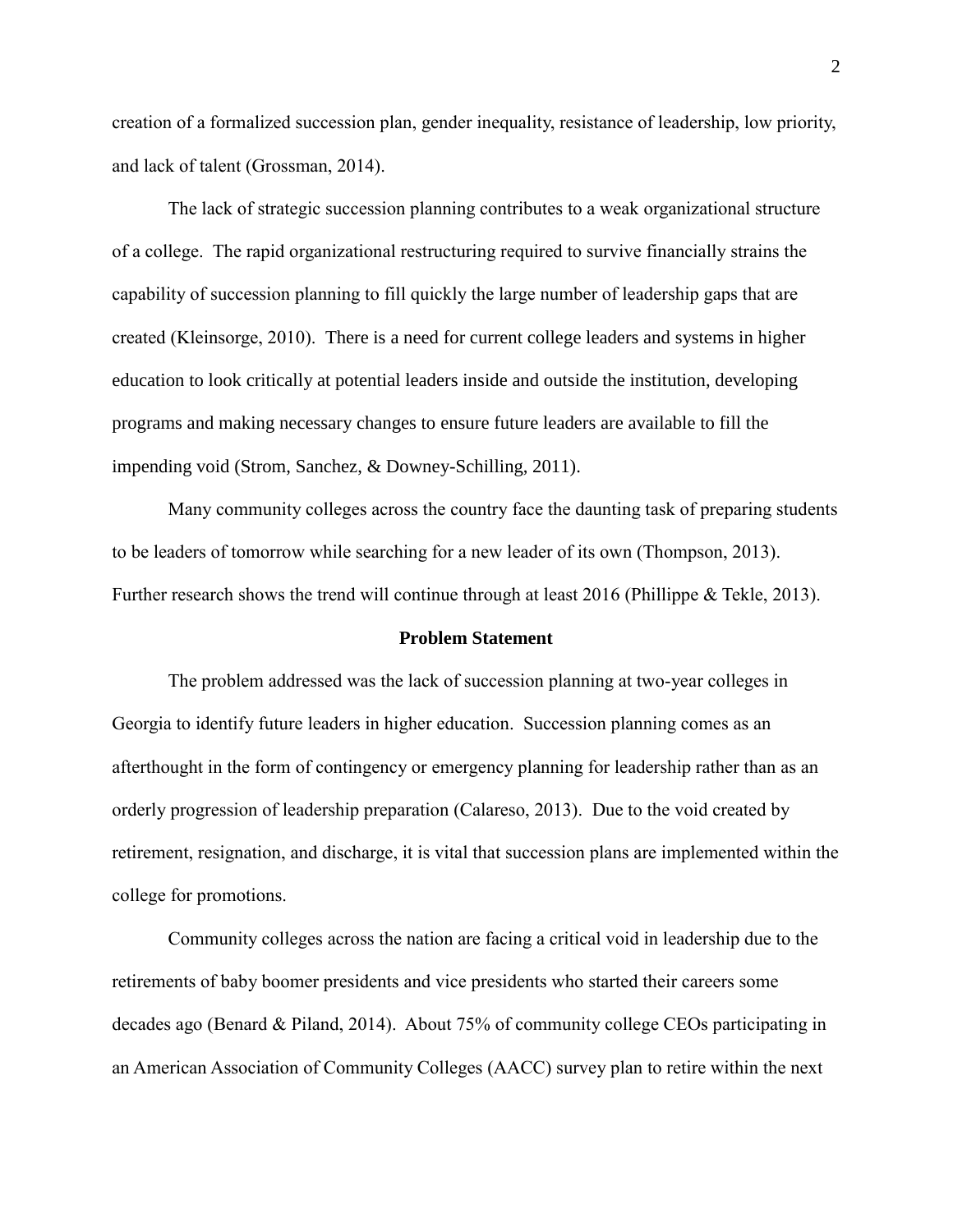creation of a formalized succession plan, gender inequality, resistance of leadership, low priority, and lack of talent (Grossman, 2014).

The lack of strategic succession planning contributes to a weak organizational structure of a college. The rapid organizational restructuring required to survive financially strains the capability of succession planning to fill quickly the large number of leadership gaps that are created (Kleinsorge, 2010). There is a need for current college leaders and systems in higher education to look critically at potential leaders inside and outside the institution, developing programs and making necessary changes to ensure future leaders are available to fill the impending void (Strom, Sanchez, & Downey-Schilling, 2011).

Many community colleges across the country face the daunting task of preparing students to be leaders of tomorrow while searching for a new leader of its own (Thompson, 2013). Further research shows the trend will continue through at least 2016 (Phillippe & Tekle, 2013).

#### **Problem Statement**

The problem addressed was the lack of succession planning at two-year colleges in Georgia to identify future leaders in higher education. Succession planning comes as an afterthought in the form of contingency or emergency planning for leadership rather than as an orderly progression of leadership preparation (Calareso, 2013). Due to the void created by retirement, resignation, and discharge, it is vital that succession plans are implemented within the college for promotions.

Community colleges across the nation are facing a critical void in leadership due to the retirements of baby boomer presidents and vice presidents who started their careers some decades ago (Benard & Piland, 2014). About 75% of community college CEOs participating in an American Association of Community Colleges (AACC) survey plan to retire within the next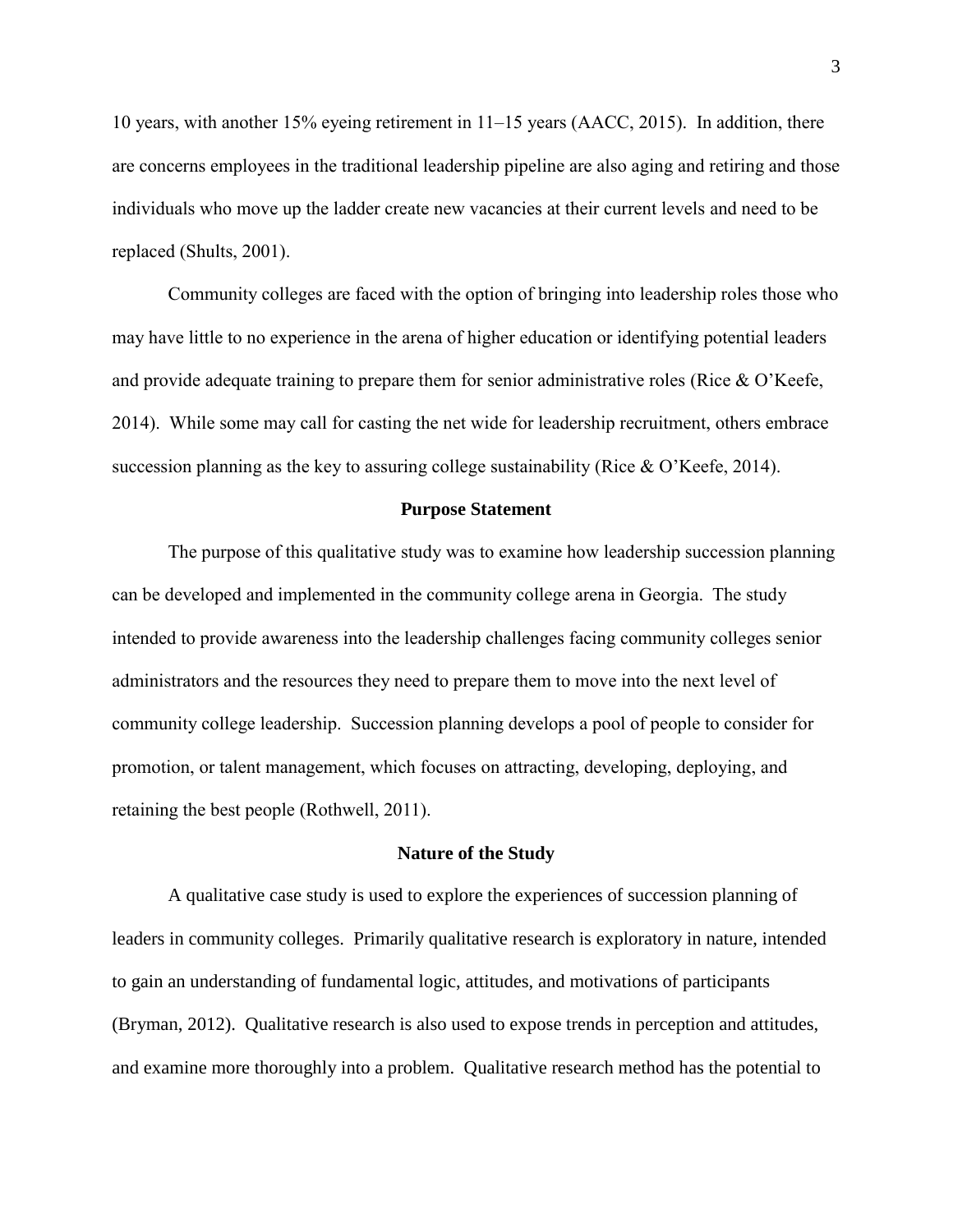10 years, with another 15% eyeing retirement in 11–15 years (AACC, 2015). In addition, there are concerns employees in the traditional leadership pipeline are also aging and retiring and those individuals who move up the ladder create new vacancies at their current levels and need to be replaced (Shults, 2001).

Community colleges are faced with the option of bringing into leadership roles those who may have little to no experience in the arena of higher education or identifying potential leaders and provide adequate training to prepare them for senior administrative roles (Rice & O'Keefe, 2014). While some may call for casting the net wide for leadership recruitment, others embrace succession planning as the key to assuring college sustainability (Rice  $& O'Keefe, 2014$ ).

## **Purpose Statement**

The purpose of this qualitative study was to examine how leadership succession planning can be developed and implemented in the community college arena in Georgia. The study intended to provide awareness into the leadership challenges facing community colleges senior administrators and the resources they need to prepare them to move into the next level of community college leadership. Succession planning develops a pool of people to consider for promotion, or talent management, which focuses on attracting, developing, deploying, and retaining the best people (Rothwell, 2011).

#### **Nature of the Study**

A qualitative case study is used to explore the experiences of succession planning of leaders in community colleges. Primarily qualitative research is exploratory in nature, intended to gain an understanding of fundamental logic, attitudes, and motivations of participants (Bryman, 2012). Qualitative research is also used to expose trends in perception and attitudes, and examine more thoroughly into a problem. Qualitative research method has the potential to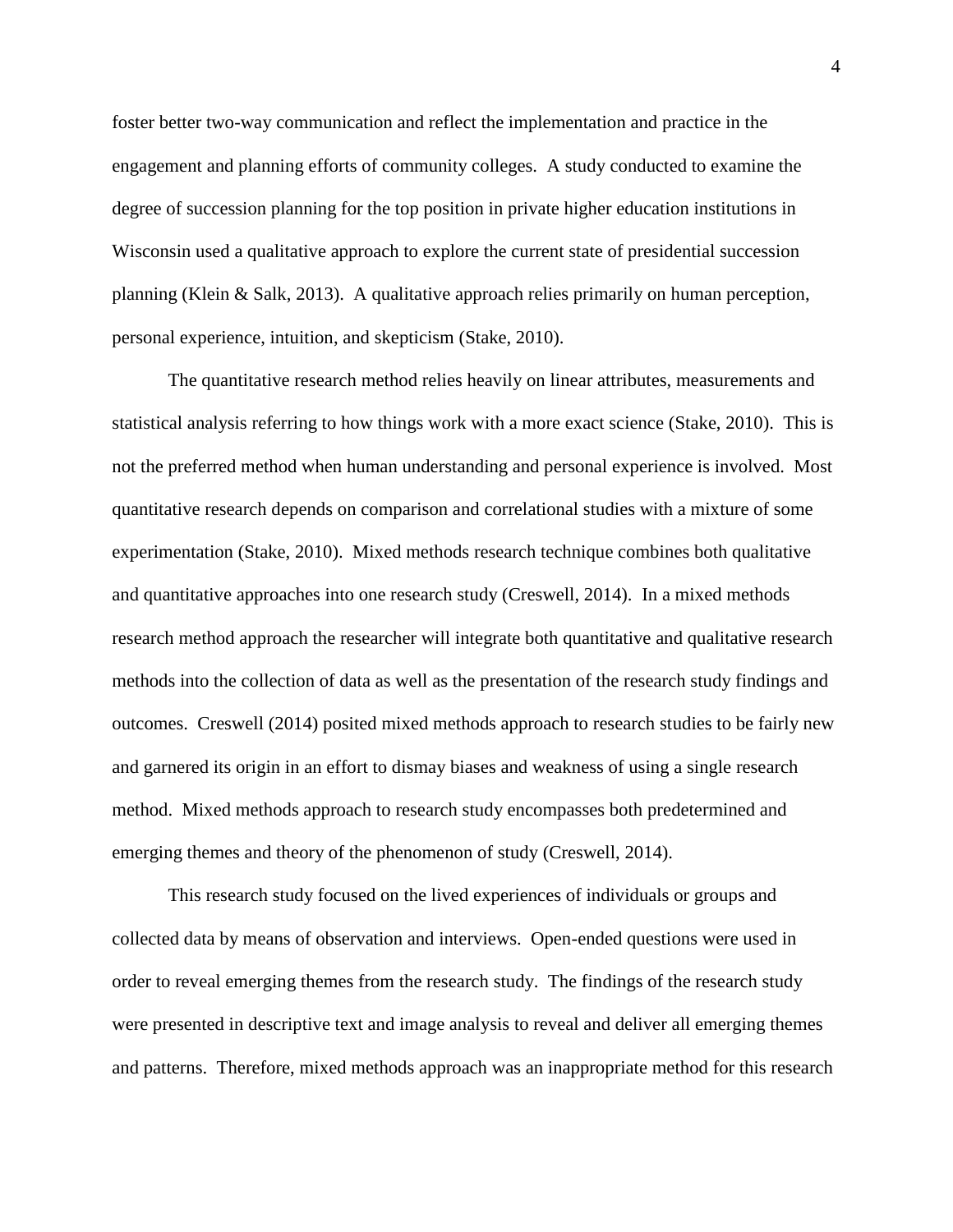foster better two-way communication and reflect the implementation and practice in the engagement and planning efforts of community colleges. A study conducted to examine the degree of succession planning for the top position in private higher education institutions in Wisconsin used a qualitative approach to explore the current state of presidential succession planning (Klein & Salk, 2013). A qualitative approach relies primarily on human perception, personal experience, intuition, and skepticism (Stake, 2010).

The quantitative research method relies heavily on linear attributes, measurements and statistical analysis referring to how things work with a more exact science (Stake, 2010). This is not the preferred method when human understanding and personal experience is involved. Most quantitative research depends on comparison and correlational studies with a mixture of some experimentation (Stake, 2010). Mixed methods research technique combines both qualitative and quantitative approaches into one research study (Creswell, 2014). In a mixed methods research method approach the researcher will integrate both quantitative and qualitative research methods into the collection of data as well as the presentation of the research study findings and outcomes. Creswell (2014) posited mixed methods approach to research studies to be fairly new and garnered its origin in an effort to dismay biases and weakness of using a single research method. Mixed methods approach to research study encompasses both predetermined and emerging themes and theory of the phenomenon of study (Creswell, 2014).

This research study focused on the lived experiences of individuals or groups and collected data by means of observation and interviews. Open-ended questions were used in order to reveal emerging themes from the research study. The findings of the research study were presented in descriptive text and image analysis to reveal and deliver all emerging themes and patterns. Therefore, mixed methods approach was an inappropriate method for this research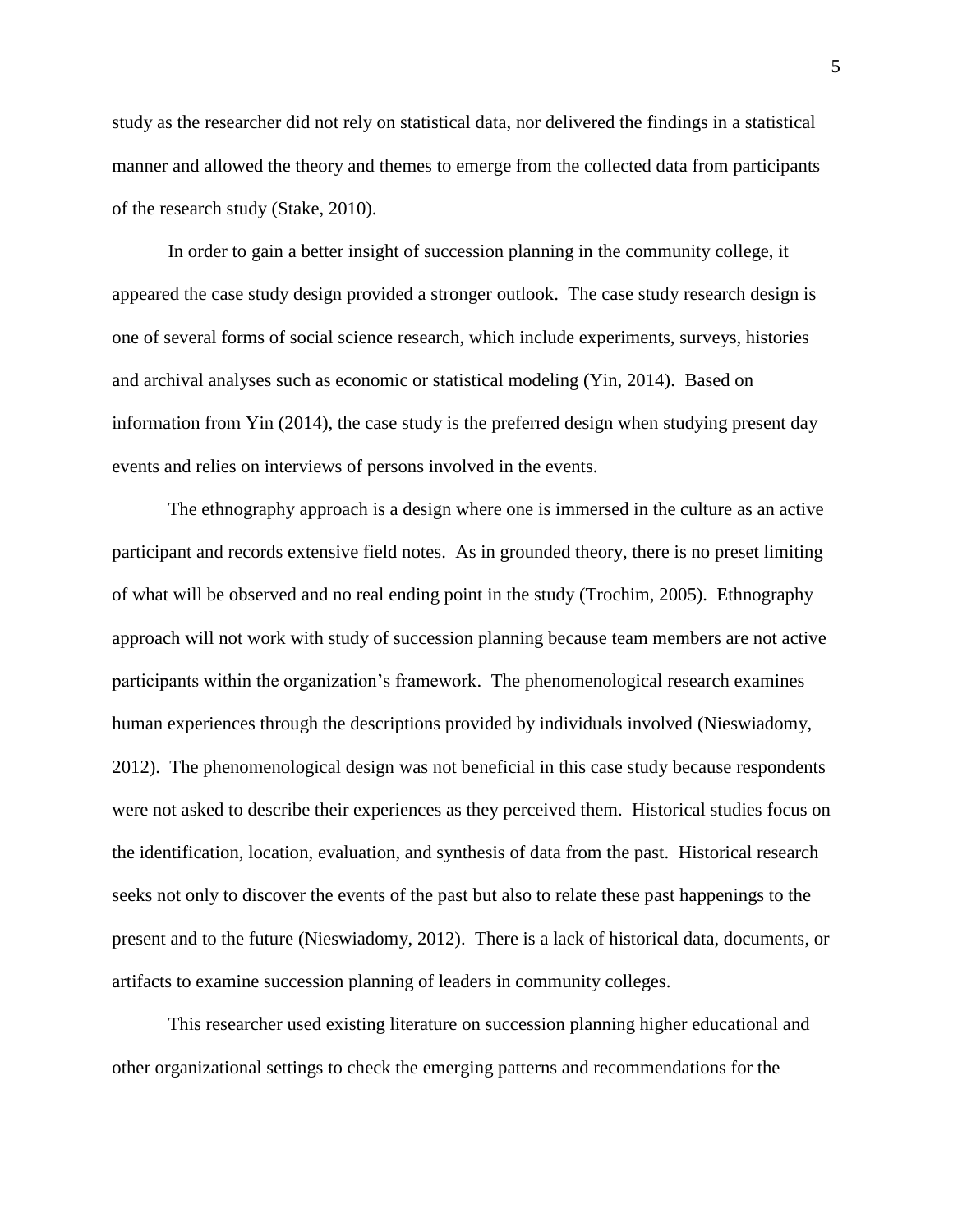study as the researcher did not rely on statistical data, nor delivered the findings in a statistical manner and allowed the theory and themes to emerge from the collected data from participants of the research study (Stake, 2010).

In order to gain a better insight of succession planning in the community college, it appeared the case study design provided a stronger outlook. The case study research design is one of several forms of social science research, which include experiments, surveys, histories and archival analyses such as economic or statistical modeling (Yin, 2014). Based on information from Yin (2014), the case study is the preferred design when studying present day events and relies on interviews of persons involved in the events.

The ethnography approach is a design where one is immersed in the culture as an active participant and records extensive field notes. As in grounded theory, there is no preset limiting of what will be observed and no real ending point in the study (Trochim, 2005). Ethnography approach will not work with study of succession planning because team members are not active participants within the organization's framework. The phenomenological research examines human experiences through the descriptions provided by individuals involved (Nieswiadomy, 2012). The phenomenological design was not beneficial in this case study because respondents were not asked to describe their experiences as they perceived them. Historical studies focus on the identification, location, evaluation, and synthesis of data from the past. Historical research seeks not only to discover the events of the past but also to relate these past happenings to the present and to the future (Nieswiadomy, 2012). There is a lack of historical data, documents, or artifacts to examine succession planning of leaders in community colleges.

This researcher used existing literature on succession planning higher educational and other organizational settings to check the emerging patterns and recommendations for the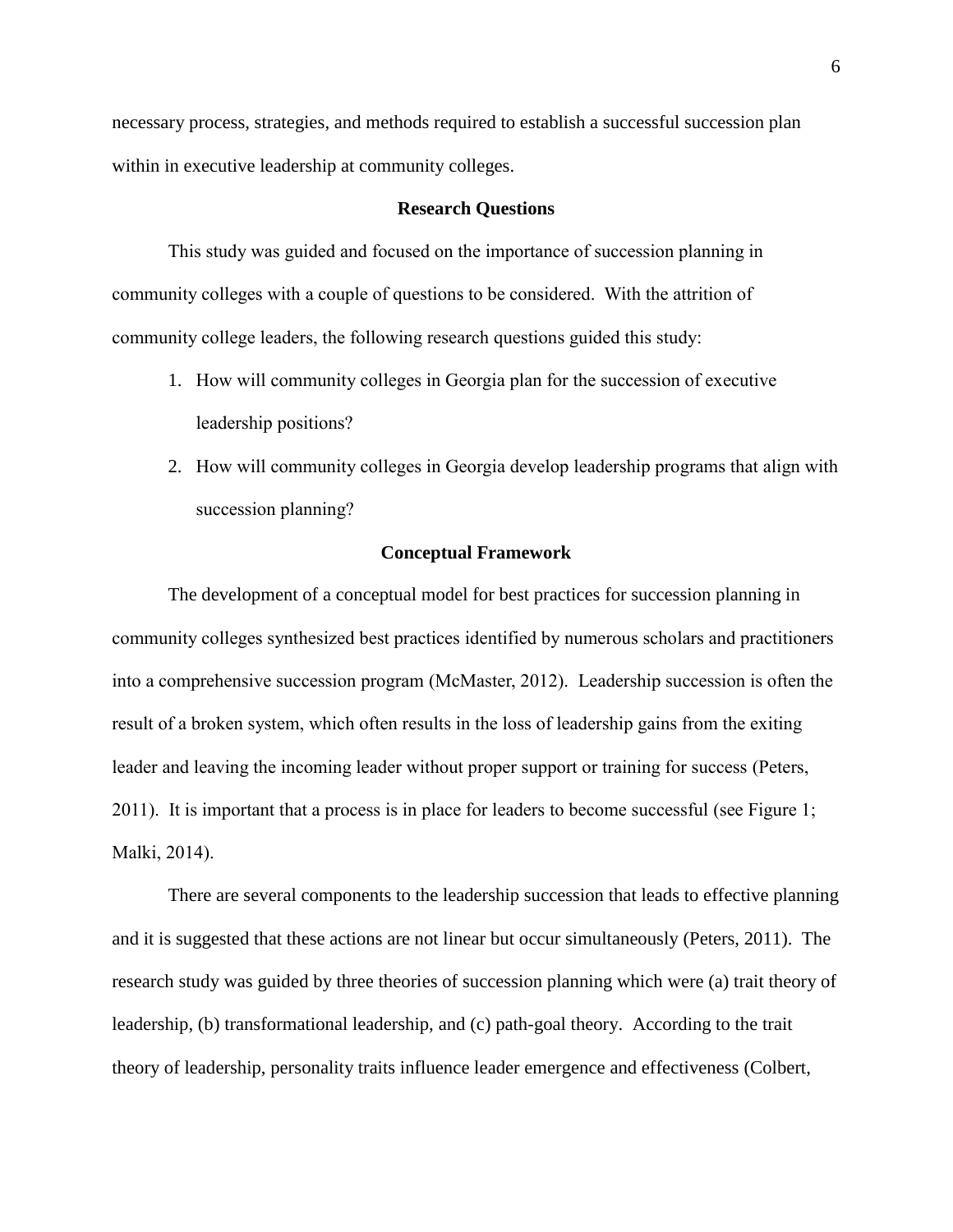necessary process, strategies, and methods required to establish a successful succession plan within in executive leadership at community colleges.

### **Research Questions**

This study was guided and focused on the importance of succession planning in community colleges with a couple of questions to be considered. With the attrition of community college leaders, the following research questions guided this study:

- 1. How will community colleges in Georgia plan for the succession of executive leadership positions?
- 2. How will community colleges in Georgia develop leadership programs that align with succession planning?

# **Conceptual Framework**

The development of a conceptual model for best practices for succession planning in community colleges synthesized best practices identified by numerous scholars and practitioners into a comprehensive succession program (McMaster, 2012). Leadership succession is often the result of a broken system, which often results in the loss of leadership gains from the exiting leader and leaving the incoming leader without proper support or training for success (Peters, 2011). It is important that a process is in place for leaders to become successful (see Figure 1; Malki, 2014).

There are several components to the leadership succession that leads to effective planning and it is suggested that these actions are not linear but occur simultaneously (Peters, 2011). The research study was guided by three theories of succession planning which were (a) trait theory of leadership, (b) transformational leadership, and (c) path-goal theory. According to the trait theory of leadership, personality traits influence leader emergence and effectiveness (Colbert,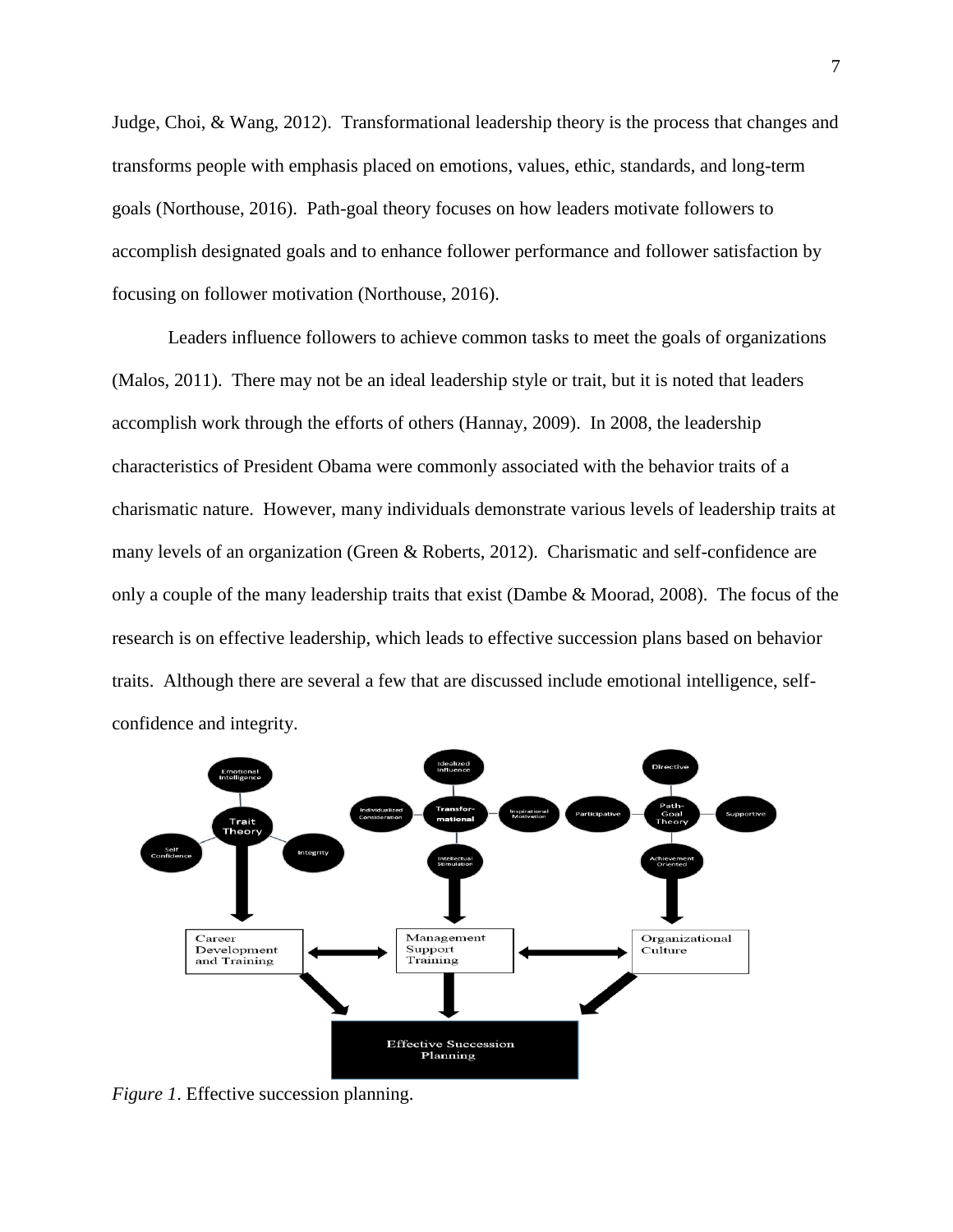Judge, Choi, & Wang, 2012). Transformational leadership theory is the process that changes and transforms people with emphasis placed on emotions, values, ethic, standards, and long-term goals (Northouse, 2016). Path-goal theory focuses on how leaders motivate followers to accomplish designated goals and to enhance follower performance and follower satisfaction by focusing on follower motivation (Northouse, 2016).

Leaders influence followers to achieve common tasks to meet the goals of organizations (Malos, 2011). There may not be an ideal leadership style or trait, but it is noted that leaders accomplish work through the efforts of others (Hannay, 2009). In 2008, the leadership characteristics of President Obama were commonly associated with the behavior traits of a charismatic nature. However, many individuals demonstrate various levels of leadership traits at many levels of an organization (Green & Roberts, 2012). Charismatic and self-confidence are only a couple of the many leadership traits that exist (Dambe & Moorad, 2008). The focus of the research is on effective leadership, which leads to effective succession plans based on behavior traits. Although there are several a few that are discussed include emotional intelligence, selfconfidence and integrity.



*Figure 1*. Effective succession planning.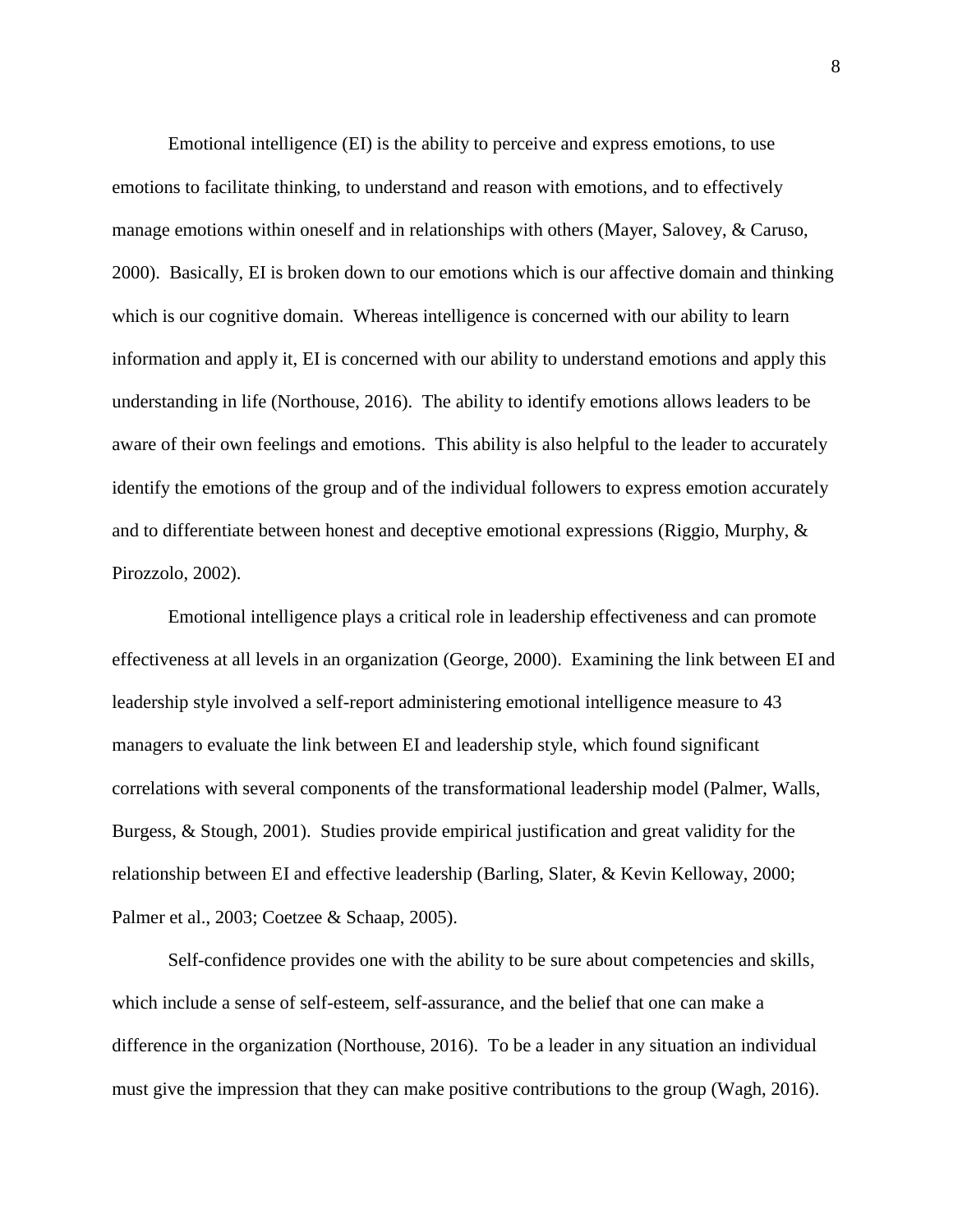Emotional intelligence (EI) is the ability to perceive and express emotions, to use emotions to facilitate thinking, to understand and reason with emotions, and to effectively manage emotions within oneself and in relationships with others (Mayer, Salovey, & Caruso, 2000). Basically, EI is broken down to our emotions which is our affective domain and thinking which is our cognitive domain. Whereas intelligence is concerned with our ability to learn information and apply it, EI is concerned with our ability to understand emotions and apply this understanding in life (Northouse, 2016). The ability to identify emotions allows leaders to be aware of their own feelings and emotions. This ability is also helpful to the leader to accurately identify the emotions of the group and of the individual followers to express emotion accurately and to differentiate between honest and deceptive emotional expressions (Riggio, Murphy, & Pirozzolo, 2002).

Emotional intelligence plays a critical role in leadership effectiveness and can promote effectiveness at all levels in an organization (George, 2000). Examining the link between EI and leadership style involved a self-report administering emotional intelligence measure to 43 managers to evaluate the link between EI and leadership style, which found significant correlations with several components of the transformational leadership model (Palmer, Walls, Burgess, & Stough, 2001). Studies provide empirical justification and great validity for the relationship between EI and effective leadership (Barling, Slater, & Kevin Kelloway, 2000; Palmer et al., 2003; Coetzee & Schaap, 2005).

Self-confidence provides one with the ability to be sure about competencies and skills, which include a sense of self-esteem, self-assurance, and the belief that one can make a difference in the organization (Northouse, 2016). To be a leader in any situation an individual must give the impression that they can make positive contributions to the group (Wagh, 2016).

8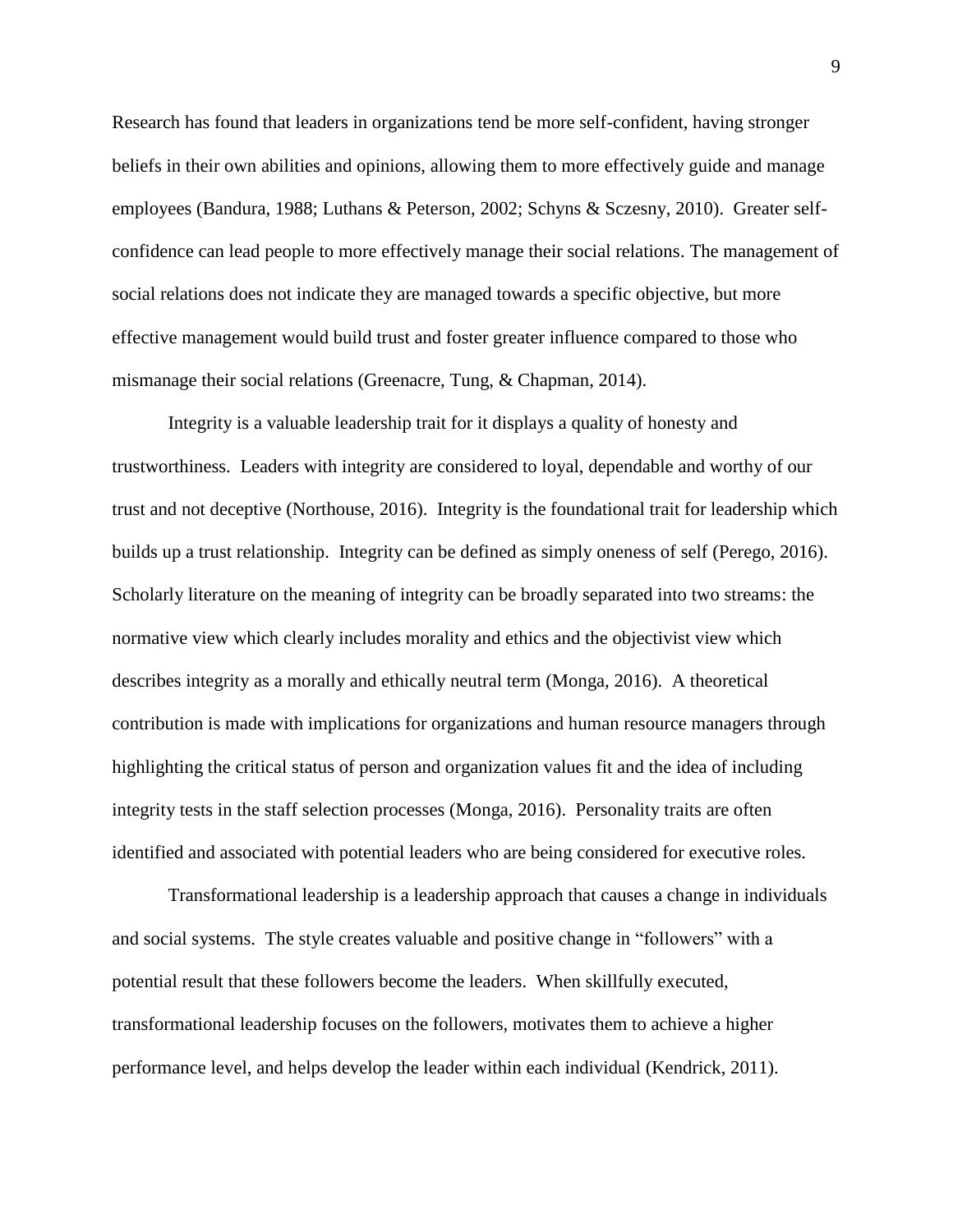Research has found that leaders in organizations tend be more self-confident, having stronger beliefs in their own abilities and opinions, allowing them to more effectively guide and manage employees (Bandura, 1988; Luthans & Peterson, 2002; Schyns & Sczesny, 2010). Greater selfconfidence can lead people to more effectively manage their social relations. The management of social relations does not indicate they are managed towards a specific objective, but more effective management would build trust and foster greater influence compared to those who mismanage their social relations (Greenacre, Tung, & Chapman, 2014).

Integrity is a valuable leadership trait for it displays a quality of honesty and trustworthiness. Leaders with integrity are considered to loyal, dependable and worthy of our trust and not deceptive (Northouse, 2016). Integrity is the foundational trait for leadership which builds up a trust relationship. Integrity can be defined as simply oneness of self (Perego, 2016). Scholarly literature on the meaning of integrity can be broadly separated into two streams: the normative view which clearly includes morality and ethics and the objectivist view which describes integrity as a morally and ethically neutral term (Monga, 2016). A theoretical contribution is made with implications for organizations and human resource managers through highlighting the critical status of person and organization values fit and the idea of including integrity tests in the staff selection processes (Monga, 2016). Personality traits are often identified and associated with potential leaders who are being considered for executive roles.

Transformational leadership is a leadership approach that causes a change in individuals and social systems. The style creates valuable and positive change in "followers" with a potential result that these followers become the leaders. When skillfully executed, transformational leadership focuses on the followers, motivates them to achieve a higher performance level, and helps develop the leader within each individual (Kendrick, 2011).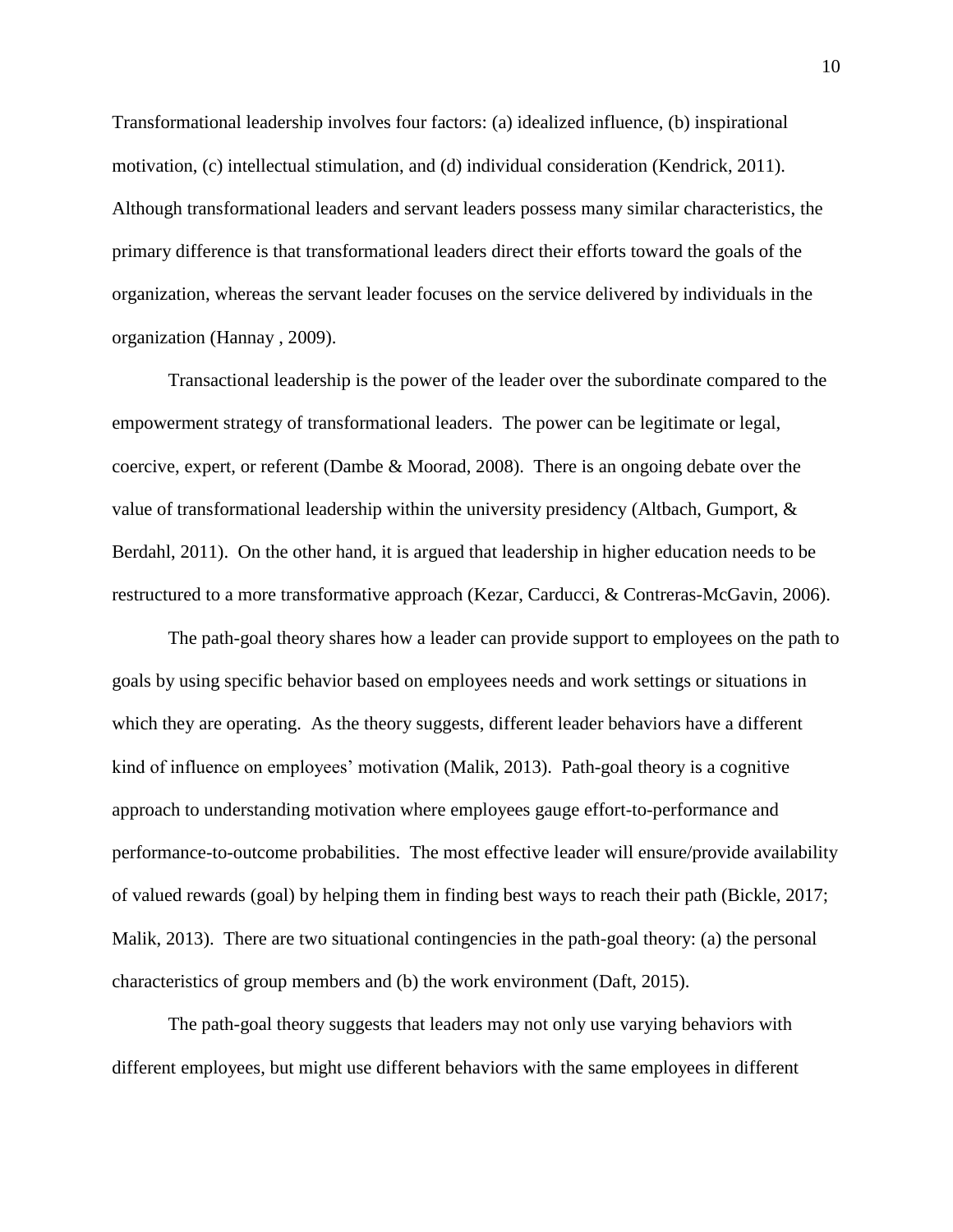Transformational leadership involves four factors: (a) idealized influence, (b) inspirational motivation, (c) intellectual stimulation, and (d) individual consideration (Kendrick, 2011). Although transformational leaders and servant leaders possess many similar characteristics, the primary difference is that transformational leaders direct their efforts toward the goals of the organization, whereas the servant leader focuses on the service delivered by individuals in the organization (Hannay , 2009).

Transactional leadership is the power of the leader over the subordinate compared to the empowerment strategy of transformational leaders. The power can be legitimate or legal, coercive, expert, or referent (Dambe & Moorad, 2008). There is an ongoing debate over the value of transformational leadership within the university presidency (Altbach, Gumport, & Berdahl, 2011). On the other hand, it is argued that leadership in higher education needs to be restructured to a more transformative approach (Kezar, Carducci, & Contreras-McGavin, 2006).

The path-goal theory shares how a leader can provide support to employees on the path to goals by using specific behavior based on employees needs and work settings or situations in which they are operating. As the theory suggests, different leader behaviors have a different kind of influence on employees' motivation (Malik, 2013). Path-goal theory is a cognitive approach to understanding motivation where employees gauge effort-to-performance and performance-to-outcome probabilities. The most effective leader will ensure/provide availability of valued rewards (goal) by helping them in finding best ways to reach their path (Bickle, 2017; Malik, 2013). There are two situational contingencies in the path-goal theory: (a) the personal characteristics of group members and (b) the work environment (Daft, 2015).

The path-goal theory suggests that leaders may not only use varying behaviors with different employees, but might use different behaviors with the same employees in different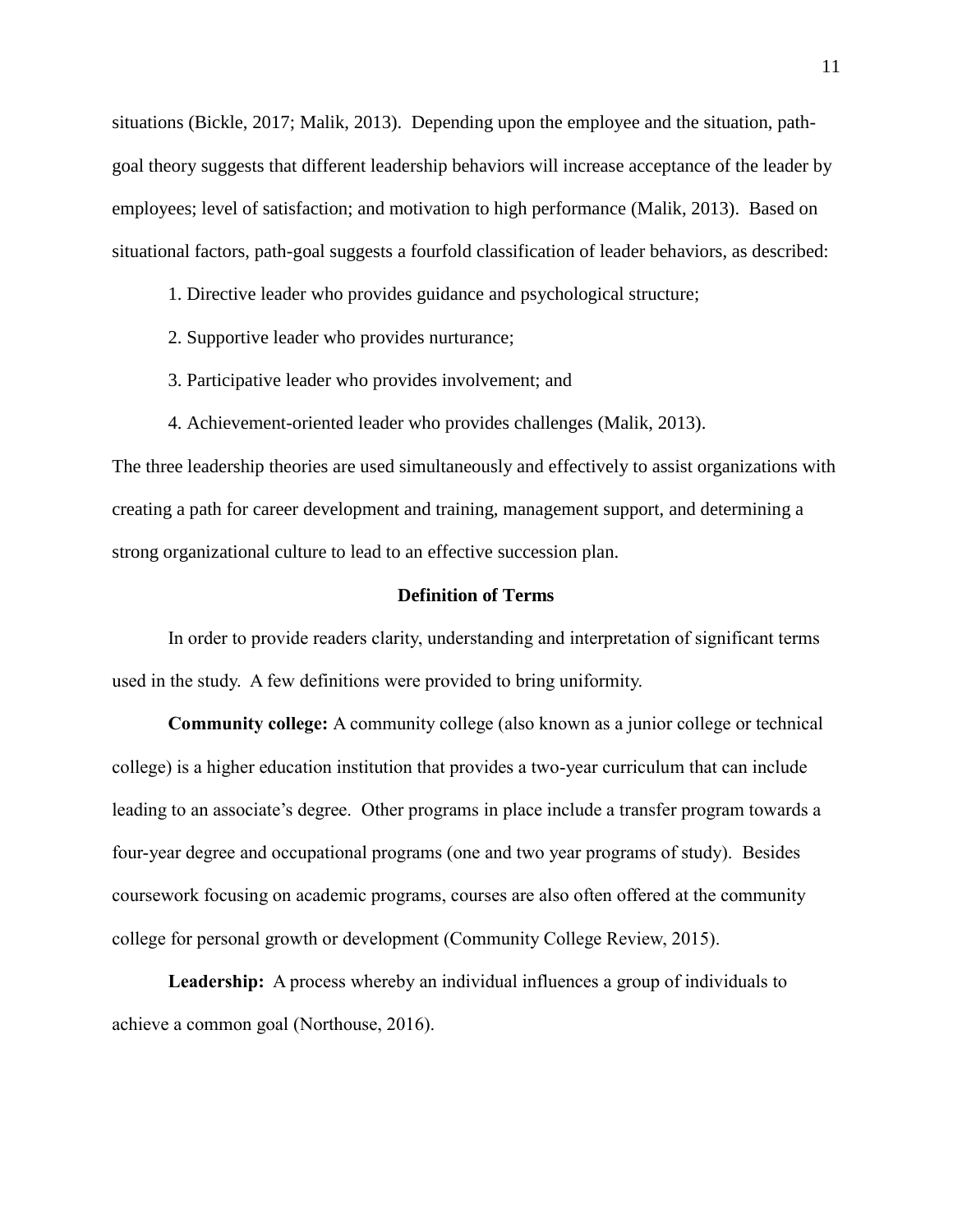situations (Bickle, 2017; Malik, 2013). Depending upon the employee and the situation, pathgoal theory suggests that different leadership behaviors will increase acceptance of the leader by employees; level of satisfaction; and motivation to high performance (Malik, 2013). Based on situational factors, path-goal suggests a fourfold classification of leader behaviors, as described:

1. Directive leader who provides guidance and psychological structure;

- 2. Supportive leader who provides nurturance;
- 3. Participative leader who provides involvement; and
- 4. Achievement-oriented leader who provides challenges (Malik, 2013).

The three leadership theories are used simultaneously and effectively to assist organizations with creating a path for career development and training, management support, and determining a strong organizational culture to lead to an effective succession plan.

### **Definition of Terms**

In order to provide readers clarity, understanding and interpretation of significant terms used in the study. A few definitions were provided to bring uniformity.

**Community college:** A community college (also known as a junior college or technical college) is a higher education institution that provides a two-year curriculum that can include leading to an associate's degree. Other programs in place include a transfer program towards a four-year degree and occupational programs (one and two year programs of study). Besides coursework focusing on academic programs, courses are also often offered at the community college for personal growth or development (Community College Review, 2015).

**Leadership:** A process whereby an individual influences a group of individuals to achieve a common goal (Northouse, 2016).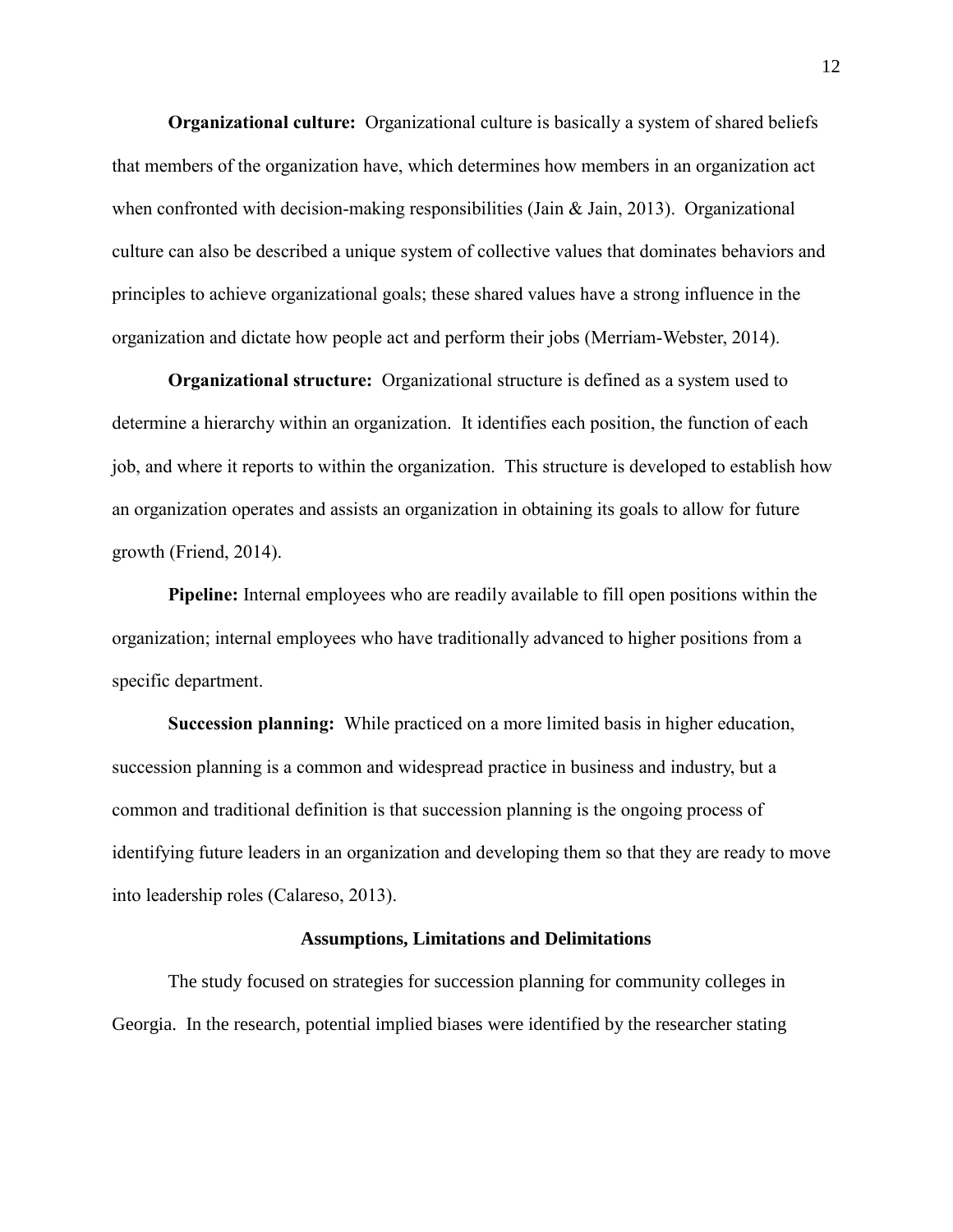**Organizational culture:** Organizational culture is basically a system of shared beliefs that members of the organization have, which determines how members in an organization act when confronted with decision-making responsibilities (Jain & Jain, 2013). Organizational culture can also be described a unique system of collective values that dominates behaviors and principles to achieve organizational goals; these shared values have a strong influence in the organization and dictate how people act and perform their jobs (Merriam-Webster, 2014).

**Organizational structure:** Organizational structure is defined as a system used to determine a hierarchy within an organization. It identifies each position, the function of each job, and where it reports to within the organization. This structure is developed to establish how an organization operates and assists an organization in obtaining its goals to allow for future growth (Friend, 2014).

**Pipeline:** Internal employees who are readily available to fill open positions within the organization; internal employees who have traditionally advanced to higher positions from a specific department.

**Succession planning:** While practiced on a more limited basis in higher education, succession planning is a common and widespread practice in business and industry, but a common and traditional definition is that succession planning is the ongoing process of identifying future leaders in an organization and developing them so that they are ready to move into leadership roles (Calareso, 2013).

# **Assumptions, Limitations and Delimitations**

The study focused on strategies for succession planning for community colleges in Georgia. In the research, potential implied biases were identified by the researcher stating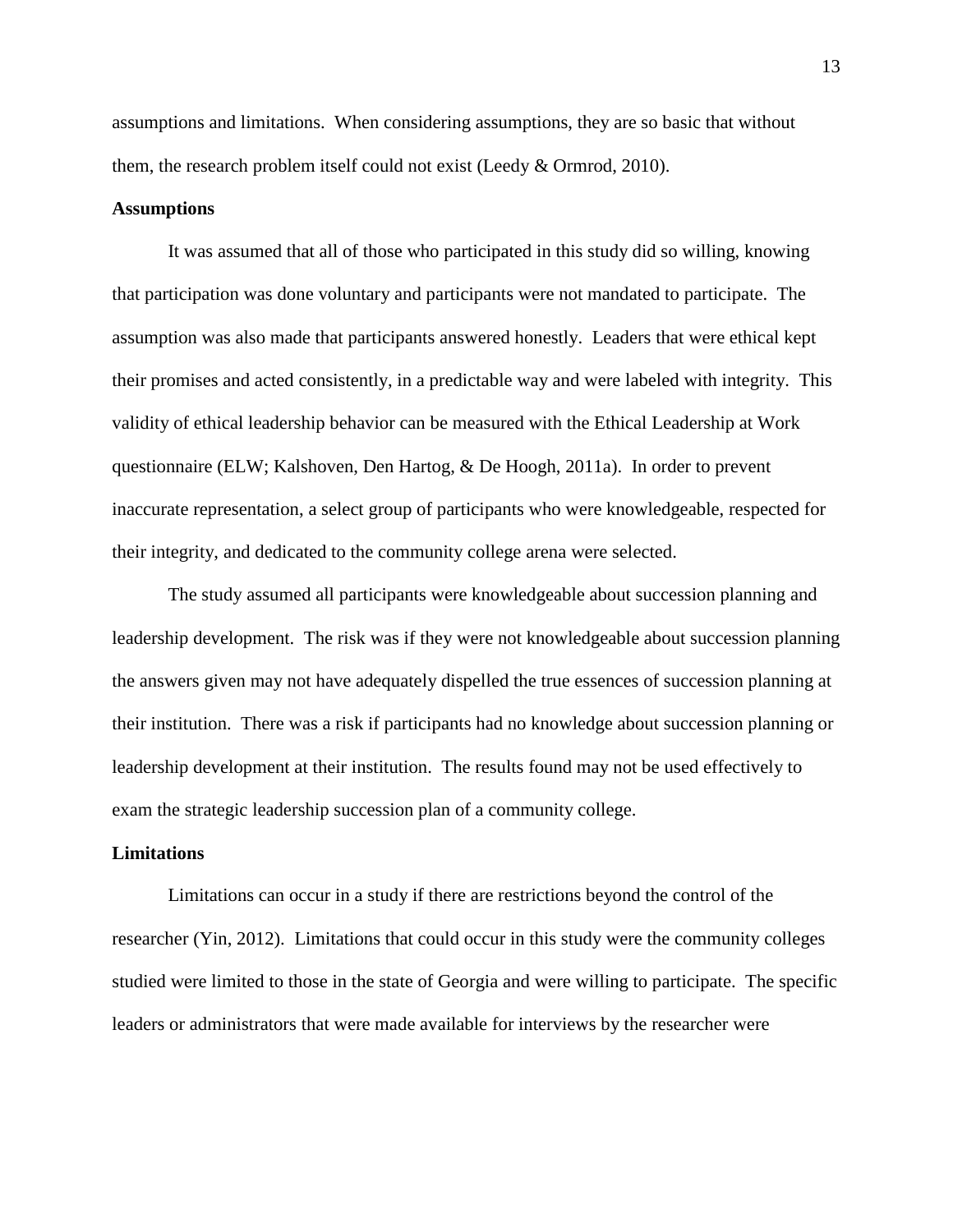assumptions and limitations. When considering assumptions, they are so basic that without them, the research problem itself could not exist (Leedy & Ormrod, 2010).

# **Assumptions**

It was assumed that all of those who participated in this study did so willing, knowing that participation was done voluntary and participants were not mandated to participate. The assumption was also made that participants answered honestly. Leaders that were ethical kept their promises and acted consistently, in a predictable way and were labeled with integrity. This validity of ethical leadership behavior can be measured with the Ethical Leadership at Work questionnaire (ELW; Kalshoven, Den Hartog, & De Hoogh, 2011a). In order to prevent inaccurate representation, a select group of participants who were knowledgeable, respected for their integrity, and dedicated to the community college arena were selected.

The study assumed all participants were knowledgeable about succession planning and leadership development. The risk was if they were not knowledgeable about succession planning the answers given may not have adequately dispelled the true essences of succession planning at their institution. There was a risk if participants had no knowledge about succession planning or leadership development at their institution. The results found may not be used effectively to exam the strategic leadership succession plan of a community college.

### **Limitations**

Limitations can occur in a study if there are restrictions beyond the control of the researcher (Yin, 2012). Limitations that could occur in this study were the community colleges studied were limited to those in the state of Georgia and were willing to participate. The specific leaders or administrators that were made available for interviews by the researcher were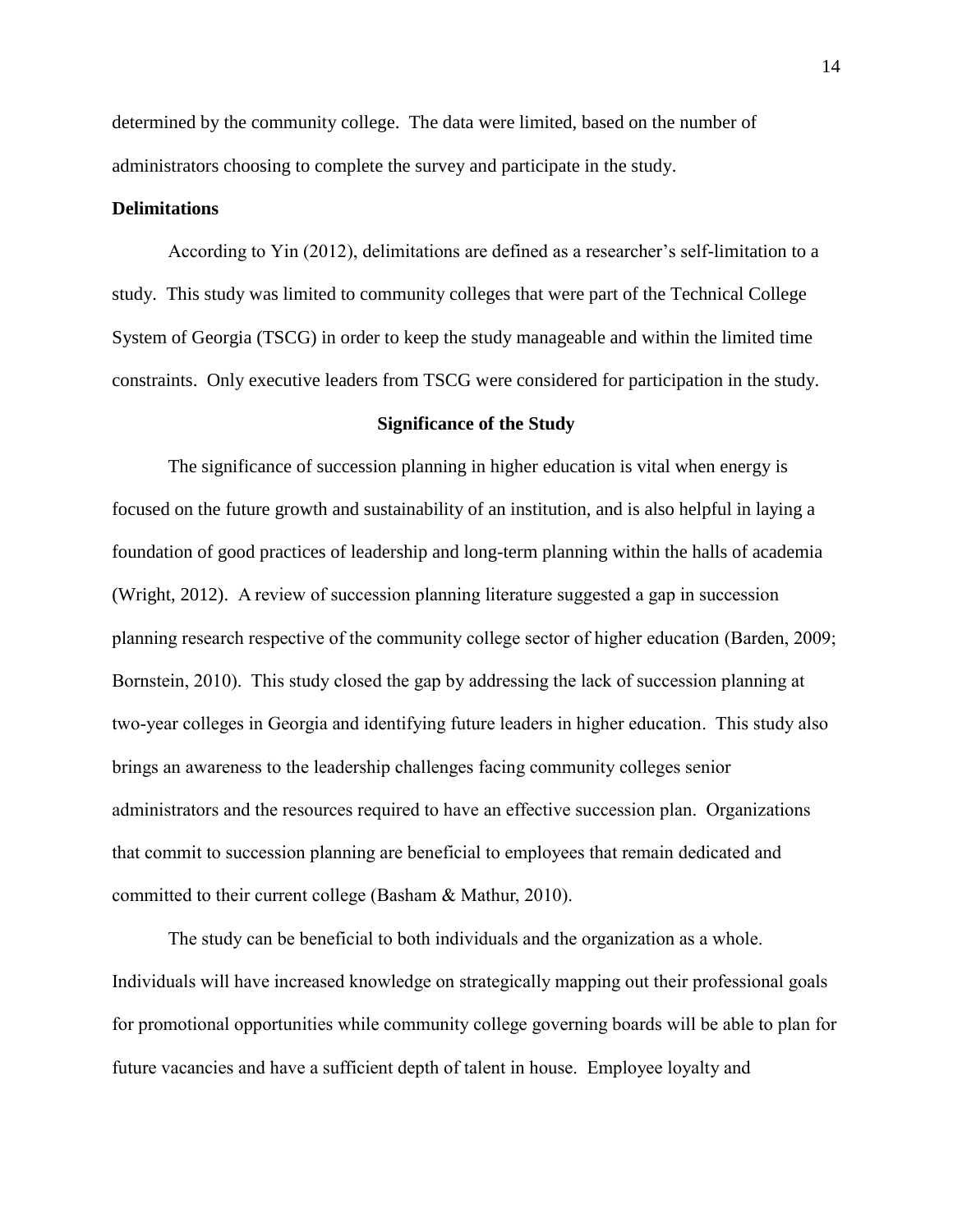determined by the community college. The data were limited, based on the number of administrators choosing to complete the survey and participate in the study.

# **Delimitations**

According to Yin (2012), delimitations are defined as a researcher's self-limitation to a study. This study was limited to community colleges that were part of the Technical College System of Georgia (TSCG) in order to keep the study manageable and within the limited time constraints. Only executive leaders from TSCG were considered for participation in the study.

#### **Significance of the Study**

The significance of succession planning in higher education is vital when energy is focused on the future growth and sustainability of an institution, and is also helpful in laying a foundation of good practices of leadership and long-term planning within the halls of academia (Wright, 2012). A review of succession planning literature suggested a gap in succession planning research respective of the community college sector of higher education (Barden, 2009; Bornstein, 2010). This study closed the gap by addressing the lack of succession planning at two-year colleges in Georgia and identifying future leaders in higher education. This study also brings an awareness to the leadership challenges facing community colleges senior administrators and the resources required to have an effective succession plan. Organizations that commit to succession planning are beneficial to employees that remain dedicated and committed to their current college (Basham & Mathur, 2010).

The study can be beneficial to both individuals and the organization as a whole. Individuals will have increased knowledge on strategically mapping out their professional goals for promotional opportunities while community college governing boards will be able to plan for future vacancies and have a sufficient depth of talent in house. Employee loyalty and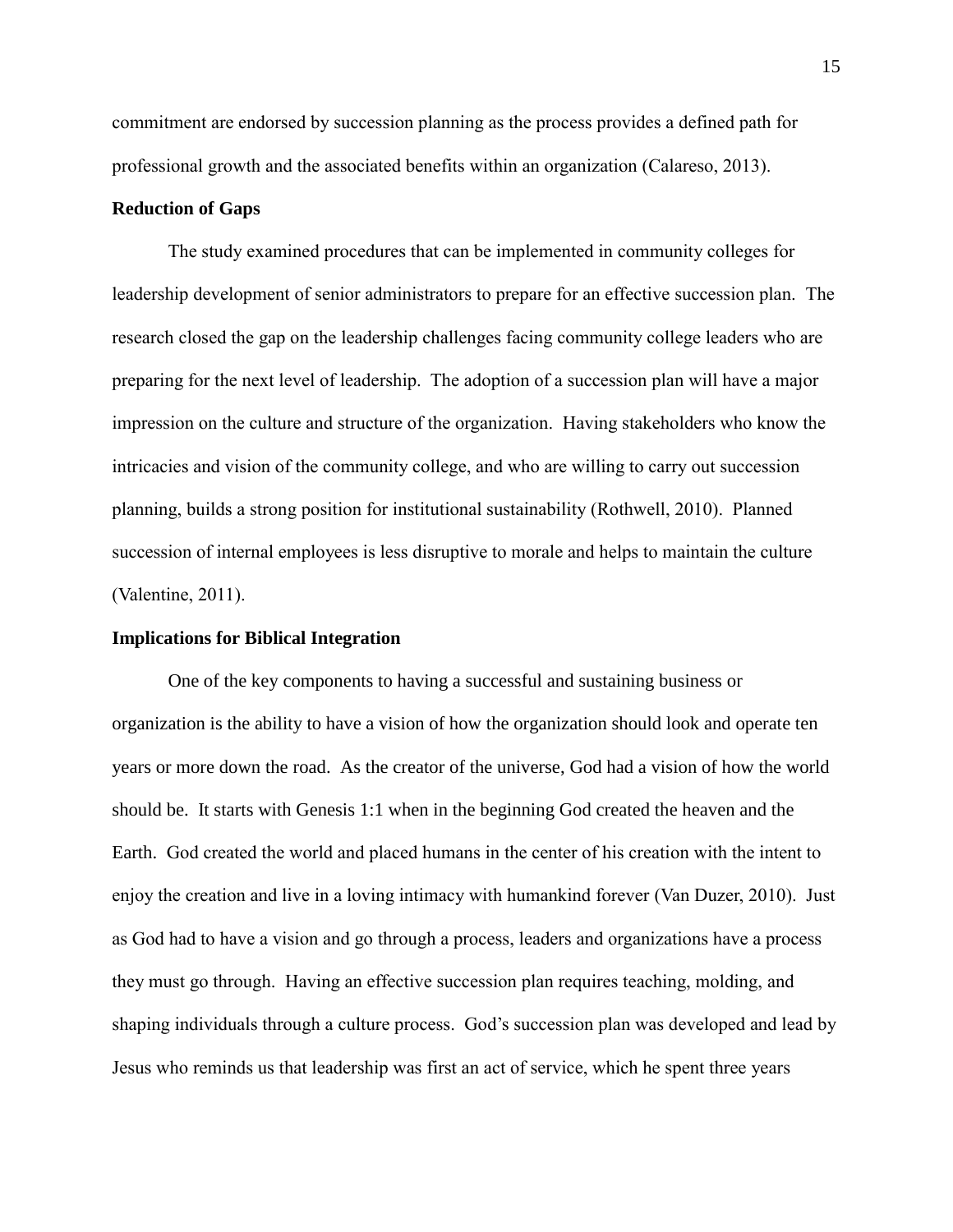commitment are endorsed by succession planning as the process provides a defined path for professional growth and the associated benefits within an organization (Calareso, 2013).

# **Reduction of Gaps**

The study examined procedures that can be implemented in community colleges for leadership development of senior administrators to prepare for an effective succession plan. The research closed the gap on the leadership challenges facing community college leaders who are preparing for the next level of leadership. The adoption of a succession plan will have a major impression on the culture and structure of the organization. Having stakeholders who know the intricacies and vision of the community college, and who are willing to carry out succession planning, builds a strong position for institutional sustainability (Rothwell, 2010). Planned succession of internal employees is less disruptive to morale and helps to maintain the culture (Valentine, 2011).

# **Implications for Biblical Integration**

One of the key components to having a successful and sustaining business or organization is the ability to have a vision of how the organization should look and operate ten years or more down the road. As the creator of the universe, God had a vision of how the world should be. It starts with Genesis 1:1 when in the beginning God created the heaven and the Earth. God created the world and placed humans in the center of his creation with the intent to enjoy the creation and live in a loving intimacy with humankind forever (Van Duzer, 2010). Just as God had to have a vision and go through a process, leaders and organizations have a process they must go through. Having an effective succession plan requires teaching, molding, and shaping individuals through a culture process. God's succession plan was developed and lead by Jesus who reminds us that leadership was first an act of service, which he spent three years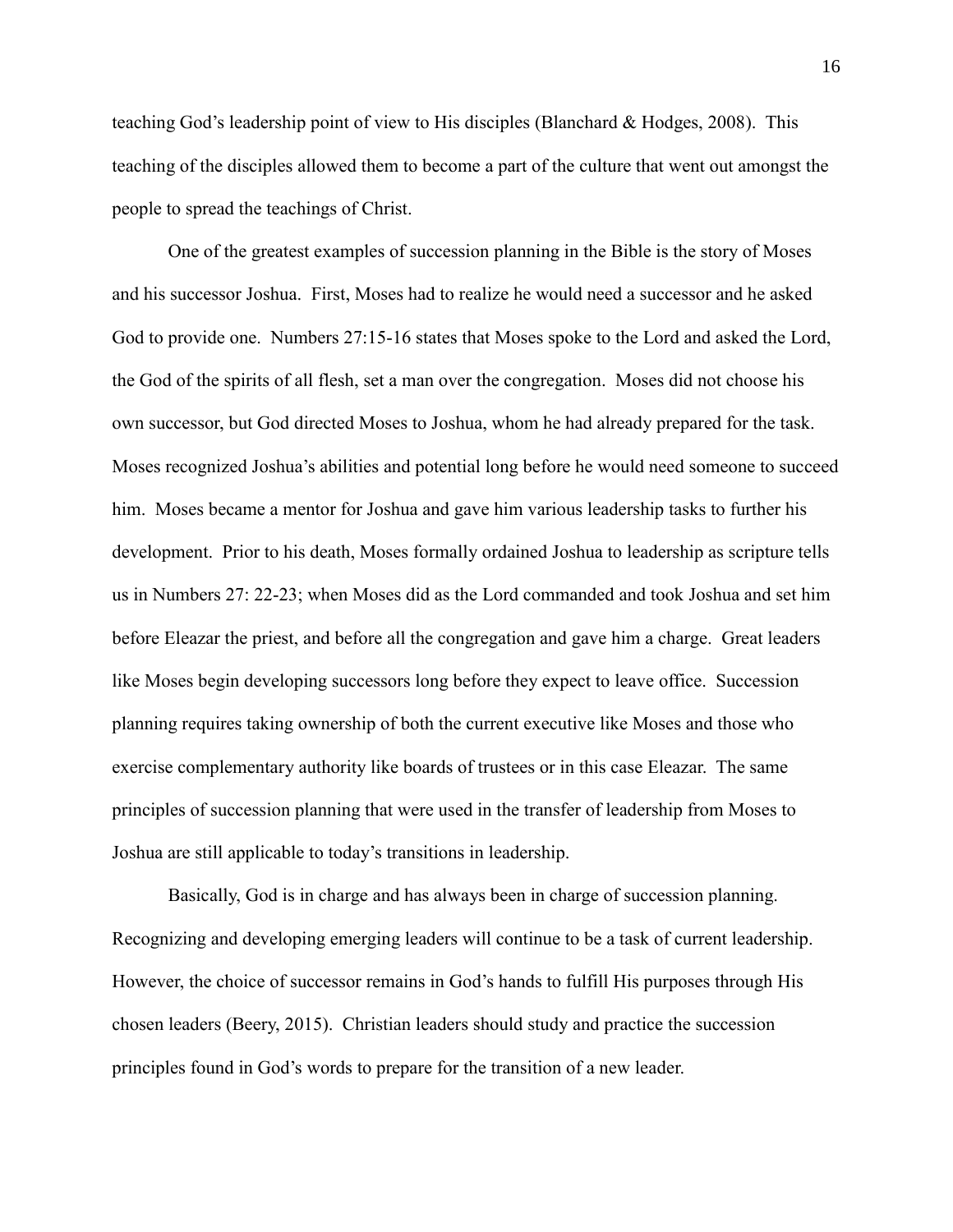teaching God's leadership point of view to His disciples (Blanchard & Hodges, 2008). This teaching of the disciples allowed them to become a part of the culture that went out amongst the people to spread the teachings of Christ.

One of the greatest examples of succession planning in the Bible is the story of Moses and his successor Joshua. First, Moses had to realize he would need a successor and he asked God to provide one. Numbers 27:15-16 states that Moses spoke to the Lord and asked the Lord, the God of the spirits of all flesh, set a man over the congregation. Moses did not choose his own successor, but God directed Moses to Joshua, whom he had already prepared for the task. Moses recognized Joshua's abilities and potential long before he would need someone to succeed him. Moses became a mentor for Joshua and gave him various leadership tasks to further his development. Prior to his death, Moses formally ordained Joshua to leadership as scripture tells us in Numbers 27: 22-23; when Moses did as the Lord commanded and took Joshua and set him before Eleazar the priest, and before all the congregation and gave him a charge. Great leaders like Moses begin developing successors long before they expect to leave office. Succession planning requires taking ownership of both the current executive like Moses and those who exercise complementary authority like boards of trustees or in this case Eleazar. The same principles of succession planning that were used in the transfer of leadership from Moses to Joshua are still applicable to today's transitions in leadership.

Basically, God is in charge and has always been in charge of succession planning. Recognizing and developing emerging leaders will continue to be a task of current leadership. However, the choice of successor remains in God's hands to fulfill His purposes through His chosen leaders (Beery, 2015). Christian leaders should study and practice the succession principles found in God's words to prepare for the transition of a new leader.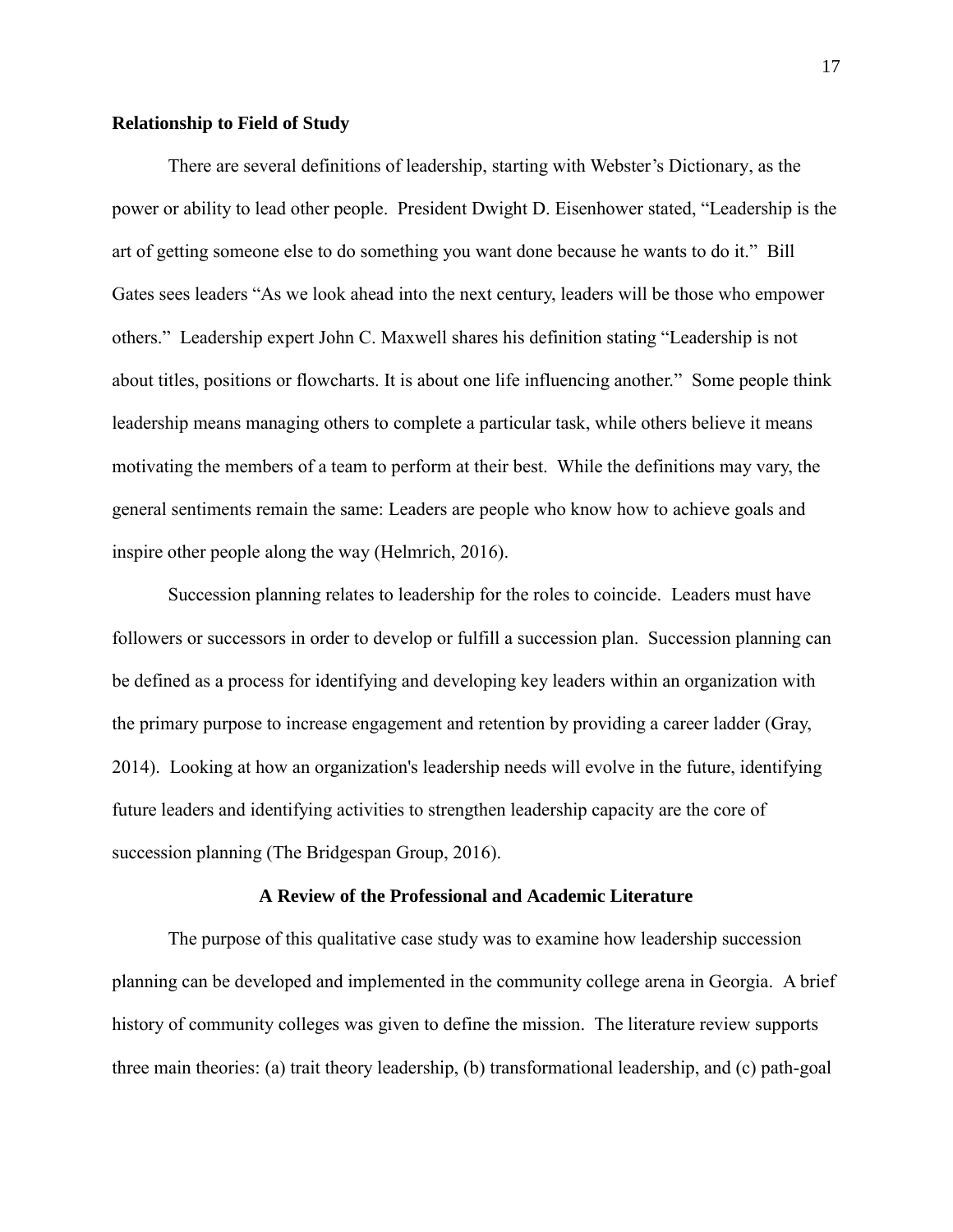# **Relationship to Field of Study**

There are several definitions of leadership, starting with Webster's Dictionary, as the power or ability to lead other people. President Dwight D. Eisenhower stated, "Leadership is the art of getting someone else to do something you want done because he wants to do it." Bill Gates sees leaders "As we look ahead into the next century, leaders will be those who empower others." Leadership expert John C. Maxwell shares his definition stating "Leadership is not about titles, positions or flowcharts. It is about one life influencing another." Some people think leadership means managing others to complete a particular task, while others believe it means motivating the members of a team to perform at their best. While the definitions may vary, the general sentiments remain the same: Leaders are people who know how to achieve goals and inspire other people along the way (Helmrich, 2016).

Succession planning relates to leadership for the roles to coincide. Leaders must have followers or successors in order to develop or fulfill a succession plan. Succession planning can be defined as a process for identifying and developing key leaders within an organization with the primary purpose to increase engagement and retention by providing a career ladder (Gray, 2014). Looking at how an organization's leadership needs will evolve in the future, identifying future leaders and identifying activities to strengthen leadership capacity are the core of succession planning (The Bridgespan Group, 2016).

#### **A Review of the Professional and Academic Literature**

The purpose of this qualitative case study was to examine how leadership succession planning can be developed and implemented in the community college arena in Georgia. A brief history of community colleges was given to define the mission. The literature review supports three main theories: (a) trait theory leadership, (b) transformational leadership, and (c) path-goal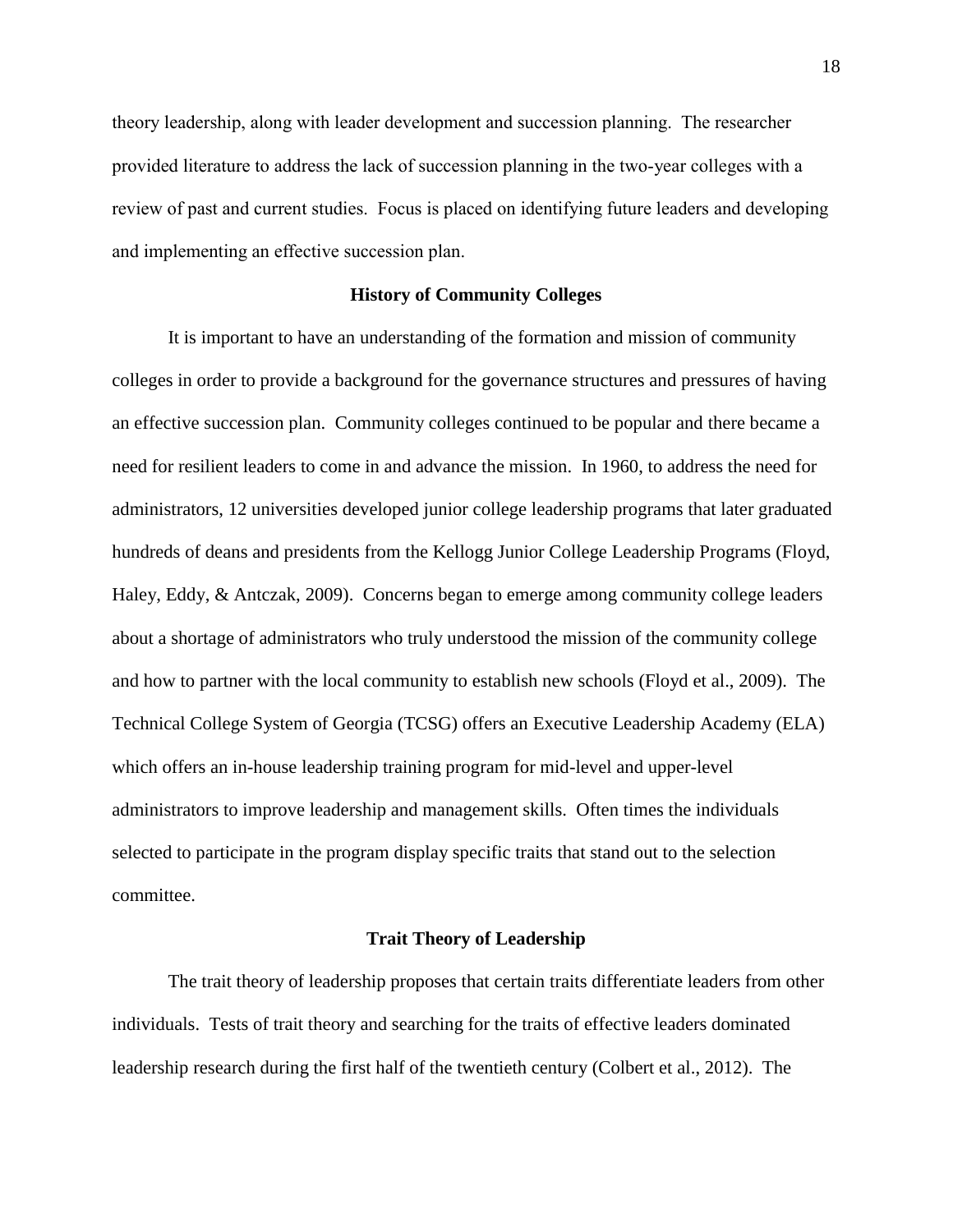theory leadership, along with leader development and succession planning. The researcher provided literature to address the lack of succession planning in the two-year colleges with a review of past and current studies. Focus is placed on identifying future leaders and developing and implementing an effective succession plan.

# **History of Community Colleges**

It is important to have an understanding of the formation and mission of community colleges in order to provide a background for the governance structures and pressures of having an effective succession plan. Community colleges continued to be popular and there became a need for resilient leaders to come in and advance the mission. In 1960, to address the need for administrators, 12 universities developed junior college leadership programs that later graduated hundreds of deans and presidents from the Kellogg Junior College Leadership Programs (Floyd, Haley, Eddy, & Antczak, 2009). Concerns began to emerge among community college leaders about a shortage of administrators who truly understood the mission of the community college and how to partner with the local community to establish new schools (Floyd et al., 2009). The Technical College System of Georgia (TCSG) offers an Executive Leadership Academy (ELA) which offers an in-house leadership training program for mid-level and upper-level administrators to improve leadership and management skills. Often times the individuals selected to participate in the program display specific traits that stand out to the selection committee.

# **Trait Theory of Leadership**

The trait theory of leadership proposes that certain traits differentiate leaders from other individuals. Tests of trait theory and searching for the traits of effective leaders dominated leadership research during the first half of the twentieth century (Colbert et al., 2012). The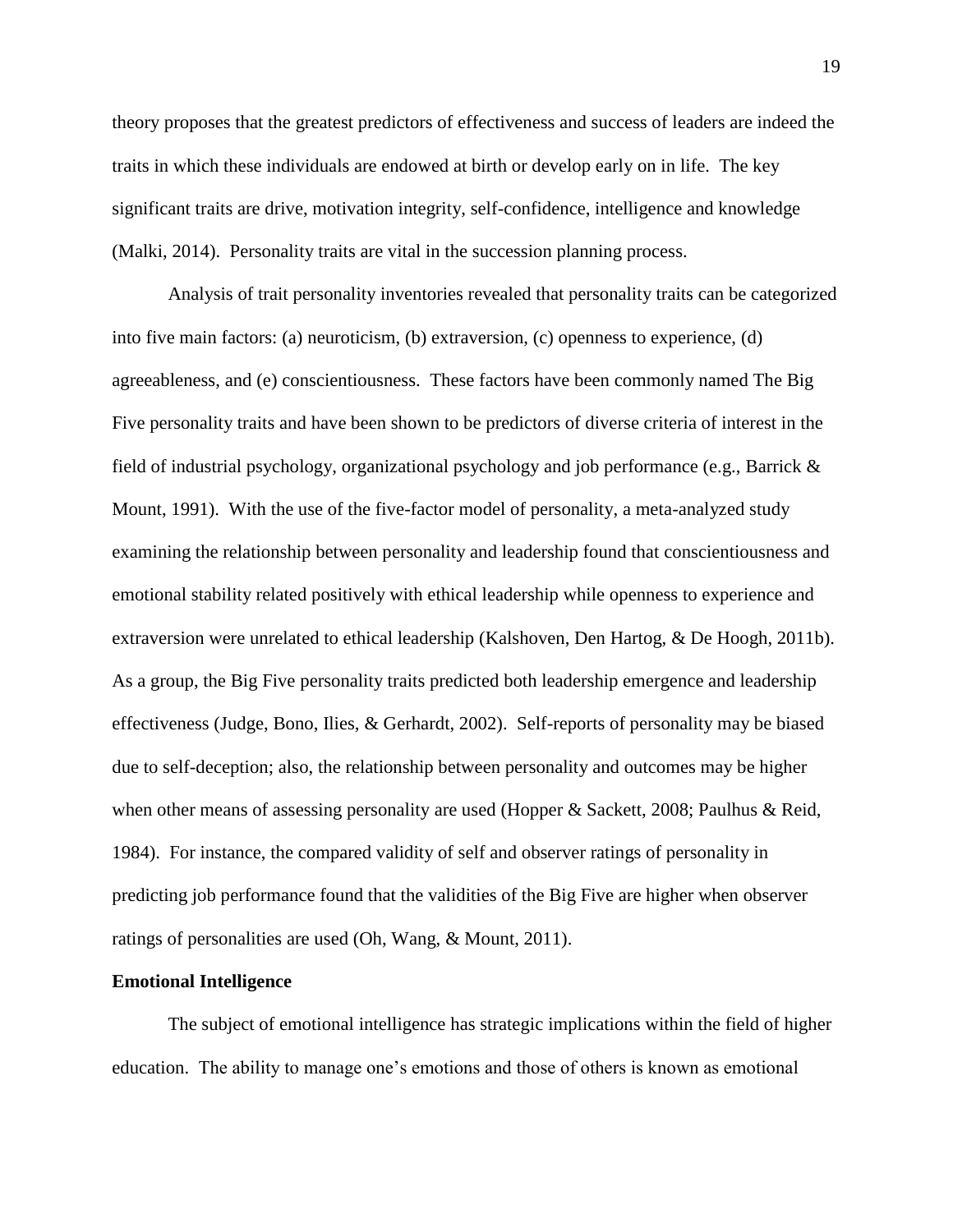theory proposes that the greatest predictors of effectiveness and success of leaders are indeed the traits in which these individuals are endowed at birth or develop early on in life. The key significant traits are drive, motivation integrity, self-confidence, intelligence and knowledge (Malki, 2014). Personality traits are vital in the succession planning process.

Analysis of trait personality inventories revealed that personality traits can be categorized into five main factors: (a) neuroticism, (b) extraversion, (c) openness to experience, (d) agreeableness, and (e) conscientiousness. These factors have been commonly named The Big Five personality traits and have been shown to be predictors of diverse criteria of interest in the field of industrial psychology, organizational psychology and job performance (e.g., Barrick & Mount, 1991). With the use of the five-factor model of personality, a meta-analyzed study examining the relationship between personality and leadership found that conscientiousness and emotional stability related positively with ethical leadership while openness to experience and extraversion were unrelated to ethical leadership (Kalshoven, Den Hartog, & De Hoogh, 2011b). As a group, the Big Five personality traits predicted both leadership emergence and leadership effectiveness (Judge, Bono, Ilies, & Gerhardt, 2002). Self-reports of personality may be biased due to self-deception; also, the relationship between personality and outcomes may be higher when other means of assessing personality are used (Hopper & Sackett, 2008; Paulhus & Reid, 1984). For instance, the compared validity of self and observer ratings of personality in predicting job performance found that the validities of the Big Five are higher when observer ratings of personalities are used (Oh, Wang, & Mount, 2011).

# **Emotional Intelligence**

The subject of emotional intelligence has strategic implications within the field of higher education. The ability to manage one's emotions and those of others is known as emotional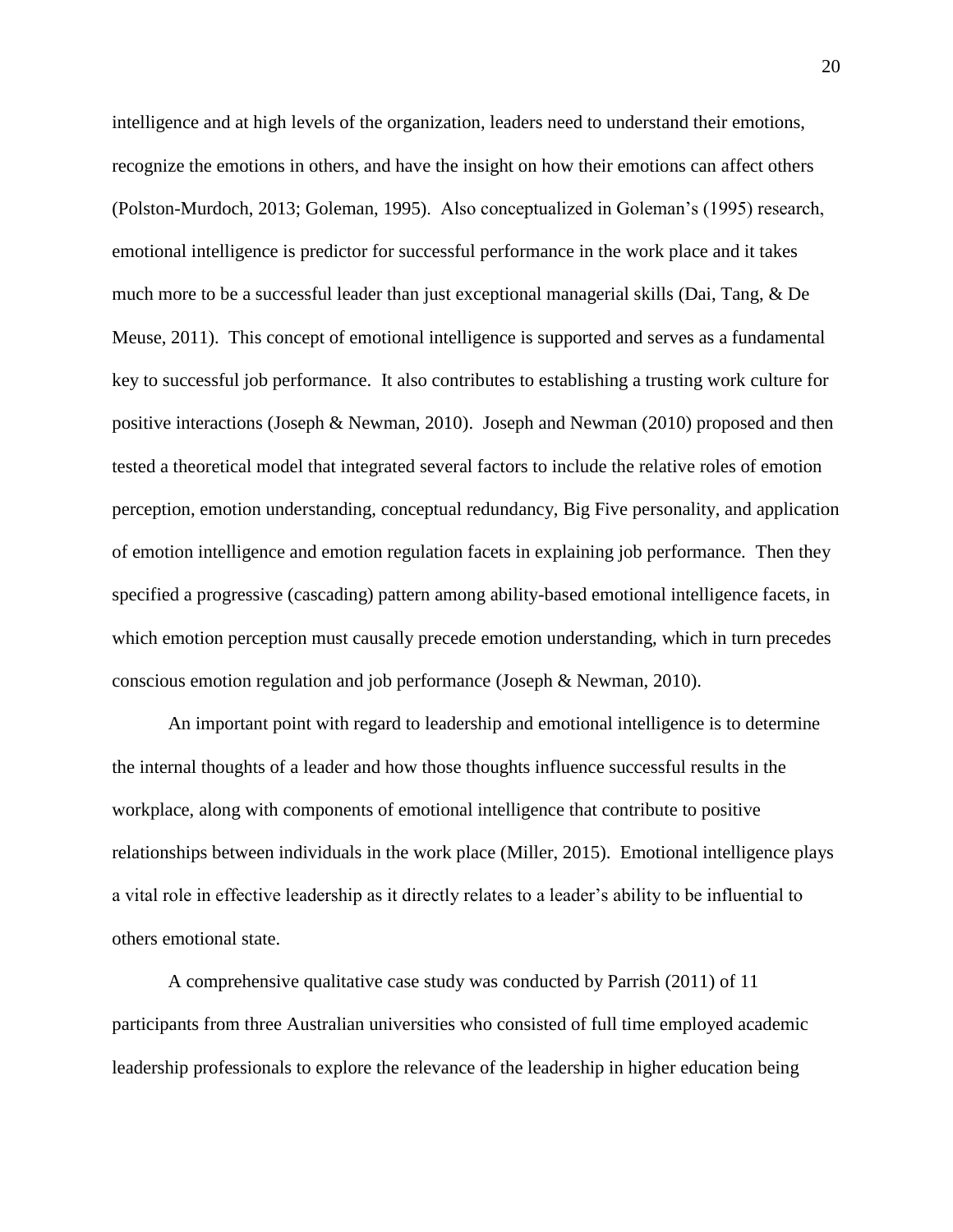intelligence and at high levels of the organization, leaders need to understand their emotions, recognize the emotions in others, and have the insight on how their emotions can affect others (Polston-Murdoch, 2013; Goleman, 1995). Also conceptualized in Goleman's (1995) research, emotional intelligence is predictor for successful performance in the work place and it takes much more to be a successful leader than just exceptional managerial skills (Dai, Tang, & De Meuse, 2011). This concept of emotional intelligence is supported and serves as a fundamental key to successful job performance. It also contributes to establishing a trusting work culture for positive interactions (Joseph & Newman, 2010). Joseph and Newman (2010) proposed and then tested a theoretical model that integrated several factors to include the relative roles of emotion perception, emotion understanding, conceptual redundancy, Big Five personality, and application of emotion intelligence and emotion regulation facets in explaining job performance. Then they specified a progressive (cascading) pattern among ability-based emotional intelligence facets, in which emotion perception must causally precede emotion understanding, which in turn precedes conscious emotion regulation and job performance (Joseph & Newman, 2010).

An important point with regard to leadership and emotional intelligence is to determine the internal thoughts of a leader and how those thoughts influence successful results in the workplace, along with components of emotional intelligence that contribute to positive relationships between individuals in the work place (Miller, 2015). Emotional intelligence plays a vital role in effective leadership as it directly relates to a leader's ability to be influential to others emotional state.

A comprehensive qualitative case study was conducted by Parrish (2011) of 11 participants from three Australian universities who consisted of full time employed academic leadership professionals to explore the relevance of the leadership in higher education being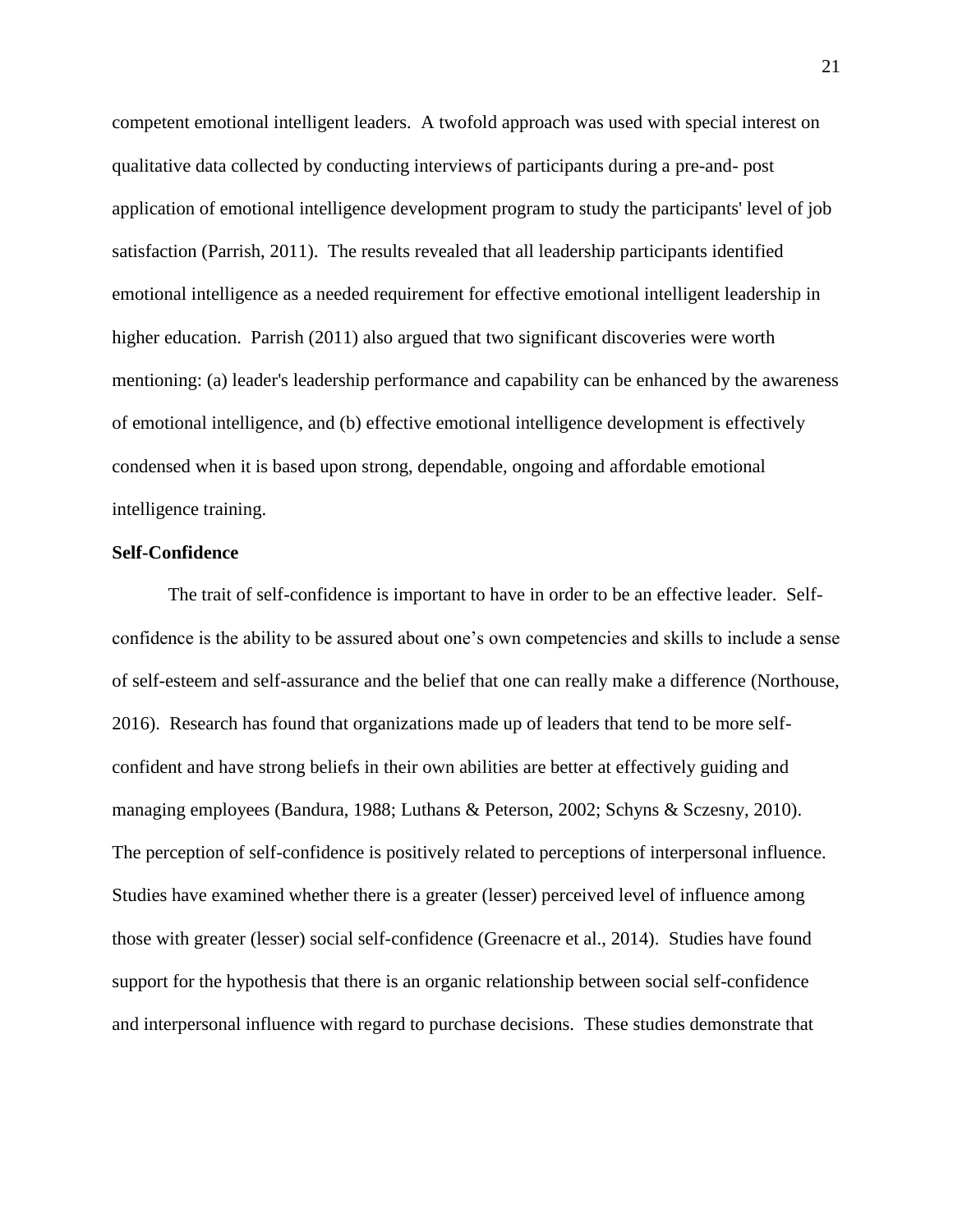competent emotional intelligent leaders. A twofold approach was used with special interest on qualitative data collected by conducting interviews of participants during a pre-and- post application of emotional intelligence development program to study the participants' level of job satisfaction (Parrish, 2011). The results revealed that all leadership participants identified emotional intelligence as a needed requirement for effective emotional intelligent leadership in higher education. Parrish (2011) also argued that two significant discoveries were worth mentioning: (a) leader's leadership performance and capability can be enhanced by the awareness of emotional intelligence, and (b) effective emotional intelligence development is effectively condensed when it is based upon strong, dependable, ongoing and affordable emotional intelligence training.

#### **Self-Confidence**

The trait of self-confidence is important to have in order to be an effective leader. Selfconfidence is the ability to be assured about one's own competencies and skills to include a sense of self-esteem and self-assurance and the belief that one can really make a difference (Northouse, 2016). Research has found that organizations made up of leaders that tend to be more selfconfident and have strong beliefs in their own abilities are better at effectively guiding and managing employees (Bandura, 1988; Luthans & Peterson, 2002; Schyns & Sczesny, 2010). The perception of self-confidence is positively related to perceptions of interpersonal influence. Studies have examined whether there is a greater (lesser) perceived level of influence among those with greater (lesser) social self-confidence (Greenacre et al., 2014). Studies have found support for the hypothesis that there is an organic relationship between social self-confidence and interpersonal influence with regard to purchase decisions. These studies demonstrate that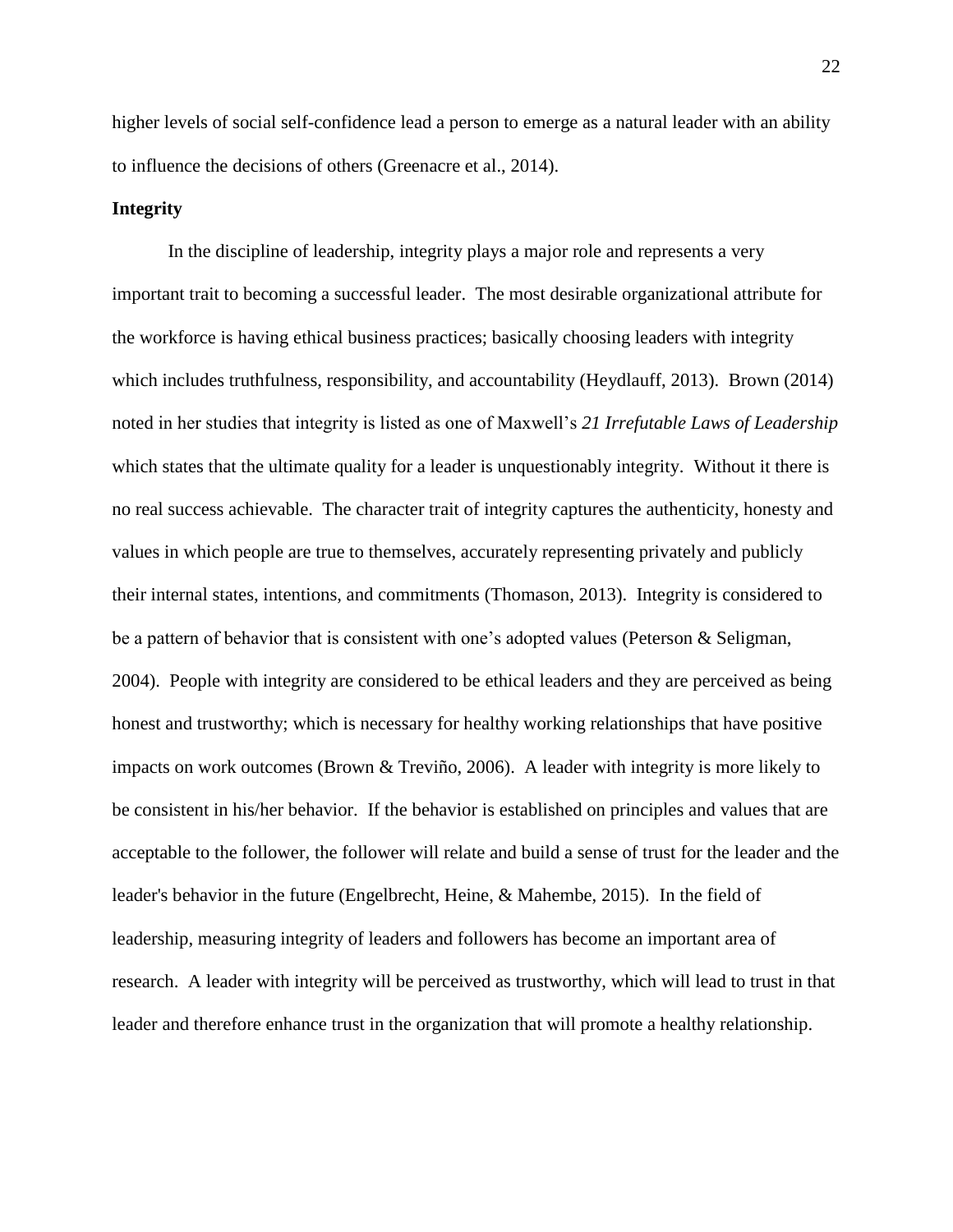higher levels of social self-confidence lead a person to emerge as a natural leader with an ability to influence the decisions of others (Greenacre et al., 2014).

# **Integrity**

In the discipline of leadership, integrity plays a major role and represents a very important trait to becoming a successful leader. The most desirable organizational attribute for the workforce is having ethical business practices; basically choosing leaders with integrity which includes truthfulness, responsibility, and accountability (Heydlauff, 2013). Brown (2014) noted in her studies that integrity is listed as one of Maxwell's *21 Irrefutable Laws of Leadership*  which states that the ultimate quality for a leader is unquestionably integrity. Without it there is no real success achievable. The character trait of integrity captures the authenticity, honesty and values in which people are true to themselves, accurately representing privately and publicly their internal states, intentions, and commitments (Thomason, 2013). Integrity is considered to be a pattern of behavior that is consistent with one's adopted values (Peterson & Seligman, 2004). People with integrity are considered to be ethical leaders and they are perceived as being honest and trustworthy; which is necessary for healthy working relationships that have positive impacts on work outcomes (Brown & Treviño, 2006). A leader with integrity is more likely to be consistent in his/her behavior. If the behavior is established on principles and values that are acceptable to the follower, the follower will relate and build a sense of trust for the leader and the leader's behavior in the future (Engelbrecht, Heine, & Mahembe, 2015). In the field of leadership, measuring integrity of leaders and followers has become an important area of research. A leader with integrity will be perceived as trustworthy, which will lead to trust in that leader and therefore enhance trust in the organization that will promote a healthy relationship.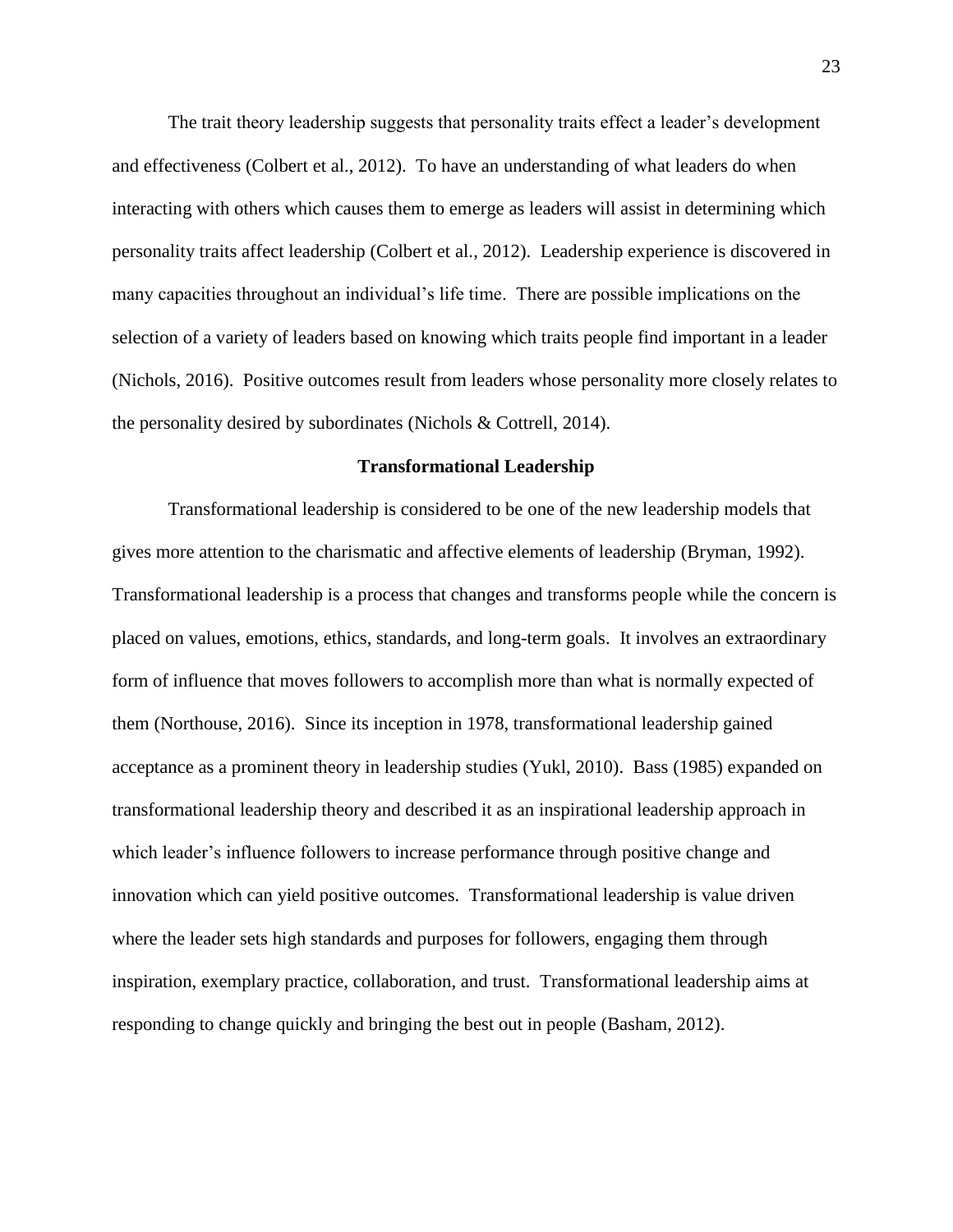The trait theory leadership suggests that personality traits effect a leader's development and effectiveness (Colbert et al., 2012). To have an understanding of what leaders do when interacting with others which causes them to emerge as leaders will assist in determining which personality traits affect leadership (Colbert et al., 2012). Leadership experience is discovered in many capacities throughout an individual's life time. There are possible implications on the selection of a variety of leaders based on knowing which traits people find important in a leader (Nichols, 2016). Positive outcomes result from leaders whose personality more closely relates to the personality desired by subordinates (Nichols & Cottrell, 2014).

#### **Transformational Leadership**

Transformational leadership is considered to be one of the new leadership models that gives more attention to the charismatic and affective elements of leadership (Bryman, 1992). Transformational leadership is a process that changes and transforms people while the concern is placed on values, emotions, ethics, standards, and long-term goals. It involves an extraordinary form of influence that moves followers to accomplish more than what is normally expected of them (Northouse, 2016). Since its inception in 1978, transformational leadership gained acceptance as a prominent theory in leadership studies (Yukl, 2010). Bass (1985) expanded on transformational leadership theory and described it as an inspirational leadership approach in which leader's influence followers to increase performance through positive change and innovation which can yield positive outcomes. Transformational leadership is value driven where the leader sets high standards and purposes for followers, engaging them through inspiration, exemplary practice, collaboration, and trust. Transformational leadership aims at responding to change quickly and bringing the best out in people (Basham, 2012).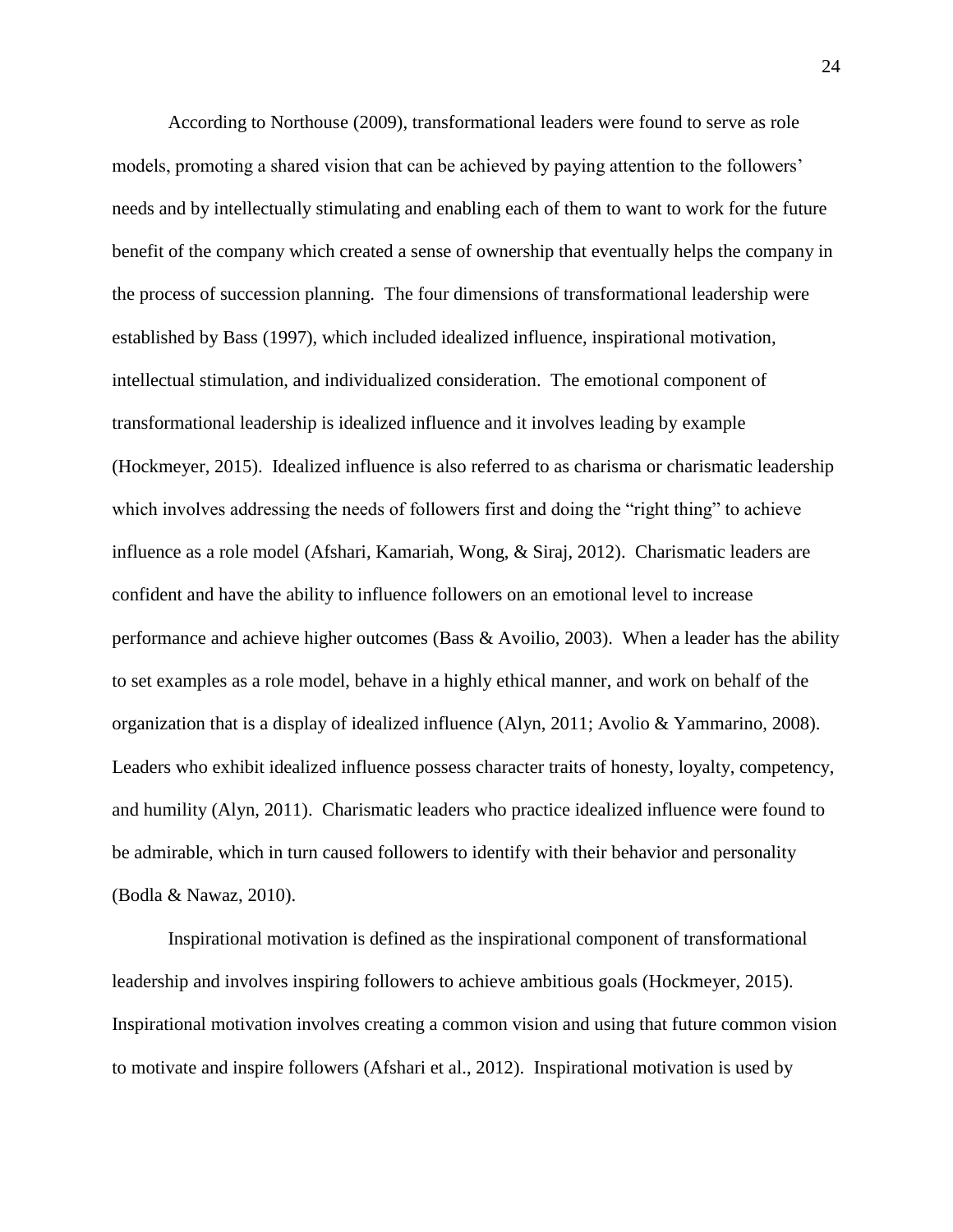According to Northouse (2009), transformational leaders were found to serve as role models, promoting a shared vision that can be achieved by paying attention to the followers' needs and by intellectually stimulating and enabling each of them to want to work for the future benefit of the company which created a sense of ownership that eventually helps the company in the process of succession planning. The four dimensions of transformational leadership were established by Bass (1997), which included idealized influence, inspirational motivation, intellectual stimulation, and individualized consideration. The emotional component of transformational leadership is idealized influence and it involves leading by example (Hockmeyer, 2015). Idealized influence is also referred to as charisma or charismatic leadership which involves addressing the needs of followers first and doing the "right thing" to achieve influence as a role model (Afshari, Kamariah, Wong, & Siraj, 2012). Charismatic leaders are confident and have the ability to influence followers on an emotional level to increase performance and achieve higher outcomes (Bass & Avoilio, 2003). When a leader has the ability to set examples as a role model, behave in a highly ethical manner, and work on behalf of the organization that is a display of idealized influence (Alyn, 2011; Avolio & Yammarino, 2008). Leaders who exhibit idealized influence possess character traits of honesty, loyalty, competency, and humility (Alyn, 2011). Charismatic leaders who practice idealized influence were found to be admirable, which in turn caused followers to identify with their behavior and personality (Bodla & Nawaz, 2010).

Inspirational motivation is defined as the inspirational component of transformational leadership and involves inspiring followers to achieve ambitious goals (Hockmeyer, 2015). Inspirational motivation involves creating a common vision and using that future common vision to motivate and inspire followers (Afshari et al., 2012). Inspirational motivation is used by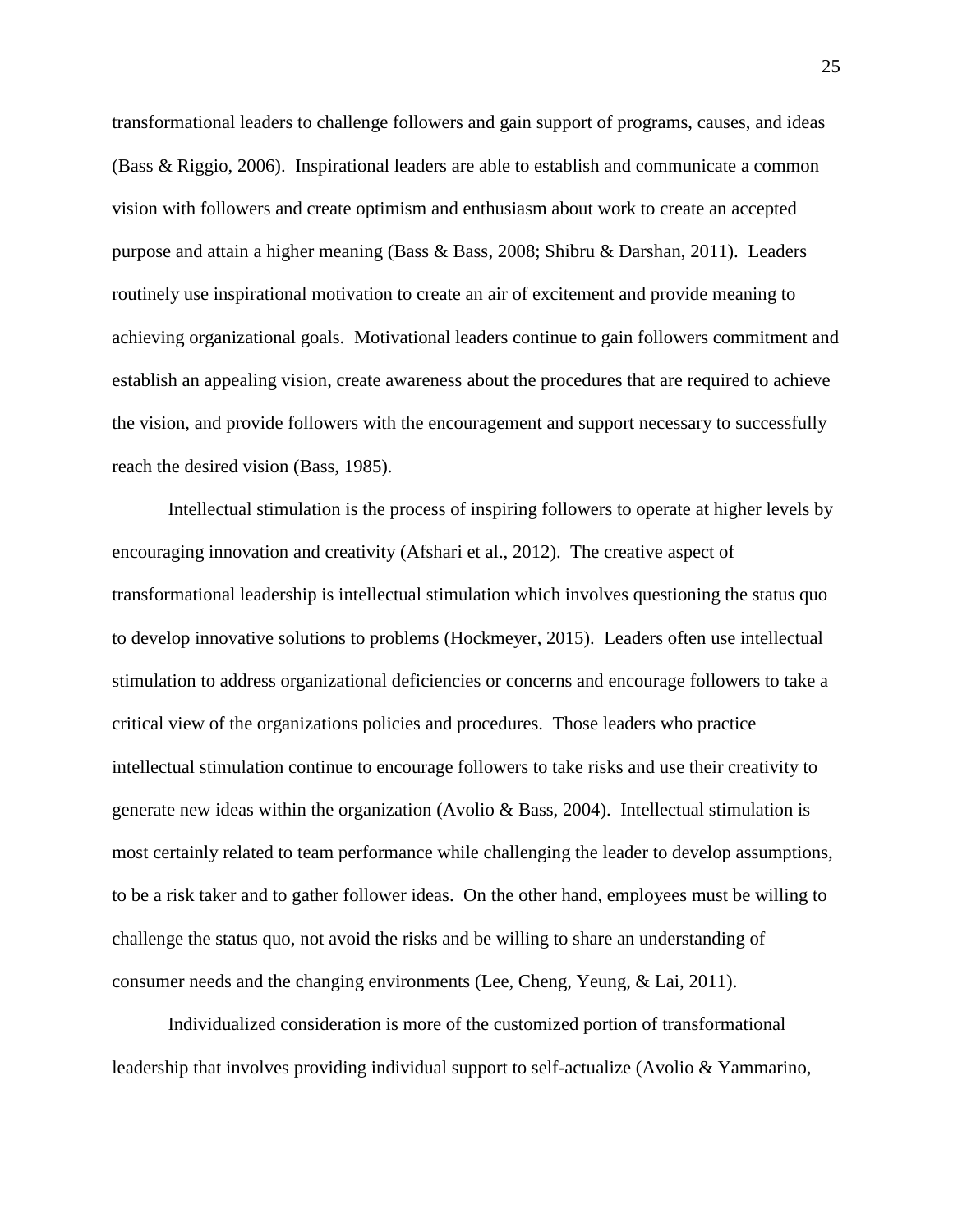transformational leaders to challenge followers and gain support of programs, causes, and ideas (Bass & Riggio, 2006). Inspirational leaders are able to establish and communicate a common vision with followers and create optimism and enthusiasm about work to create an accepted purpose and attain a higher meaning (Bass & Bass, 2008; Shibru & Darshan, 2011). Leaders routinely use inspirational motivation to create an air of excitement and provide meaning to achieving organizational goals. Motivational leaders continue to gain followers commitment and establish an appealing vision, create awareness about the procedures that are required to achieve the vision, and provide followers with the encouragement and support necessary to successfully reach the desired vision (Bass, 1985).

Intellectual stimulation is the process of inspiring followers to operate at higher levels by encouraging innovation and creativity (Afshari et al., 2012). The creative aspect of transformational leadership is intellectual stimulation which involves questioning the status quo to develop innovative solutions to problems (Hockmeyer, 2015). Leaders often use intellectual stimulation to address organizational deficiencies or concerns and encourage followers to take a critical view of the organizations policies and procedures. Those leaders who practice intellectual stimulation continue to encourage followers to take risks and use their creativity to generate new ideas within the organization (Avolio & Bass, 2004). Intellectual stimulation is most certainly related to team performance while challenging the leader to develop assumptions, to be a risk taker and to gather follower ideas. On the other hand, employees must be willing to challenge the status quo, not avoid the risks and be willing to share an understanding of consumer needs and the changing environments (Lee, Cheng, Yeung, & Lai, 2011).

Individualized consideration is more of the customized portion of transformational leadership that involves providing individual support to self-actualize (Avolio & Yammarino,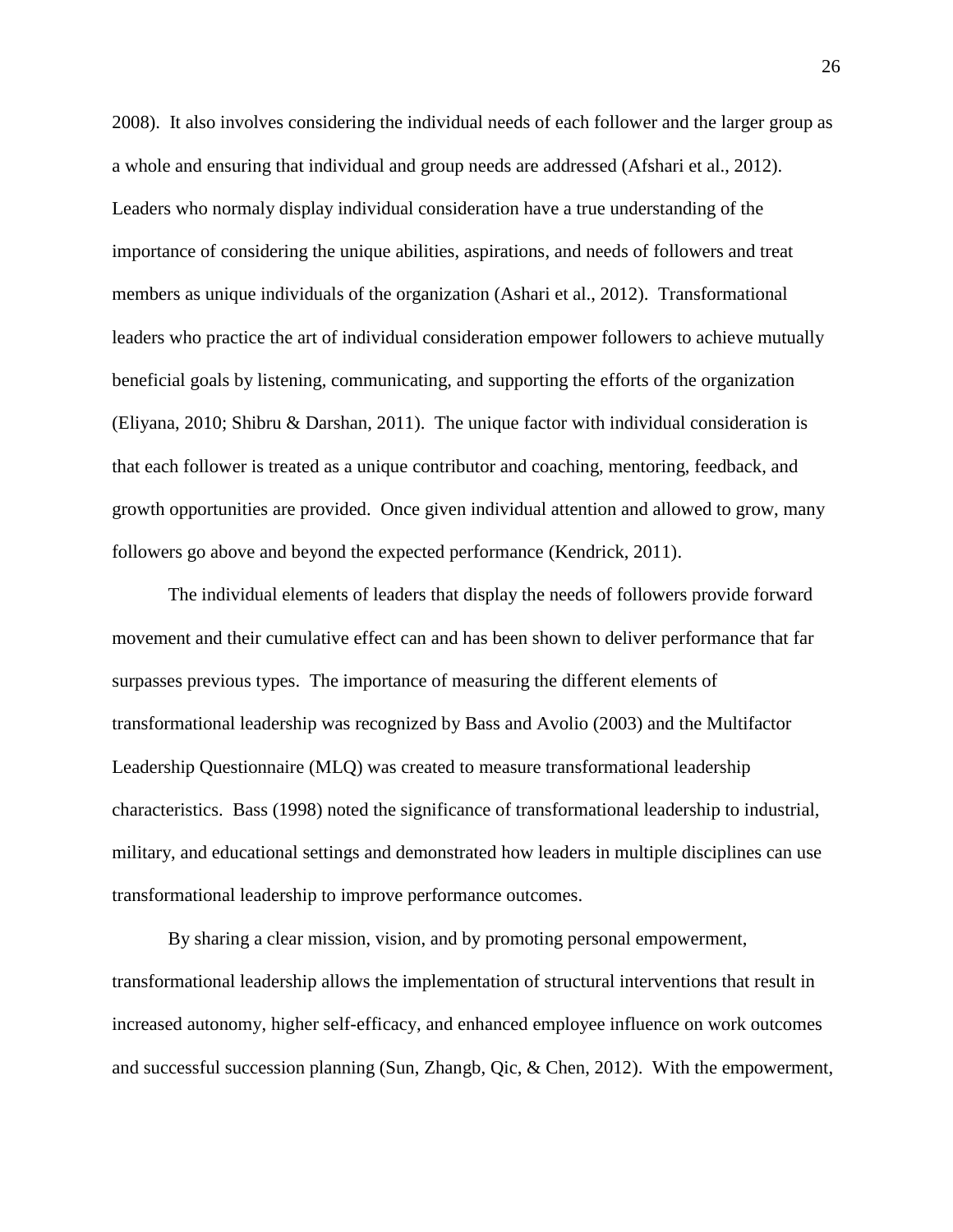2008). It also involves considering the individual needs of each follower and the larger group as a whole and ensuring that individual and group needs are addressed (Afshari et al., 2012). Leaders who normaly display individual consideration have a true understanding of the importance of considering the unique abilities, aspirations, and needs of followers and treat members as unique individuals of the organization (Ashari et al., 2012). Transformational leaders who practice the art of individual consideration empower followers to achieve mutually beneficial goals by listening, communicating, and supporting the efforts of the organization (Eliyana, 2010; Shibru & Darshan, 2011). The unique factor with individual consideration is that each follower is treated as a unique contributor and coaching, mentoring, feedback, and growth opportunities are provided. Once given individual attention and allowed to grow, many followers go above and beyond the expected performance (Kendrick, 2011).

The individual elements of leaders that display the needs of followers provide forward movement and their cumulative effect can and has been shown to deliver performance that far surpasses previous types. The importance of measuring the different elements of transformational leadership was recognized by Bass and Avolio (2003) and the Multifactor Leadership Questionnaire (MLQ) was created to measure transformational leadership characteristics. Bass (1998) noted the significance of transformational leadership to industrial, military, and educational settings and demonstrated how leaders in multiple disciplines can use transformational leadership to improve performance outcomes.

By sharing a clear mission, vision, and by promoting personal empowerment, transformational leadership allows the implementation of structural interventions that result in increased autonomy, higher self-efficacy, and enhanced employee influence on work outcomes and successful succession planning (Sun, Zhangb, Qic, & Chen, 2012). With the empowerment,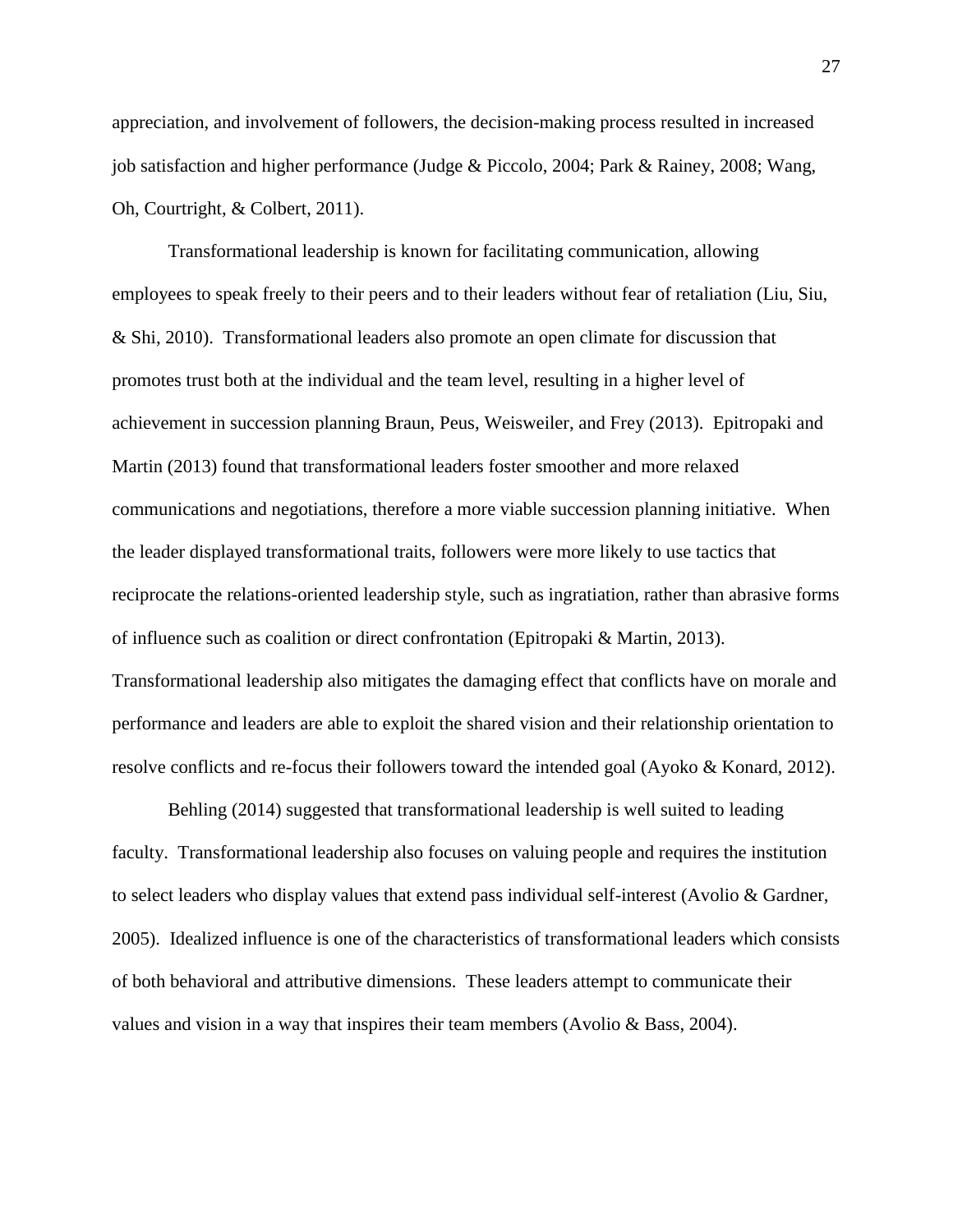appreciation, and involvement of followers, the decision-making process resulted in increased job satisfaction and higher performance (Judge & Piccolo, 2004; Park & Rainey, 2008; Wang, Oh, Courtright, & Colbert, 2011).

Transformational leadership is known for facilitating communication, allowing employees to speak freely to their peers and to their leaders without fear of retaliation (Liu, Siu, & Shi, 2010). Transformational leaders also promote an open climate for discussion that promotes trust both at the individual and the team level, resulting in a higher level of achievement in succession planning Braun, Peus, Weisweiler, and Frey (2013). Epitropaki and Martin (2013) found that transformational leaders foster smoother and more relaxed communications and negotiations, therefore a more viable succession planning initiative. When the leader displayed transformational traits, followers were more likely to use tactics that reciprocate the relations-oriented leadership style, such as ingratiation, rather than abrasive forms of influence such as coalition or direct confrontation (Epitropaki & Martin, 2013). Transformational leadership also mitigates the damaging effect that conflicts have on morale and performance and leaders are able to exploit the shared vision and their relationship orientation to resolve conflicts and re-focus their followers toward the intended goal (Ayoko & Konard, 2012).

Behling (2014) suggested that transformational leadership is well suited to leading faculty. Transformational leadership also focuses on valuing people and requires the institution to select leaders who display values that extend pass individual self-interest (Avolio & Gardner, 2005). Idealized influence is one of the characteristics of transformational leaders which consists of both behavioral and attributive dimensions. These leaders attempt to communicate their values and vision in a way that inspires their team members (Avolio  $\&$  Bass, 2004).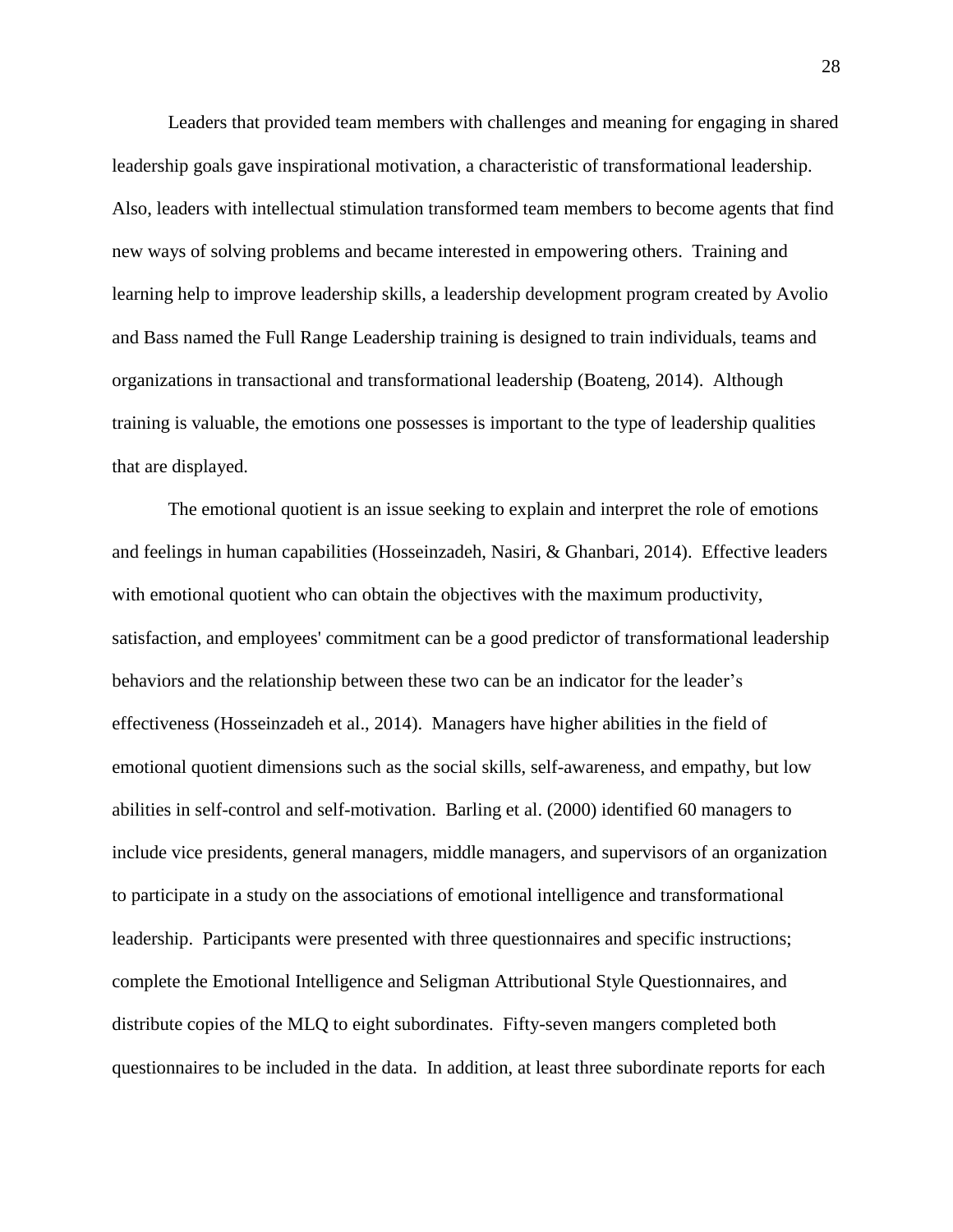Leaders that provided team members with challenges and meaning for engaging in shared leadership goals gave inspirational motivation, a characteristic of transformational leadership. Also, leaders with intellectual stimulation transformed team members to become agents that find new ways of solving problems and became interested in empowering others. Training and learning help to improve leadership skills, a leadership development program created by Avolio and Bass named the Full Range Leadership training is designed to train individuals, teams and organizations in transactional and transformational leadership (Boateng, 2014). Although training is valuable, the emotions one possesses is important to the type of leadership qualities that are displayed.

The emotional quotient is an issue seeking to explain and interpret the role of emotions and feelings in human capabilities (Hosseinzadeh, Nasiri, & Ghanbari, 2014). Effective leaders with emotional quotient who can obtain the objectives with the maximum productivity, satisfaction, and employees' commitment can be a good predictor of transformational leadership behaviors and the relationship between these two can be an indicator for the leader's effectiveness (Hosseinzadeh et al., 2014). Managers have higher abilities in the field of emotional quotient dimensions such as the social skills, self-awareness, and empathy, but low abilities in self-control and self-motivation. Barling et al. (2000) identified 60 managers to include vice presidents, general managers, middle managers, and supervisors of an organization to participate in a study on the associations of emotional intelligence and transformational leadership. Participants were presented with three questionnaires and specific instructions; complete the Emotional Intelligence and Seligman Attributional Style Questionnaires, and distribute copies of the MLQ to eight subordinates. Fifty-seven mangers completed both questionnaires to be included in the data. In addition, at least three subordinate reports for each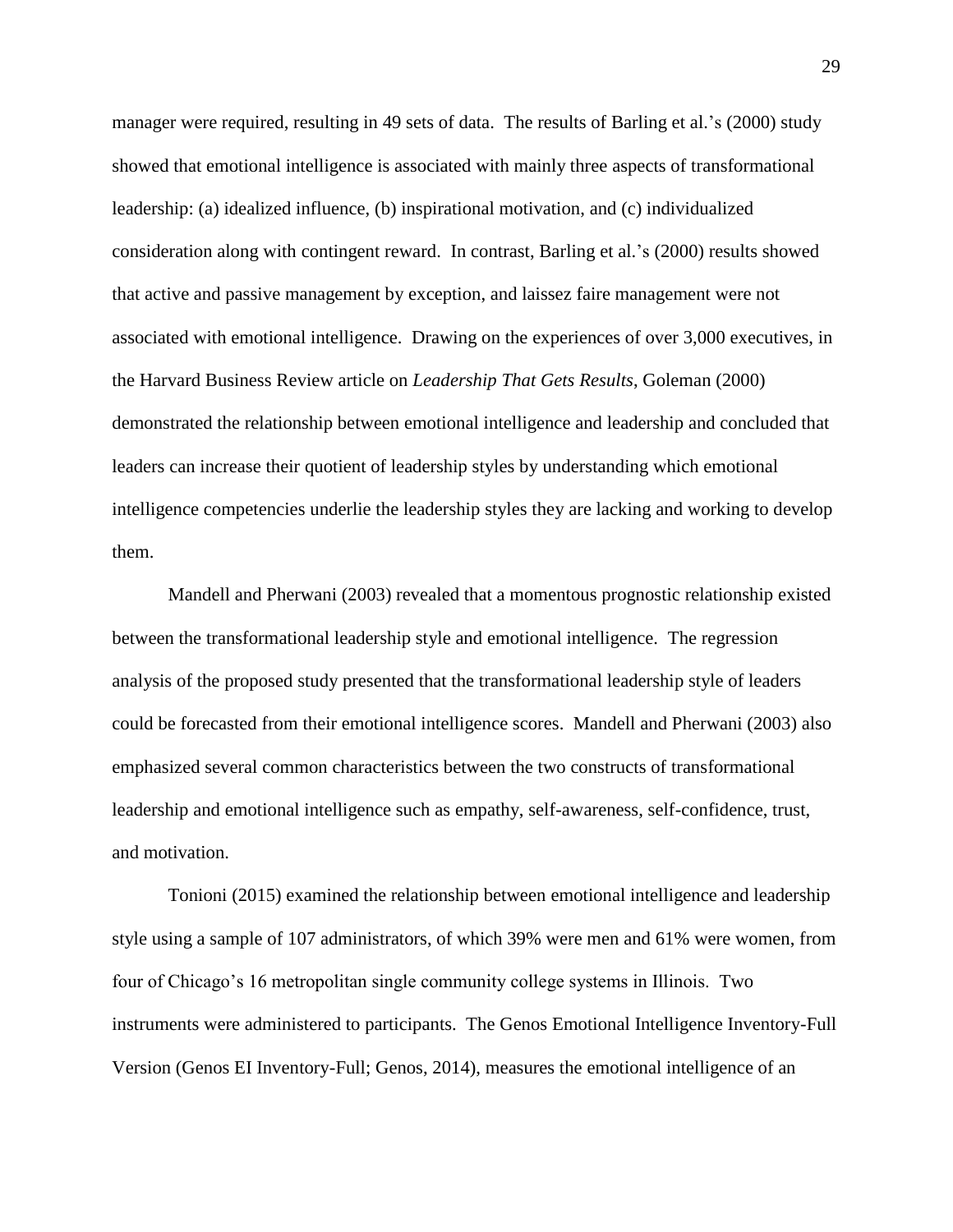manager were required, resulting in 49 sets of data. The results of Barling et al.'s (2000) study showed that emotional intelligence is associated with mainly three aspects of transformational leadership: (a) idealized influence, (b) inspirational motivation, and (c) individualized consideration along with contingent reward. In contrast, Barling et al.'s (2000) results showed that active and passive management by exception, and laissez faire management were not associated with emotional intelligence. Drawing on the experiences of over 3,000 executives, in the Harvard Business Review article on *Leadership That Gets Results*, Goleman (2000) demonstrated the relationship between emotional intelligence and leadership and concluded that leaders can increase their quotient of leadership styles by understanding which emotional intelligence competencies underlie the leadership styles they are lacking and working to develop them.

Mandell and Pherwani (2003) revealed that a momentous prognostic relationship existed between the transformational leadership style and emotional intelligence. The regression analysis of the proposed study presented that the transformational leadership style of leaders could be forecasted from their emotional intelligence scores. Mandell and Pherwani (2003) also emphasized several common characteristics between the two constructs of transformational leadership and emotional intelligence such as empathy, self-awareness, self-confidence, trust, and motivation.

Tonioni (2015) examined the relationship between emotional intelligence and leadership style using a sample of 107 administrators, of which 39% were men and 61% were women, from four of Chicago's 16 metropolitan single community college systems in Illinois. Two instruments were administered to participants. The Genos Emotional Intelligence Inventory-Full Version (Genos EI Inventory-Full; Genos, 2014), measures the emotional intelligence of an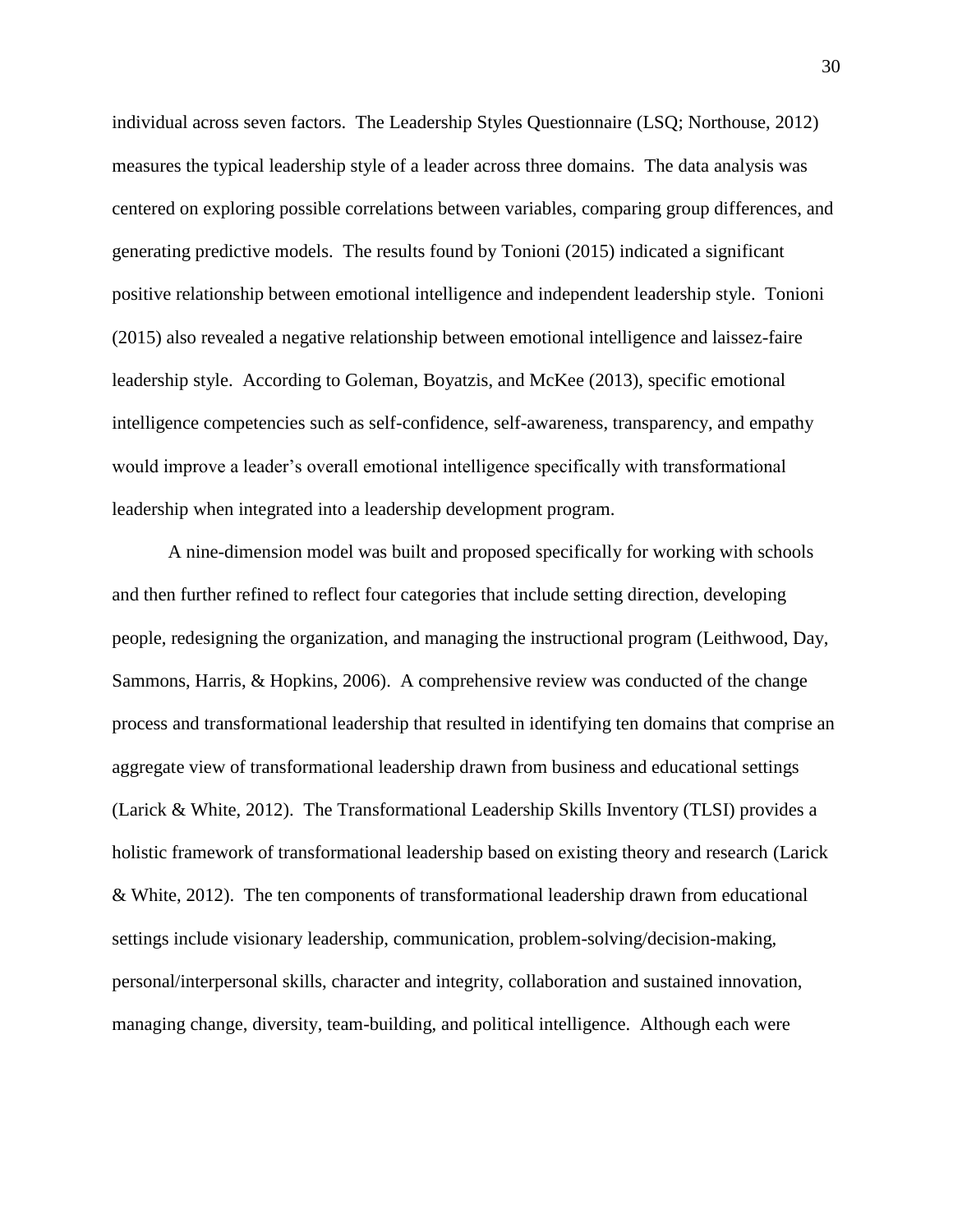individual across seven factors. The Leadership Styles Questionnaire (LSQ; Northouse, 2012) measures the typical leadership style of a leader across three domains. The data analysis was centered on exploring possible correlations between variables, comparing group differences, and generating predictive models. The results found by Tonioni (2015) indicated a significant positive relationship between emotional intelligence and independent leadership style. Tonioni (2015) also revealed a negative relationship between emotional intelligence and laissez-faire leadership style. According to Goleman, Boyatzis, and McKee (2013), specific emotional intelligence competencies such as self-confidence, self-awareness, transparency, and empathy would improve a leader's overall emotional intelligence specifically with transformational leadership when integrated into a leadership development program.

A nine-dimension model was built and proposed specifically for working with schools and then further refined to reflect four categories that include setting direction, developing people, redesigning the organization, and managing the instructional program (Leithwood, Day, Sammons, Harris, & Hopkins, 2006). A comprehensive review was conducted of the change process and transformational leadership that resulted in identifying ten domains that comprise an aggregate view of transformational leadership drawn from business and educational settings (Larick & White, 2012). The Transformational Leadership Skills Inventory (TLSI) provides a holistic framework of transformational leadership based on existing theory and research (Larick & White, 2012). The ten components of transformational leadership drawn from educational settings include visionary leadership, communication, problem-solving/decision-making, personal/interpersonal skills, character and integrity, collaboration and sustained innovation, managing change, diversity, team-building, and political intelligence. Although each were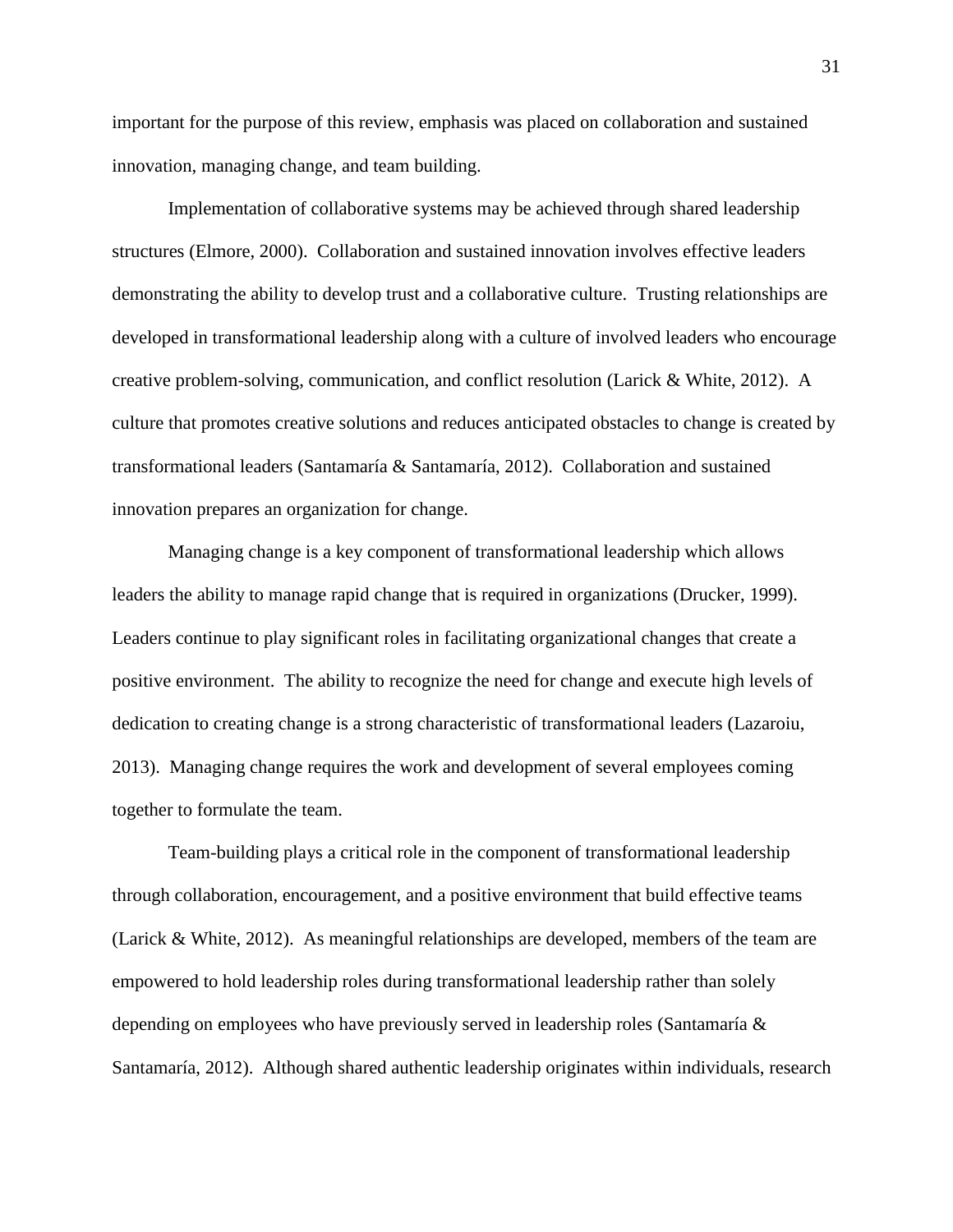important for the purpose of this review, emphasis was placed on collaboration and sustained innovation, managing change, and team building.

Implementation of collaborative systems may be achieved through shared leadership structures (Elmore, 2000). Collaboration and sustained innovation involves effective leaders demonstrating the ability to develop trust and a collaborative culture. Trusting relationships are developed in transformational leadership along with a culture of involved leaders who encourage creative problem-solving, communication, and conflict resolution (Larick & White, 2012). A culture that promotes creative solutions and reduces anticipated obstacles to change is created by transformational leaders (Santamaría & Santamaría, 2012). Collaboration and sustained innovation prepares an organization for change.

Managing change is a key component of transformational leadership which allows leaders the ability to manage rapid change that is required in organizations (Drucker, 1999). Leaders continue to play significant roles in facilitating organizational changes that create a positive environment. The ability to recognize the need for change and execute high levels of dedication to creating change is a strong characteristic of transformational leaders (Lazaroiu, 2013). Managing change requires the work and development of several employees coming together to formulate the team.

Team-building plays a critical role in the component of transformational leadership through collaboration, encouragement, and a positive environment that build effective teams (Larick & White, 2012). As meaningful relationships are developed, members of the team are empowered to hold leadership roles during transformational leadership rather than solely depending on employees who have previously served in leadership roles (Santamaría & Santamaría, 2012). Although shared authentic leadership originates within individuals, research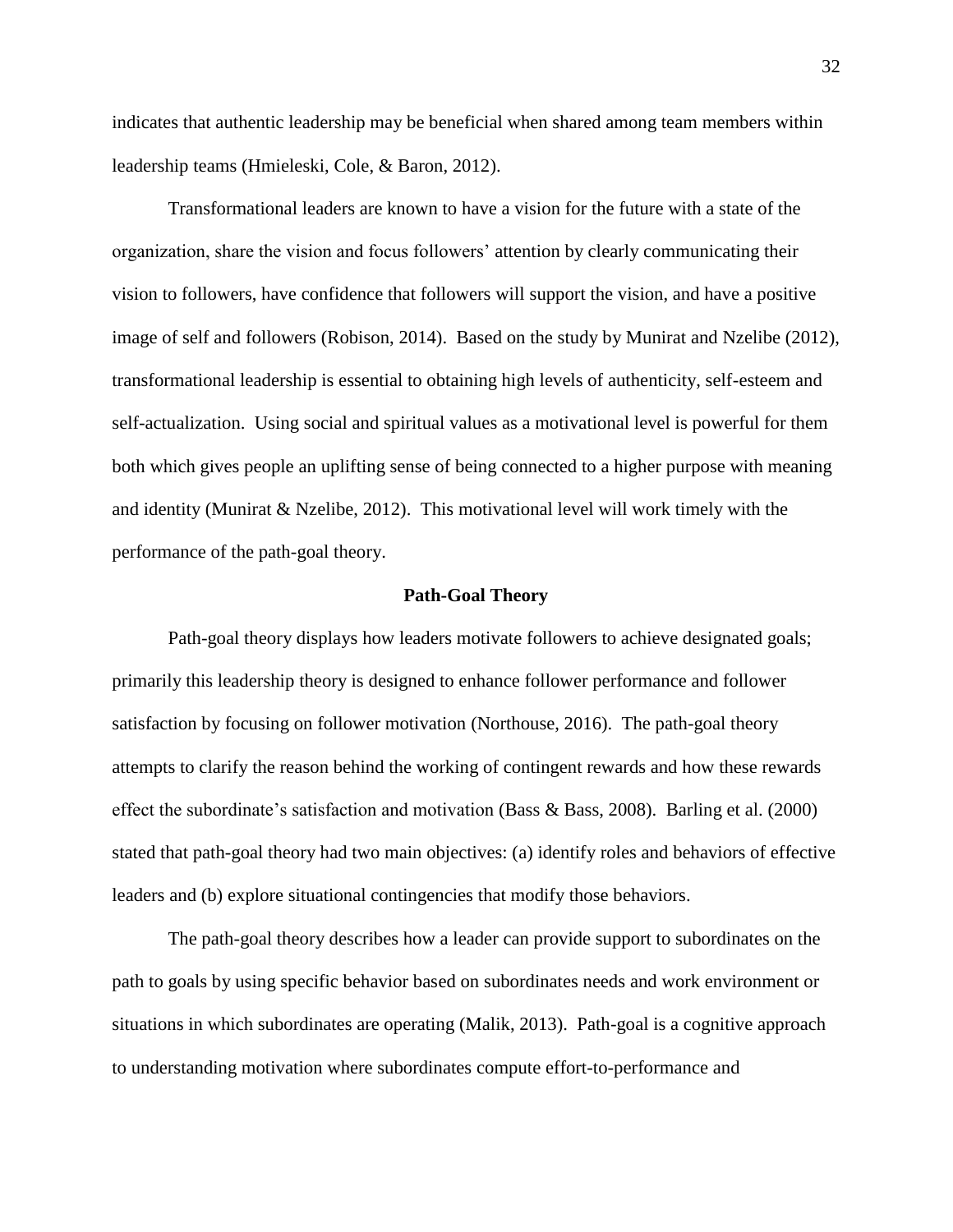indicates that authentic leadership may be beneficial when shared among team members within leadership teams (Hmieleski, Cole, & Baron, 2012).

Transformational leaders are known to have a vision for the future with a state of the organization, share the vision and focus followers' attention by clearly communicating their vision to followers, have confidence that followers will support the vision, and have a positive image of self and followers (Robison, 2014). Based on the study by Munirat and Nzelibe (2012), transformational leadership is essential to obtaining high levels of authenticity, self-esteem and self-actualization. Using social and spiritual values as a motivational level is powerful for them both which gives people an uplifting sense of being connected to a higher purpose with meaning and identity (Munirat & Nzelibe, 2012). This motivational level will work timely with the performance of the path-goal theory.

#### **Path-Goal Theory**

Path-goal theory displays how leaders motivate followers to achieve designated goals; primarily this leadership theory is designed to enhance follower performance and follower satisfaction by focusing on follower motivation (Northouse, 2016). The path-goal theory attempts to clarify the reason behind the working of contingent rewards and how these rewards effect the subordinate's satisfaction and motivation (Bass & Bass, 2008). Barling et al. (2000) stated that path-goal theory had two main objectives: (a) identify roles and behaviors of effective leaders and (b) explore situational contingencies that modify those behaviors.

The path-goal theory describes how a leader can provide support to subordinates on the path to goals by using specific behavior based on subordinates needs and work environment or situations in which subordinates are operating (Malik, 2013). Path-goal is a cognitive approach to understanding motivation where subordinates compute effort-to-performance and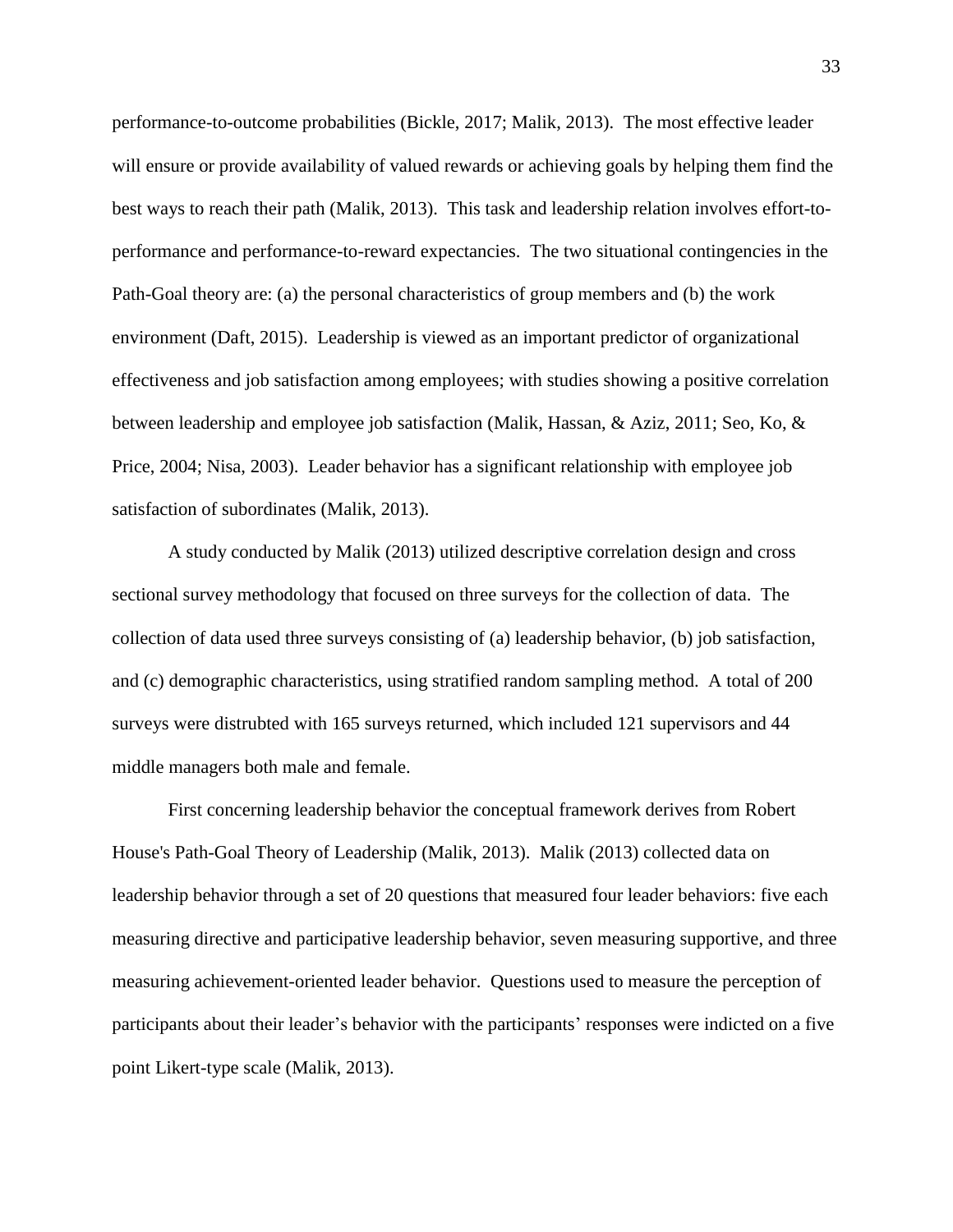performance-to-outcome probabilities (Bickle, 2017; Malik, 2013). The most effective leader will ensure or provide availability of valued rewards or achieving goals by helping them find the best ways to reach their path (Malik, 2013). This task and leadership relation involves effort-toperformance and performance-to-reward expectancies. The two situational contingencies in the Path-Goal theory are: (a) the personal characteristics of group members and (b) the work environment (Daft, 2015). Leadership is viewed as an important predictor of organizational effectiveness and job satisfaction among employees; with studies showing a positive correlation between leadership and employee job satisfaction (Malik, Hassan, & Aziz, 2011; Seo, Ko, & Price, 2004; Nisa, 2003). Leader behavior has a significant relationship with employee job satisfaction of subordinates (Malik, 2013).

A study conducted by Malik (2013) utilized descriptive correlation design and cross sectional survey methodology that focused on three surveys for the collection of data. The collection of data used three surveys consisting of (a) leadership behavior, (b) job satisfaction, and (c) demographic characteristics, using stratified random sampling method. A total of 200 surveys were distrubted with 165 surveys returned, which included 121 supervisors and 44 middle managers both male and female.

First concerning leadership behavior the conceptual framework derives from Robert House's Path-Goal Theory of Leadership (Malik, 2013). Malik (2013) collected data on leadership behavior through a set of 20 questions that measured four leader behaviors: five each measuring directive and participative leadership behavior, seven measuring supportive, and three measuring achievement-oriented leader behavior. Questions used to measure the perception of participants about their leader's behavior with the participants' responses were indicted on a five point Likert-type scale (Malik, 2013).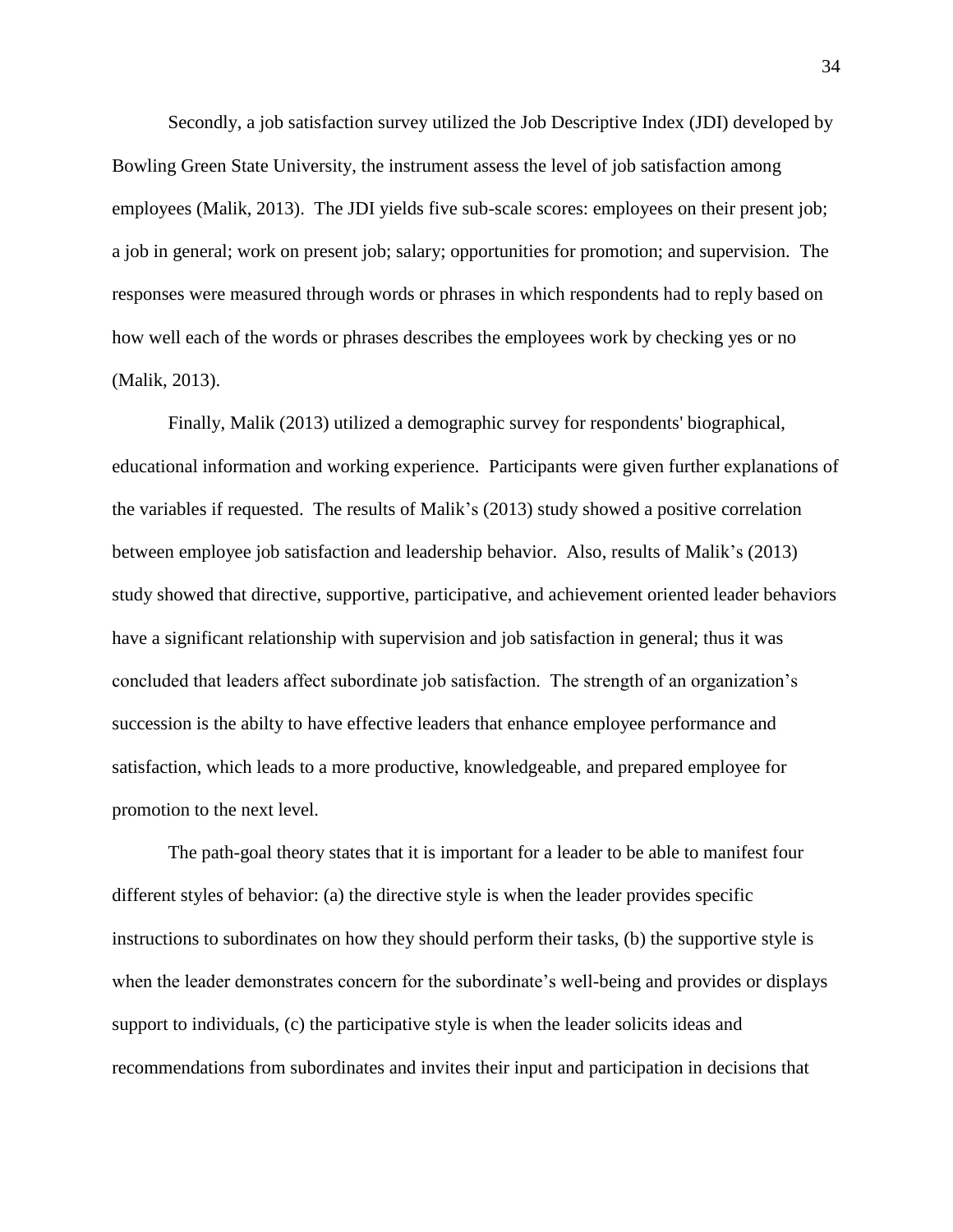Secondly, a job satisfaction survey utilized the Job Descriptive Index (JDI) developed by Bowling Green State University, the instrument assess the level of job satisfaction among employees (Malik, 2013). The JDI yields five sub-scale scores: employees on their present job; a job in general; work on present job; salary; opportunities for promotion; and supervision. The responses were measured through words or phrases in which respondents had to reply based on how well each of the words or phrases describes the employees work by checking yes or no (Malik, 2013).

Finally, Malik (2013) utilized a demographic survey for respondents' biographical, educational information and working experience. Participants were given further explanations of the variables if requested. The results of Malik's (2013) study showed a positive correlation between employee job satisfaction and leadership behavior. Also, results of Malik's (2013) study showed that directive, supportive, participative, and achievement oriented leader behaviors have a significant relationship with supervision and job satisfaction in general; thus it was concluded that leaders affect subordinate job satisfaction. The strength of an organization's succession is the abilty to have effective leaders that enhance employee performance and satisfaction, which leads to a more productive, knowledgeable, and prepared employee for promotion to the next level.

The path-goal theory states that it is important for a leader to be able to manifest four different styles of behavior: (a) the directive style is when the leader provides specific instructions to subordinates on how they should perform their tasks, (b) the supportive style is when the leader demonstrates concern for the subordinate's well-being and provides or displays support to individuals, (c) the participative style is when the leader solicits ideas and recommendations from subordinates and invites their input and participation in decisions that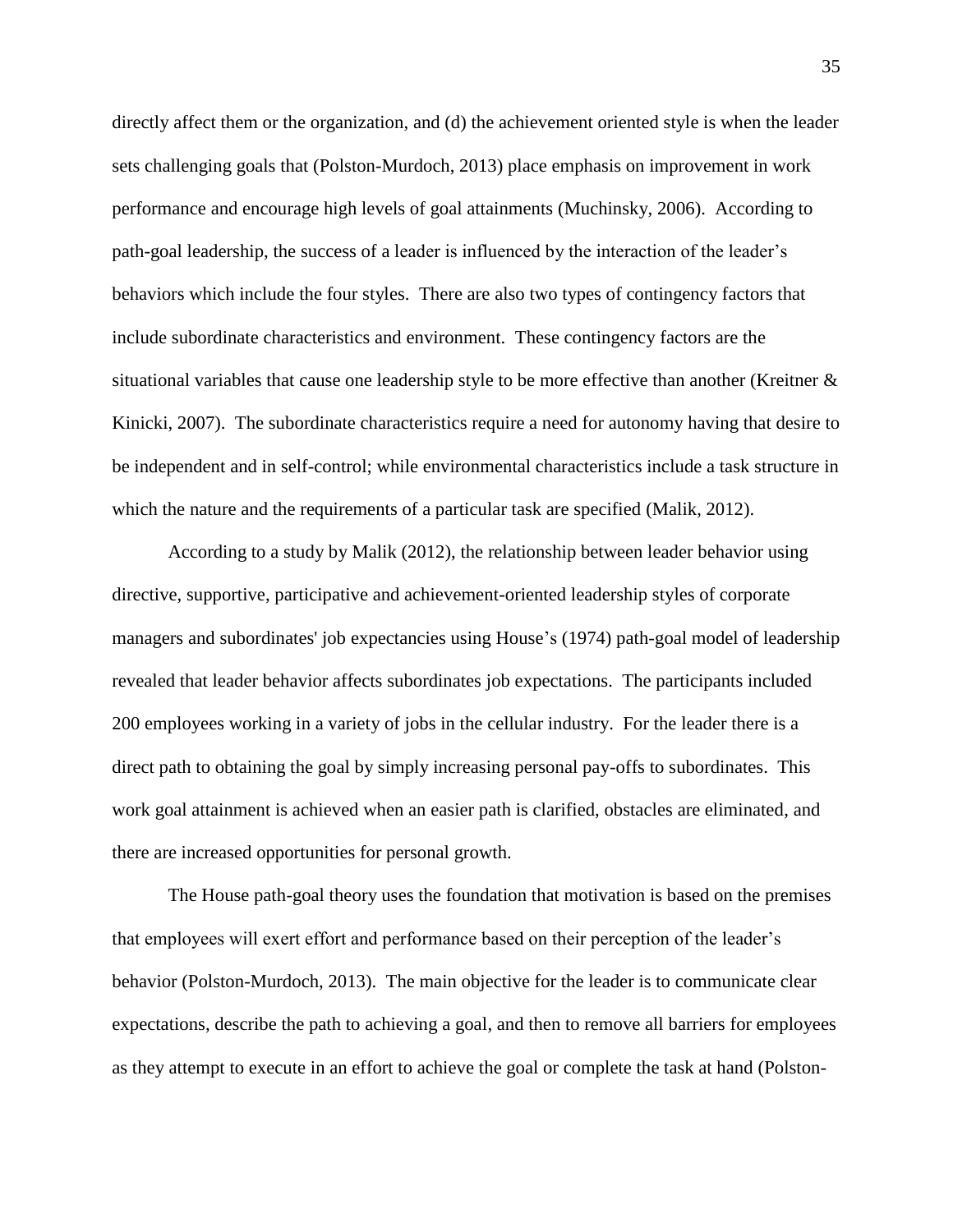directly affect them or the organization, and (d) the achievement oriented style is when the leader sets challenging goals that (Polston-Murdoch, 2013) place emphasis on improvement in work performance and encourage high levels of goal attainments (Muchinsky, 2006). According to path-goal leadership, the success of a leader is influenced by the interaction of the leader's behaviors which include the four styles. There are also two types of contingency factors that include subordinate characteristics and environment. These contingency factors are the situational variables that cause one leadership style to be more effective than another (Kreitner & Kinicki, 2007). The subordinate characteristics require a need for autonomy having that desire to be independent and in self-control; while environmental characteristics include a task structure in which the nature and the requirements of a particular task are specified (Malik, 2012).

According to a study by Malik (2012), the relationship between leader behavior using directive, supportive, participative and achievement-oriented leadership styles of corporate managers and subordinates' job expectancies using House's (1974) path-goal model of leadership revealed that leader behavior affects subordinates job expectations. The participants included 200 employees working in a variety of jobs in the cellular industry. For the leader there is a direct path to obtaining the goal by simply increasing personal pay-offs to subordinates. This work goal attainment is achieved when an easier path is clarified, obstacles are eliminated, and there are increased opportunities for personal growth.

The House path-goal theory uses the foundation that motivation is based on the premises that employees will exert effort and performance based on their perception of the leader's behavior (Polston-Murdoch, 2013). The main objective for the leader is to communicate clear expectations, describe the path to achieving a goal, and then to remove all barriers for employees as they attempt to execute in an effort to achieve the goal or complete the task at hand (Polston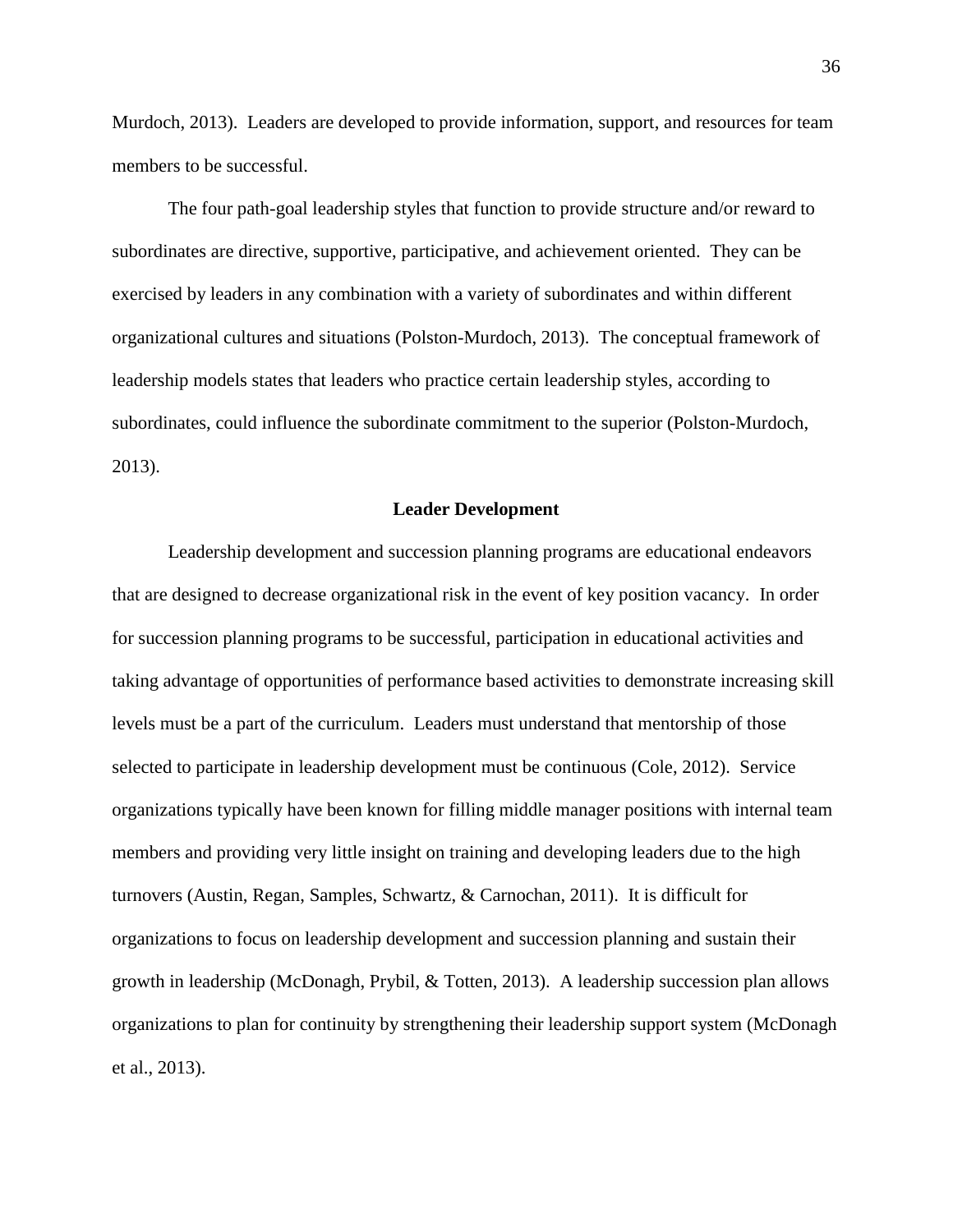Murdoch, 2013). Leaders are developed to provide information, support, and resources for team members to be successful.

The four path-goal leadership styles that function to provide structure and/or reward to subordinates are directive, supportive, participative, and achievement oriented. They can be exercised by leaders in any combination with a variety of subordinates and within different organizational cultures and situations (Polston-Murdoch, 2013). The conceptual framework of leadership models states that leaders who practice certain leadership styles, according to subordinates, could influence the subordinate commitment to the superior (Polston-Murdoch, 2013).

# **Leader Development**

Leadership development and succession planning programs are educational endeavors that are designed to decrease organizational risk in the event of key position vacancy. In order for succession planning programs to be successful, participation in educational activities and taking advantage of opportunities of performance based activities to demonstrate increasing skill levels must be a part of the curriculum. Leaders must understand that mentorship of those selected to participate in leadership development must be continuous (Cole, 2012). Service organizations typically have been known for filling middle manager positions with internal team members and providing very little insight on training and developing leaders due to the high turnovers (Austin, Regan, Samples, Schwartz, & Carnochan, 2011). It is difficult for organizations to focus on leadership development and succession planning and sustain their growth in leadership (McDonagh, Prybil, & Totten, 2013). A leadership succession plan allows organizations to plan for continuity by strengthening their leadership support system (McDonagh et al., 2013).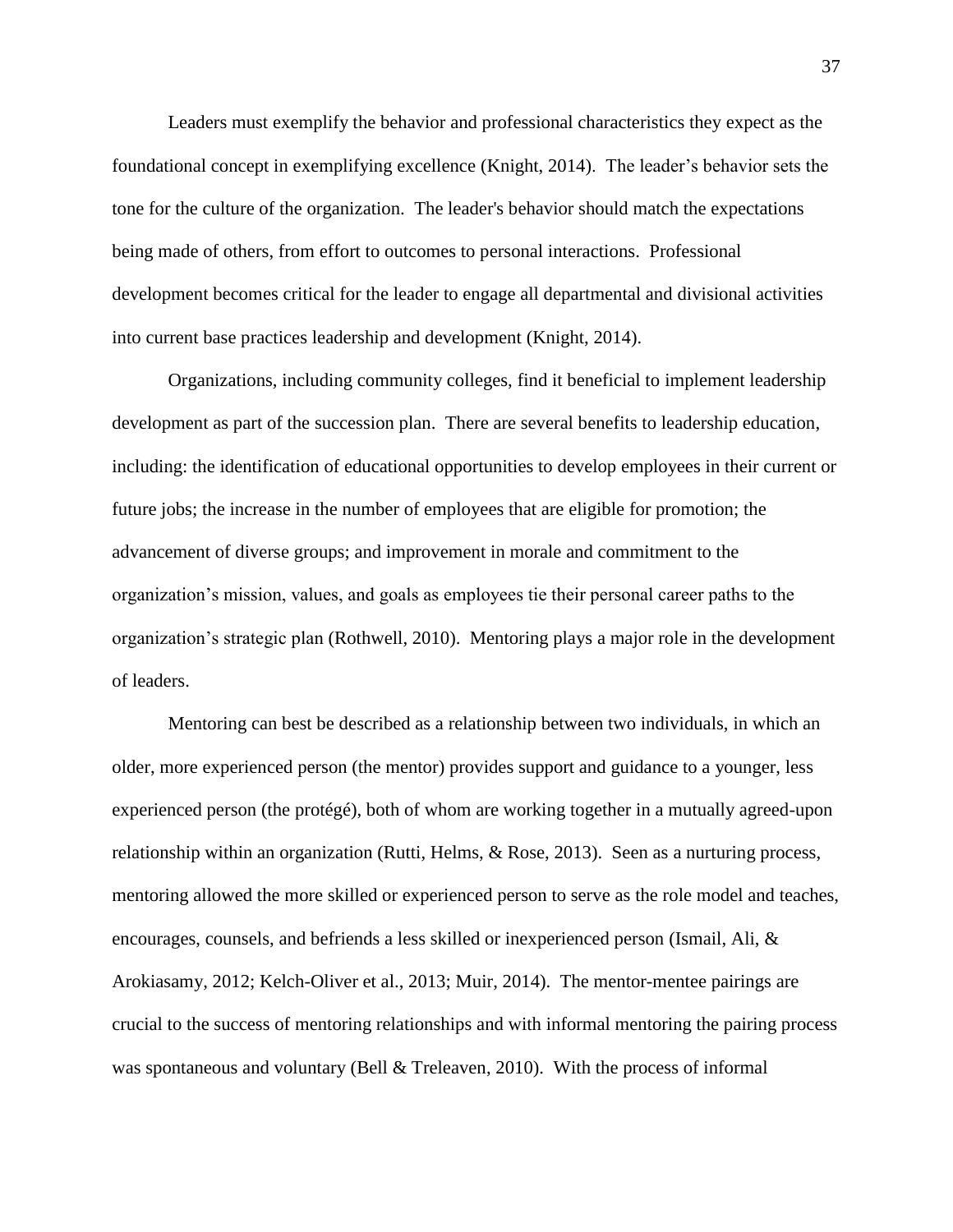Leaders must exemplify the behavior and professional characteristics they expect as the foundational concept in exemplifying excellence (Knight, 2014). The leader's behavior sets the tone for the culture of the organization. The leader's behavior should match the expectations being made of others, from effort to outcomes to personal interactions. Professional development becomes critical for the leader to engage all departmental and divisional activities into current base practices leadership and development (Knight, 2014).

Organizations, including community colleges, find it beneficial to implement leadership development as part of the succession plan. There are several benefits to leadership education, including: the identification of educational opportunities to develop employees in their current or future jobs; the increase in the number of employees that are eligible for promotion; the advancement of diverse groups; and improvement in morale and commitment to the organization's mission, values, and goals as employees tie their personal career paths to the organization's strategic plan (Rothwell, 2010). Mentoring plays a major role in the development of leaders.

Mentoring can best be described as a relationship between two individuals, in which an older, more experienced person (the mentor) provides support and guidance to a younger, less experienced person (the protégé), both of whom are working together in a mutually agreed-upon relationship within an organization (Rutti, Helms, & Rose, 2013). Seen as a nurturing process, mentoring allowed the more skilled or experienced person to serve as the role model and teaches, encourages, counsels, and befriends a less skilled or inexperienced person (Ismail, Ali, & Arokiasamy, 2012; Kelch-Oliver et al., 2013; Muir, 2014). The mentor-mentee pairings are crucial to the success of mentoring relationships and with informal mentoring the pairing process was spontaneous and voluntary (Bell & Treleaven, 2010). With the process of informal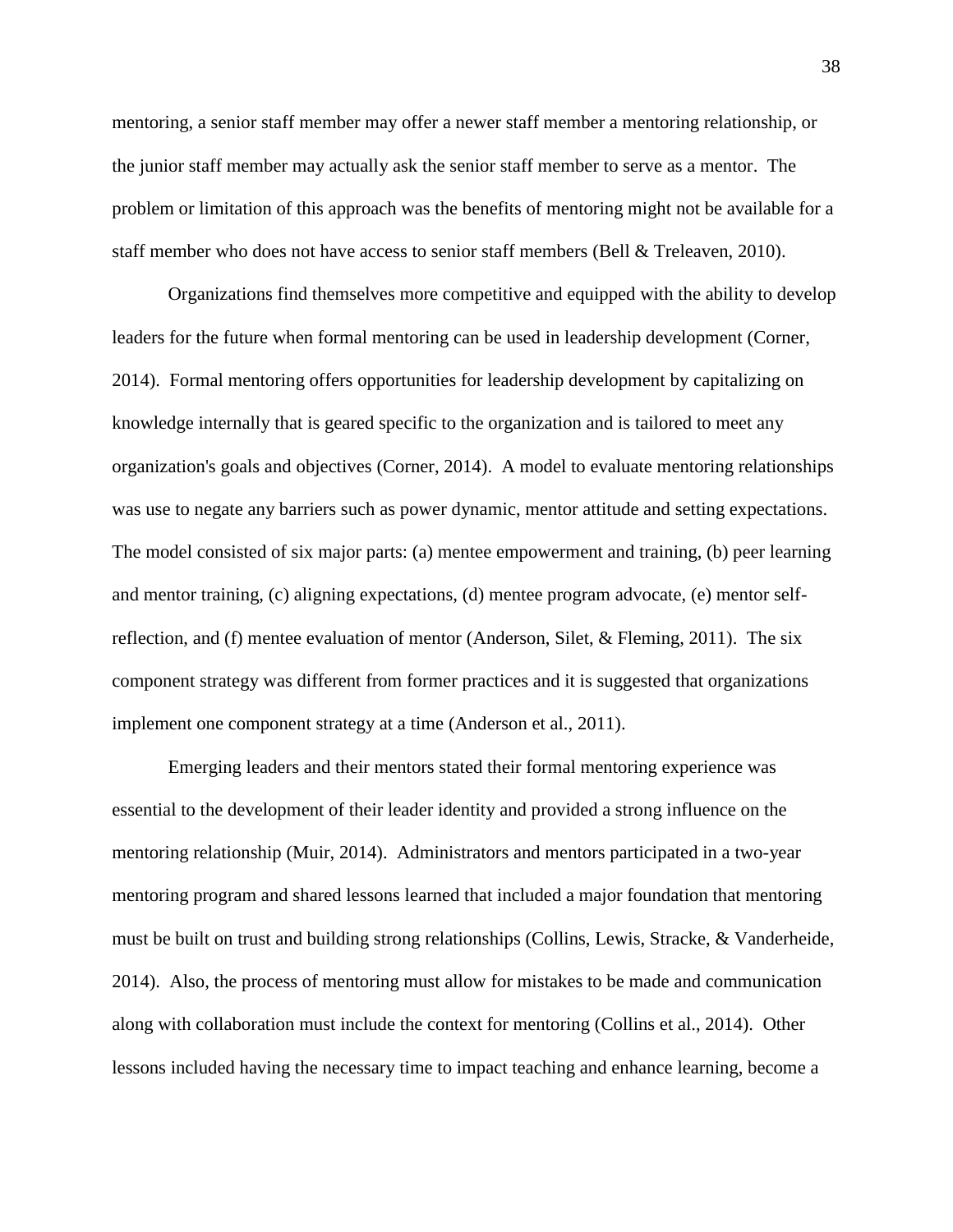mentoring, a senior staff member may offer a newer staff member a mentoring relationship, or the junior staff member may actually ask the senior staff member to serve as a mentor. The problem or limitation of this approach was the benefits of mentoring might not be available for a staff member who does not have access to senior staff members (Bell & Treleaven, 2010).

Organizations find themselves more competitive and equipped with the ability to develop leaders for the future when formal mentoring can be used in leadership development (Corner, 2014). Formal mentoring offers opportunities for leadership development by capitalizing on knowledge internally that is geared specific to the organization and is tailored to meet any organization's goals and objectives (Corner, 2014). A model to evaluate mentoring relationships was use to negate any barriers such as power dynamic, mentor attitude and setting expectations. The model consisted of six major parts: (a) mentee empowerment and training, (b) peer learning and mentor training, (c) aligning expectations, (d) mentee program advocate, (e) mentor selfreflection, and (f) mentee evaluation of mentor (Anderson, Silet, & Fleming, 2011). The six component strategy was different from former practices and it is suggested that organizations implement one component strategy at a time (Anderson et al., 2011).

Emerging leaders and their mentors stated their formal mentoring experience was essential to the development of their leader identity and provided a strong influence on the mentoring relationship (Muir, 2014). Administrators and mentors participated in a two-year mentoring program and shared lessons learned that included a major foundation that mentoring must be built on trust and building strong relationships (Collins, Lewis, Stracke, & Vanderheide, 2014). Also, the process of mentoring must allow for mistakes to be made and communication along with collaboration must include the context for mentoring (Collins et al., 2014). Other lessons included having the necessary time to impact teaching and enhance learning, become a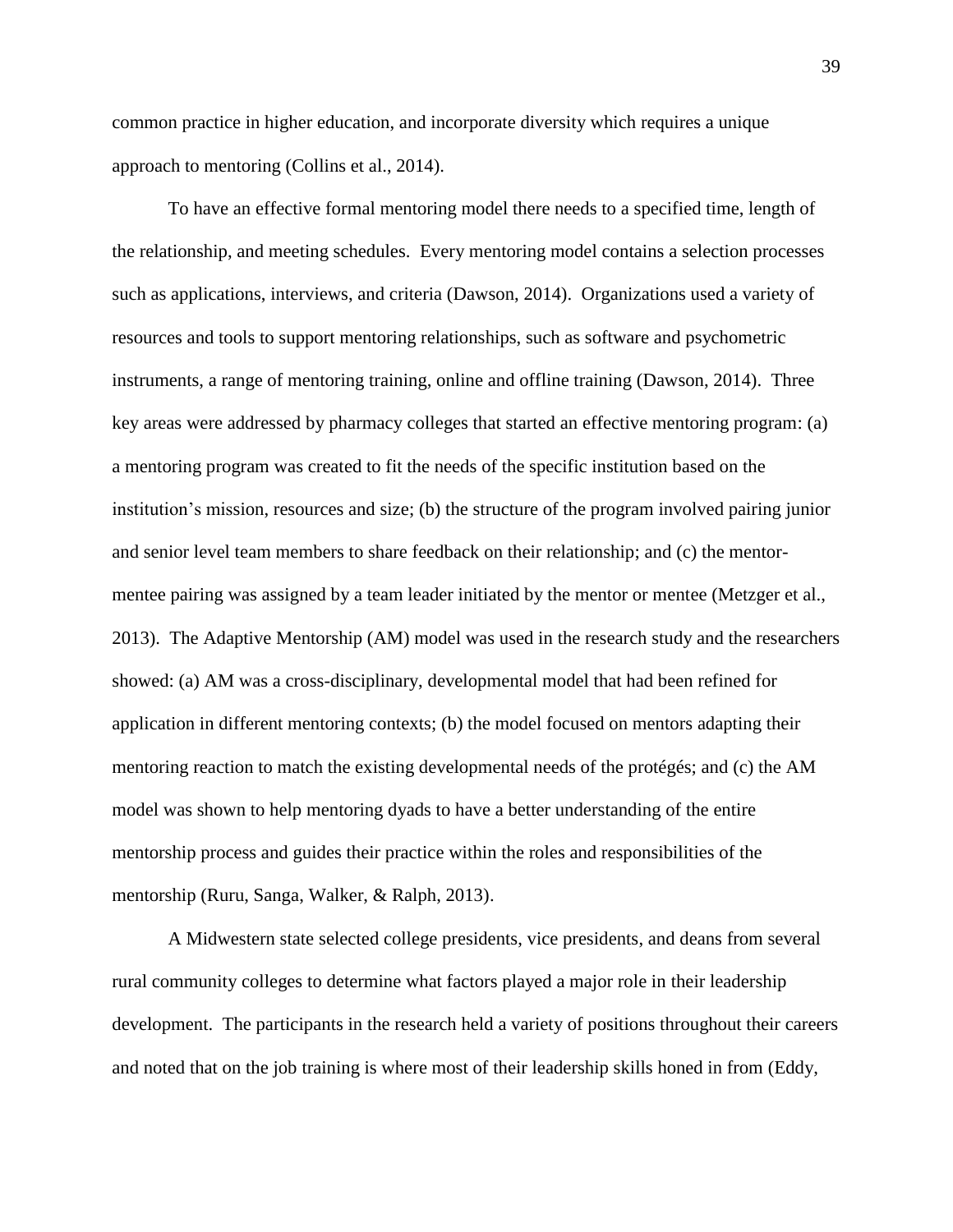common practice in higher education, and incorporate diversity which requires a unique approach to mentoring (Collins et al., 2014).

To have an effective formal mentoring model there needs to a specified time, length of the relationship, and meeting schedules. Every mentoring model contains a selection processes such as applications, interviews, and criteria (Dawson, 2014). Organizations used a variety of resources and tools to support mentoring relationships, such as software and psychometric instruments, a range of mentoring training, online and offline training (Dawson, 2014). Three key areas were addressed by pharmacy colleges that started an effective mentoring program: (a) a mentoring program was created to fit the needs of the specific institution based on the institution's mission, resources and size; (b) the structure of the program involved pairing junior and senior level team members to share feedback on their relationship; and (c) the mentormentee pairing was assigned by a team leader initiated by the mentor or mentee (Metzger et al., 2013). The Adaptive Mentorship (AM) model was used in the research study and the researchers showed: (a) AM was a cross-disciplinary, developmental model that had been refined for application in different mentoring contexts; (b) the model focused on mentors adapting their mentoring reaction to match the existing developmental needs of the protégés; and (c) the AM model was shown to help mentoring dyads to have a better understanding of the entire mentorship process and guides their practice within the roles and responsibilities of the mentorship (Ruru, Sanga, Walker, & Ralph, 2013).

A Midwestern state selected college presidents, vice presidents, and deans from several rural community colleges to determine what factors played a major role in their leadership development. The participants in the research held a variety of positions throughout their careers and noted that on the job training is where most of their leadership skills honed in from (Eddy,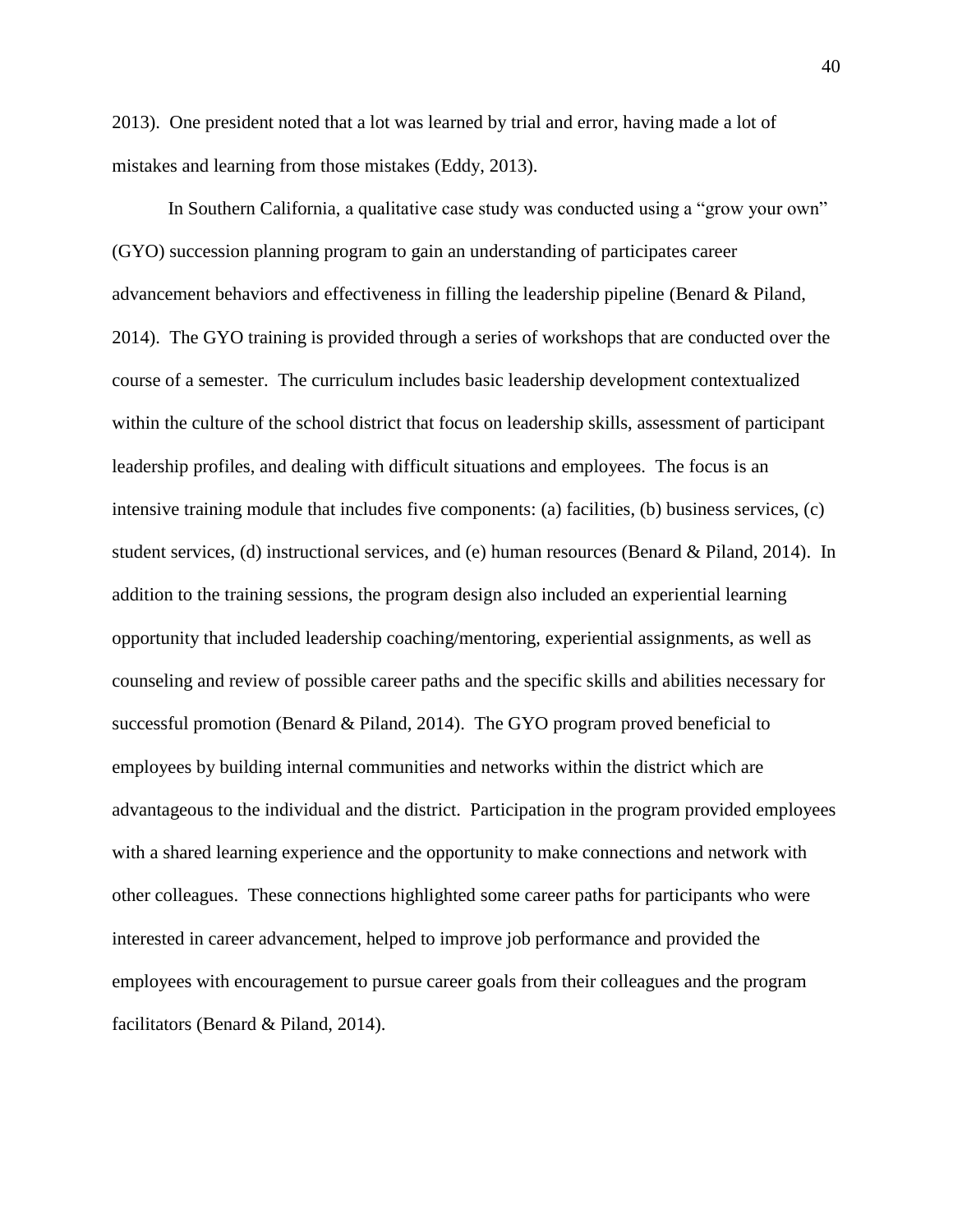2013). One president noted that a lot was learned by trial and error, having made a lot of mistakes and learning from those mistakes (Eddy, 2013).

In Southern California, a qualitative case study was conducted using a "grow your own" (GYO) succession planning program to gain an understanding of participates career advancement behaviors and effectiveness in filling the leadership pipeline (Benard & Piland, 2014). The GYO training is provided through a series of workshops that are conducted over the course of a semester. The curriculum includes basic leadership development contextualized within the culture of the school district that focus on leadership skills, assessment of participant leadership profiles, and dealing with difficult situations and employees. The focus is an intensive training module that includes five components: (a) facilities, (b) business services, (c) student services, (d) instructional services, and (e) human resources (Benard & Piland, 2014). In addition to the training sessions, the program design also included an experiential learning opportunity that included leadership coaching/mentoring, experiential assignments, as well as counseling and review of possible career paths and the specific skills and abilities necessary for successful promotion (Benard & Piland, 2014). The GYO program proved beneficial to employees by building internal communities and networks within the district which are advantageous to the individual and the district. Participation in the program provided employees with a shared learning experience and the opportunity to make connections and network with other colleagues. These connections highlighted some career paths for participants who were interested in career advancement, helped to improve job performance and provided the employees with encouragement to pursue career goals from their colleagues and the program facilitators (Benard & Piland, 2014).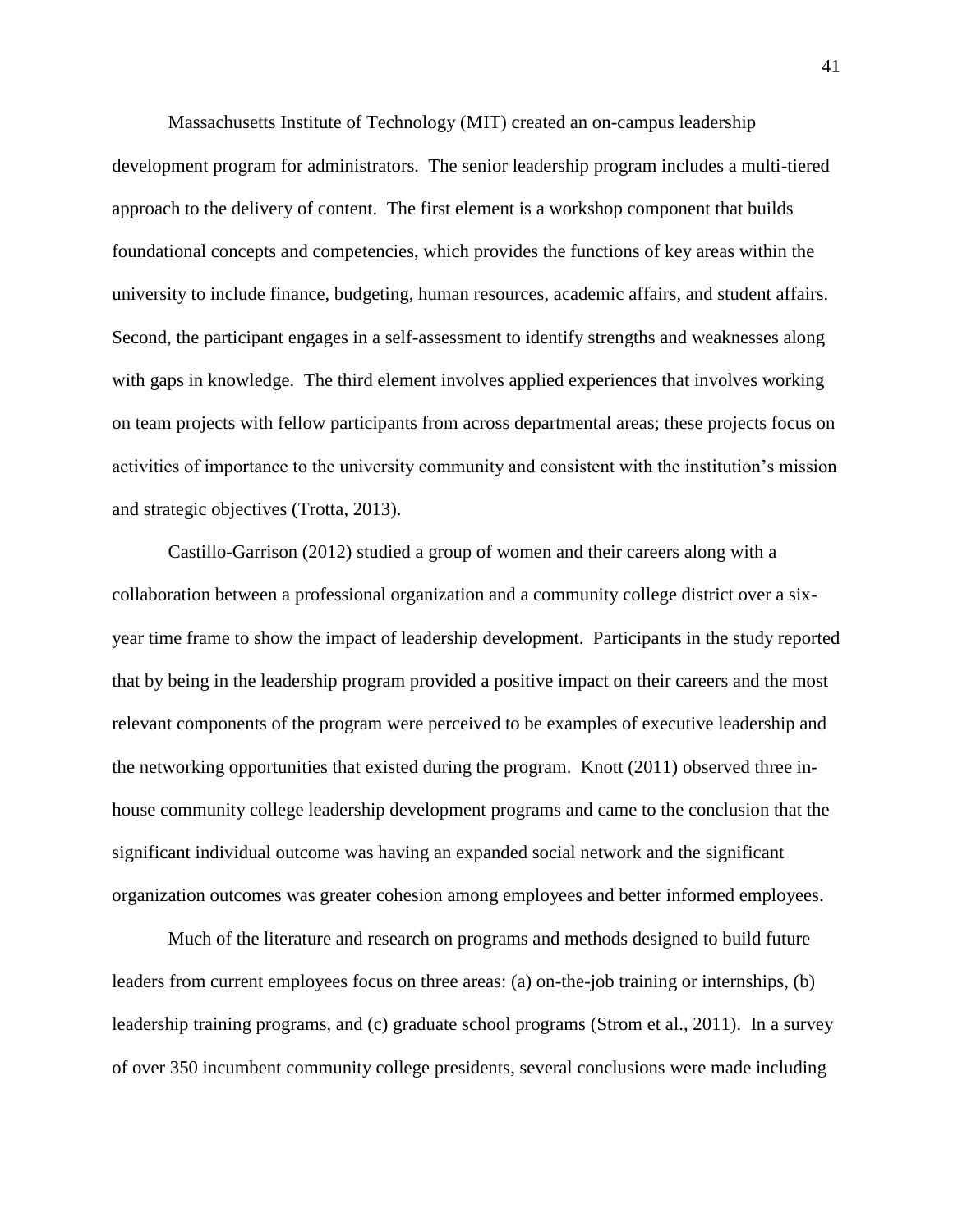Massachusetts Institute of Technology (MIT) created an on-campus leadership development program for administrators. The senior leadership program includes a multi-tiered approach to the delivery of content. The first element is a workshop component that builds foundational concepts and competencies, which provides the functions of key areas within the university to include finance, budgeting, human resources, academic affairs, and student affairs. Second, the participant engages in a self-assessment to identify strengths and weaknesses along with gaps in knowledge. The third element involves applied experiences that involves working on team projects with fellow participants from across departmental areas; these projects focus on activities of importance to the university community and consistent with the institution's mission and strategic objectives (Trotta, 2013).

Castillo-Garrison (2012) studied a group of women and their careers along with a collaboration between a professional organization and a community college district over a sixyear time frame to show the impact of leadership development. Participants in the study reported that by being in the leadership program provided a positive impact on their careers and the most relevant components of the program were perceived to be examples of executive leadership and the networking opportunities that existed during the program. Knott (2011) observed three inhouse community college leadership development programs and came to the conclusion that the significant individual outcome was having an expanded social network and the significant organization outcomes was greater cohesion among employees and better informed employees.

Much of the literature and research on programs and methods designed to build future leaders from current employees focus on three areas: (a) on-the-job training or internships, (b) leadership training programs, and (c) graduate school programs (Strom et al., 2011). In a survey of over 350 incumbent community college presidents, several conclusions were made including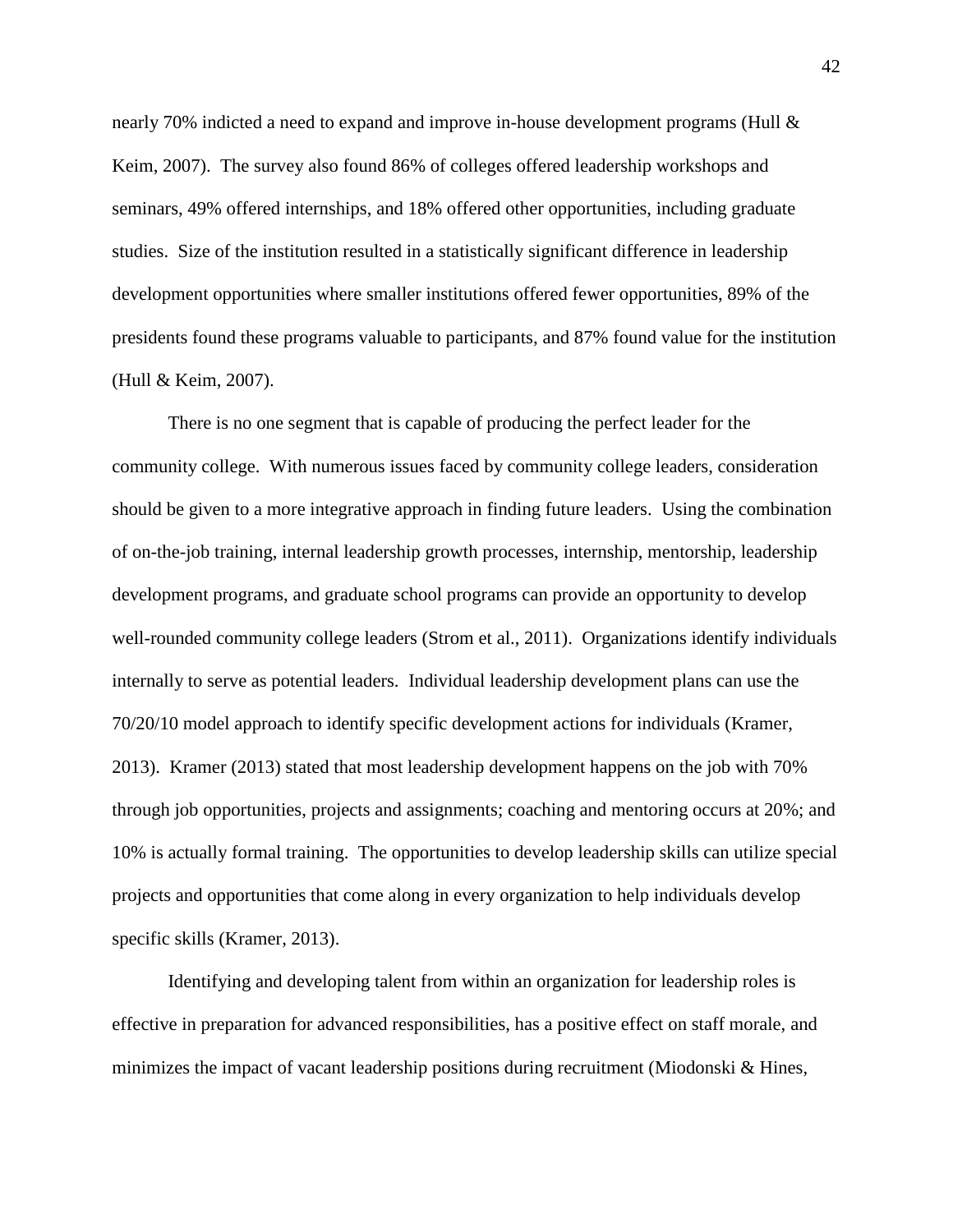nearly 70% indicted a need to expand and improve in-house development programs (Hull & Keim, 2007). The survey also found 86% of colleges offered leadership workshops and seminars, 49% offered internships, and 18% offered other opportunities, including graduate studies. Size of the institution resulted in a statistically significant difference in leadership development opportunities where smaller institutions offered fewer opportunities, 89% of the presidents found these programs valuable to participants, and 87% found value for the institution (Hull & Keim, 2007).

There is no one segment that is capable of producing the perfect leader for the community college. With numerous issues faced by community college leaders, consideration should be given to a more integrative approach in finding future leaders. Using the combination of on-the-job training, internal leadership growth processes, internship, mentorship, leadership development programs, and graduate school programs can provide an opportunity to develop well-rounded community college leaders (Strom et al., 2011). Organizations identify individuals internally to serve as potential leaders. Individual leadership development plans can use the 70/20/10 model approach to identify specific development actions for individuals (Kramer, 2013). Kramer (2013) stated that most leadership development happens on the job with 70% through job opportunities, projects and assignments; coaching and mentoring occurs at 20%; and 10% is actually formal training. The opportunities to develop leadership skills can utilize special projects and opportunities that come along in every organization to help individuals develop specific skills (Kramer, 2013).

Identifying and developing talent from within an organization for leadership roles is effective in preparation for advanced responsibilities, has a positive effect on staff morale, and minimizes the impact of vacant leadership positions during recruitment (Miodonski & Hines,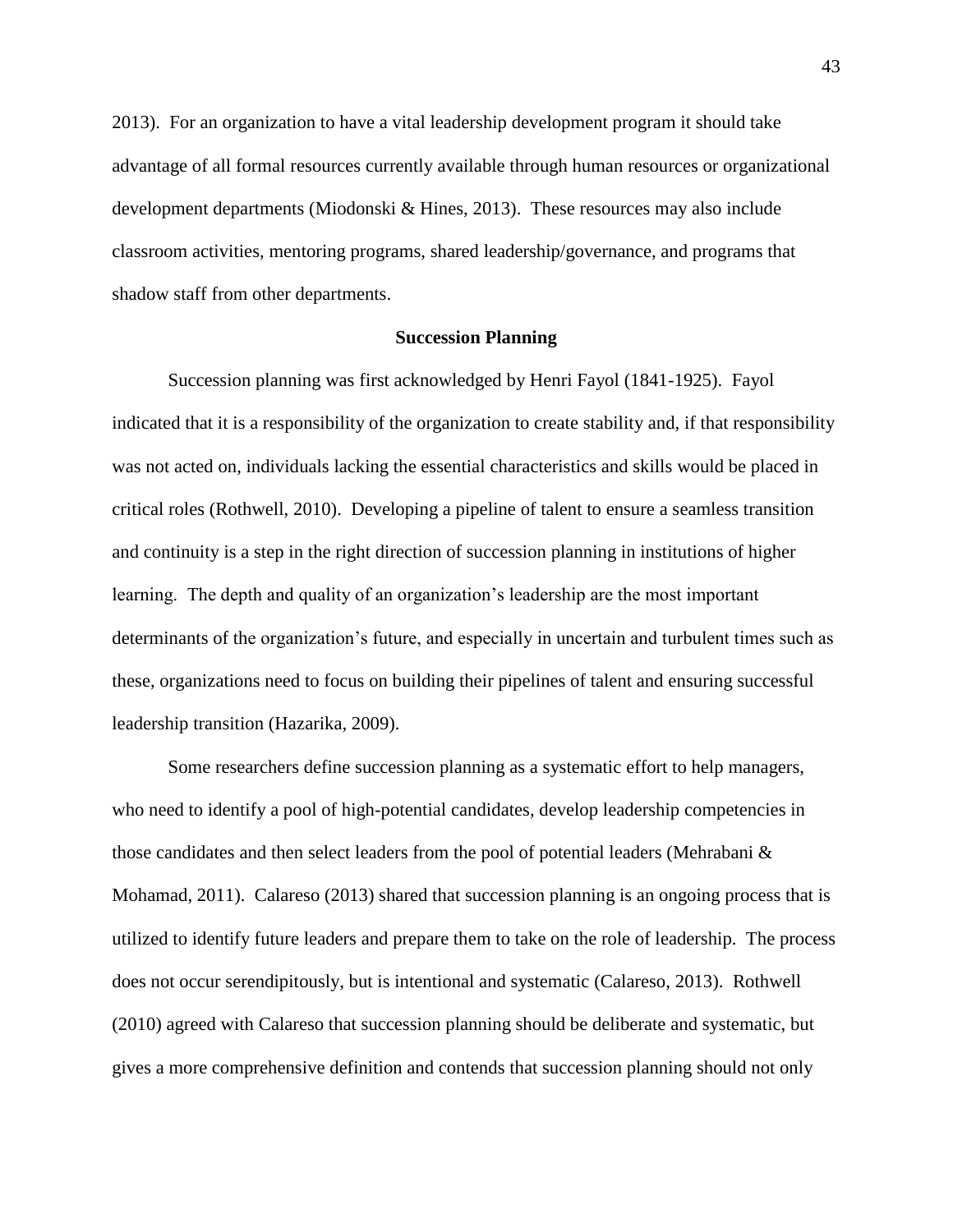2013). For an organization to have a vital leadership development program it should take advantage of all formal resources currently available through human resources or organizational development departments (Miodonski & Hines, 2013). These resources may also include classroom activities, mentoring programs, shared leadership/governance, and programs that shadow staff from other departments.

# **Succession Planning**

Succession planning was first acknowledged by Henri Fayol (1841-1925). Fayol indicated that it is a responsibility of the organization to create stability and, if that responsibility was not acted on, individuals lacking the essential characteristics and skills would be placed in critical roles (Rothwell, 2010). Developing a pipeline of talent to ensure a seamless transition and continuity is a step in the right direction of succession planning in institutions of higher learning. The depth and quality of an organization's leadership are the most important determinants of the organization's future, and especially in uncertain and turbulent times such as these, organizations need to focus on building their pipelines of talent and ensuring successful leadership transition (Hazarika, 2009).

Some researchers define succession planning as a systematic effort to help managers, who need to identify a pool of high-potential candidates, develop leadership competencies in those candidates and then select leaders from the pool of potential leaders (Mehrabani & Mohamad, 2011). Calareso (2013) shared that succession planning is an ongoing process that is utilized to identify future leaders and prepare them to take on the role of leadership. The process does not occur serendipitously, but is intentional and systematic (Calareso, 2013). Rothwell (2010) agreed with Calareso that succession planning should be deliberate and systematic, but gives a more comprehensive definition and contends that succession planning should not only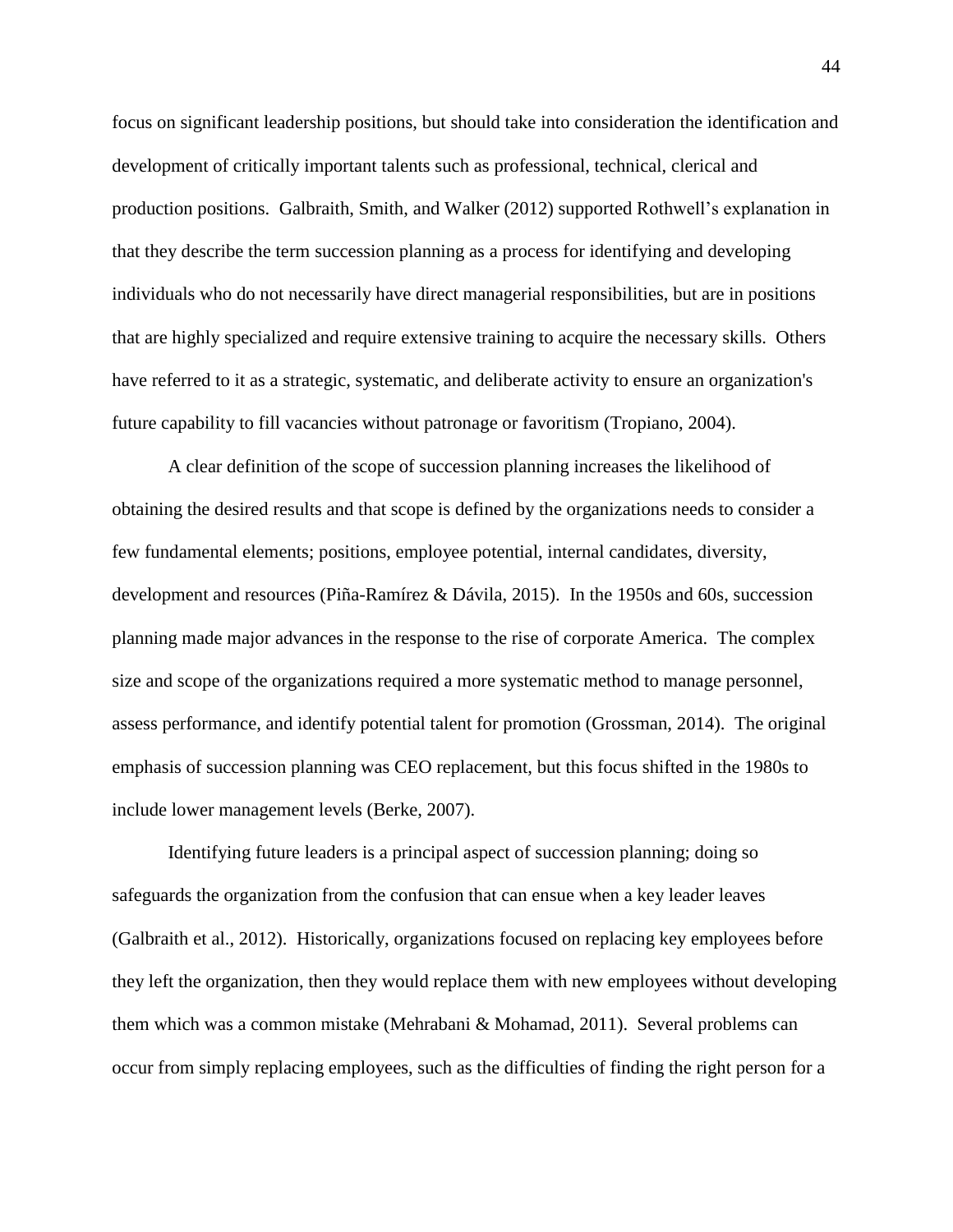focus on significant leadership positions, but should take into consideration the identification and development of critically important talents such as professional, technical, clerical and production positions. Galbraith, Smith, and Walker (2012) supported Rothwell's explanation in that they describe the term succession planning as a process for identifying and developing individuals who do not necessarily have direct managerial responsibilities, but are in positions that are highly specialized and require extensive training to acquire the necessary skills. Others have referred to it as a strategic, systematic, and deliberate activity to ensure an organization's future capability to fill vacancies without patronage or favoritism (Tropiano, 2004).

A clear definition of the scope of succession planning increases the likelihood of obtaining the desired results and that scope is defined by the organizations needs to consider a few fundamental elements; positions, employee potential, internal candidates, diversity, development and resources (Piña-Ramírez & Dávila, 2015). In the 1950s and 60s, succession planning made major advances in the response to the rise of corporate America. The complex size and scope of the organizations required a more systematic method to manage personnel, assess performance, and identify potential talent for promotion (Grossman, 2014). The original emphasis of succession planning was CEO replacement, but this focus shifted in the 1980s to include lower management levels (Berke, 2007).

Identifying future leaders is a principal aspect of succession planning; doing so safeguards the organization from the confusion that can ensue when a key leader leaves (Galbraith et al., 2012). Historically, organizations focused on replacing key employees before they left the organization, then they would replace them with new employees without developing them which was a common mistake (Mehrabani & Mohamad, 2011). Several problems can occur from simply replacing employees, such as the difficulties of finding the right person for a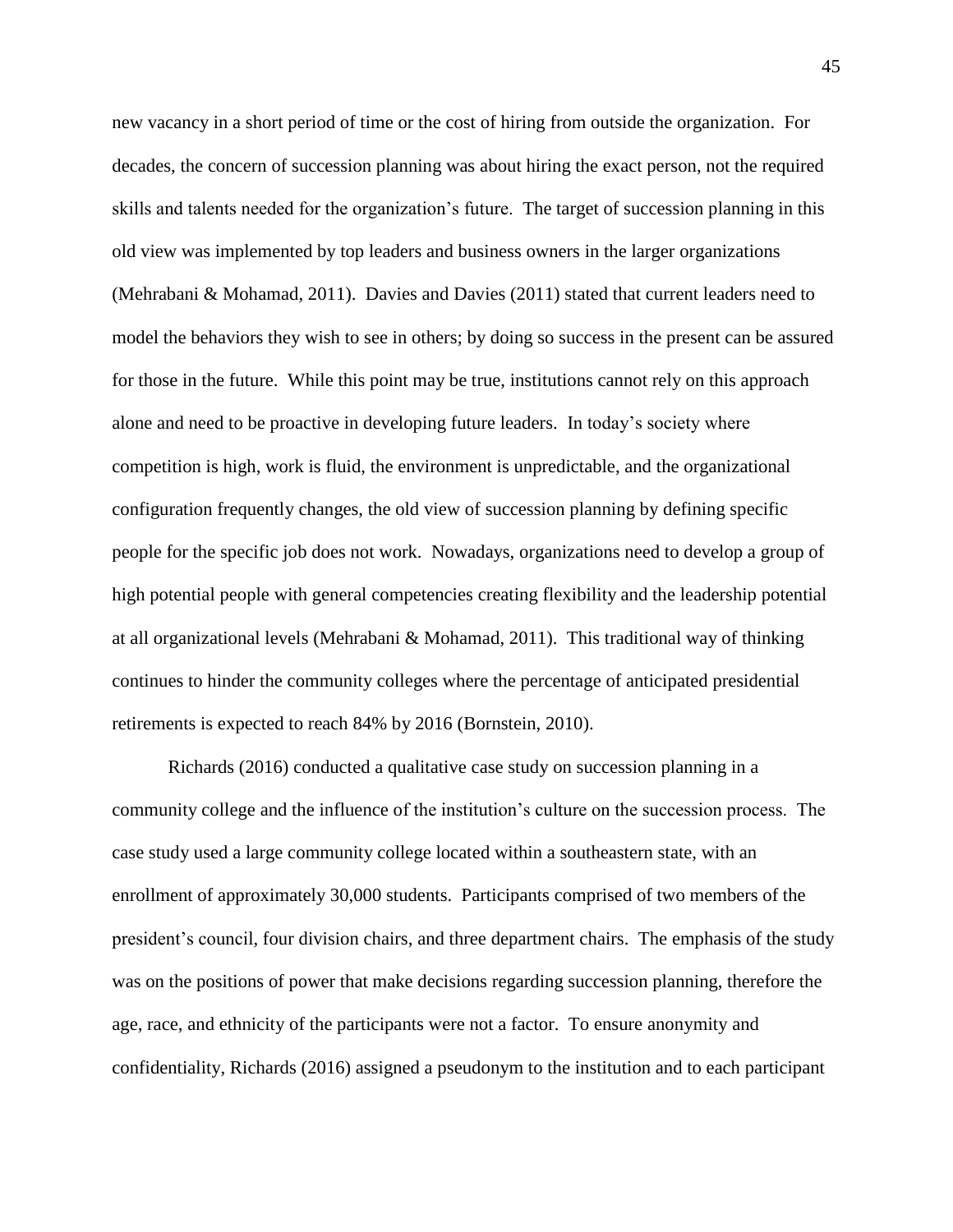new vacancy in a short period of time or the cost of hiring from outside the organization. For decades, the concern of succession planning was about hiring the exact person, not the required skills and talents needed for the organization's future. The target of succession planning in this old view was implemented by top leaders and business owners in the larger organizations (Mehrabani & Mohamad, 2011). Davies and Davies (2011) stated that current leaders need to model the behaviors they wish to see in others; by doing so success in the present can be assured for those in the future. While this point may be true, institutions cannot rely on this approach alone and need to be proactive in developing future leaders. In today's society where competition is high, work is fluid, the environment is unpredictable, and the organizational configuration frequently changes, the old view of succession planning by defining specific people for the specific job does not work. Nowadays, organizations need to develop a group of high potential people with general competencies creating flexibility and the leadership potential at all organizational levels (Mehrabani & Mohamad, 2011). This traditional way of thinking continues to hinder the community colleges where the percentage of anticipated presidential retirements is expected to reach 84% by 2016 (Bornstein, 2010).

Richards (2016) conducted a qualitative case study on succession planning in a community college and the influence of the institution's culture on the succession process. The case study used a large community college located within a southeastern state, with an enrollment of approximately 30,000 students. Participants comprised of two members of the president's council, four division chairs, and three department chairs. The emphasis of the study was on the positions of power that make decisions regarding succession planning, therefore the age, race, and ethnicity of the participants were not a factor. To ensure anonymity and confidentiality, Richards (2016) assigned a pseudonym to the institution and to each participant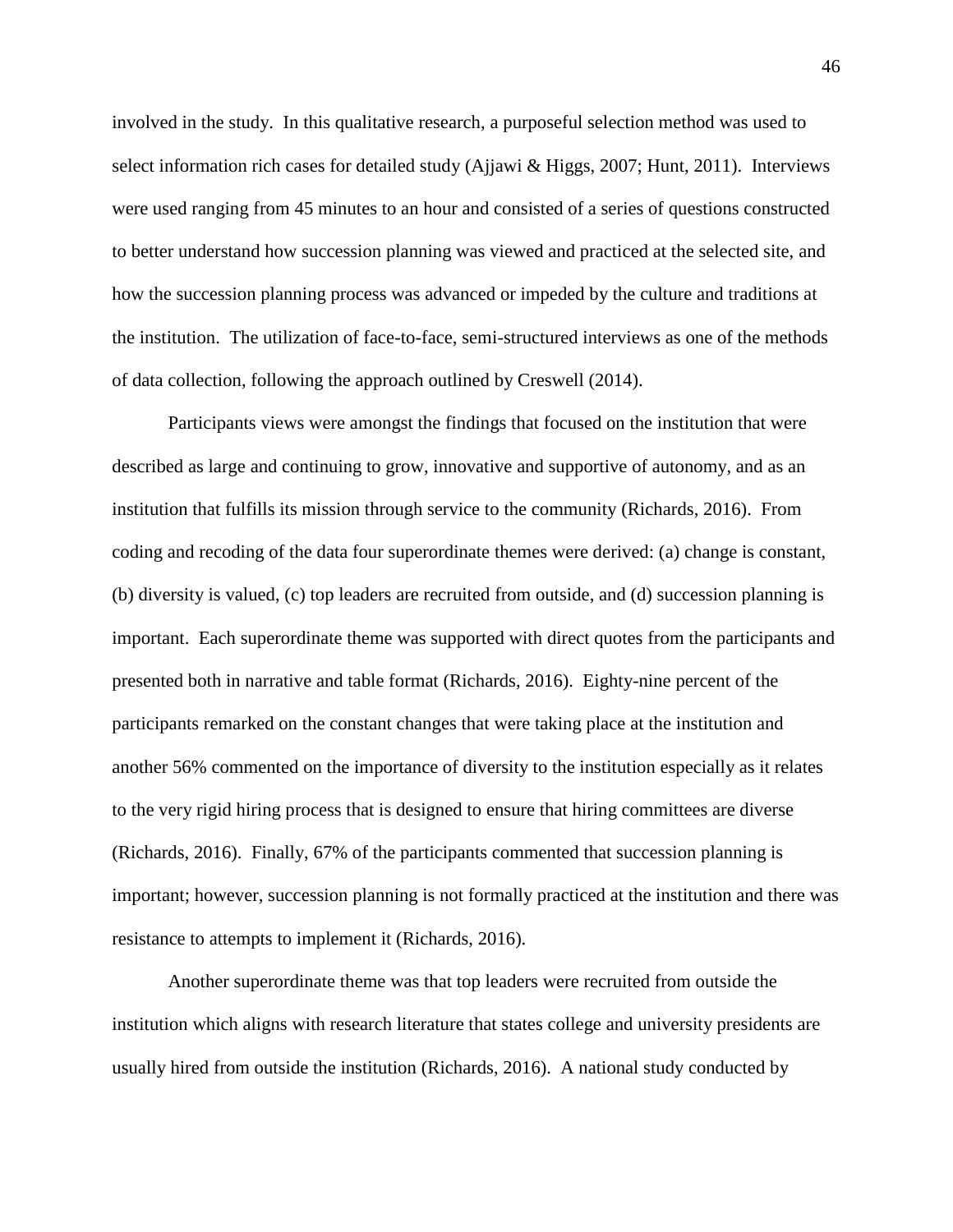involved in the study. In this qualitative research, a purposeful selection method was used to select information rich cases for detailed study (Ajjawi & Higgs, 2007; Hunt, 2011). Interviews were used ranging from 45 minutes to an hour and consisted of a series of questions constructed to better understand how succession planning was viewed and practiced at the selected site, and how the succession planning process was advanced or impeded by the culture and traditions at the institution. The utilization of face-to-face, semi-structured interviews as one of the methods of data collection, following the approach outlined by Creswell (2014).

Participants views were amongst the findings that focused on the institution that were described as large and continuing to grow, innovative and supportive of autonomy, and as an institution that fulfills its mission through service to the community (Richards, 2016). From coding and recoding of the data four superordinate themes were derived: (a) change is constant, (b) diversity is valued, (c) top leaders are recruited from outside, and (d) succession planning is important. Each superordinate theme was supported with direct quotes from the participants and presented both in narrative and table format (Richards, 2016). Eighty-nine percent of the participants remarked on the constant changes that were taking place at the institution and another 56% commented on the importance of diversity to the institution especially as it relates to the very rigid hiring process that is designed to ensure that hiring committees are diverse (Richards, 2016). Finally, 67% of the participants commented that succession planning is important; however, succession planning is not formally practiced at the institution and there was resistance to attempts to implement it (Richards, 2016).

Another superordinate theme was that top leaders were recruited from outside the institution which aligns with research literature that states college and university presidents are usually hired from outside the institution (Richards, 2016). A national study conducted by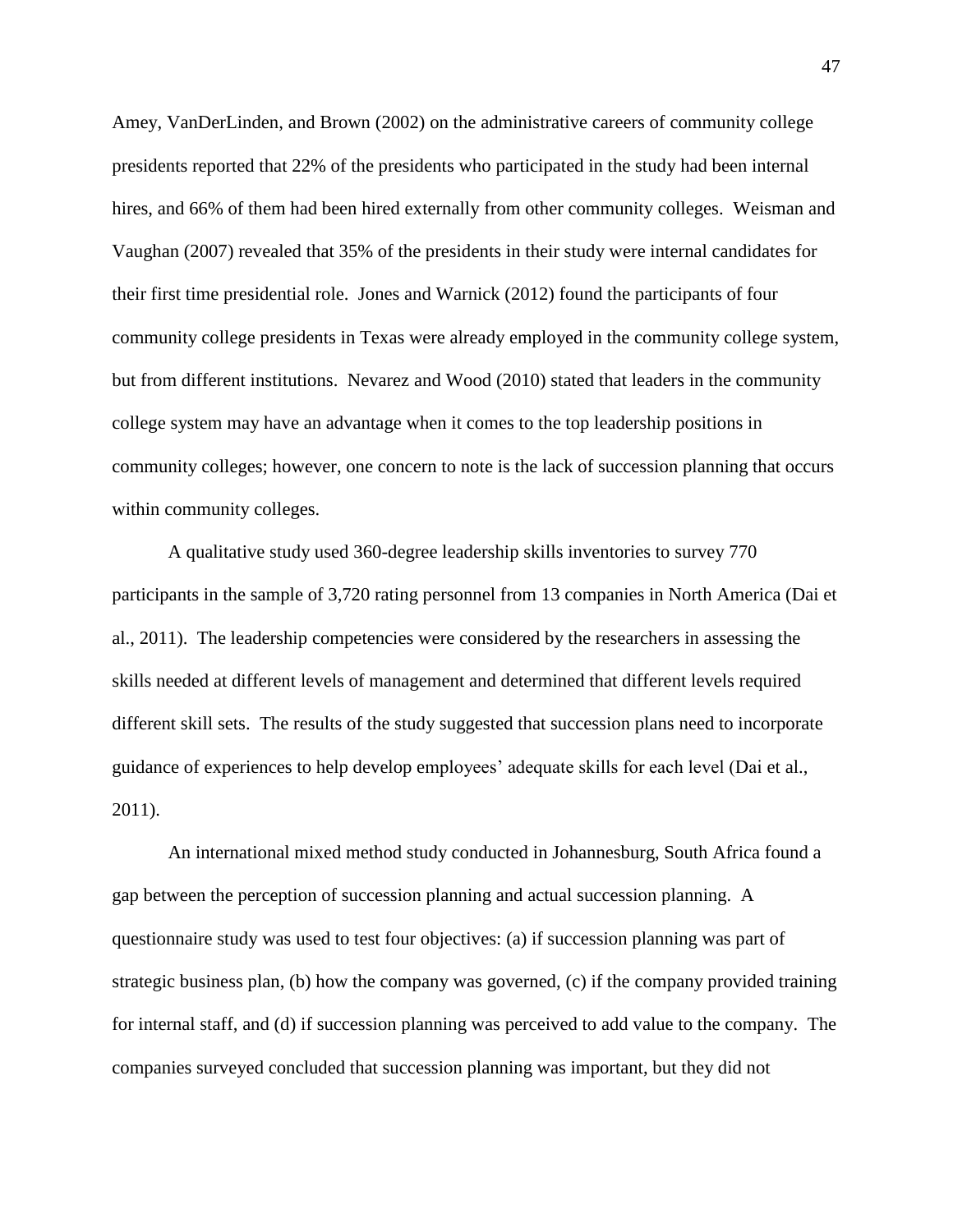Amey, VanDerLinden, and Brown (2002) on the administrative careers of community college presidents reported that 22% of the presidents who participated in the study had been internal hires, and 66% of them had been hired externally from other community colleges. Weisman and Vaughan (2007) revealed that 35% of the presidents in their study were internal candidates for their first time presidential role. Jones and Warnick (2012) found the participants of four community college presidents in Texas were already employed in the community college system, but from different institutions. Nevarez and Wood (2010) stated that leaders in the community college system may have an advantage when it comes to the top leadership positions in community colleges; however, one concern to note is the lack of succession planning that occurs within community colleges.

A qualitative study used 360-degree leadership skills inventories to survey 770 participants in the sample of 3,720 rating personnel from 13 companies in North America (Dai et al., 2011). The leadership competencies were considered by the researchers in assessing the skills needed at different levels of management and determined that different levels required different skill sets. The results of the study suggested that succession plans need to incorporate guidance of experiences to help develop employees' adequate skills for each level (Dai et al., 2011).

An international mixed method study conducted in Johannesburg, South Africa found a gap between the perception of succession planning and actual succession planning. A questionnaire study was used to test four objectives: (a) if succession planning was part of strategic business plan, (b) how the company was governed, (c) if the company provided training for internal staff, and (d) if succession planning was perceived to add value to the company. The companies surveyed concluded that succession planning was important, but they did not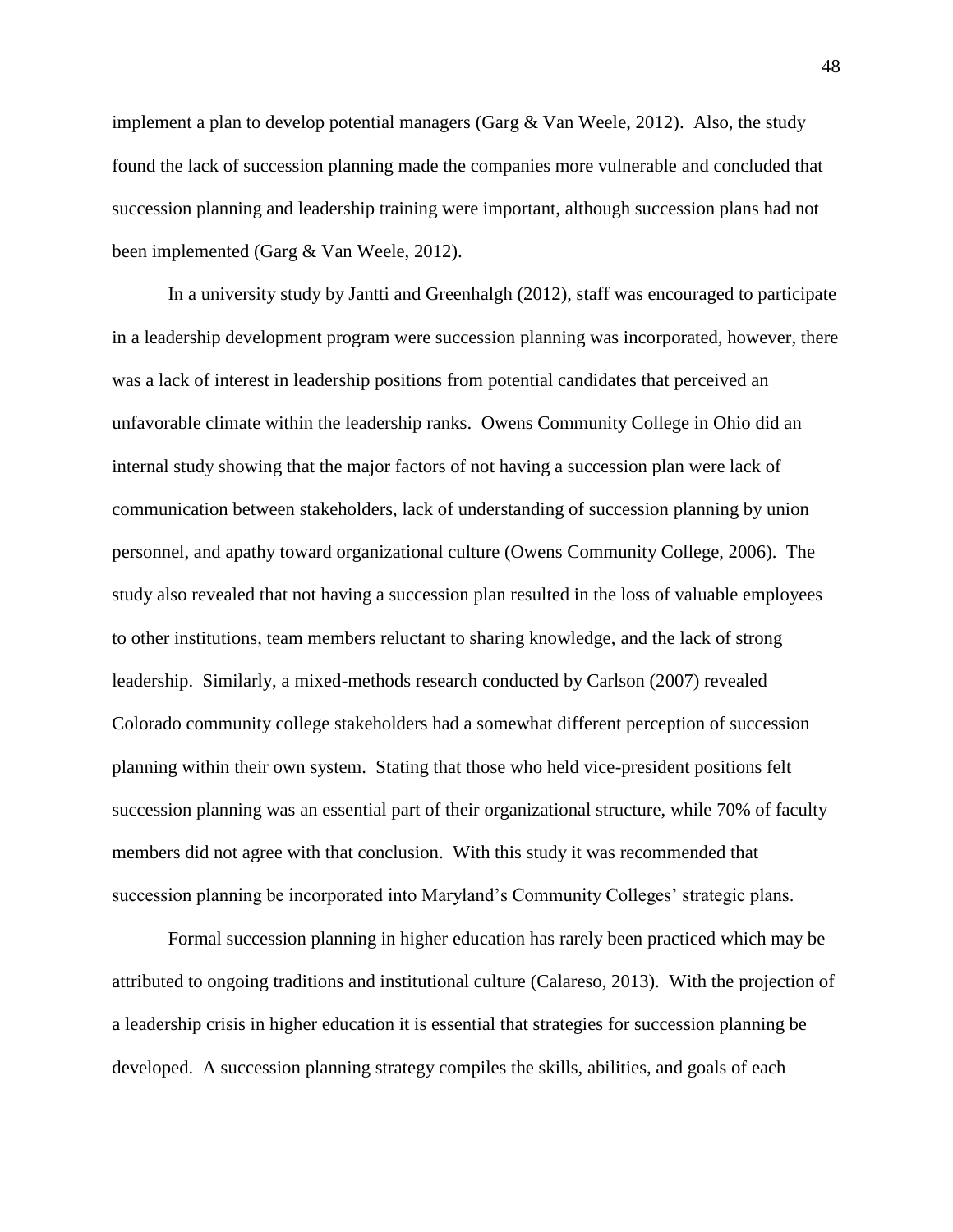implement a plan to develop potential managers (Garg  $\&$  Van Weele, 2012). Also, the study found the lack of succession planning made the companies more vulnerable and concluded that succession planning and leadership training were important, although succession plans had not been implemented (Garg & Van Weele, 2012).

In a university study by Jantti and Greenhalgh (2012), staff was encouraged to participate in a leadership development program were succession planning was incorporated, however, there was a lack of interest in leadership positions from potential candidates that perceived an unfavorable climate within the leadership ranks. Owens Community College in Ohio did an internal study showing that the major factors of not having a succession plan were lack of communication between stakeholders, lack of understanding of succession planning by union personnel, and apathy toward organizational culture (Owens Community College, 2006). The study also revealed that not having a succession plan resulted in the loss of valuable employees to other institutions, team members reluctant to sharing knowledge, and the lack of strong leadership. Similarly, a mixed-methods research conducted by Carlson (2007) revealed Colorado community college stakeholders had a somewhat different perception of succession planning within their own system. Stating that those who held vice-president positions felt succession planning was an essential part of their organizational structure, while 70% of faculty members did not agree with that conclusion. With this study it was recommended that succession planning be incorporated into Maryland's Community Colleges' strategic plans.

Formal succession planning in higher education has rarely been practiced which may be attributed to ongoing traditions and institutional culture (Calareso, 2013). With the projection of a leadership crisis in higher education it is essential that strategies for succession planning be developed. A succession planning strategy compiles the skills, abilities, and goals of each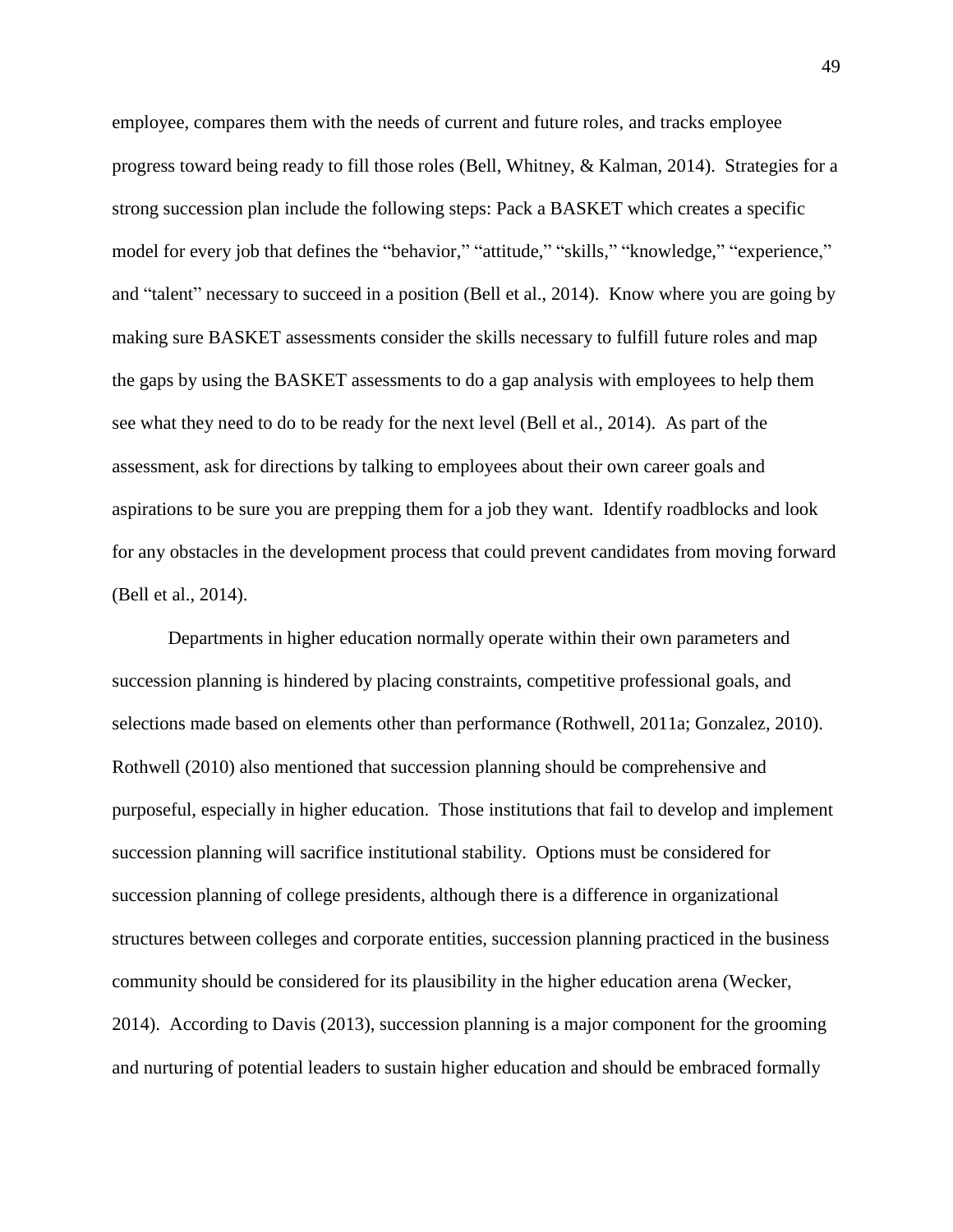employee, compares them with the needs of current and future roles, and tracks employee progress toward being ready to fill those roles (Bell, Whitney, & Kalman, 2014). Strategies for a strong succession plan include the following steps: Pack a BASKET which creates a specific model for every job that defines the "behavior," "attitude," "skills," "knowledge," "experience," and "talent" necessary to succeed in a position (Bell et al., 2014). Know where you are going by making sure BASKET assessments consider the skills necessary to fulfill future roles and map the gaps by using the BASKET assessments to do a gap analysis with employees to help them see what they need to do to be ready for the next level (Bell et al., 2014). As part of the assessment, ask for directions by talking to employees about their own career goals and aspirations to be sure you are prepping them for a job they want. Identify roadblocks and look for any obstacles in the development process that could prevent candidates from moving forward (Bell et al., 2014).

Departments in higher education normally operate within their own parameters and succession planning is hindered by placing constraints, competitive professional goals, and selections made based on elements other than performance (Rothwell, 2011a; Gonzalez, 2010). Rothwell (2010) also mentioned that succession planning should be comprehensive and purposeful, especially in higher education. Those institutions that fail to develop and implement succession planning will sacrifice institutional stability. Options must be considered for succession planning of college presidents, although there is a difference in organizational structures between colleges and corporate entities, succession planning practiced in the business community should be considered for its plausibility in the higher education arena (Wecker, 2014). According to Davis (2013), succession planning is a major component for the grooming and nurturing of potential leaders to sustain higher education and should be embraced formally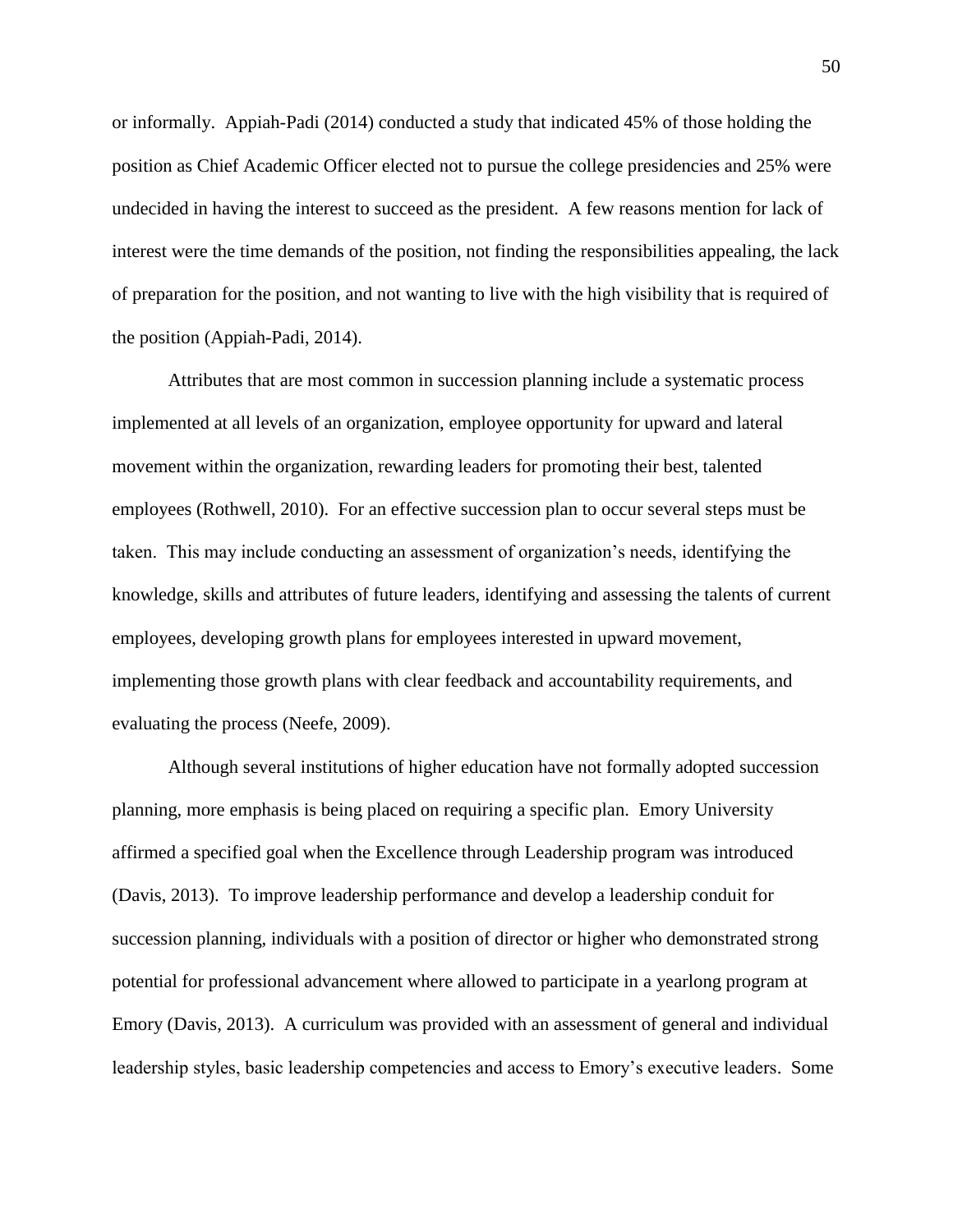or informally. Appiah-Padi (2014) conducted a study that indicated 45% of those holding the position as Chief Academic Officer elected not to pursue the college presidencies and 25% were undecided in having the interest to succeed as the president. A few reasons mention for lack of interest were the time demands of the position, not finding the responsibilities appealing, the lack of preparation for the position, and not wanting to live with the high visibility that is required of the position (Appiah-Padi, 2014).

Attributes that are most common in succession planning include a systematic process implemented at all levels of an organization, employee opportunity for upward and lateral movement within the organization, rewarding leaders for promoting their best, talented employees (Rothwell, 2010). For an effective succession plan to occur several steps must be taken. This may include conducting an assessment of organization's needs, identifying the knowledge, skills and attributes of future leaders, identifying and assessing the talents of current employees, developing growth plans for employees interested in upward movement, implementing those growth plans with clear feedback and accountability requirements, and evaluating the process (Neefe, 2009).

Although several institutions of higher education have not formally adopted succession planning, more emphasis is being placed on requiring a specific plan. Emory University affirmed a specified goal when the Excellence through Leadership program was introduced (Davis, 2013). To improve leadership performance and develop a leadership conduit for succession planning, individuals with a position of director or higher who demonstrated strong potential for professional advancement where allowed to participate in a yearlong program at Emory (Davis, 2013). A curriculum was provided with an assessment of general and individual leadership styles, basic leadership competencies and access to Emory's executive leaders. Some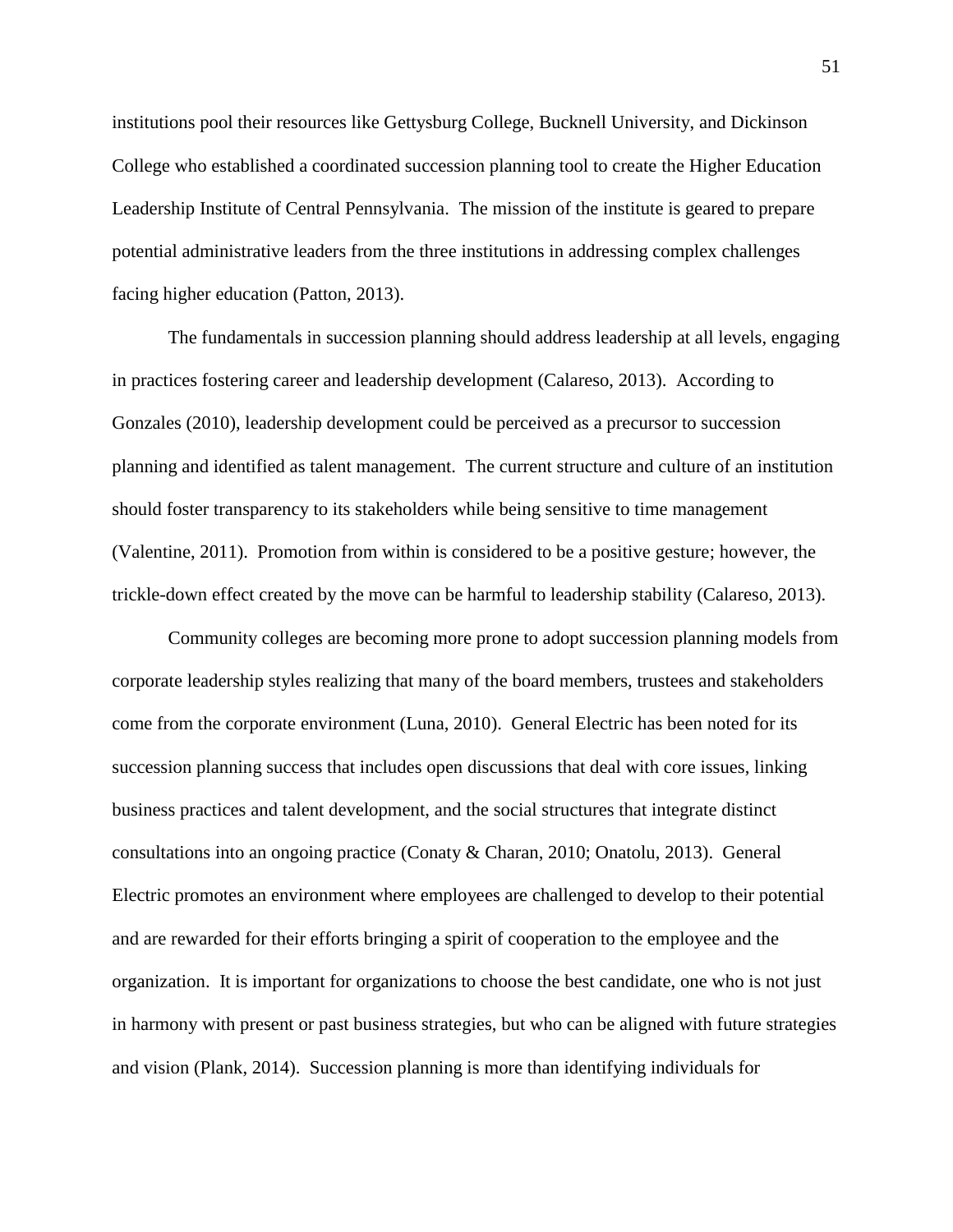institutions pool their resources like Gettysburg College, Bucknell University, and Dickinson College who established a coordinated succession planning tool to create the Higher Education Leadership Institute of Central Pennsylvania. The mission of the institute is geared to prepare potential administrative leaders from the three institutions in addressing complex challenges facing higher education (Patton, 2013).

The fundamentals in succession planning should address leadership at all levels, engaging in practices fostering career and leadership development (Calareso, 2013). According to Gonzales (2010), leadership development could be perceived as a precursor to succession planning and identified as talent management. The current structure and culture of an institution should foster transparency to its stakeholders while being sensitive to time management (Valentine, 2011). Promotion from within is considered to be a positive gesture; however, the trickle-down effect created by the move can be harmful to leadership stability (Calareso, 2013).

Community colleges are becoming more prone to adopt succession planning models from corporate leadership styles realizing that many of the board members, trustees and stakeholders come from the corporate environment (Luna, 2010). General Electric has been noted for its succession planning success that includes open discussions that deal with core issues, linking business practices and talent development, and the social structures that integrate distinct consultations into an ongoing practice (Conaty & Charan, 2010; Onatolu, 2013). General Electric promotes an environment where employees are challenged to develop to their potential and are rewarded for their efforts bringing a spirit of cooperation to the employee and the organization. It is important for organizations to choose the best candidate, one who is not just in harmony with present or past business strategies, but who can be aligned with future strategies and vision (Plank, 2014). Succession planning is more than identifying individuals for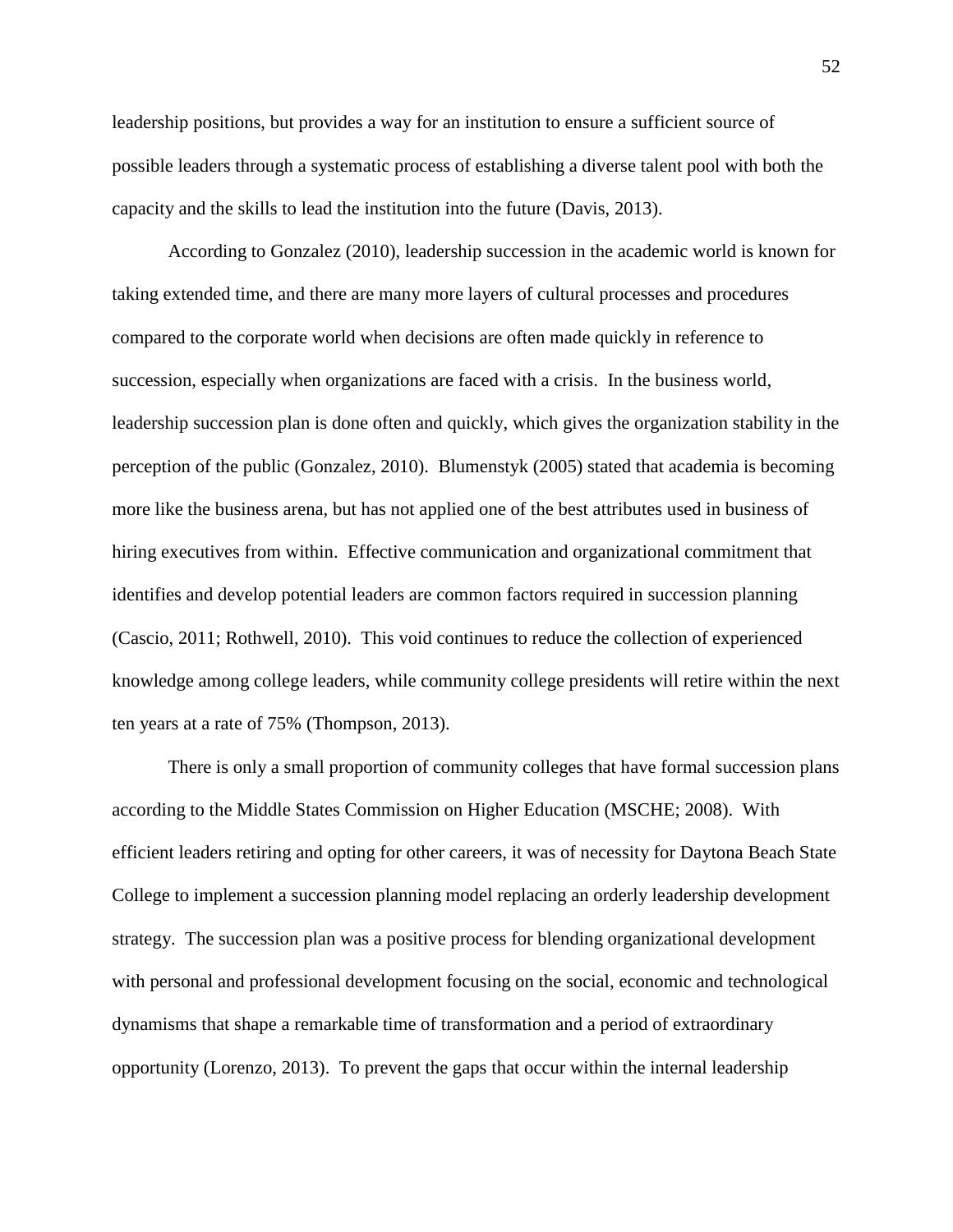leadership positions, but provides a way for an institution to ensure a sufficient source of possible leaders through a systematic process of establishing a diverse talent pool with both the capacity and the skills to lead the institution into the future (Davis, 2013).

According to Gonzalez (2010), leadership succession in the academic world is known for taking extended time, and there are many more layers of cultural processes and procedures compared to the corporate world when decisions are often made quickly in reference to succession, especially when organizations are faced with a crisis. In the business world, leadership succession plan is done often and quickly, which gives the organization stability in the perception of the public (Gonzalez, 2010). Blumenstyk (2005) stated that academia is becoming more like the business arena, but has not applied one of the best attributes used in business of hiring executives from within. Effective communication and organizational commitment that identifies and develop potential leaders are common factors required in succession planning (Cascio, 2011; Rothwell, 2010). This void continues to reduce the collection of experienced knowledge among college leaders, while community college presidents will retire within the next ten years at a rate of 75% (Thompson, 2013).

There is only a small proportion of community colleges that have formal succession plans according to the Middle States Commission on Higher Education (MSCHE; 2008). With efficient leaders retiring and opting for other careers, it was of necessity for Daytona Beach State College to implement a succession planning model replacing an orderly leadership development strategy. The succession plan was a positive process for blending organizational development with personal and professional development focusing on the social, economic and technological dynamisms that shape a remarkable time of transformation and a period of extraordinary opportunity (Lorenzo, 2013). To prevent the gaps that occur within the internal leadership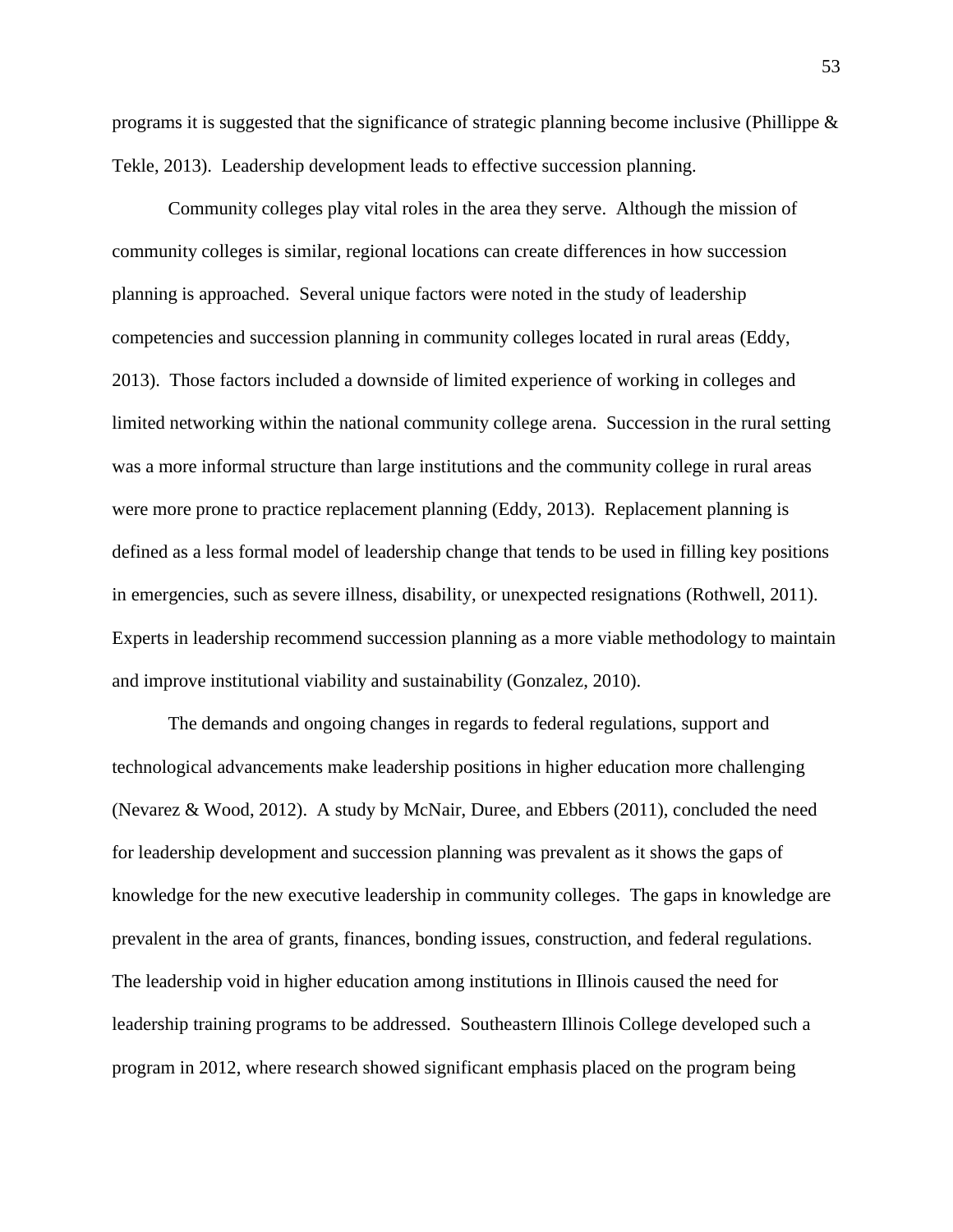programs it is suggested that the significance of strategic planning become inclusive (Phillippe  $\&$ Tekle, 2013). Leadership development leads to effective succession planning.

Community colleges play vital roles in the area they serve. Although the mission of community colleges is similar, regional locations can create differences in how succession planning is approached. Several unique factors were noted in the study of leadership competencies and succession planning in community colleges located in rural areas (Eddy, 2013). Those factors included a downside of limited experience of working in colleges and limited networking within the national community college arena. Succession in the rural setting was a more informal structure than large institutions and the community college in rural areas were more prone to practice replacement planning (Eddy, 2013). Replacement planning is defined as a less formal model of leadership change that tends to be used in filling key positions in emergencies, such as severe illness, disability, or unexpected resignations (Rothwell, 2011). Experts in leadership recommend succession planning as a more viable methodology to maintain and improve institutional viability and sustainability (Gonzalez, 2010).

The demands and ongoing changes in regards to federal regulations, support and technological advancements make leadership positions in higher education more challenging (Nevarez & Wood, 2012). A study by McNair, Duree, and Ebbers (2011), concluded the need for leadership development and succession planning was prevalent as it shows the gaps of knowledge for the new executive leadership in community colleges. The gaps in knowledge are prevalent in the area of grants, finances, bonding issues, construction, and federal regulations. The leadership void in higher education among institutions in Illinois caused the need for leadership training programs to be addressed. Southeastern Illinois College developed such a program in 2012, where research showed significant emphasis placed on the program being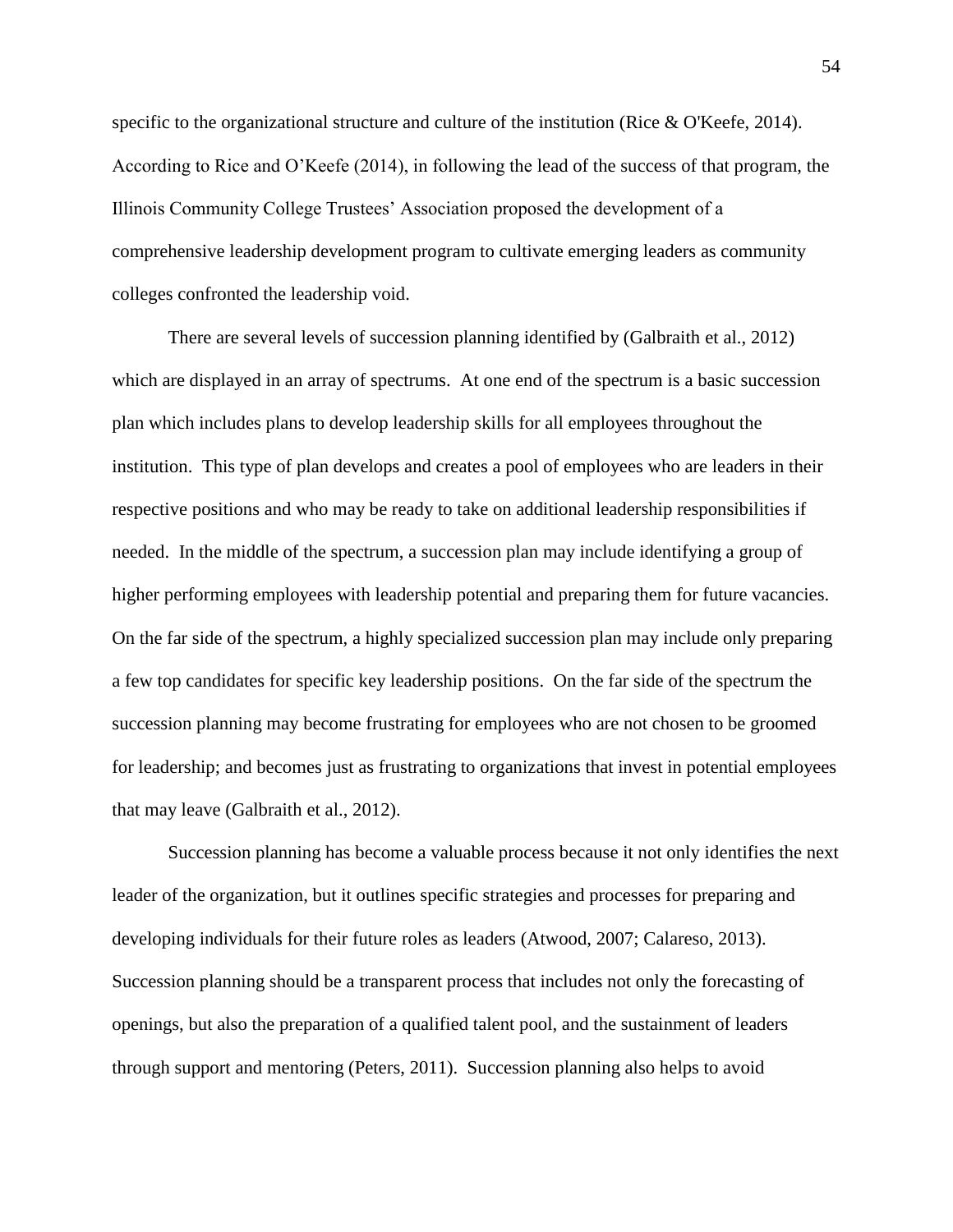specific to the organizational structure and culture of the institution (Rice & O'Keefe, 2014). According to Rice and O'Keefe (2014), in following the lead of the success of that program, the Illinois Community College Trustees' Association proposed the development of a comprehensive leadership development program to cultivate emerging leaders as community colleges confronted the leadership void.

There are several levels of succession planning identified by (Galbraith et al., 2012) which are displayed in an array of spectrums. At one end of the spectrum is a basic succession plan which includes plans to develop leadership skills for all employees throughout the institution. This type of plan develops and creates a pool of employees who are leaders in their respective positions and who may be ready to take on additional leadership responsibilities if needed. In the middle of the spectrum, a succession plan may include identifying a group of higher performing employees with leadership potential and preparing them for future vacancies. On the far side of the spectrum, a highly specialized succession plan may include only preparing a few top candidates for specific key leadership positions. On the far side of the spectrum the succession planning may become frustrating for employees who are not chosen to be groomed for leadership; and becomes just as frustrating to organizations that invest in potential employees that may leave (Galbraith et al., 2012).

Succession planning has become a valuable process because it not only identifies the next leader of the organization, but it outlines specific strategies and processes for preparing and developing individuals for their future roles as leaders (Atwood, 2007; Calareso, 2013). Succession planning should be a transparent process that includes not only the forecasting of openings, but also the preparation of a qualified talent pool, and the sustainment of leaders through support and mentoring (Peters, 2011). Succession planning also helps to avoid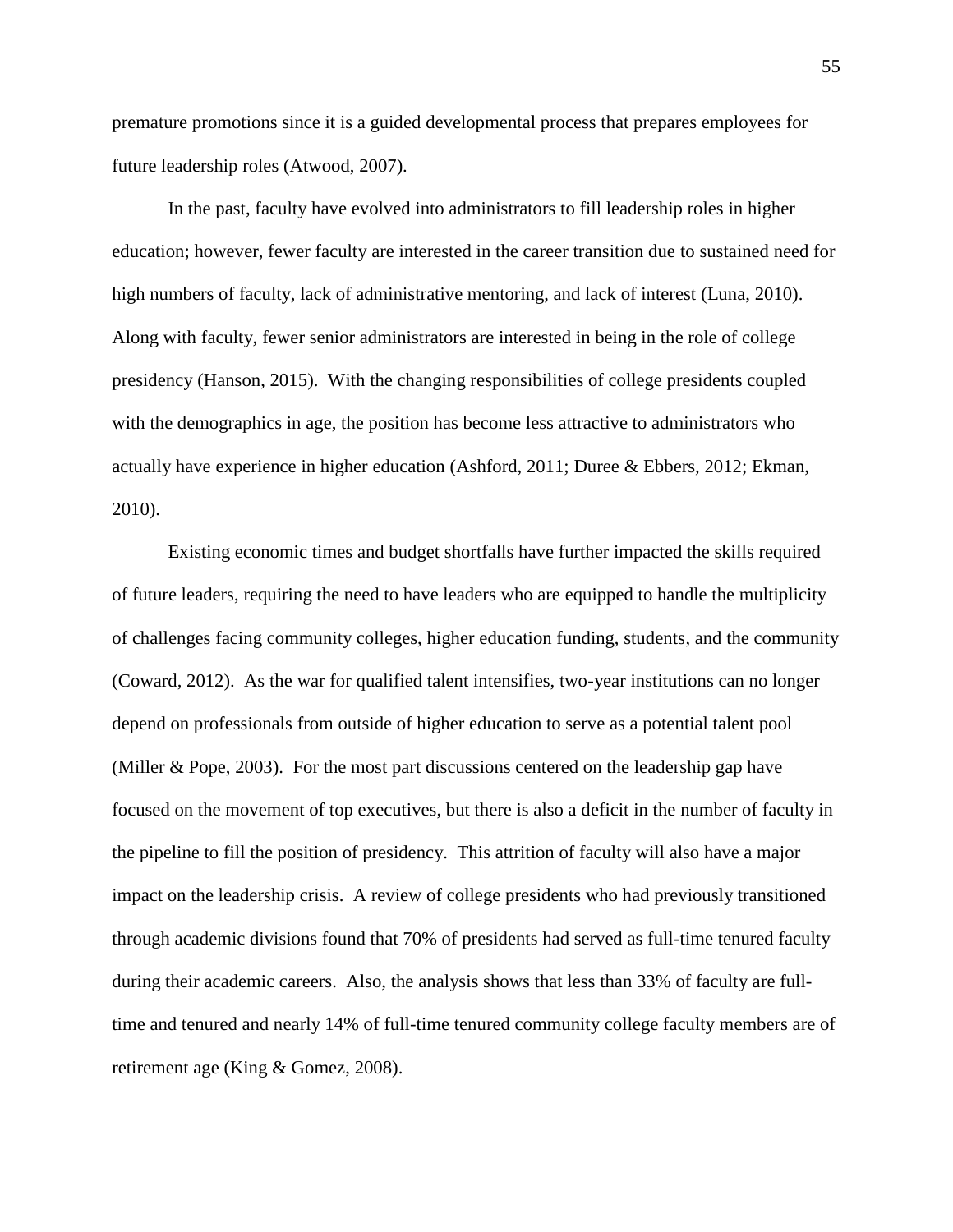premature promotions since it is a guided developmental process that prepares employees for future leadership roles (Atwood, 2007).

In the past, faculty have evolved into administrators to fill leadership roles in higher education; however, fewer faculty are interested in the career transition due to sustained need for high numbers of faculty, lack of administrative mentoring, and lack of interest (Luna, 2010). Along with faculty, fewer senior administrators are interested in being in the role of college presidency (Hanson, 2015). With the changing responsibilities of college presidents coupled with the demographics in age, the position has become less attractive to administrators who actually have experience in higher education (Ashford, 2011; Duree & Ebbers, 2012; Ekman, 2010).

Existing economic times and budget shortfalls have further impacted the skills required of future leaders, requiring the need to have leaders who are equipped to handle the multiplicity of challenges facing community colleges, higher education funding, students, and the community (Coward, 2012). As the war for qualified talent intensifies, two-year institutions can no longer depend on professionals from outside of higher education to serve as a potential talent pool (Miller & Pope, 2003). For the most part discussions centered on the leadership gap have focused on the movement of top executives, but there is also a deficit in the number of faculty in the pipeline to fill the position of presidency. This attrition of faculty will also have a major impact on the leadership crisis. A review of college presidents who had previously transitioned through academic divisions found that 70% of presidents had served as full-time tenured faculty during their academic careers. Also, the analysis shows that less than 33% of faculty are fulltime and tenured and nearly 14% of full-time tenured community college faculty members are of retirement age (King & Gomez, 2008).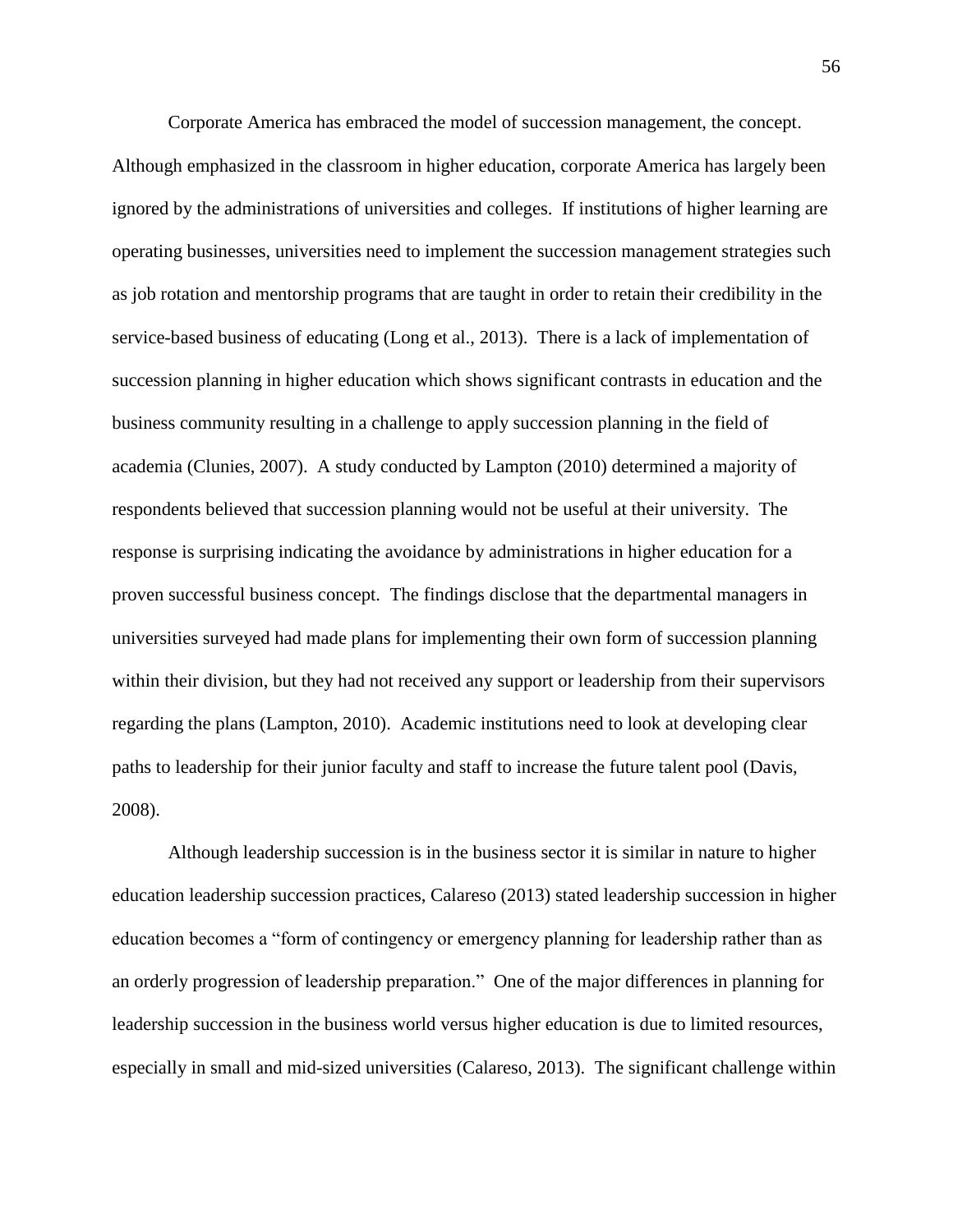Corporate America has embraced the model of succession management, the concept. Although emphasized in the classroom in higher education, corporate America has largely been ignored by the administrations of universities and colleges. If institutions of higher learning are operating businesses, universities need to implement the succession management strategies such as job rotation and mentorship programs that are taught in order to retain their credibility in the service-based business of educating (Long et al., 2013). There is a lack of implementation of succession planning in higher education which shows significant contrasts in education and the business community resulting in a challenge to apply succession planning in the field of academia (Clunies, 2007). A study conducted by Lampton (2010) determined a majority of respondents believed that succession planning would not be useful at their university. The response is surprising indicating the avoidance by administrations in higher education for a proven successful business concept. The findings disclose that the departmental managers in universities surveyed had made plans for implementing their own form of succession planning within their division, but they had not received any support or leadership from their supervisors regarding the plans (Lampton, 2010). Academic institutions need to look at developing clear paths to leadership for their junior faculty and staff to increase the future talent pool (Davis, 2008).

Although leadership succession is in the business sector it is similar in nature to higher education leadership succession practices, Calareso (2013) stated leadership succession in higher education becomes a "form of contingency or emergency planning for leadership rather than as an orderly progression of leadership preparation." One of the major differences in planning for leadership succession in the business world versus higher education is due to limited resources, especially in small and mid-sized universities (Calareso, 2013). The significant challenge within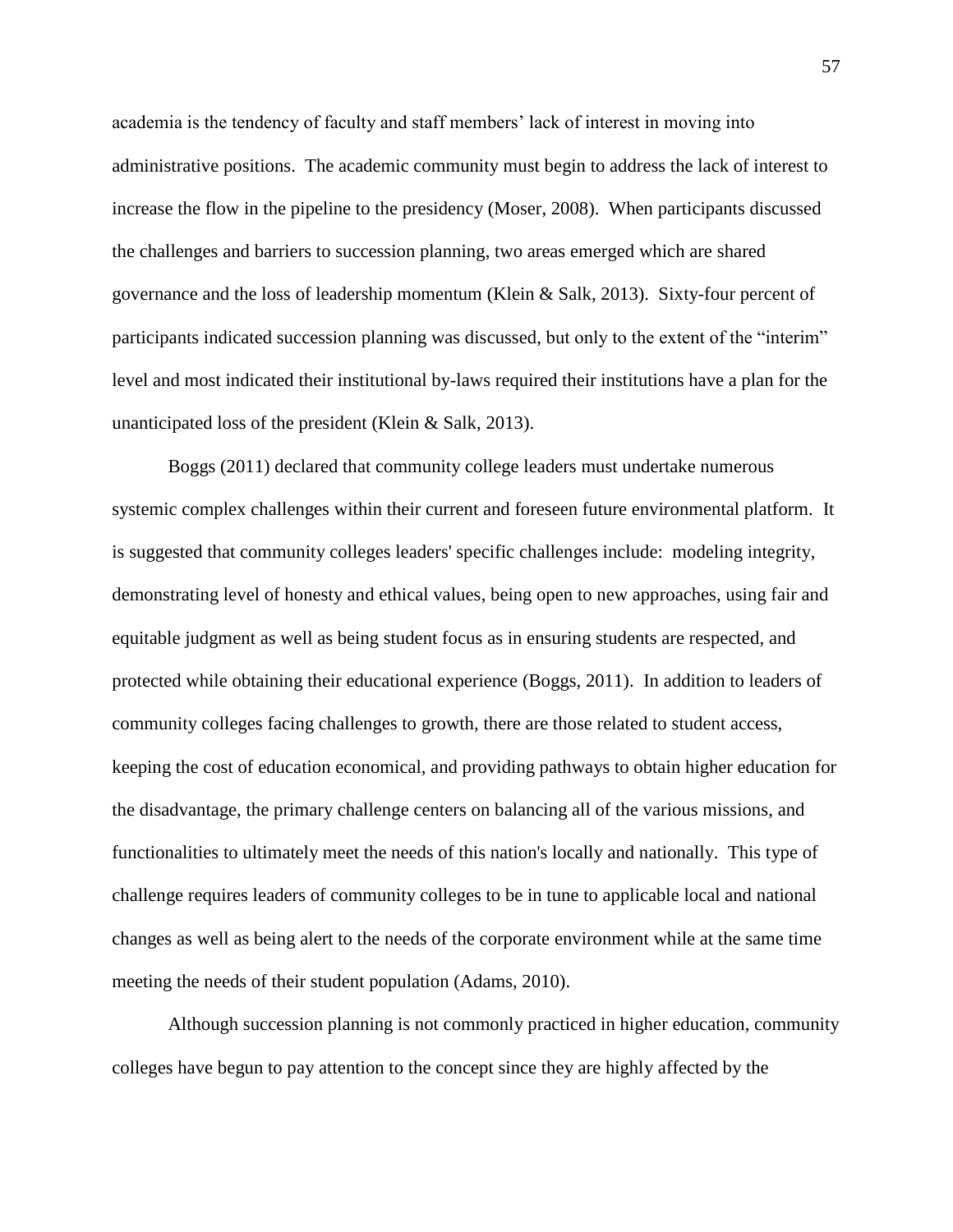academia is the tendency of faculty and staff members' lack of interest in moving into administrative positions. The academic community must begin to address the lack of interest to increase the flow in the pipeline to the presidency (Moser, 2008). When participants discussed the challenges and barriers to succession planning, two areas emerged which are shared governance and the loss of leadership momentum (Klein & Salk, 2013). Sixty-four percent of participants indicated succession planning was discussed, but only to the extent of the "interim" level and most indicated their institutional by-laws required their institutions have a plan for the unanticipated loss of the president (Klein & Salk, 2013).

Boggs (2011) declared that community college leaders must undertake numerous systemic complex challenges within their current and foreseen future environmental platform. It is suggested that community colleges leaders' specific challenges include: modeling integrity, demonstrating level of honesty and ethical values, being open to new approaches, using fair and equitable judgment as well as being student focus as in ensuring students are respected, and protected while obtaining their educational experience (Boggs, 2011). In addition to leaders of community colleges facing challenges to growth, there are those related to student access, keeping the cost of education economical, and providing pathways to obtain higher education for the disadvantage, the primary challenge centers on balancing all of the various missions, and functionalities to ultimately meet the needs of this nation's locally and nationally. This type of challenge requires leaders of community colleges to be in tune to applicable local and national changes as well as being alert to the needs of the corporate environment while at the same time meeting the needs of their student population (Adams, 2010).

Although succession planning is not commonly practiced in higher education, community colleges have begun to pay attention to the concept since they are highly affected by the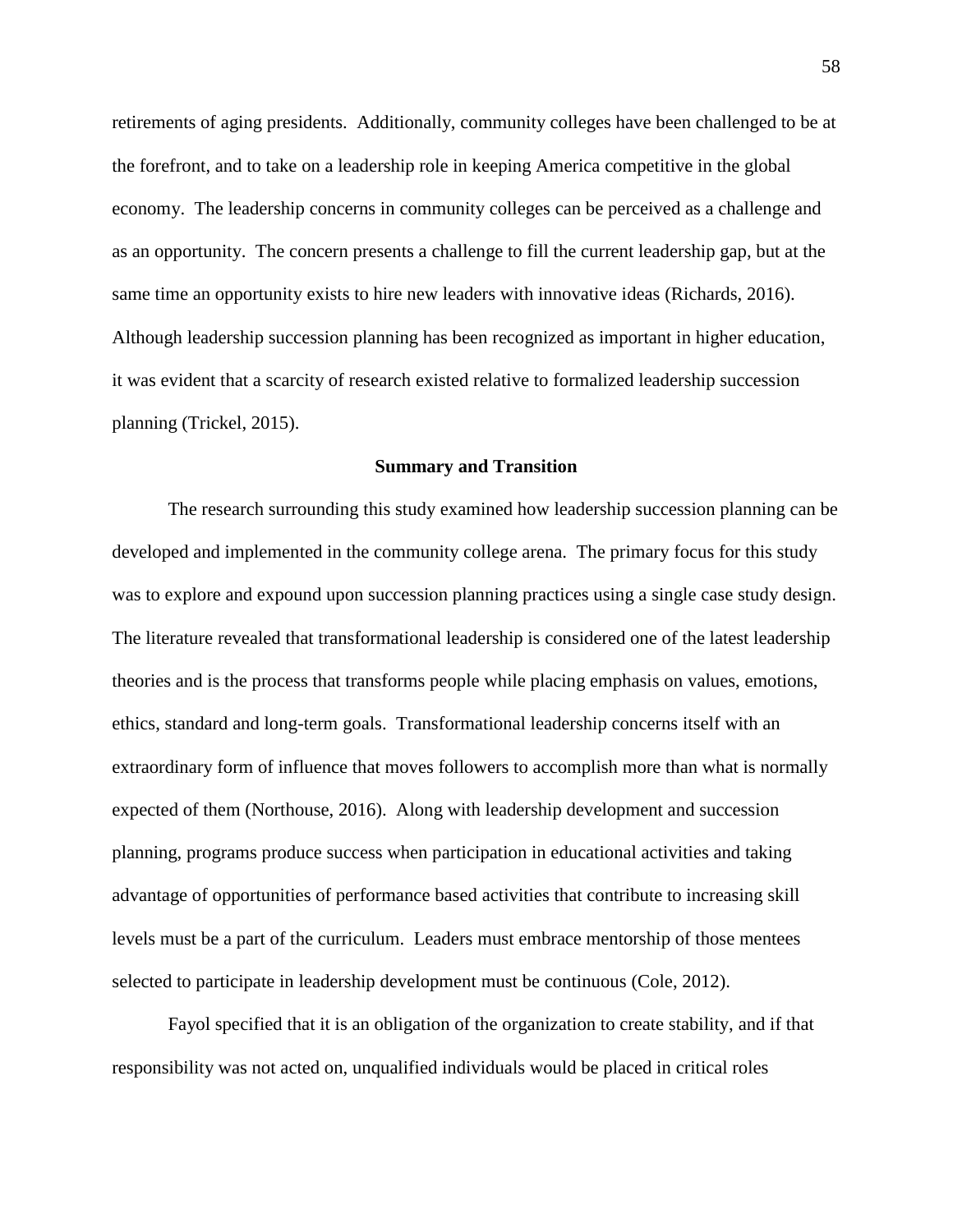retirements of aging presidents. Additionally, community colleges have been challenged to be at the forefront, and to take on a leadership role in keeping America competitive in the global economy. The leadership concerns in community colleges can be perceived as a challenge and as an opportunity. The concern presents a challenge to fill the current leadership gap, but at the same time an opportunity exists to hire new leaders with innovative ideas (Richards, 2016). Although leadership succession planning has been recognized as important in higher education, it was evident that a scarcity of research existed relative to formalized leadership succession planning (Trickel, 2015).

### **Summary and Transition**

The research surrounding this study examined how leadership succession planning can be developed and implemented in the community college arena. The primary focus for this study was to explore and expound upon succession planning practices using a single case study design. The literature revealed that transformational leadership is considered one of the latest leadership theories and is the process that transforms people while placing emphasis on values, emotions, ethics, standard and long-term goals. Transformational leadership concerns itself with an extraordinary form of influence that moves followers to accomplish more than what is normally expected of them (Northouse, 2016). Along with leadership development and succession planning, programs produce success when participation in educational activities and taking advantage of opportunities of performance based activities that contribute to increasing skill levels must be a part of the curriculum. Leaders must embrace mentorship of those mentees selected to participate in leadership development must be continuous (Cole, 2012).

Fayol specified that it is an obligation of the organization to create stability, and if that responsibility was not acted on, unqualified individuals would be placed in critical roles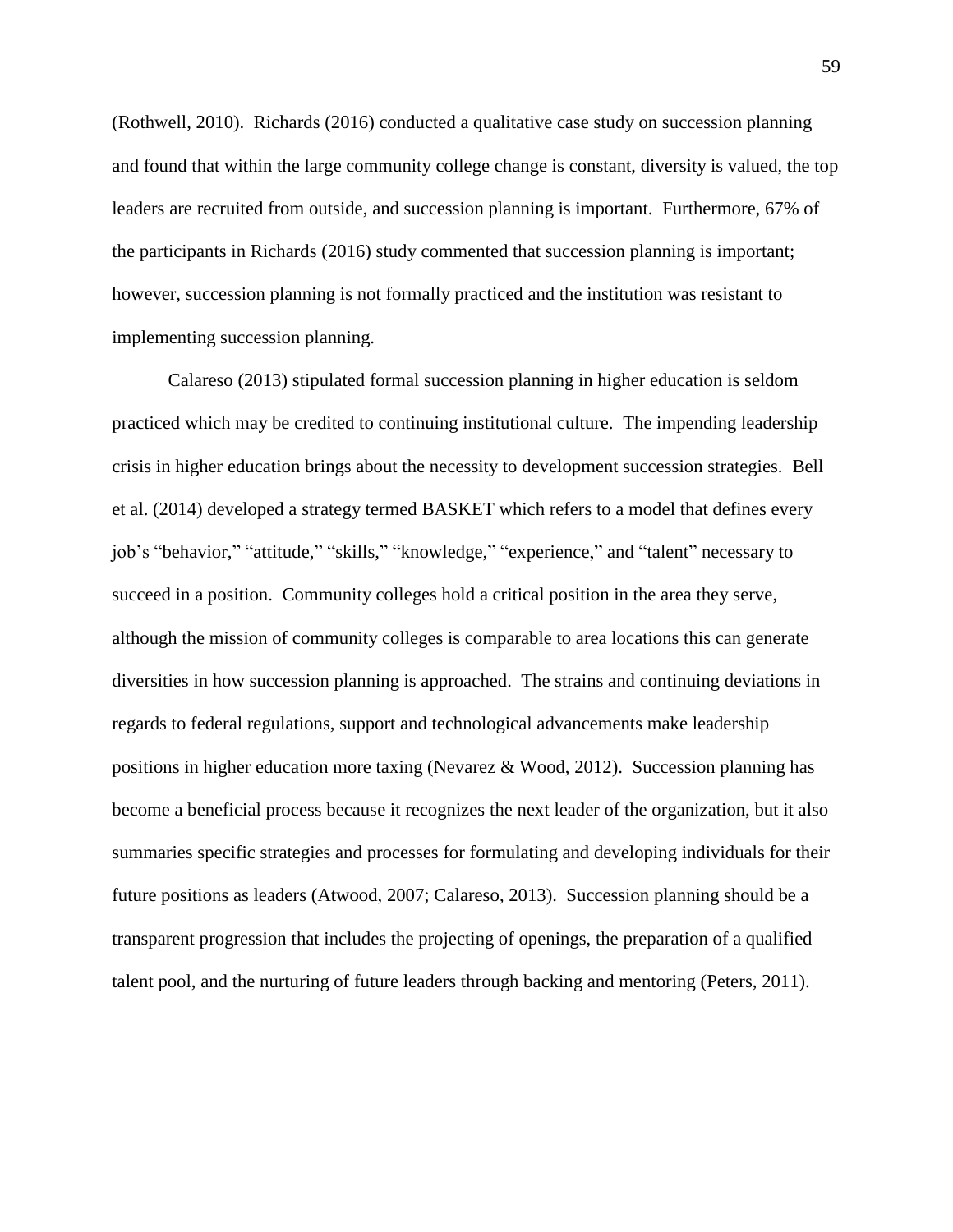(Rothwell, 2010). Richards (2016) conducted a qualitative case study on succession planning and found that within the large community college change is constant, diversity is valued, the top leaders are recruited from outside, and succession planning is important. Furthermore, 67% of the participants in Richards (2016) study commented that succession planning is important; however, succession planning is not formally practiced and the institution was resistant to implementing succession planning.

Calareso (2013) stipulated formal succession planning in higher education is seldom practiced which may be credited to continuing institutional culture. The impending leadership crisis in higher education brings about the necessity to development succession strategies. Bell et al. (2014) developed a strategy termed BASKET which refers to a model that defines every job's "behavior," "attitude," "skills," "knowledge," "experience," and "talent" necessary to succeed in a position. Community colleges hold a critical position in the area they serve, although the mission of community colleges is comparable to area locations this can generate diversities in how succession planning is approached. The strains and continuing deviations in regards to federal regulations, support and technological advancements make leadership positions in higher education more taxing (Nevarez & Wood, 2012). Succession planning has become a beneficial process because it recognizes the next leader of the organization, but it also summaries specific strategies and processes for formulating and developing individuals for their future positions as leaders (Atwood, 2007; Calareso, 2013). Succession planning should be a transparent progression that includes the projecting of openings, the preparation of a qualified talent pool, and the nurturing of future leaders through backing and mentoring (Peters, 2011).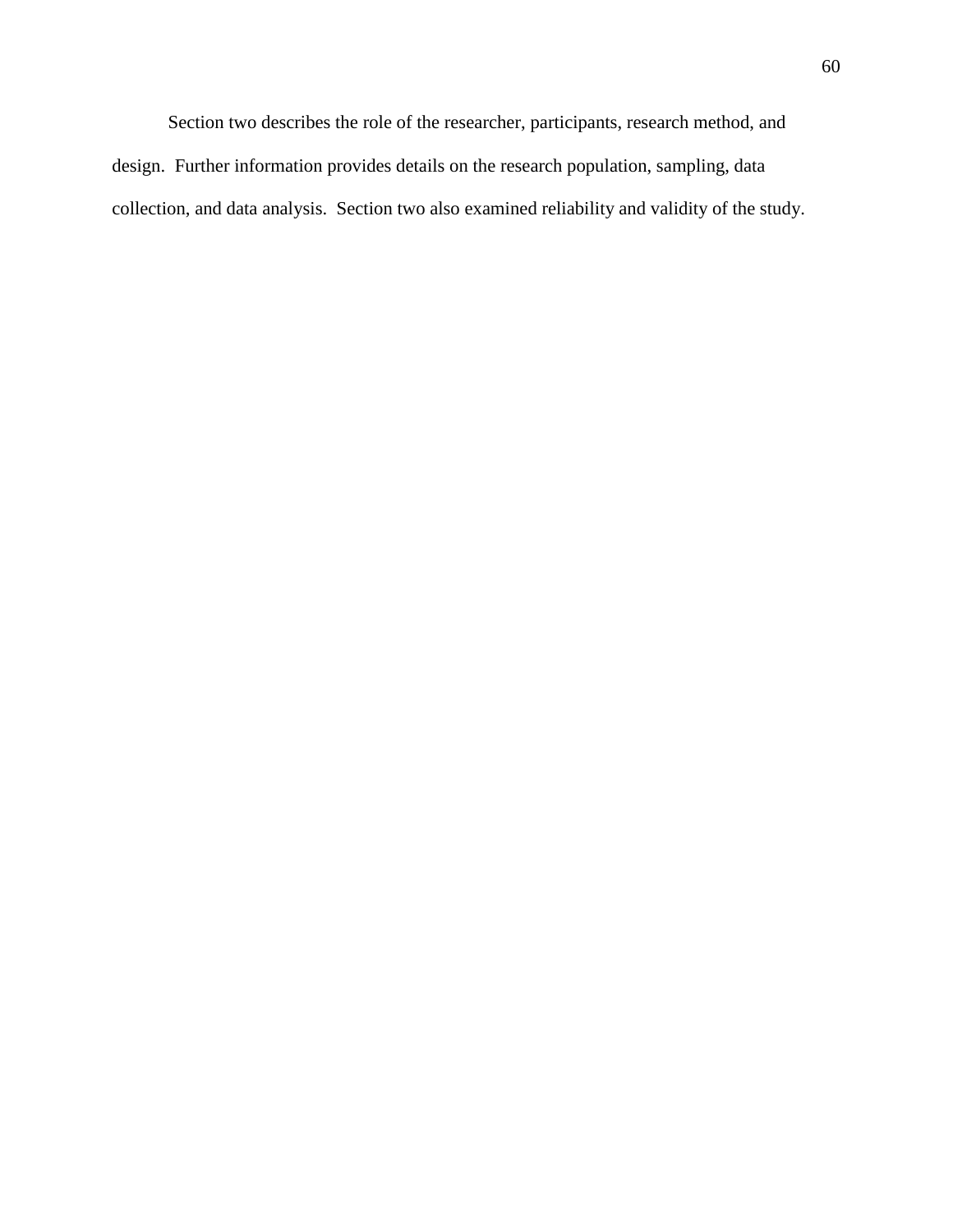Section two describes the role of the researcher, participants, research method, and design. Further information provides details on the research population, sampling, data collection, and data analysis. Section two also examined reliability and validity of the study.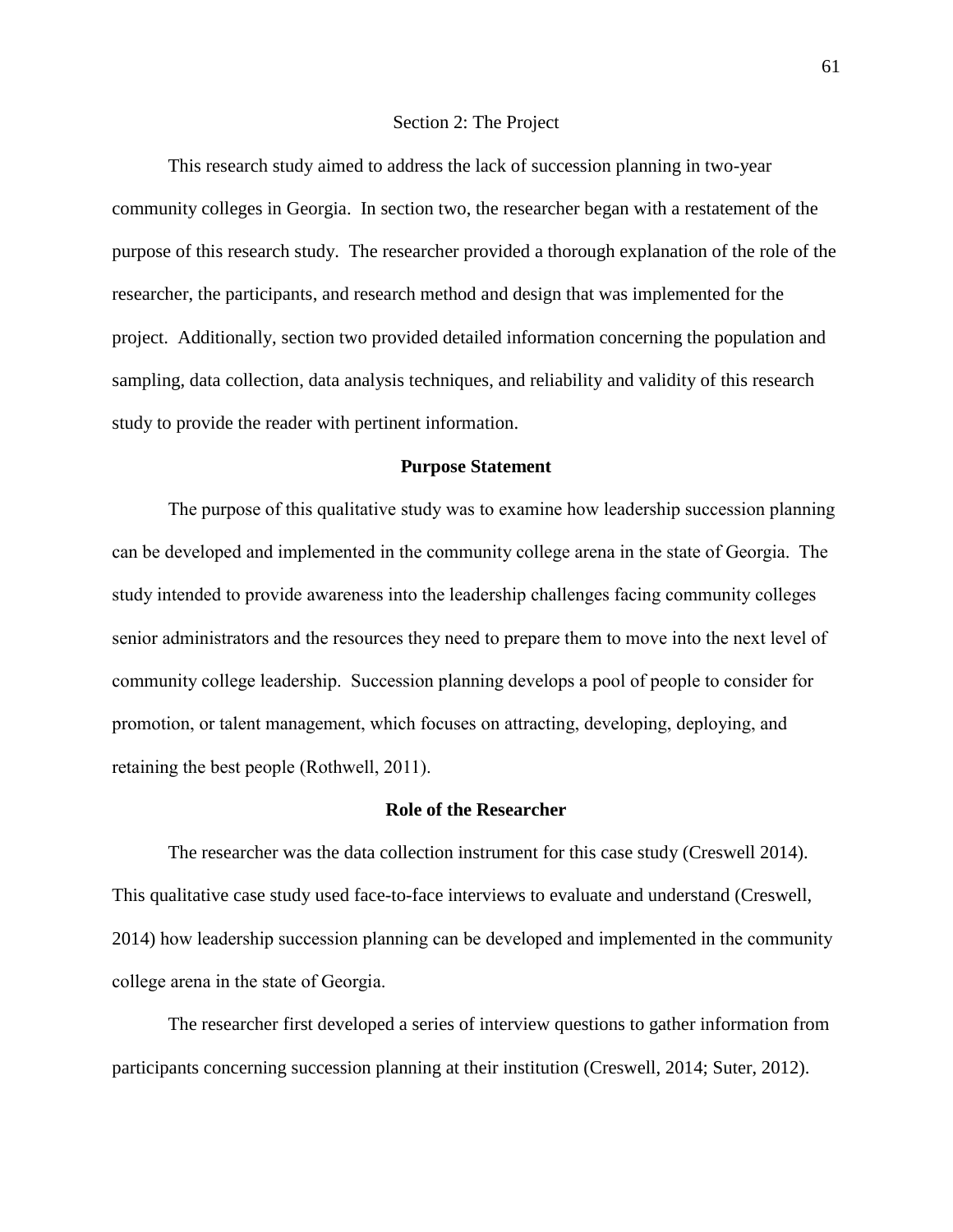#### Section 2: The Project

This research study aimed to address the lack of succession planning in two-year community colleges in Georgia. In section two, the researcher began with a restatement of the purpose of this research study. The researcher provided a thorough explanation of the role of the researcher, the participants, and research method and design that was implemented for the project. Additionally, section two provided detailed information concerning the population and sampling, data collection, data analysis techniques, and reliability and validity of this research study to provide the reader with pertinent information.

# **Purpose Statement**

The purpose of this qualitative study was to examine how leadership succession planning can be developed and implemented in the community college arena in the state of Georgia. The study intended to provide awareness into the leadership challenges facing community colleges senior administrators and the resources they need to prepare them to move into the next level of community college leadership. Succession planning develops a pool of people to consider for promotion, or talent management, which focuses on attracting, developing, deploying, and retaining the best people (Rothwell, 2011).

#### **Role of the Researcher**

The researcher was the data collection instrument for this case study (Creswell 2014). This qualitative case study used face-to-face interviews to evaluate and understand (Creswell, 2014) how leadership succession planning can be developed and implemented in the community college arena in the state of Georgia.

The researcher first developed a series of interview questions to gather information from participants concerning succession planning at their institution (Creswell, 2014; Suter, 2012).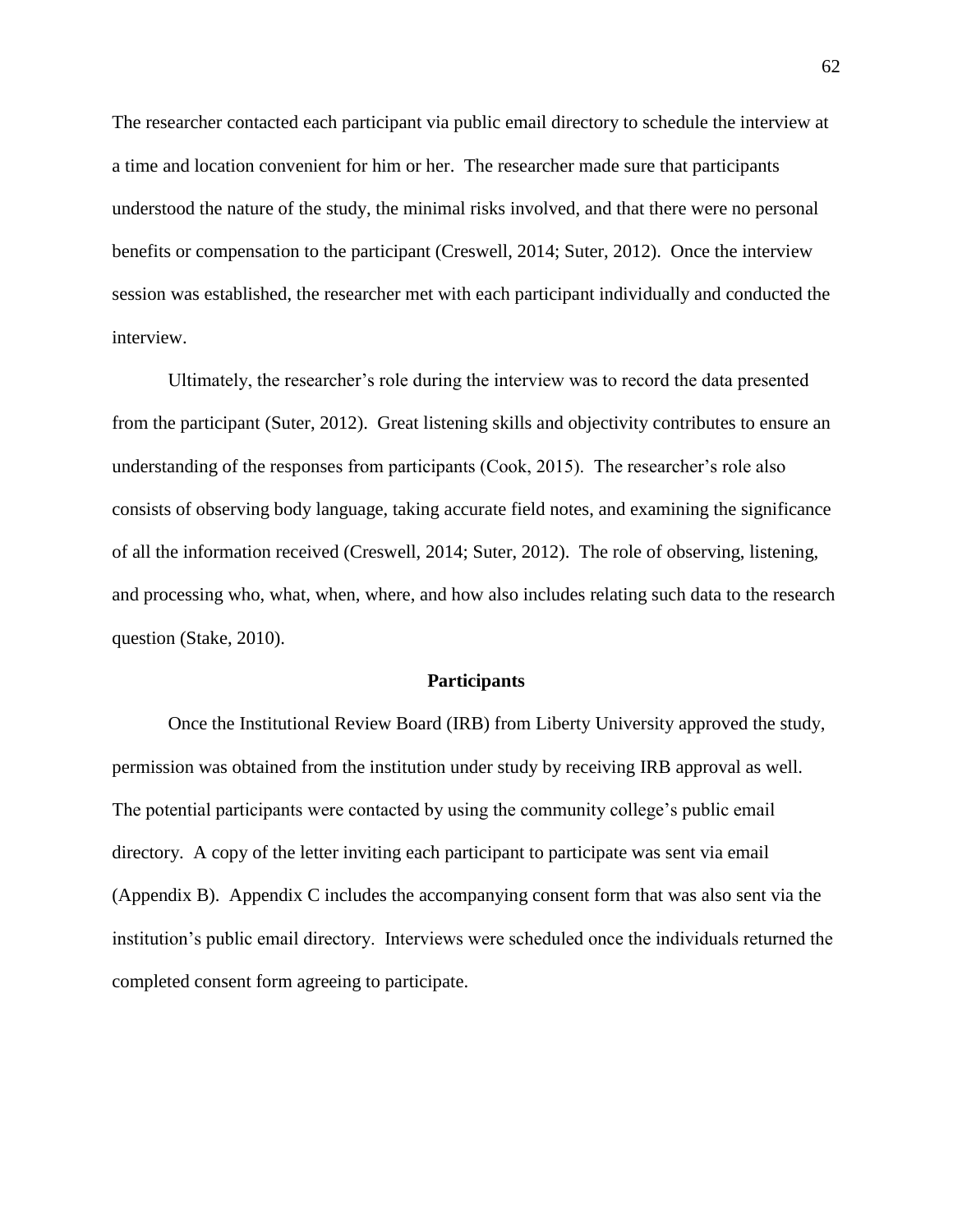The researcher contacted each participant via public email directory to schedule the interview at a time and location convenient for him or her. The researcher made sure that participants understood the nature of the study, the minimal risks involved, and that there were no personal benefits or compensation to the participant (Creswell, 2014; Suter, 2012). Once the interview session was established, the researcher met with each participant individually and conducted the interview.

Ultimately, the researcher's role during the interview was to record the data presented from the participant (Suter, 2012). Great listening skills and objectivity contributes to ensure an understanding of the responses from participants (Cook, 2015). The researcher's role also consists of observing body language, taking accurate field notes, and examining the significance of all the information received (Creswell, 2014; Suter, 2012). The role of observing, listening, and processing who, what, when, where, and how also includes relating such data to the research question (Stake, 2010).

# **Participants**

Once the Institutional Review Board (IRB) from Liberty University approved the study, permission was obtained from the institution under study by receiving IRB approval as well. The potential participants were contacted by using the community college's public email directory. A copy of the letter inviting each participant to participate was sent via email (Appendix B). Appendix C includes the accompanying consent form that was also sent via the institution's public email directory. Interviews were scheduled once the individuals returned the completed consent form agreeing to participate.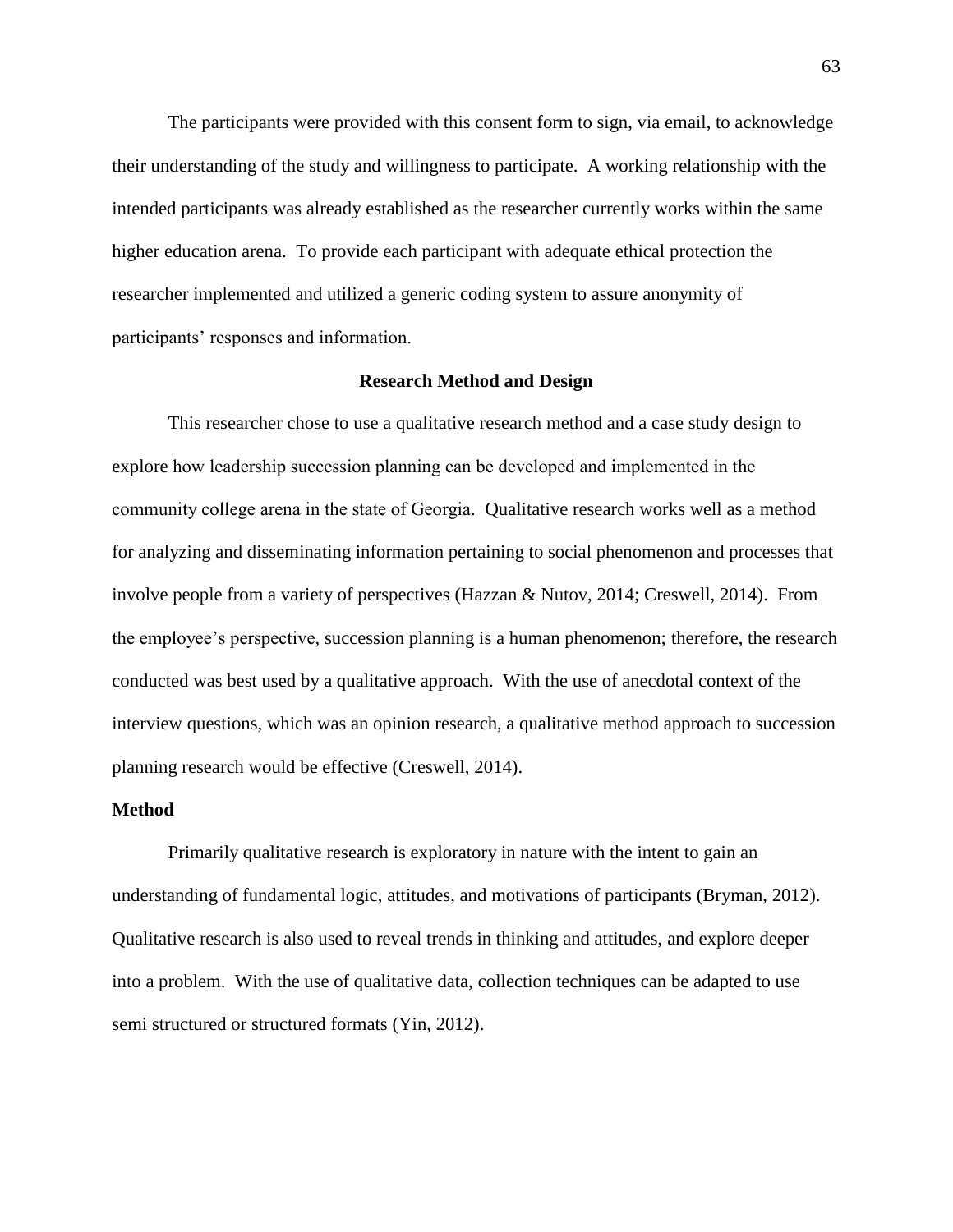The participants were provided with this consent form to sign, via email, to acknowledge their understanding of the study and willingness to participate. A working relationship with the intended participants was already established as the researcher currently works within the same higher education arena. To provide each participant with adequate ethical protection the researcher implemented and utilized a generic coding system to assure anonymity of participants' responses and information.

## **Research Method and Design**

This researcher chose to use a qualitative research method and a case study design to explore how leadership succession planning can be developed and implemented in the community college arena in the state of Georgia. Qualitative research works well as a method for analyzing and disseminating information pertaining to social phenomenon and processes that involve people from a variety of perspectives (Hazzan & Nutov, 2014; Creswell, 2014). From the employee's perspective, succession planning is a human phenomenon; therefore, the research conducted was best used by a qualitative approach. With the use of anecdotal context of the interview questions, which was an opinion research, a qualitative method approach to succession planning research would be effective (Creswell, 2014).

# **Method**

Primarily qualitative research is exploratory in nature with the intent to gain an understanding of fundamental logic, attitudes, and motivations of participants (Bryman, 2012). Qualitative research is also used to reveal trends in thinking and attitudes, and explore deeper into a problem. With the use of qualitative data, collection techniques can be adapted to use semi structured or structured formats (Yin, 2012).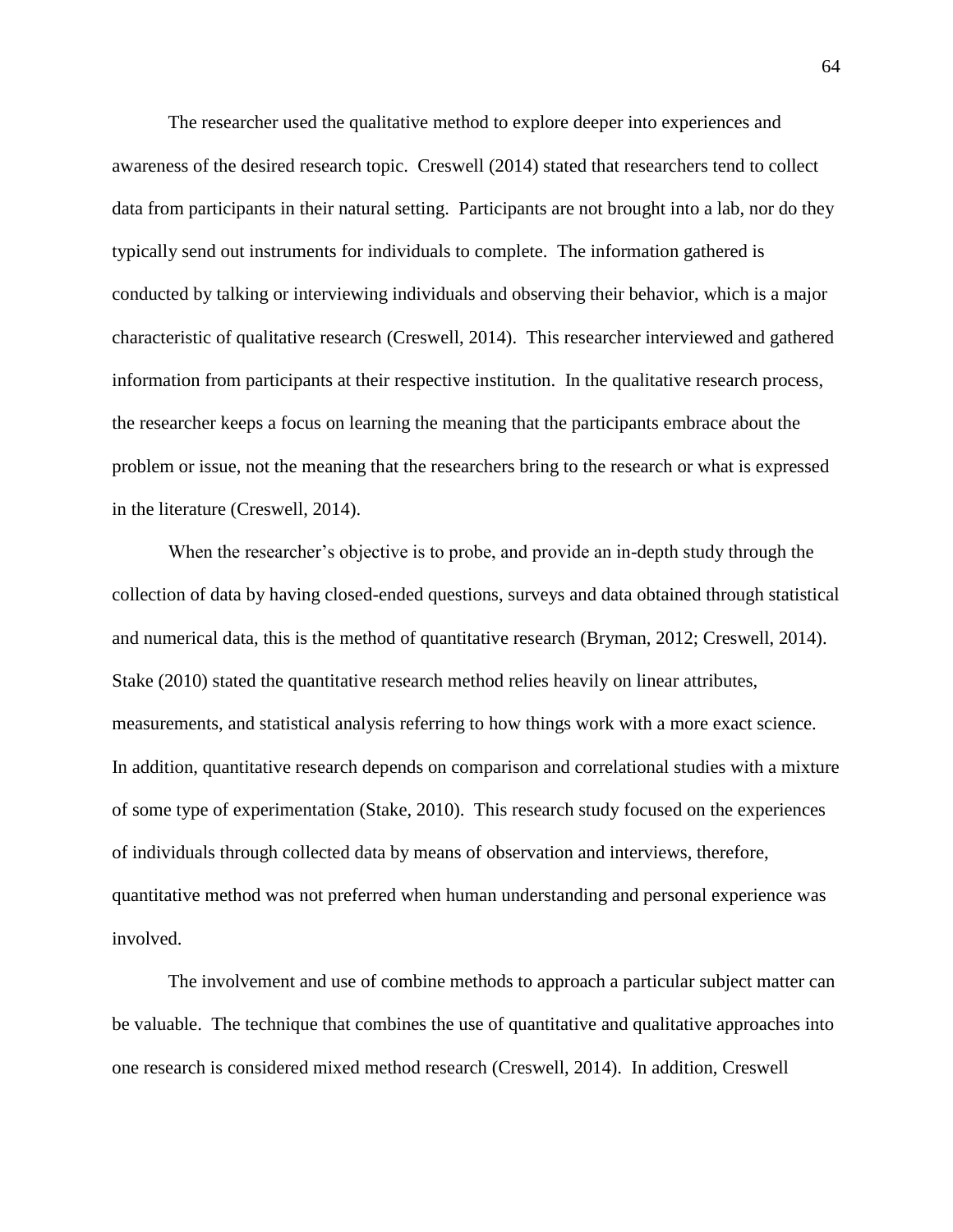The researcher used the qualitative method to explore deeper into experiences and awareness of the desired research topic. Creswell (2014) stated that researchers tend to collect data from participants in their natural setting. Participants are not brought into a lab, nor do they typically send out instruments for individuals to complete. The information gathered is conducted by talking or interviewing individuals and observing their behavior, which is a major characteristic of qualitative research (Creswell, 2014). This researcher interviewed and gathered information from participants at their respective institution. In the qualitative research process, the researcher keeps a focus on learning the meaning that the participants embrace about the problem or issue, not the meaning that the researchers bring to the research or what is expressed in the literature (Creswell, 2014).

When the researcher's objective is to probe, and provide an in-depth study through the collection of data by having closed-ended questions, surveys and data obtained through statistical and numerical data, this is the method of quantitative research (Bryman, 2012; Creswell, 2014). Stake (2010) stated the quantitative research method relies heavily on linear attributes, measurements, and statistical analysis referring to how things work with a more exact science. In addition, quantitative research depends on comparison and correlational studies with a mixture of some type of experimentation (Stake, 2010). This research study focused on the experiences of individuals through collected data by means of observation and interviews, therefore, quantitative method was not preferred when human understanding and personal experience was involved.

The involvement and use of combine methods to approach a particular subject matter can be valuable. The technique that combines the use of quantitative and qualitative approaches into one research is considered mixed method research (Creswell, 2014). In addition, Creswell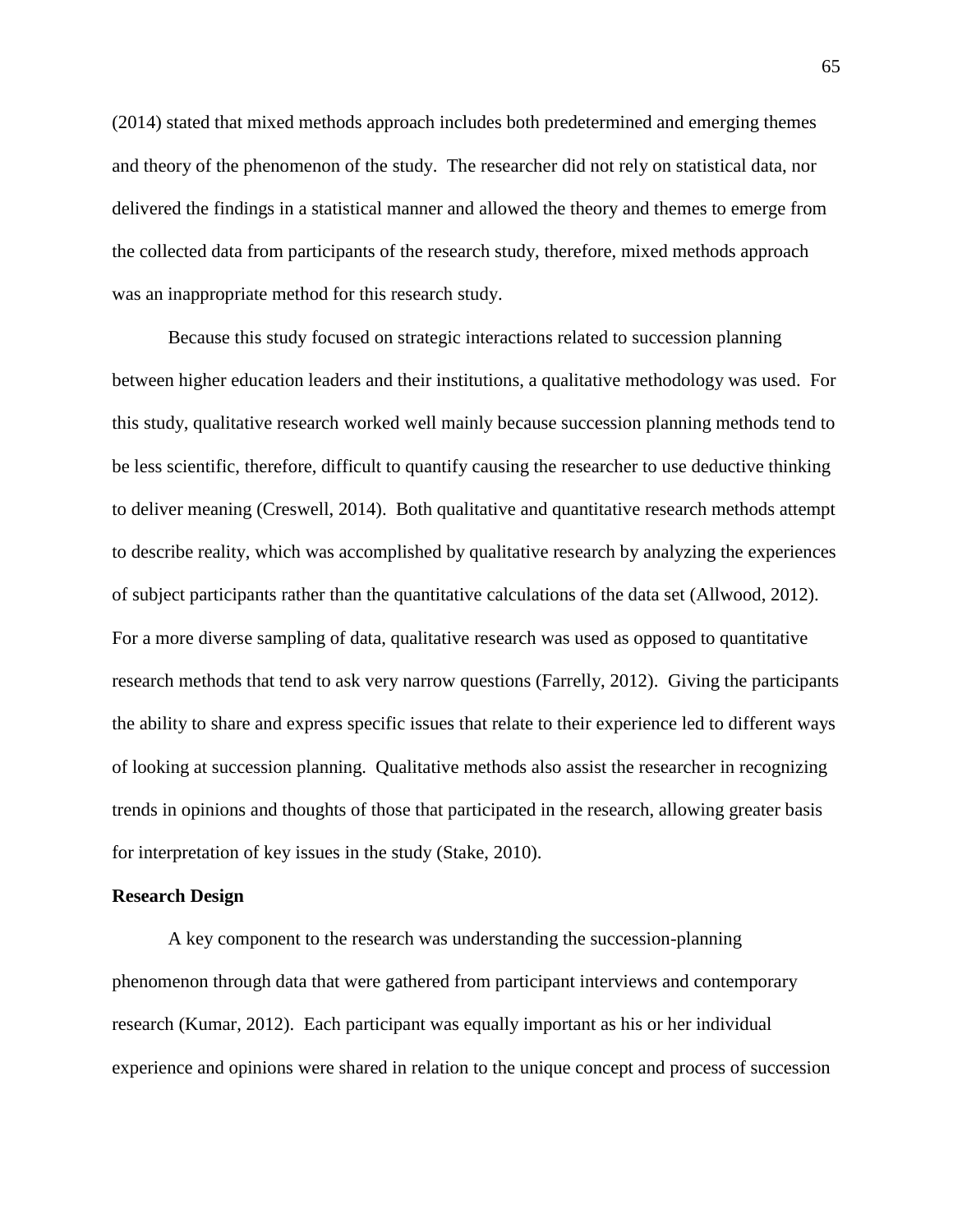(2014) stated that mixed methods approach includes both predetermined and emerging themes and theory of the phenomenon of the study. The researcher did not rely on statistical data, nor delivered the findings in a statistical manner and allowed the theory and themes to emerge from the collected data from participants of the research study, therefore, mixed methods approach was an inappropriate method for this research study.

Because this study focused on strategic interactions related to succession planning between higher education leaders and their institutions, a qualitative methodology was used. For this study, qualitative research worked well mainly because succession planning methods tend to be less scientific, therefore, difficult to quantify causing the researcher to use deductive thinking to deliver meaning (Creswell, 2014). Both qualitative and quantitative research methods attempt to describe reality, which was accomplished by qualitative research by analyzing the experiences of subject participants rather than the quantitative calculations of the data set (Allwood, 2012). For a more diverse sampling of data, qualitative research was used as opposed to quantitative research methods that tend to ask very narrow questions (Farrelly, 2012). Giving the participants the ability to share and express specific issues that relate to their experience led to different ways of looking at succession planning. Qualitative methods also assist the researcher in recognizing trends in opinions and thoughts of those that participated in the research, allowing greater basis for interpretation of key issues in the study (Stake, 2010).

#### **Research Design**

A key component to the research was understanding the succession-planning phenomenon through data that were gathered from participant interviews and contemporary research (Kumar, 2012). Each participant was equally important as his or her individual experience and opinions were shared in relation to the unique concept and process of succession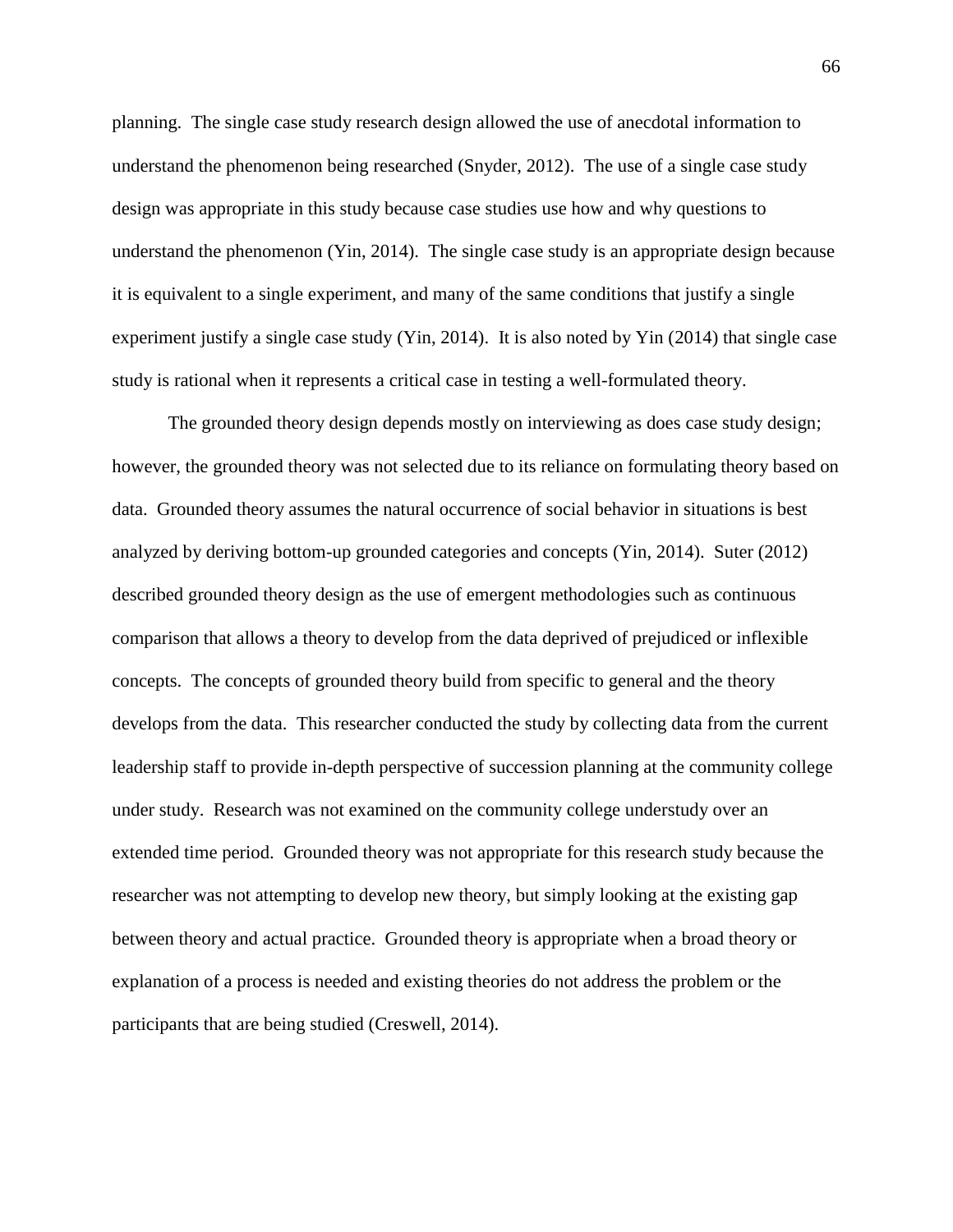planning. The single case study research design allowed the use of anecdotal information to understand the phenomenon being researched (Snyder, 2012). The use of a single case study design was appropriate in this study because case studies use how and why questions to understand the phenomenon (Yin, 2014). The single case study is an appropriate design because it is equivalent to a single experiment, and many of the same conditions that justify a single experiment justify a single case study (Yin, 2014). It is also noted by Yin (2014) that single case study is rational when it represents a critical case in testing a well-formulated theory.

The grounded theory design depends mostly on interviewing as does case study design; however, the grounded theory was not selected due to its reliance on formulating theory based on data. Grounded theory assumes the natural occurrence of social behavior in situations is best analyzed by deriving bottom-up grounded categories and concepts (Yin, 2014). Suter (2012) described grounded theory design as the use of emergent methodologies such as continuous comparison that allows a theory to develop from the data deprived of prejudiced or inflexible concepts. The concepts of grounded theory build from specific to general and the theory develops from the data. This researcher conducted the study by collecting data from the current leadership staff to provide in-depth perspective of succession planning at the community college under study. Research was not examined on the community college understudy over an extended time period. Grounded theory was not appropriate for this research study because the researcher was not attempting to develop new theory, but simply looking at the existing gap between theory and actual practice. Grounded theory is appropriate when a broad theory or explanation of a process is needed and existing theories do not address the problem or the participants that are being studied (Creswell, 2014).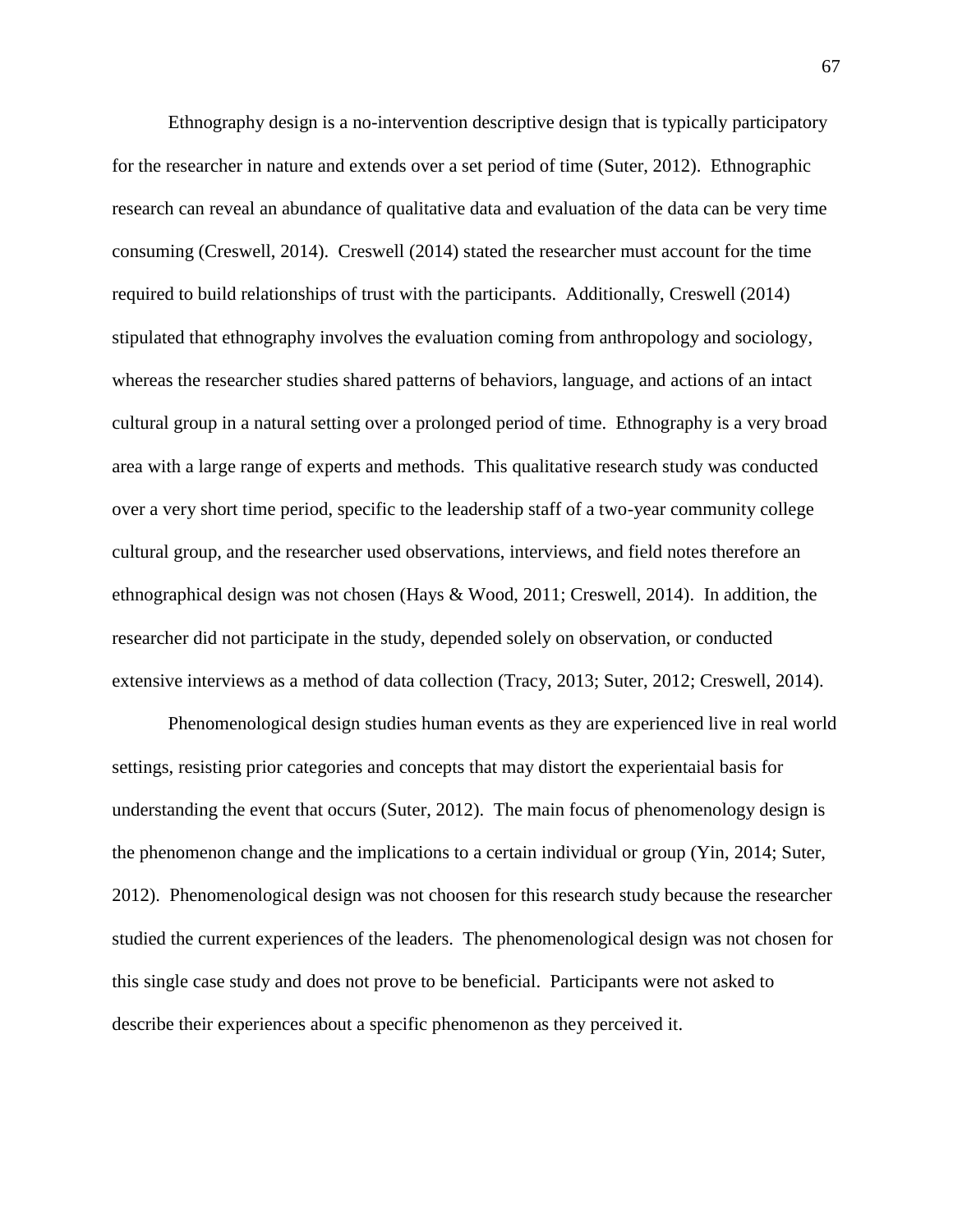Ethnography design is a no-intervention descriptive design that is typically participatory for the researcher in nature and extends over a set period of time (Suter, 2012). Ethnographic research can reveal an abundance of qualitative data and evaluation of the data can be very time consuming (Creswell, 2014). Creswell (2014) stated the researcher must account for the time required to build relationships of trust with the participants. Additionally, Creswell (2014) stipulated that ethnography involves the evaluation coming from anthropology and sociology, whereas the researcher studies shared patterns of behaviors, language, and actions of an intact cultural group in a natural setting over a prolonged period of time. Ethnography is a very broad area with a large range of experts and methods. This qualitative research study was conducted over a very short time period, specific to the leadership staff of a two-year community college cultural group, and the researcher used observations, interviews, and field notes therefore an ethnographical design was not chosen (Hays & Wood, 2011; Creswell, 2014). In addition, the researcher did not participate in the study, depended solely on observation, or conducted extensive interviews as a method of data collection (Tracy, 2013; Suter, 2012; Creswell, 2014).

Phenomenological design studies human events as they are experienced live in real world settings, resisting prior categories and concepts that may distort the experientaial basis for understanding the event that occurs (Suter, 2012). The main focus of phenomenology design is the phenomenon change and the implications to a certain individual or group (Yin, 2014; Suter, 2012). Phenomenological design was not choosen for this research study because the researcher studied the current experiences of the leaders. The phenomenological design was not chosen for this single case study and does not prove to be beneficial. Participants were not asked to describe their experiences about a specific phenomenon as they perceived it.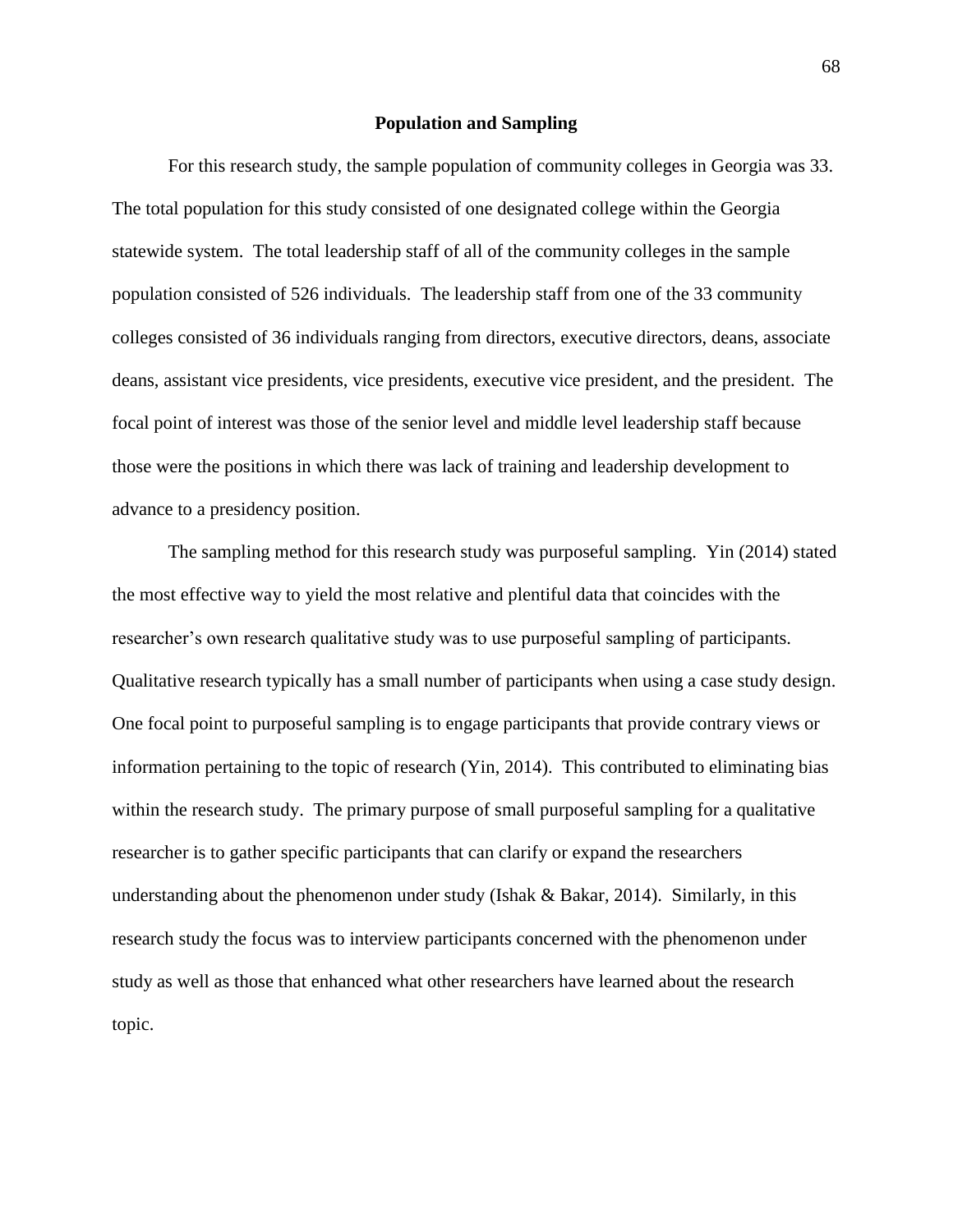### **Population and Sampling**

For this research study, the sample population of community colleges in Georgia was 33. The total population for this study consisted of one designated college within the Georgia statewide system. The total leadership staff of all of the community colleges in the sample population consisted of 526 individuals. The leadership staff from one of the 33 community colleges consisted of 36 individuals ranging from directors, executive directors, deans, associate deans, assistant vice presidents, vice presidents, executive vice president, and the president. The focal point of interest was those of the senior level and middle level leadership staff because those were the positions in which there was lack of training and leadership development to advance to a presidency position.

The sampling method for this research study was purposeful sampling. Yin (2014) stated the most effective way to yield the most relative and plentiful data that coincides with the researcher's own research qualitative study was to use purposeful sampling of participants. Qualitative research typically has a small number of participants when using a case study design. One focal point to purposeful sampling is to engage participants that provide contrary views or information pertaining to the topic of research (Yin, 2014). This contributed to eliminating bias within the research study. The primary purpose of small purposeful sampling for a qualitative researcher is to gather specific participants that can clarify or expand the researchers understanding about the phenomenon under study (Ishak  $& Bakar, 2014$ ). Similarly, in this research study the focus was to interview participants concerned with the phenomenon under study as well as those that enhanced what other researchers have learned about the research topic.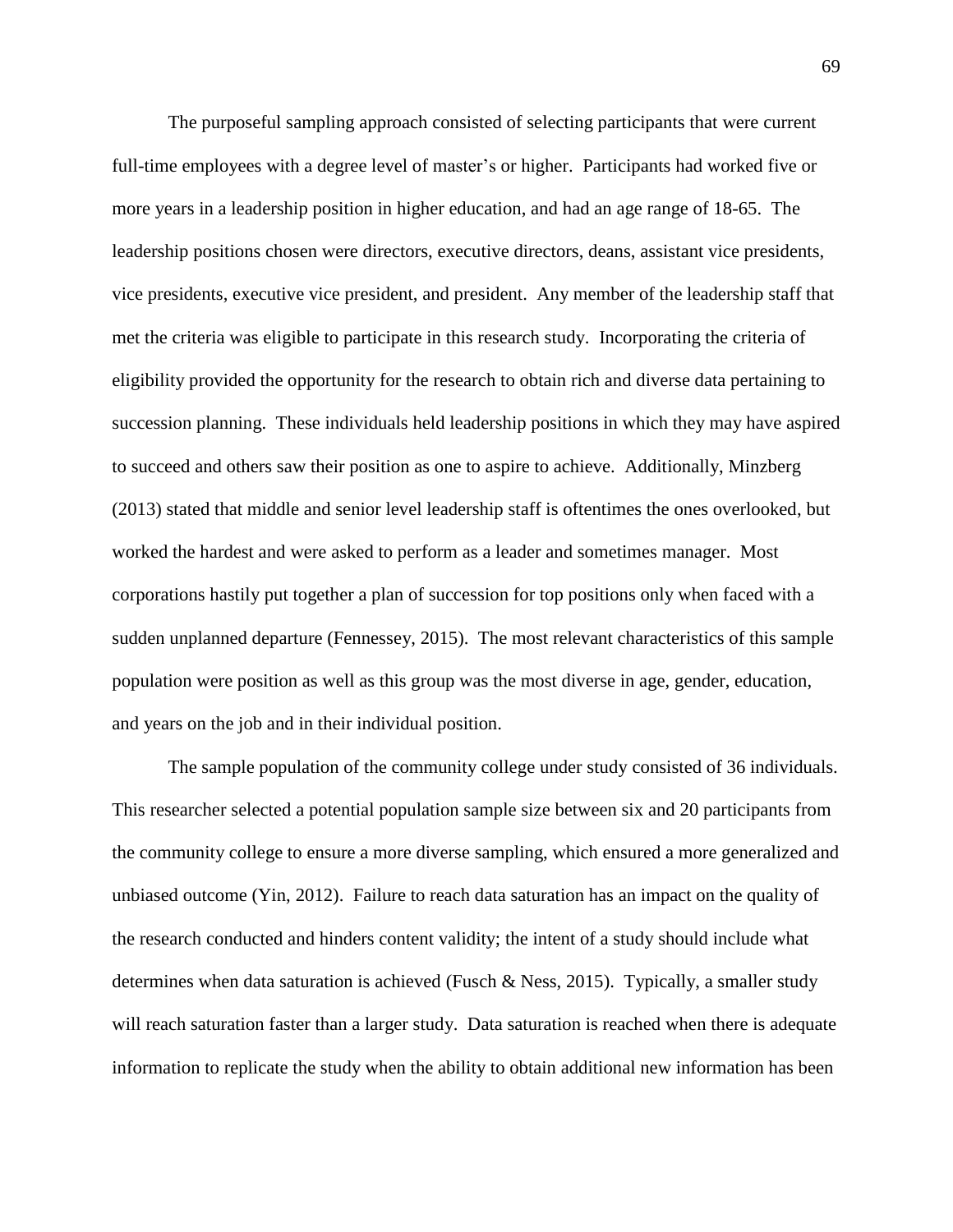The purposeful sampling approach consisted of selecting participants that were current full-time employees with a degree level of master's or higher. Participants had worked five or more years in a leadership position in higher education, and had an age range of 18-65. The leadership positions chosen were directors, executive directors, deans, assistant vice presidents, vice presidents, executive vice president, and president. Any member of the leadership staff that met the criteria was eligible to participate in this research study. Incorporating the criteria of eligibility provided the opportunity for the research to obtain rich and diverse data pertaining to succession planning. These individuals held leadership positions in which they may have aspired to succeed and others saw their position as one to aspire to achieve. Additionally, Minzberg (2013) stated that middle and senior level leadership staff is oftentimes the ones overlooked, but worked the hardest and were asked to perform as a leader and sometimes manager. Most corporations hastily put together a plan of succession for top positions only when faced with a sudden unplanned departure (Fennessey, 2015). The most relevant characteristics of this sample population were position as well as this group was the most diverse in age, gender, education, and years on the job and in their individual position.

The sample population of the community college under study consisted of 36 individuals. This researcher selected a potential population sample size between six and 20 participants from the community college to ensure a more diverse sampling, which ensured a more generalized and unbiased outcome (Yin, 2012). Failure to reach data saturation has an impact on the quality of the research conducted and hinders content validity; the intent of a study should include what determines when data saturation is achieved (Fusch & Ness, 2015). Typically, a smaller study will reach saturation faster than a larger study. Data saturation is reached when there is adequate information to replicate the study when the ability to obtain additional new information has been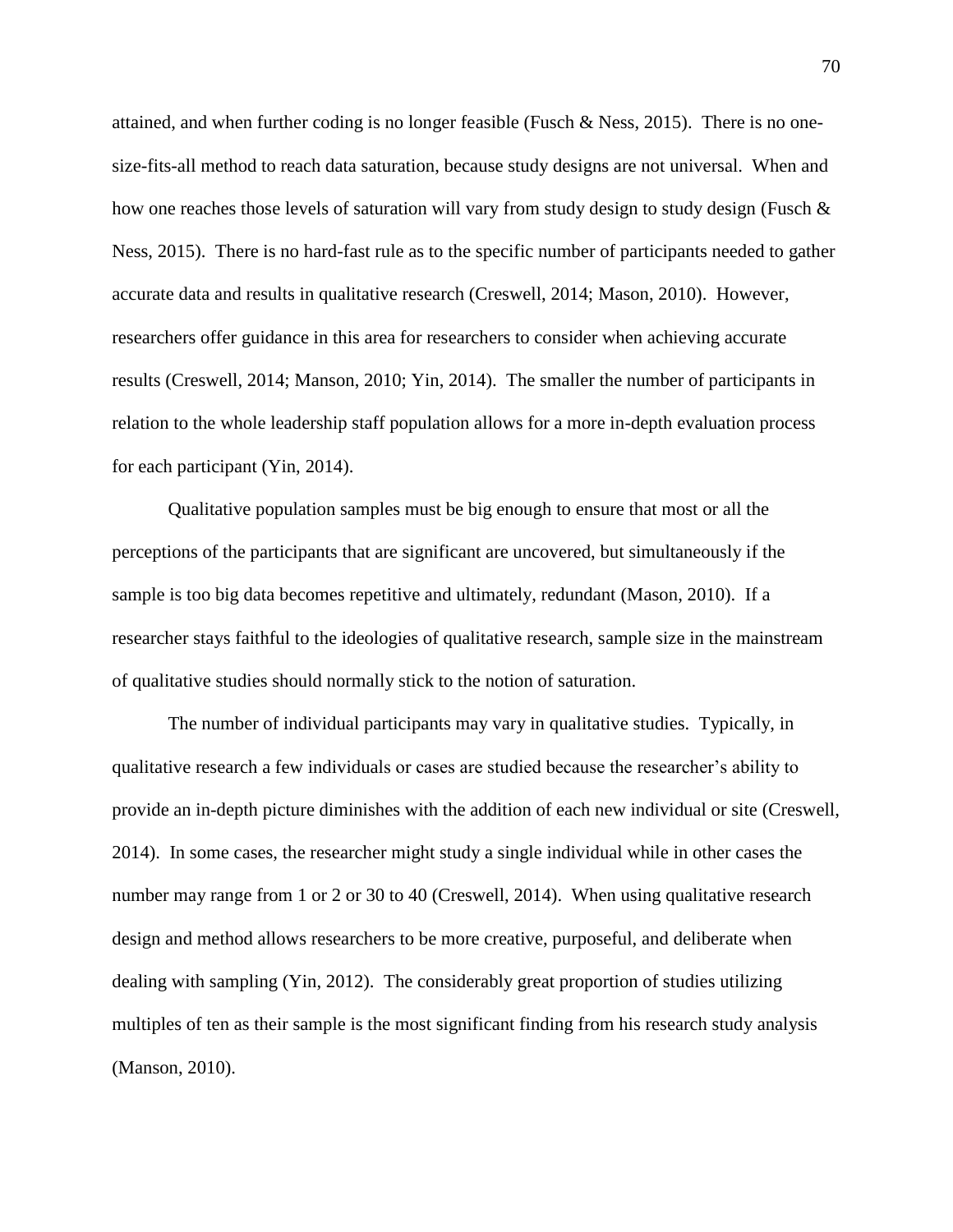attained, and when further coding is no longer feasible (Fusch & Ness, 2015). There is no onesize-fits-all method to reach data saturation, because study designs are not universal. When and how one reaches those levels of saturation will vary from study design to study design (Fusch  $\&$ Ness, 2015). There is no hard-fast rule as to the specific number of participants needed to gather accurate data and results in qualitative research (Creswell, 2014; Mason, 2010). However, researchers offer guidance in this area for researchers to consider when achieving accurate results (Creswell, 2014; Manson, 2010; Yin, 2014). The smaller the number of participants in relation to the whole leadership staff population allows for a more in-depth evaluation process for each participant (Yin, 2014).

Qualitative population samples must be big enough to ensure that most or all the perceptions of the participants that are significant are uncovered, but simultaneously if the sample is too big data becomes repetitive and ultimately, redundant (Mason, 2010). If a researcher stays faithful to the ideologies of qualitative research, sample size in the mainstream of qualitative studies should normally stick to the notion of saturation.

The number of individual participants may vary in qualitative studies. Typically, in qualitative research a few individuals or cases are studied because the researcher's ability to provide an in-depth picture diminishes with the addition of each new individual or site (Creswell, 2014). In some cases, the researcher might study a single individual while in other cases the number may range from 1 or 2 or 30 to 40 (Creswell, 2014). When using qualitative research design and method allows researchers to be more creative, purposeful, and deliberate when dealing with sampling (Yin, 2012). The considerably great proportion of studies utilizing multiples of ten as their sample is the most significant finding from his research study analysis (Manson, 2010).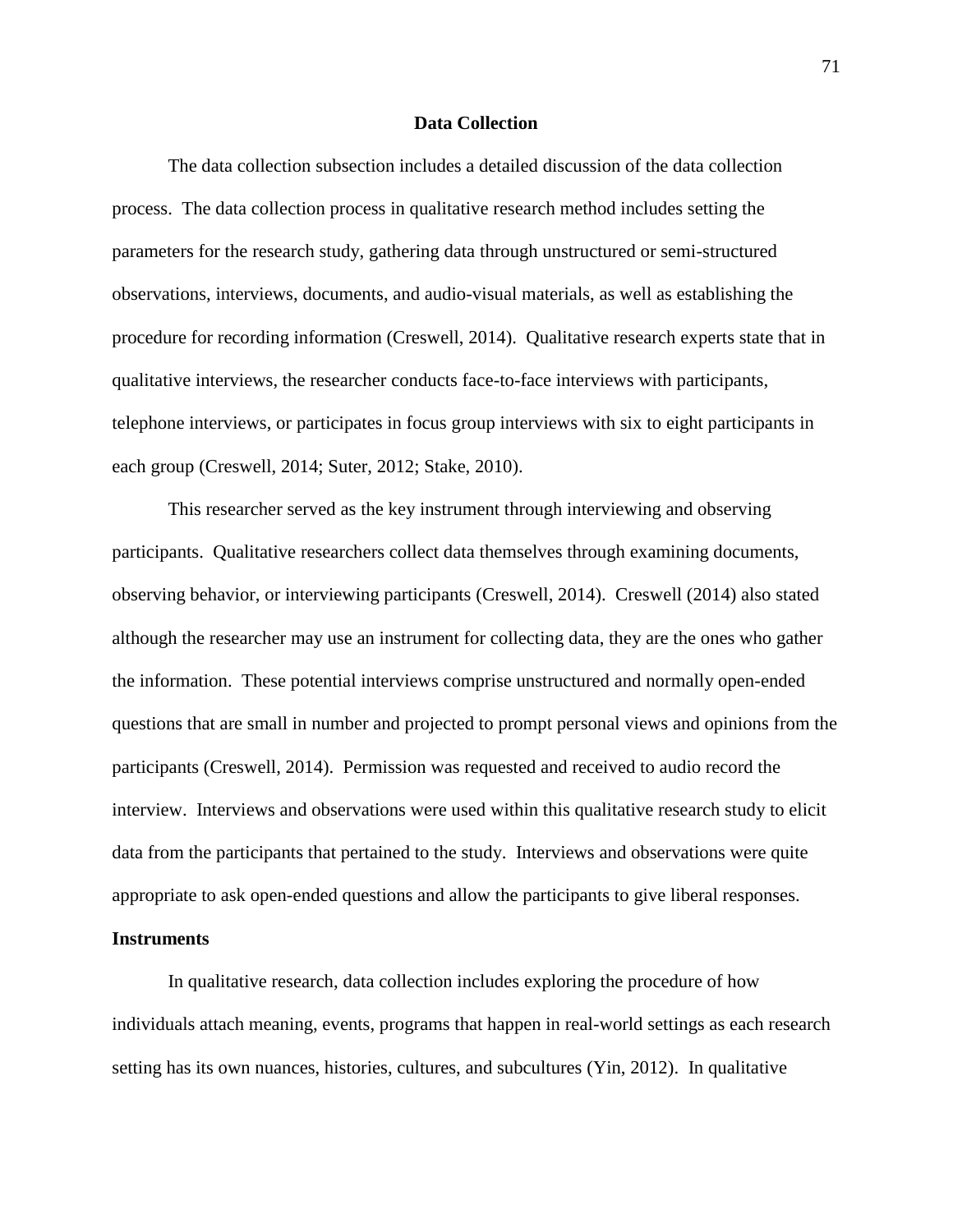### **Data Collection**

The data collection subsection includes a detailed discussion of the data collection process. The data collection process in qualitative research method includes setting the parameters for the research study, gathering data through unstructured or semi-structured observations, interviews, documents, and audio-visual materials, as well as establishing the procedure for recording information (Creswell, 2014). Qualitative research experts state that in qualitative interviews, the researcher conducts face-to-face interviews with participants, telephone interviews, or participates in focus group interviews with six to eight participants in each group (Creswell, 2014; Suter, 2012; Stake, 2010).

This researcher served as the key instrument through interviewing and observing participants. Qualitative researchers collect data themselves through examining documents, observing behavior, or interviewing participants (Creswell, 2014). Creswell (2014) also stated although the researcher may use an instrument for collecting data, they are the ones who gather the information. These potential interviews comprise unstructured and normally open-ended questions that are small in number and projected to prompt personal views and opinions from the participants (Creswell, 2014). Permission was requested and received to audio record the interview. Interviews and observations were used within this qualitative research study to elicit data from the participants that pertained to the study. Interviews and observations were quite appropriate to ask open-ended questions and allow the participants to give liberal responses.

# **Instruments**

In qualitative research, data collection includes exploring the procedure of how individuals attach meaning, events, programs that happen in real-world settings as each research setting has its own nuances, histories, cultures, and subcultures (Yin, 2012). In qualitative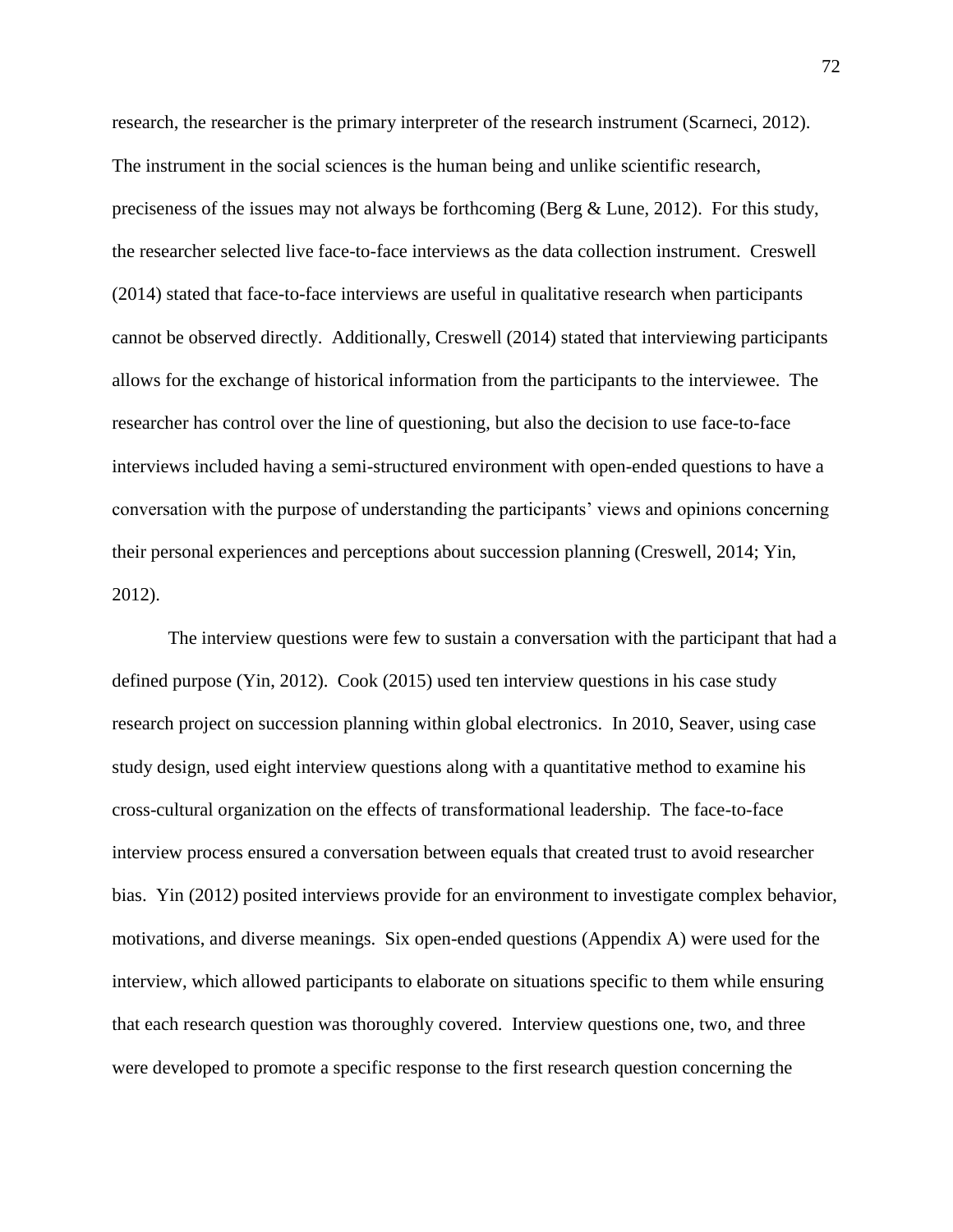research, the researcher is the primary interpreter of the research instrument (Scarneci, 2012). The instrument in the social sciences is the human being and unlike scientific research, preciseness of the issues may not always be forthcoming (Berg & Lune, 2012). For this study, the researcher selected live face-to-face interviews as the data collection instrument. Creswell (2014) stated that face-to-face interviews are useful in qualitative research when participants cannot be observed directly. Additionally, Creswell (2014) stated that interviewing participants allows for the exchange of historical information from the participants to the interviewee. The researcher has control over the line of questioning, but also the decision to use face-to-face interviews included having a semi-structured environment with open-ended questions to have a conversation with the purpose of understanding the participants' views and opinions concerning their personal experiences and perceptions about succession planning (Creswell, 2014; Yin, 2012).

The interview questions were few to sustain a conversation with the participant that had a defined purpose (Yin, 2012). Cook (2015) used ten interview questions in his case study research project on succession planning within global electronics. In 2010, Seaver, using case study design, used eight interview questions along with a quantitative method to examine his cross-cultural organization on the effects of transformational leadership. The face-to-face interview process ensured a conversation between equals that created trust to avoid researcher bias. Yin (2012) posited interviews provide for an environment to investigate complex behavior, motivations, and diverse meanings. Six open-ended questions (Appendix A) were used for the interview, which allowed participants to elaborate on situations specific to them while ensuring that each research question was thoroughly covered. Interview questions one, two, and three were developed to promote a specific response to the first research question concerning the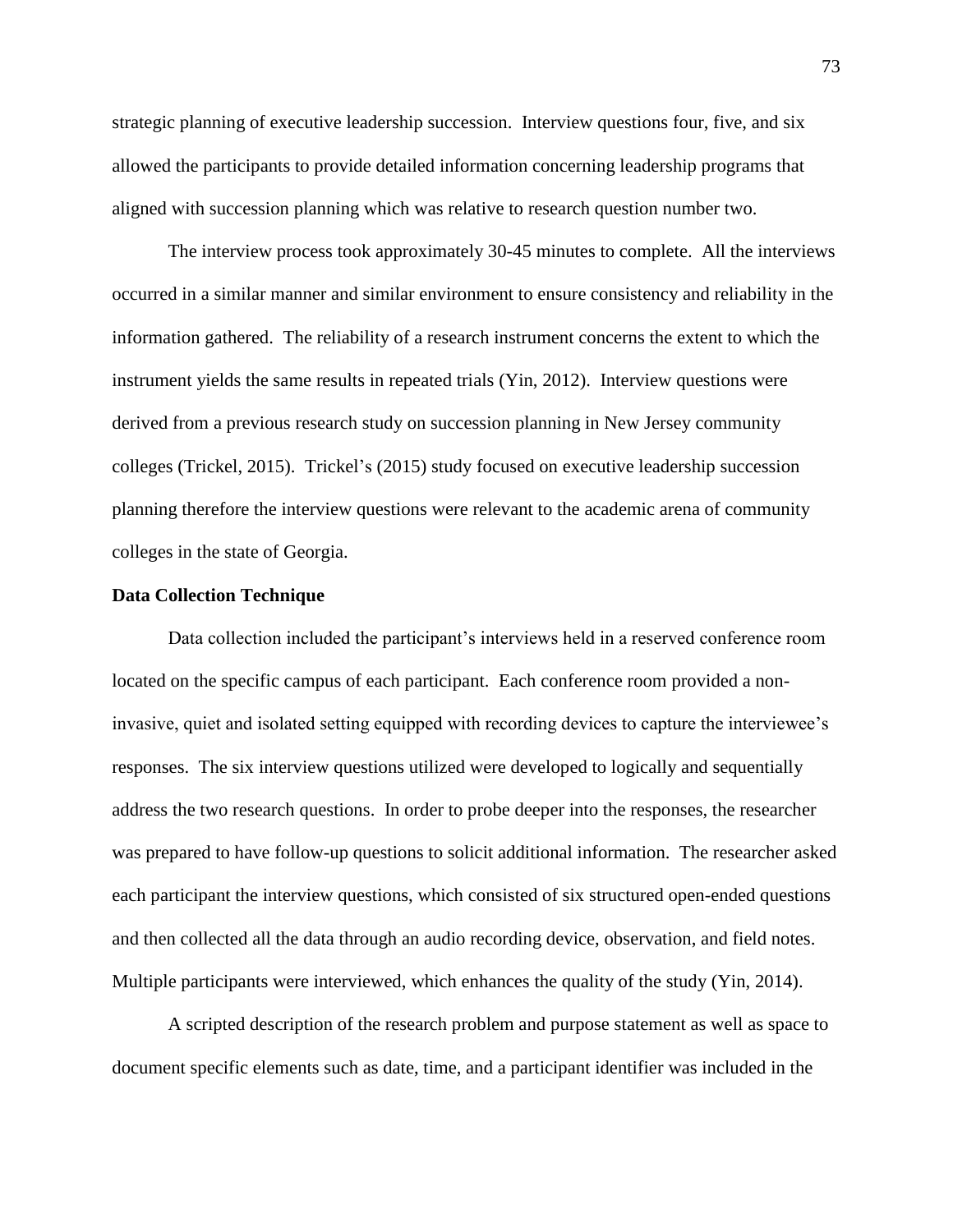strategic planning of executive leadership succession. Interview questions four, five, and six allowed the participants to provide detailed information concerning leadership programs that aligned with succession planning which was relative to research question number two.

The interview process took approximately 30-45 minutes to complete. All the interviews occurred in a similar manner and similar environment to ensure consistency and reliability in the information gathered. The reliability of a research instrument concerns the extent to which the instrument yields the same results in repeated trials (Yin, 2012). Interview questions were derived from a previous research study on succession planning in New Jersey community colleges (Trickel, 2015). Trickel's (2015) study focused on executive leadership succession planning therefore the interview questions were relevant to the academic arena of community colleges in the state of Georgia.

# **Data Collection Technique**

Data collection included the participant's interviews held in a reserved conference room located on the specific campus of each participant. Each conference room provided a noninvasive, quiet and isolated setting equipped with recording devices to capture the interviewee's responses. The six interview questions utilized were developed to logically and sequentially address the two research questions. In order to probe deeper into the responses, the researcher was prepared to have follow-up questions to solicit additional information. The researcher asked each participant the interview questions, which consisted of six structured open-ended questions and then collected all the data through an audio recording device, observation, and field notes. Multiple participants were interviewed, which enhances the quality of the study (Yin, 2014).

A scripted description of the research problem and purpose statement as well as space to document specific elements such as date, time, and a participant identifier was included in the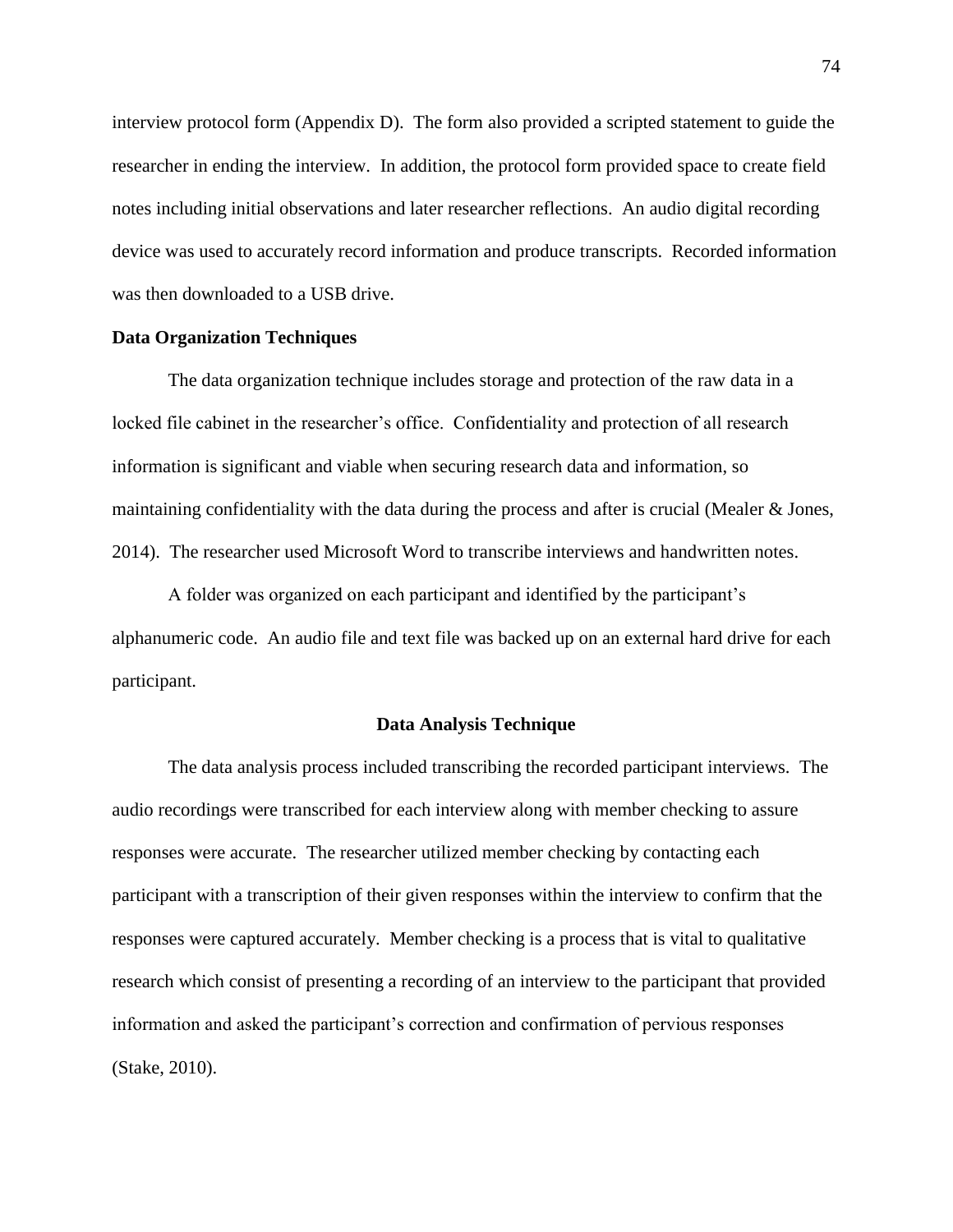interview protocol form (Appendix D). The form also provided a scripted statement to guide the researcher in ending the interview. In addition, the protocol form provided space to create field notes including initial observations and later researcher reflections. An audio digital recording device was used to accurately record information and produce transcripts. Recorded information was then downloaded to a USB drive.

# **Data Organization Techniques**

The data organization technique includes storage and protection of the raw data in a locked file cabinet in the researcher's office. Confidentiality and protection of all research information is significant and viable when securing research data and information, so maintaining confidentiality with the data during the process and after is crucial (Mealer & Jones, 2014). The researcher used Microsoft Word to transcribe interviews and handwritten notes.

A folder was organized on each participant and identified by the participant's alphanumeric code. An audio file and text file was backed up on an external hard drive for each participant.

# **Data Analysis Technique**

The data analysis process included transcribing the recorded participant interviews. The audio recordings were transcribed for each interview along with member checking to assure responses were accurate. The researcher utilized member checking by contacting each participant with a transcription of their given responses within the interview to confirm that the responses were captured accurately. Member checking is a process that is vital to qualitative research which consist of presenting a recording of an interview to the participant that provided information and asked the participant's correction and confirmation of pervious responses (Stake, 2010).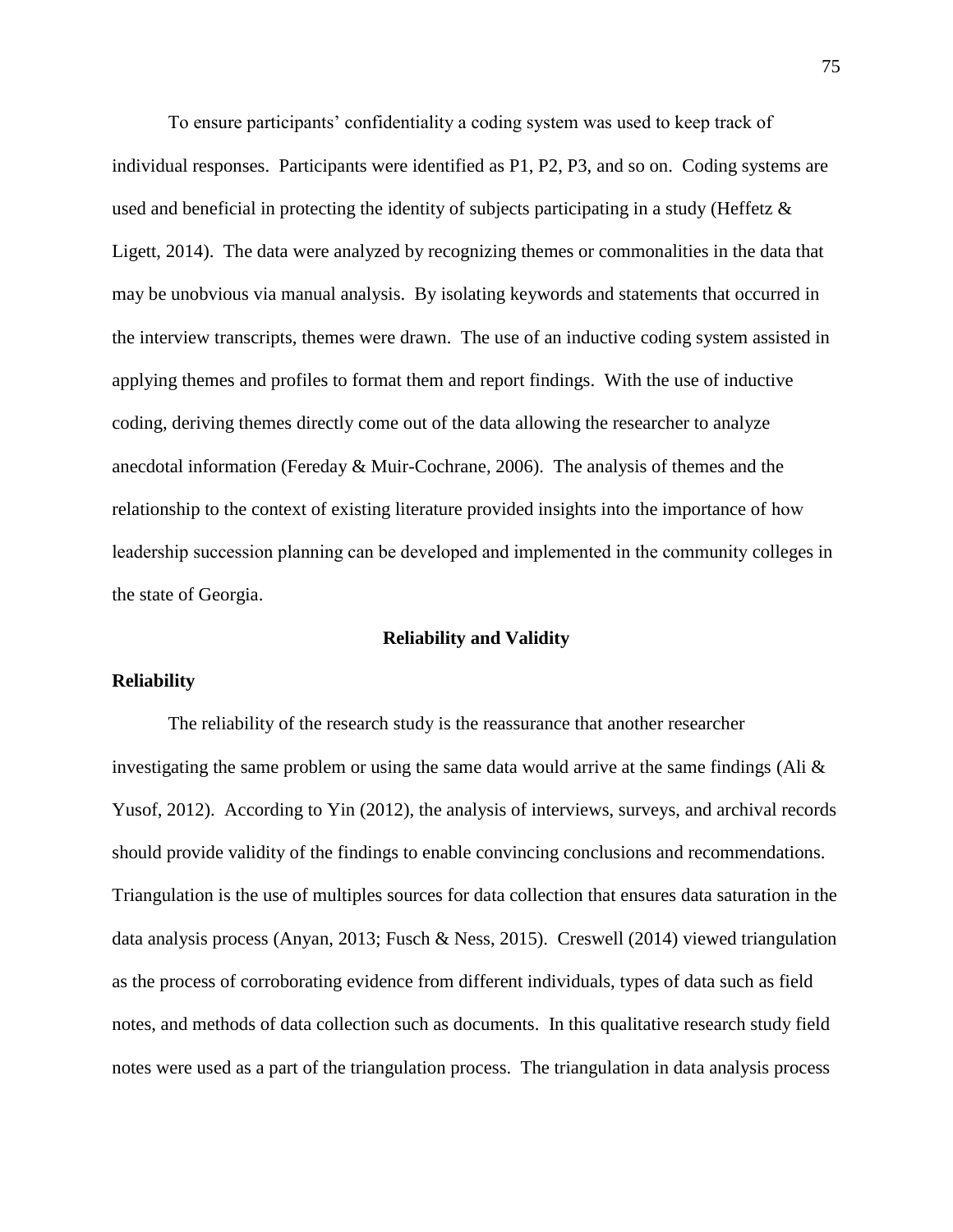To ensure participants' confidentiality a coding system was used to keep track of individual responses. Participants were identified as P1, P2, P3, and so on. Coding systems are used and beneficial in protecting the identity of subjects participating in a study (Heffetz  $\&$ Ligett, 2014). The data were analyzed by recognizing themes or commonalities in the data that may be unobvious via manual analysis. By isolating keywords and statements that occurred in the interview transcripts, themes were drawn. The use of an inductive coding system assisted in applying themes and profiles to format them and report findings. With the use of inductive coding, deriving themes directly come out of the data allowing the researcher to analyze anecdotal information (Fereday & Muir-Cochrane, 2006). The analysis of themes and the relationship to the context of existing literature provided insights into the importance of how leadership succession planning can be developed and implemented in the community colleges in the state of Georgia.

### **Reliability and Validity**

# **Reliability**

The reliability of the research study is the reassurance that another researcher investigating the same problem or using the same data would arrive at the same findings (Ali  $\&$ Yusof, 2012). According to Yin (2012), the analysis of interviews, surveys, and archival records should provide validity of the findings to enable convincing conclusions and recommendations. Triangulation is the use of multiples sources for data collection that ensures data saturation in the data analysis process (Anyan, 2013; Fusch & Ness, 2015). Creswell (2014) viewed triangulation as the process of corroborating evidence from different individuals, types of data such as field notes, and methods of data collection such as documents. In this qualitative research study field notes were used as a part of the triangulation process. The triangulation in data analysis process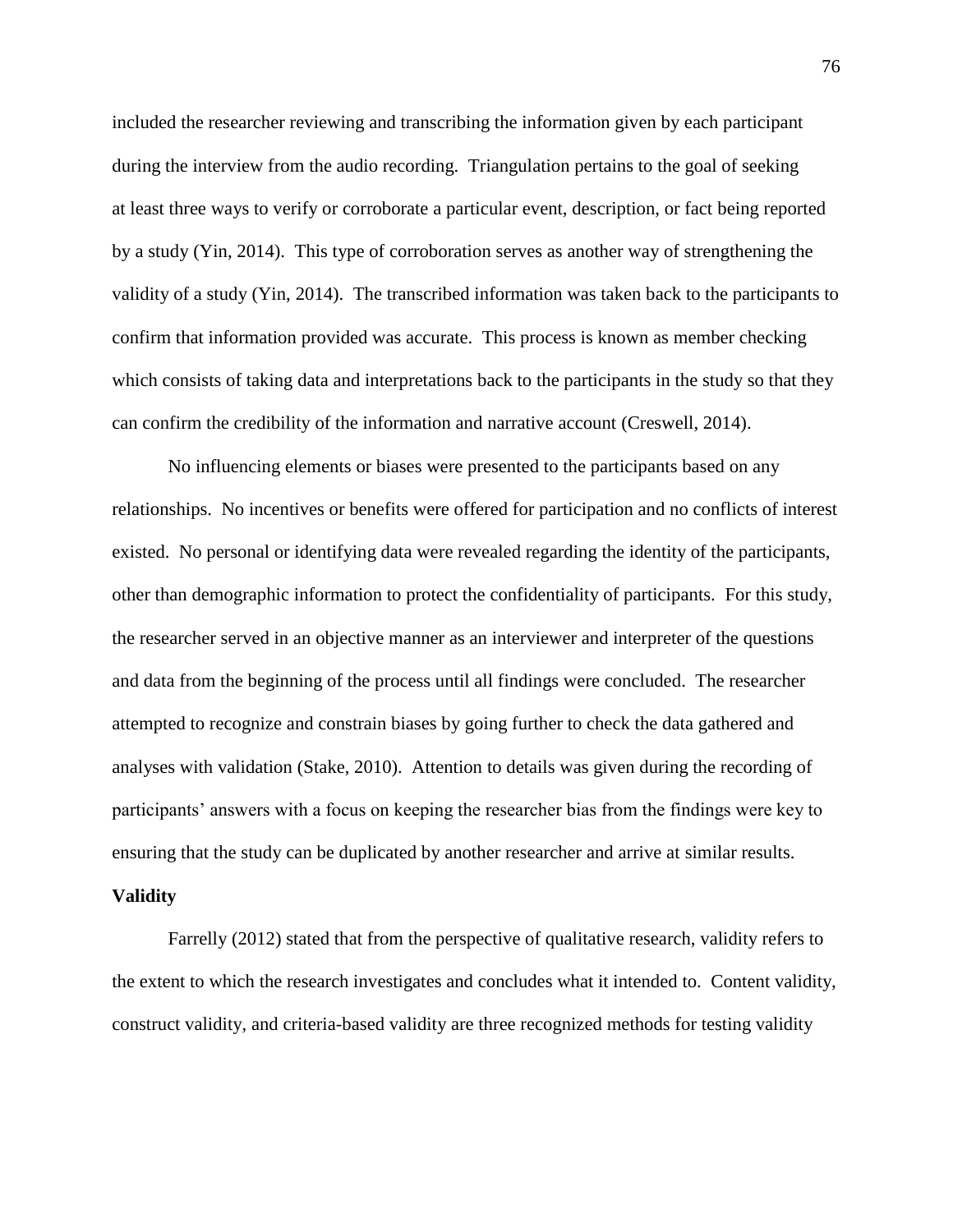included the researcher reviewing and transcribing the information given by each participant during the interview from the audio recording. Triangulation pertains to the goal of seeking at least three ways to verify or corroborate a particular event, description, or fact being reported by a study (Yin, 2014). This type of corroboration serves as another way of strengthening the validity of a study (Yin, 2014). The transcribed information was taken back to the participants to confirm that information provided was accurate. This process is known as member checking which consists of taking data and interpretations back to the participants in the study so that they can confirm the credibility of the information and narrative account (Creswell, 2014).

No influencing elements or biases were presented to the participants based on any relationships. No incentives or benefits were offered for participation and no conflicts of interest existed. No personal or identifying data were revealed regarding the identity of the participants, other than demographic information to protect the confidentiality of participants. For this study, the researcher served in an objective manner as an interviewer and interpreter of the questions and data from the beginning of the process until all findings were concluded. The researcher attempted to recognize and constrain biases by going further to check the data gathered and analyses with validation (Stake, 2010). Attention to details was given during the recording of participants' answers with a focus on keeping the researcher bias from the findings were key to ensuring that the study can be duplicated by another researcher and arrive at similar results.

#### **Validity**

Farrelly (2012) stated that from the perspective of qualitative research, validity refers to the extent to which the research investigates and concludes what it intended to. Content validity, construct validity, and criteria-based validity are three recognized methods for testing validity

76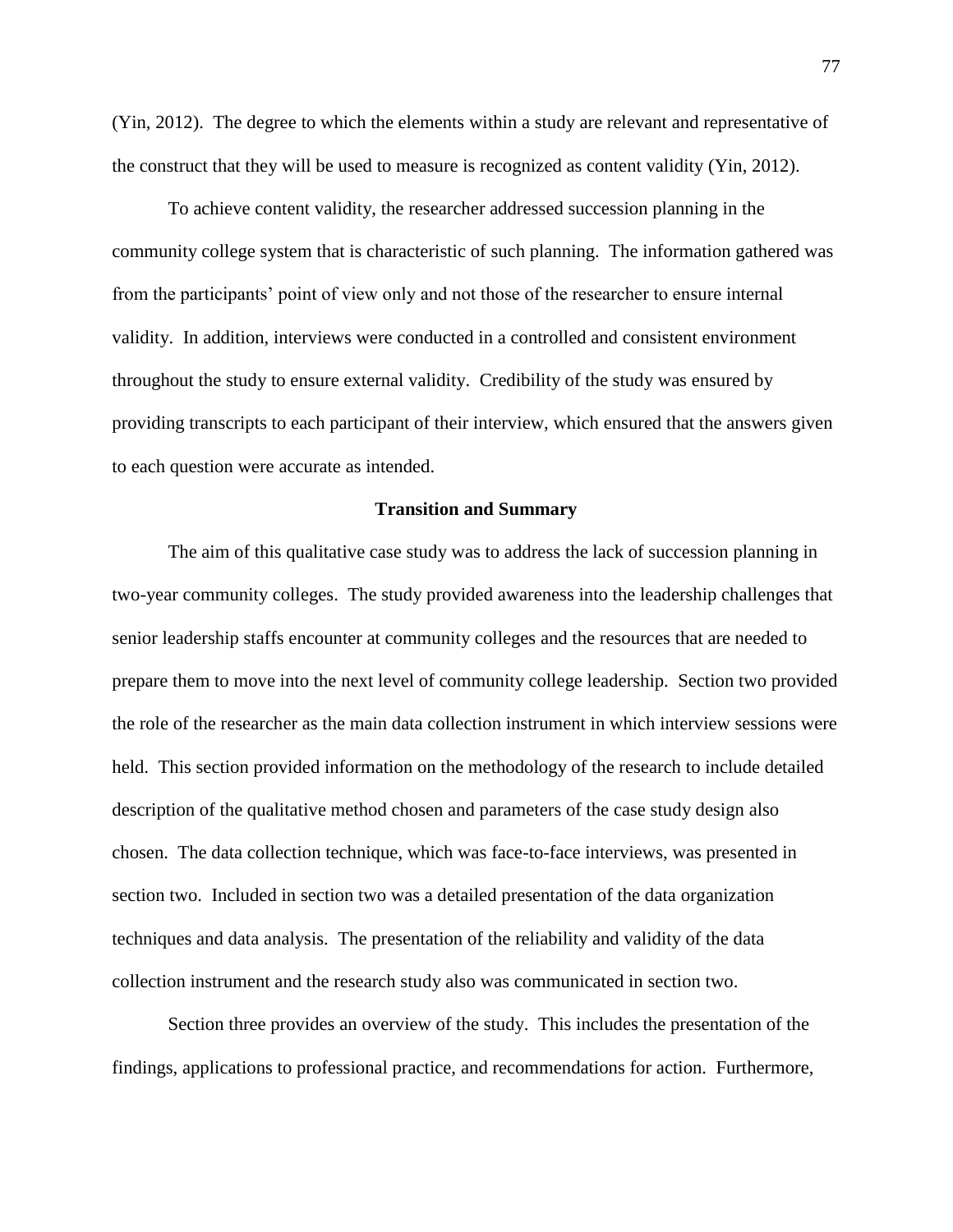(Yin, 2012). The degree to which the elements within a study are relevant and representative of the construct that they will be used to measure is recognized as content validity (Yin, 2012).

To achieve content validity, the researcher addressed succession planning in the community college system that is characteristic of such planning. The information gathered was from the participants' point of view only and not those of the researcher to ensure internal validity. In addition, interviews were conducted in a controlled and consistent environment throughout the study to ensure external validity. Credibility of the study was ensured by providing transcripts to each participant of their interview, which ensured that the answers given to each question were accurate as intended.

# **Transition and Summary**

The aim of this qualitative case study was to address the lack of succession planning in two-year community colleges. The study provided awareness into the leadership challenges that senior leadership staffs encounter at community colleges and the resources that are needed to prepare them to move into the next level of community college leadership. Section two provided the role of the researcher as the main data collection instrument in which interview sessions were held. This section provided information on the methodology of the research to include detailed description of the qualitative method chosen and parameters of the case study design also chosen. The data collection technique, which was face-to-face interviews, was presented in section two. Included in section two was a detailed presentation of the data organization techniques and data analysis. The presentation of the reliability and validity of the data collection instrument and the research study also was communicated in section two.

Section three provides an overview of the study. This includes the presentation of the findings, applications to professional practice, and recommendations for action. Furthermore,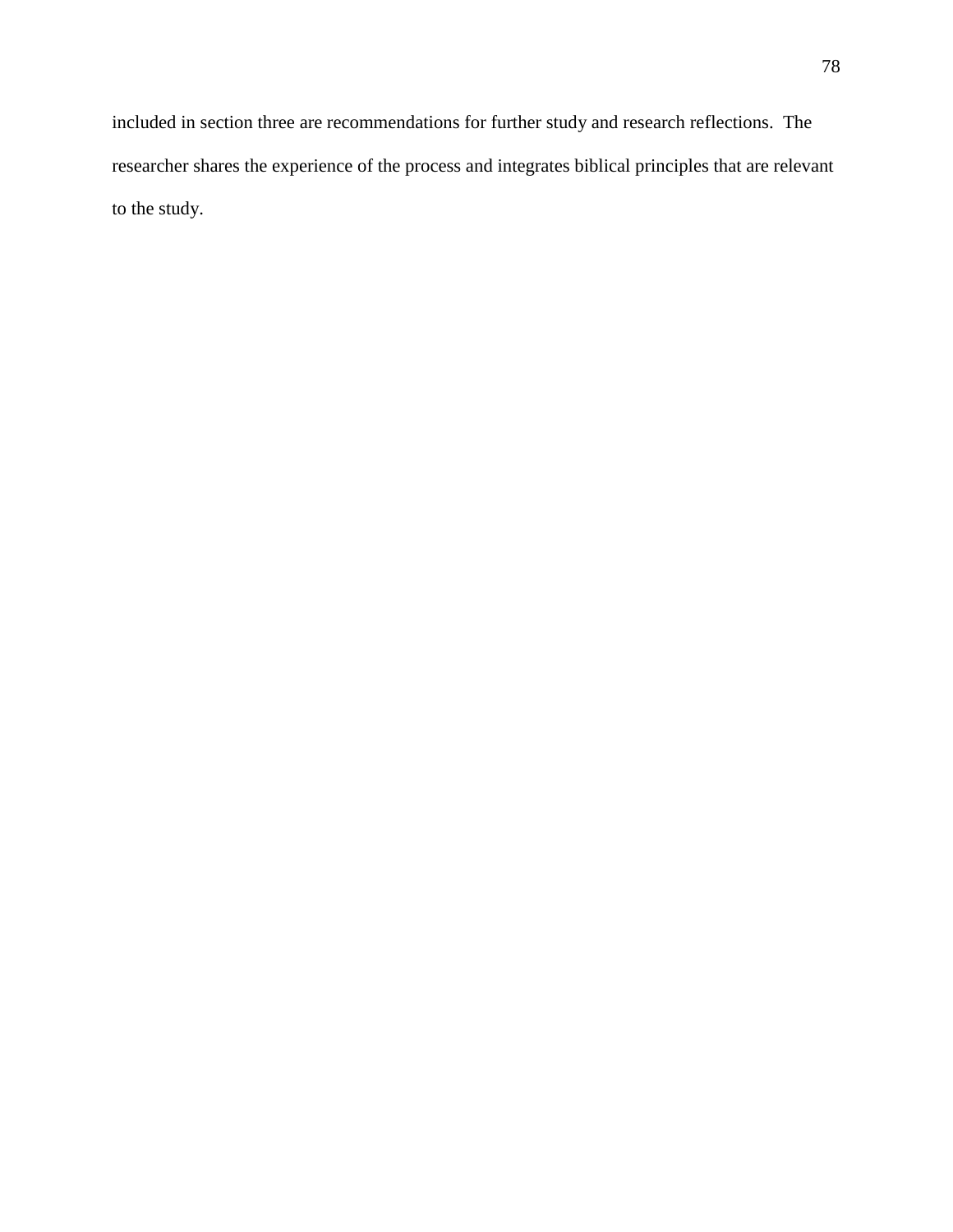included in section three are recommendations for further study and research reflections. The researcher shares the experience of the process and integrates biblical principles that are relevant to the study.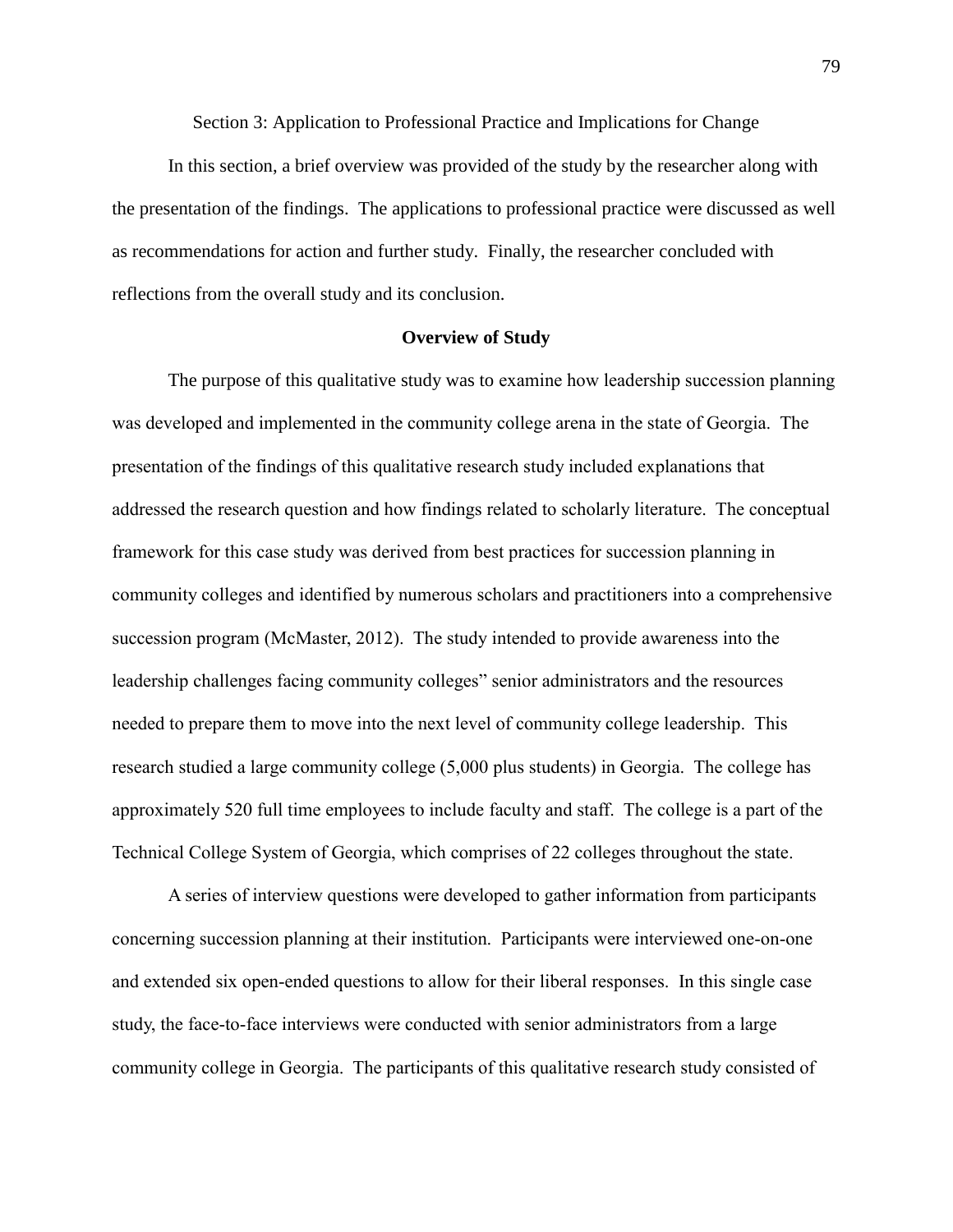Section 3: Application to Professional Practice and Implications for Change

In this section, a brief overview was provided of the study by the researcher along with the presentation of the findings. The applications to professional practice were discussed as well as recommendations for action and further study. Finally, the researcher concluded with reflections from the overall study and its conclusion.

# **Overview of Study**

The purpose of this qualitative study was to examine how leadership succession planning was developed and implemented in the community college arena in the state of Georgia. The presentation of the findings of this qualitative research study included explanations that addressed the research question and how findings related to scholarly literature. The conceptual framework for this case study was derived from best practices for succession planning in community colleges and identified by numerous scholars and practitioners into a comprehensive succession program (McMaster, 2012). The study intended to provide awareness into the leadership challenges facing community colleges" senior administrators and the resources needed to prepare them to move into the next level of community college leadership. This research studied a large community college (5,000 plus students) in Georgia. The college has approximately 520 full time employees to include faculty and staff. The college is a part of the Technical College System of Georgia, which comprises of 22 colleges throughout the state.

A series of interview questions were developed to gather information from participants concerning succession planning at their institution. Participants were interviewed one-on-one and extended six open-ended questions to allow for their liberal responses. In this single case study, the face-to-face interviews were conducted with senior administrators from a large community college in Georgia. The participants of this qualitative research study consisted of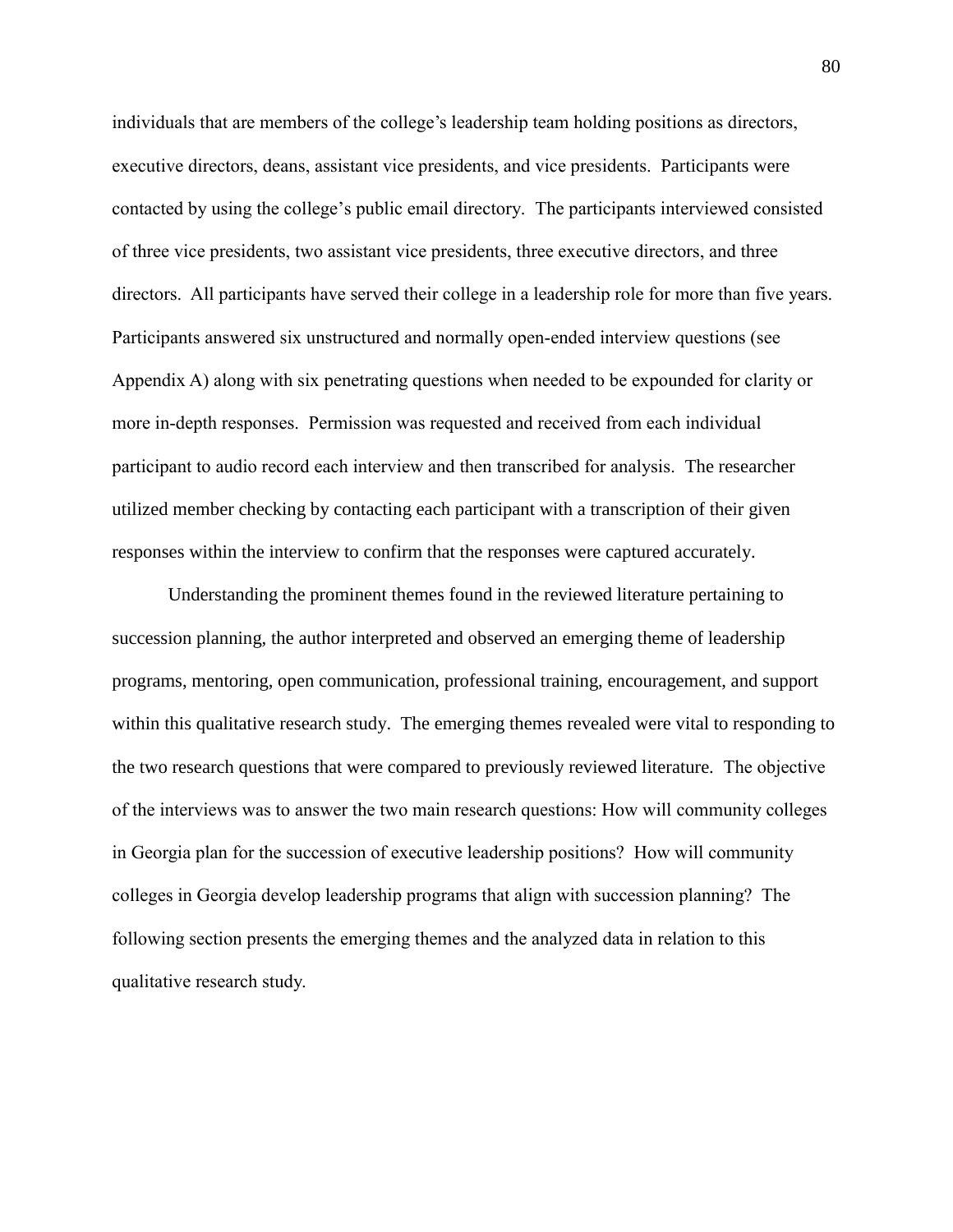individuals that are members of the college's leadership team holding positions as directors, executive directors, deans, assistant vice presidents, and vice presidents. Participants were contacted by using the college's public email directory. The participants interviewed consisted of three vice presidents, two assistant vice presidents, three executive directors, and three directors. All participants have served their college in a leadership role for more than five years. Participants answered six unstructured and normally open-ended interview questions (see Appendix A) along with six penetrating questions when needed to be expounded for clarity or more in-depth responses. Permission was requested and received from each individual participant to audio record each interview and then transcribed for analysis. The researcher utilized member checking by contacting each participant with a transcription of their given responses within the interview to confirm that the responses were captured accurately.

Understanding the prominent themes found in the reviewed literature pertaining to succession planning, the author interpreted and observed an emerging theme of leadership programs, mentoring, open communication, professional training, encouragement, and support within this qualitative research study. The emerging themes revealed were vital to responding to the two research questions that were compared to previously reviewed literature. The objective of the interviews was to answer the two main research questions: How will community colleges in Georgia plan for the succession of executive leadership positions? How will community colleges in Georgia develop leadership programs that align with succession planning? The following section presents the emerging themes and the analyzed data in relation to this qualitative research study.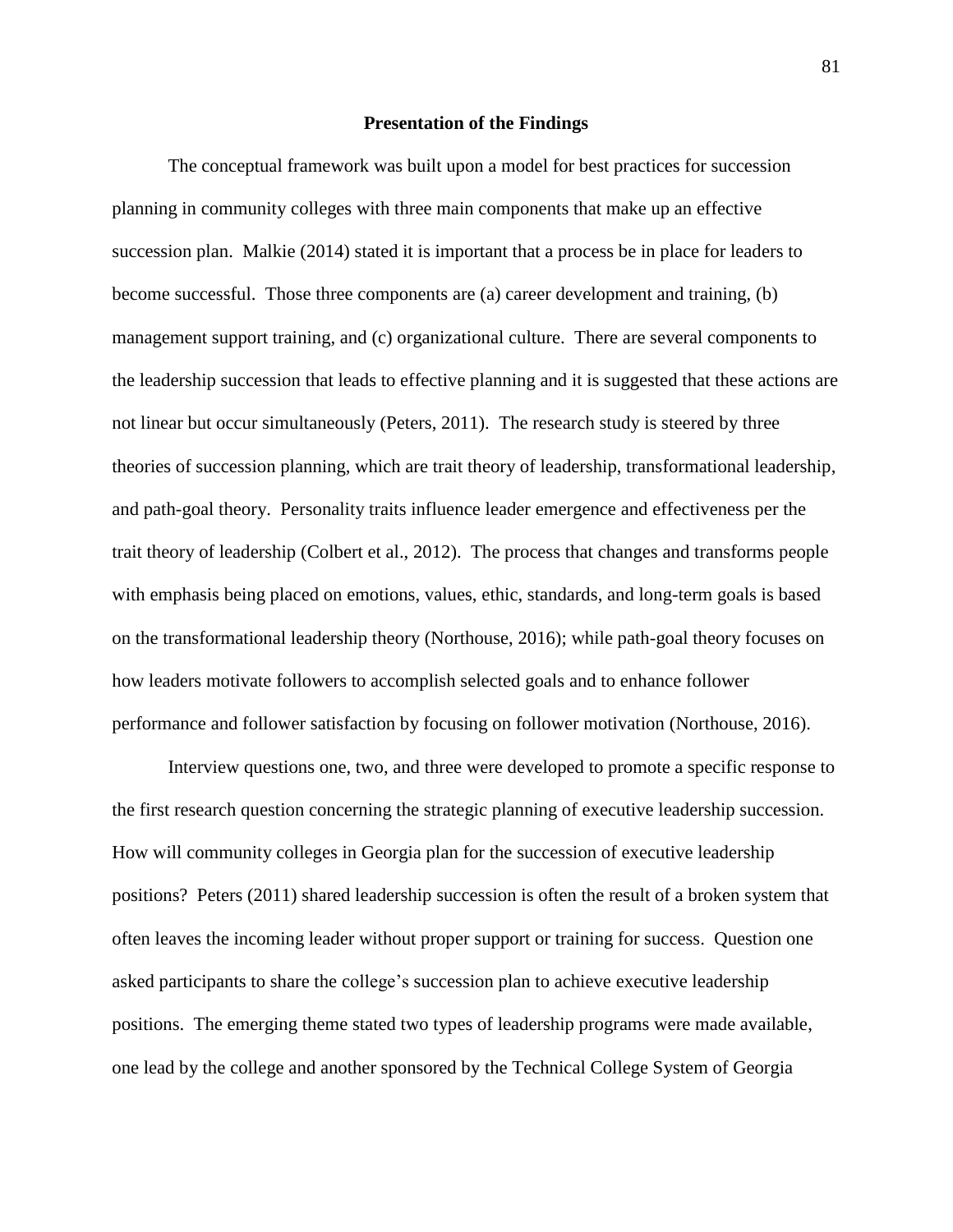### **Presentation of the Findings**

The conceptual framework was built upon a model for best practices for succession planning in community colleges with three main components that make up an effective succession plan. Malkie (2014) stated it is important that a process be in place for leaders to become successful. Those three components are (a) career development and training, (b) management support training, and (c) organizational culture. There are several components to the leadership succession that leads to effective planning and it is suggested that these actions are not linear but occur simultaneously (Peters, 2011). The research study is steered by three theories of succession planning, which are trait theory of leadership, transformational leadership, and path-goal theory. Personality traits influence leader emergence and effectiveness per the trait theory of leadership (Colbert et al., 2012). The process that changes and transforms people with emphasis being placed on emotions, values, ethic, standards, and long-term goals is based on the transformational leadership theory (Northouse, 2016); while path-goal theory focuses on how leaders motivate followers to accomplish selected goals and to enhance follower performance and follower satisfaction by focusing on follower motivation (Northouse, 2016).

Interview questions one, two, and three were developed to promote a specific response to the first research question concerning the strategic planning of executive leadership succession. How will community colleges in Georgia plan for the succession of executive leadership positions? Peters (2011) shared leadership succession is often the result of a broken system that often leaves the incoming leader without proper support or training for success. Question one asked participants to share the college's succession plan to achieve executive leadership positions. The emerging theme stated two types of leadership programs were made available, one lead by the college and another sponsored by the Technical College System of Georgia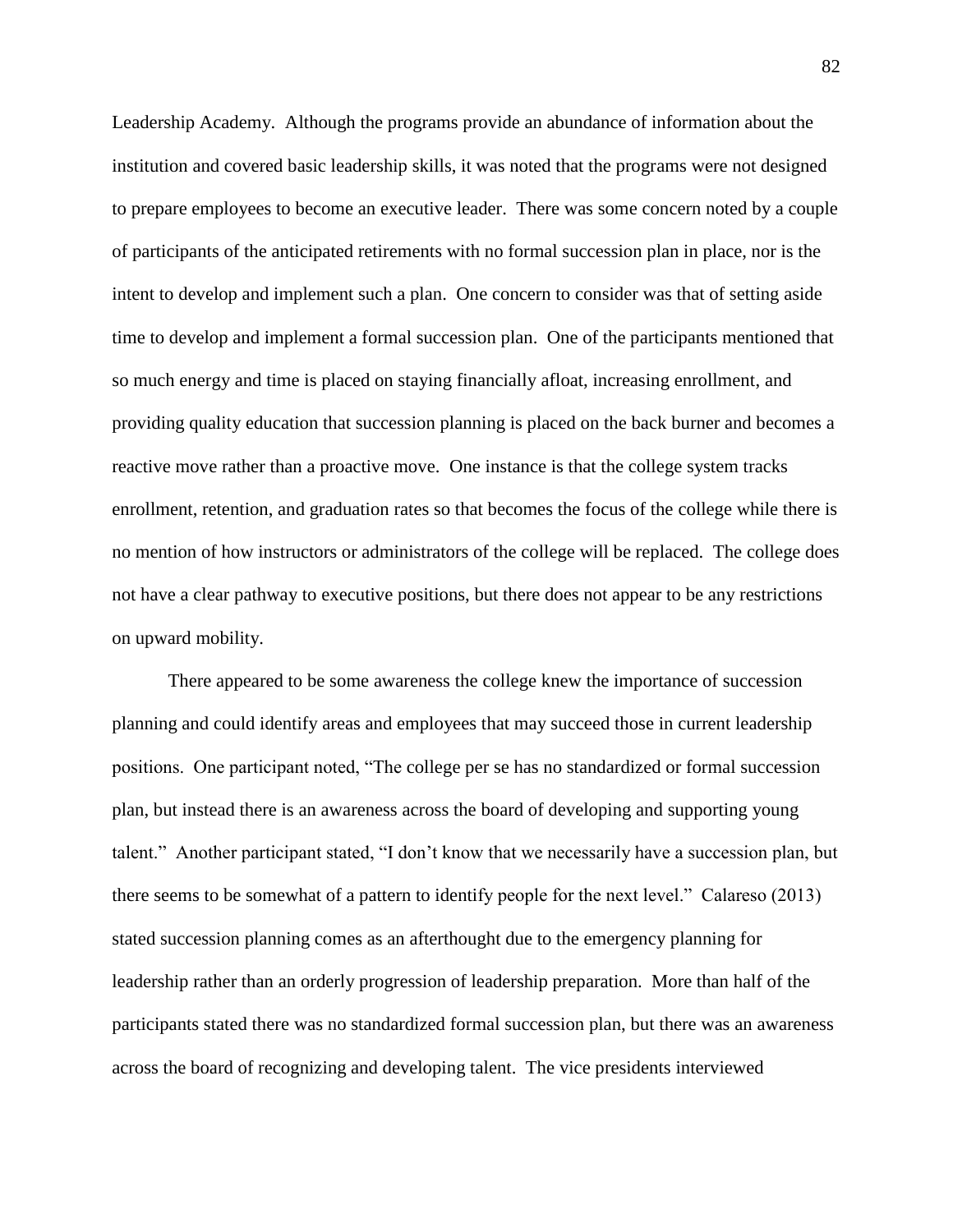Leadership Academy. Although the programs provide an abundance of information about the institution and covered basic leadership skills, it was noted that the programs were not designed to prepare employees to become an executive leader. There was some concern noted by a couple of participants of the anticipated retirements with no formal succession plan in place, nor is the intent to develop and implement such a plan. One concern to consider was that of setting aside time to develop and implement a formal succession plan. One of the participants mentioned that so much energy and time is placed on staying financially afloat, increasing enrollment, and providing quality education that succession planning is placed on the back burner and becomes a reactive move rather than a proactive move. One instance is that the college system tracks enrollment, retention, and graduation rates so that becomes the focus of the college while there is no mention of how instructors or administrators of the college will be replaced. The college does not have a clear pathway to executive positions, but there does not appear to be any restrictions on upward mobility.

There appeared to be some awareness the college knew the importance of succession planning and could identify areas and employees that may succeed those in current leadership positions. One participant noted, "The college per se has no standardized or formal succession plan, but instead there is an awareness across the board of developing and supporting young talent." Another participant stated, "I don't know that we necessarily have a succession plan, but there seems to be somewhat of a pattern to identify people for the next level." Calareso (2013) stated succession planning comes as an afterthought due to the emergency planning for leadership rather than an orderly progression of leadership preparation. More than half of the participants stated there was no standardized formal succession plan, but there was an awareness across the board of recognizing and developing talent. The vice presidents interviewed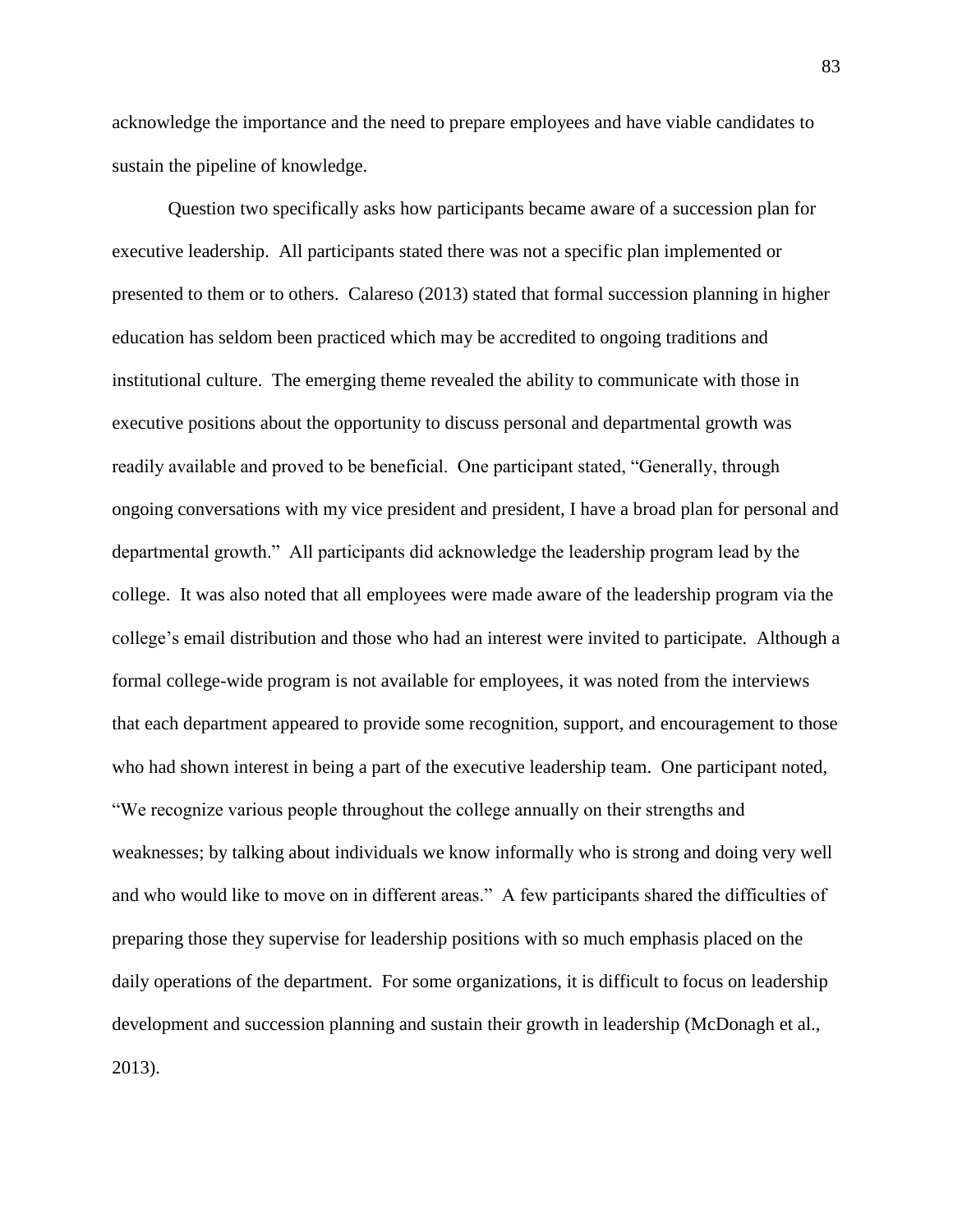acknowledge the importance and the need to prepare employees and have viable candidates to sustain the pipeline of knowledge.

Question two specifically asks how participants became aware of a succession plan for executive leadership. All participants stated there was not a specific plan implemented or presented to them or to others. Calareso (2013) stated that formal succession planning in higher education has seldom been practiced which may be accredited to ongoing traditions and institutional culture. The emerging theme revealed the ability to communicate with those in executive positions about the opportunity to discuss personal and departmental growth was readily available and proved to be beneficial. One participant stated, "Generally, through ongoing conversations with my vice president and president, I have a broad plan for personal and departmental growth." All participants did acknowledge the leadership program lead by the college. It was also noted that all employees were made aware of the leadership program via the college's email distribution and those who had an interest were invited to participate. Although a formal college-wide program is not available for employees, it was noted from the interviews that each department appeared to provide some recognition, support, and encouragement to those who had shown interest in being a part of the executive leadership team. One participant noted, "We recognize various people throughout the college annually on their strengths and weaknesses; by talking about individuals we know informally who is strong and doing very well and who would like to move on in different areas." A few participants shared the difficulties of preparing those they supervise for leadership positions with so much emphasis placed on the daily operations of the department. For some organizations, it is difficult to focus on leadership development and succession planning and sustain their growth in leadership (McDonagh et al., 2013).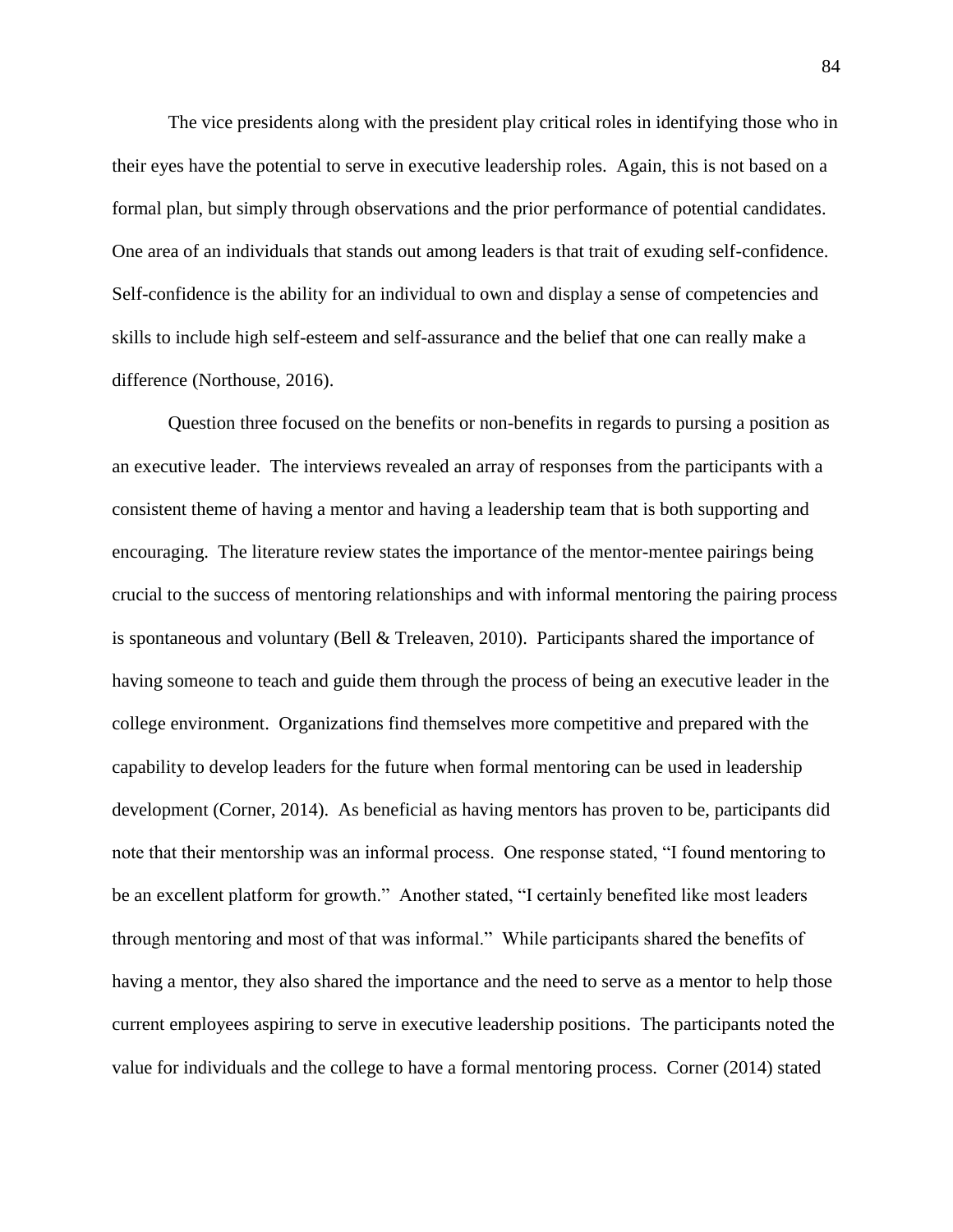The vice presidents along with the president play critical roles in identifying those who in their eyes have the potential to serve in executive leadership roles. Again, this is not based on a formal plan, but simply through observations and the prior performance of potential candidates. One area of an individuals that stands out among leaders is that trait of exuding self-confidence. Self-confidence is the ability for an individual to own and display a sense of competencies and skills to include high self-esteem and self-assurance and the belief that one can really make a difference (Northouse, 2016).

Question three focused on the benefits or non-benefits in regards to pursing a position as an executive leader. The interviews revealed an array of responses from the participants with a consistent theme of having a mentor and having a leadership team that is both supporting and encouraging. The literature review states the importance of the mentor-mentee pairings being crucial to the success of mentoring relationships and with informal mentoring the pairing process is spontaneous and voluntary (Bell & Treleaven, 2010). Participants shared the importance of having someone to teach and guide them through the process of being an executive leader in the college environment. Organizations find themselves more competitive and prepared with the capability to develop leaders for the future when formal mentoring can be used in leadership development (Corner, 2014). As beneficial as having mentors has proven to be, participants did note that their mentorship was an informal process. One response stated, "I found mentoring to be an excellent platform for growth." Another stated, "I certainly benefited like most leaders through mentoring and most of that was informal." While participants shared the benefits of having a mentor, they also shared the importance and the need to serve as a mentor to help those current employees aspiring to serve in executive leadership positions. The participants noted the value for individuals and the college to have a formal mentoring process. Corner (2014) stated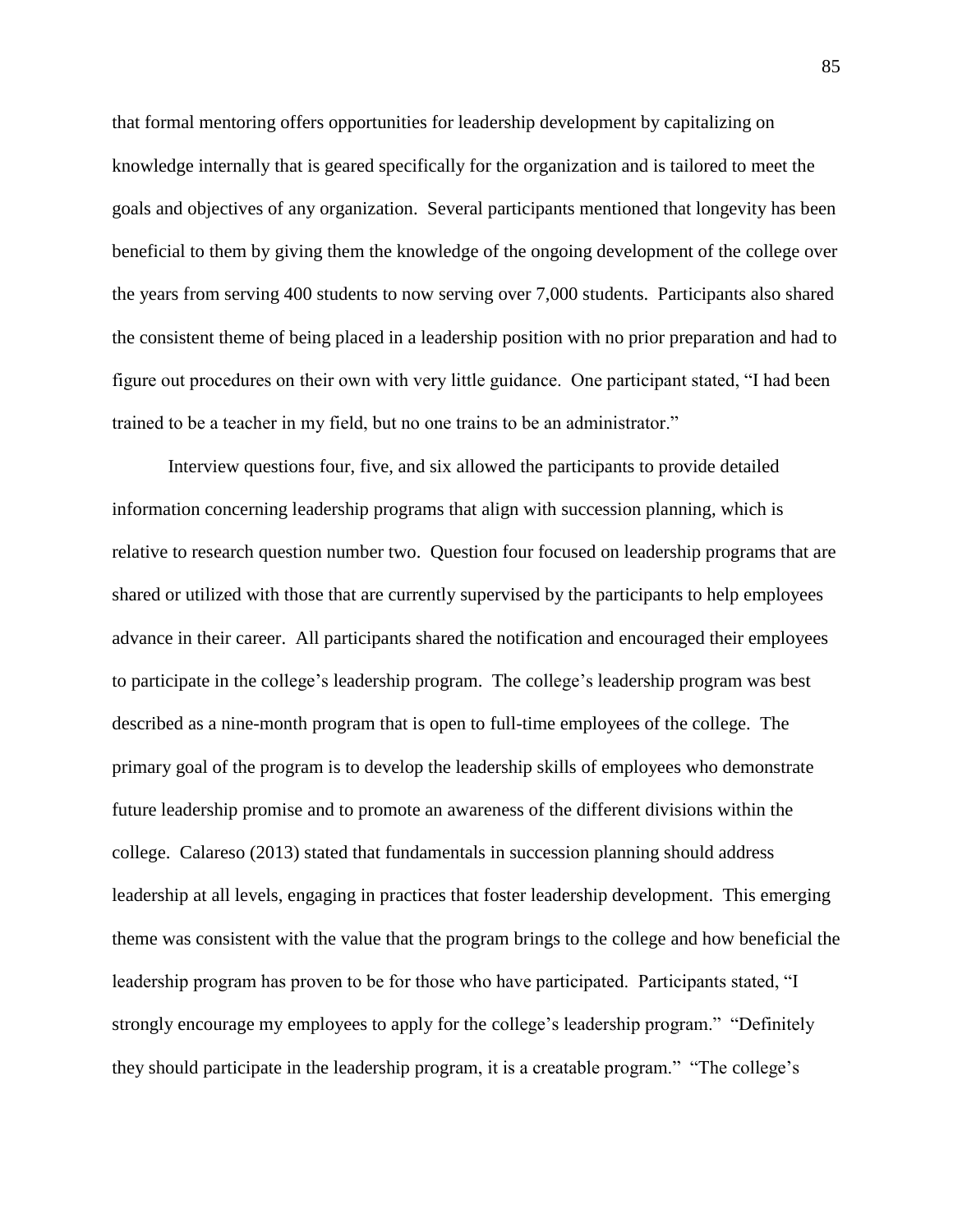that formal mentoring offers opportunities for leadership development by capitalizing on knowledge internally that is geared specifically for the organization and is tailored to meet the goals and objectives of any organization. Several participants mentioned that longevity has been beneficial to them by giving them the knowledge of the ongoing development of the college over the years from serving 400 students to now serving over 7,000 students. Participants also shared the consistent theme of being placed in a leadership position with no prior preparation and had to figure out procedures on their own with very little guidance. One participant stated, "I had been trained to be a teacher in my field, but no one trains to be an administrator."

Interview questions four, five, and six allowed the participants to provide detailed information concerning leadership programs that align with succession planning, which is relative to research question number two. Question four focused on leadership programs that are shared or utilized with those that are currently supervised by the participants to help employees advance in their career. All participants shared the notification and encouraged their employees to participate in the college's leadership program. The college's leadership program was best described as a nine-month program that is open to full-time employees of the college. The primary goal of the program is to develop the leadership skills of employees who demonstrate future leadership promise and to promote an awareness of the different divisions within the college. Calareso (2013) stated that fundamentals in succession planning should address leadership at all levels, engaging in practices that foster leadership development. This emerging theme was consistent with the value that the program brings to the college and how beneficial the leadership program has proven to be for those who have participated. Participants stated, "I strongly encourage my employees to apply for the college's leadership program." "Definitely they should participate in the leadership program, it is a creatable program." "The college's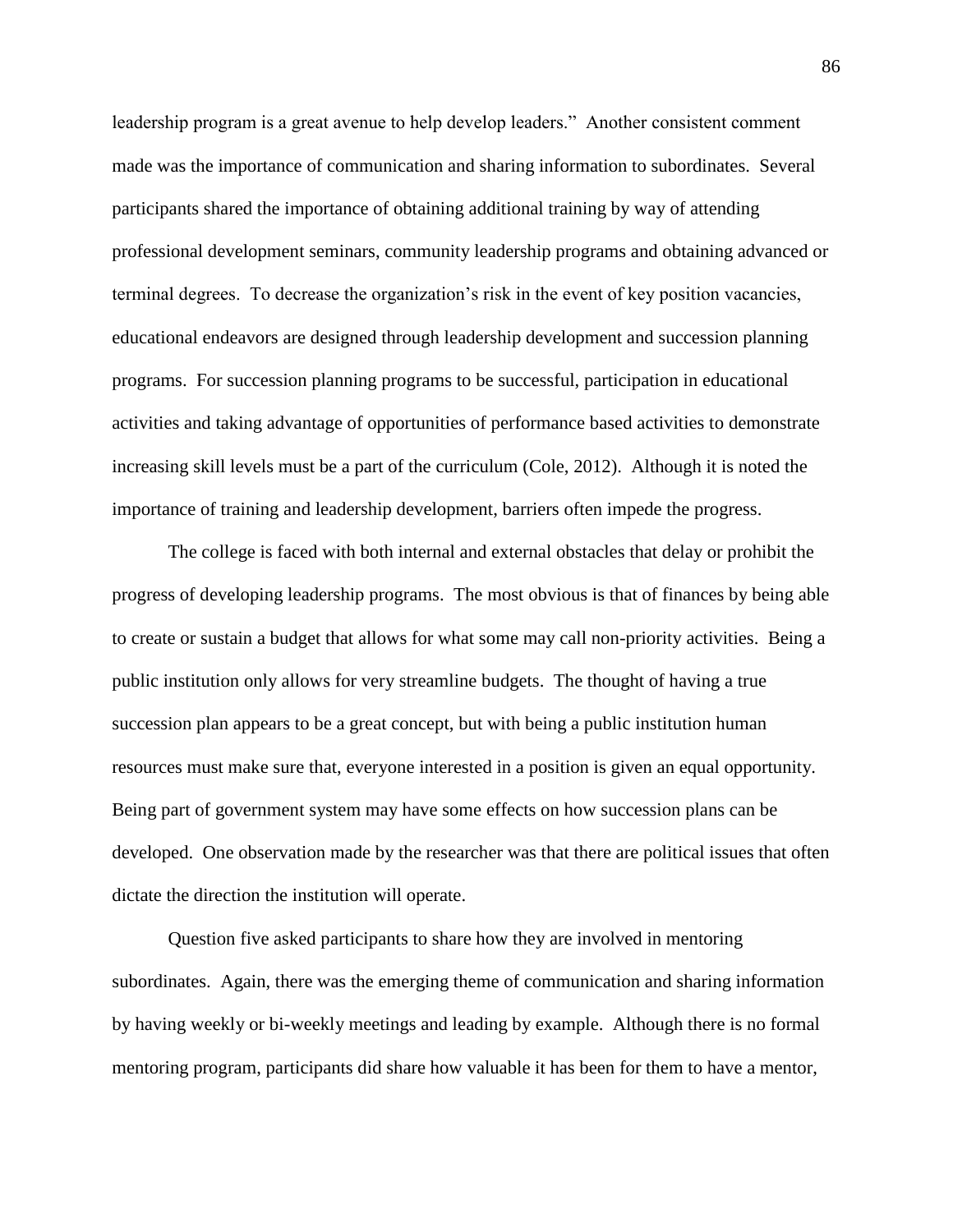leadership program is a great avenue to help develop leaders." Another consistent comment made was the importance of communication and sharing information to subordinates. Several participants shared the importance of obtaining additional training by way of attending professional development seminars, community leadership programs and obtaining advanced or terminal degrees. To decrease the organization's risk in the event of key position vacancies, educational endeavors are designed through leadership development and succession planning programs. For succession planning programs to be successful, participation in educational activities and taking advantage of opportunities of performance based activities to demonstrate increasing skill levels must be a part of the curriculum (Cole, 2012). Although it is noted the importance of training and leadership development, barriers often impede the progress.

The college is faced with both internal and external obstacles that delay or prohibit the progress of developing leadership programs. The most obvious is that of finances by being able to create or sustain a budget that allows for what some may call non-priority activities. Being a public institution only allows for very streamline budgets. The thought of having a true succession plan appears to be a great concept, but with being a public institution human resources must make sure that, everyone interested in a position is given an equal opportunity. Being part of government system may have some effects on how succession plans can be developed. One observation made by the researcher was that there are political issues that often dictate the direction the institution will operate.

Question five asked participants to share how they are involved in mentoring subordinates. Again, there was the emerging theme of communication and sharing information by having weekly or bi-weekly meetings and leading by example. Although there is no formal mentoring program, participants did share how valuable it has been for them to have a mentor,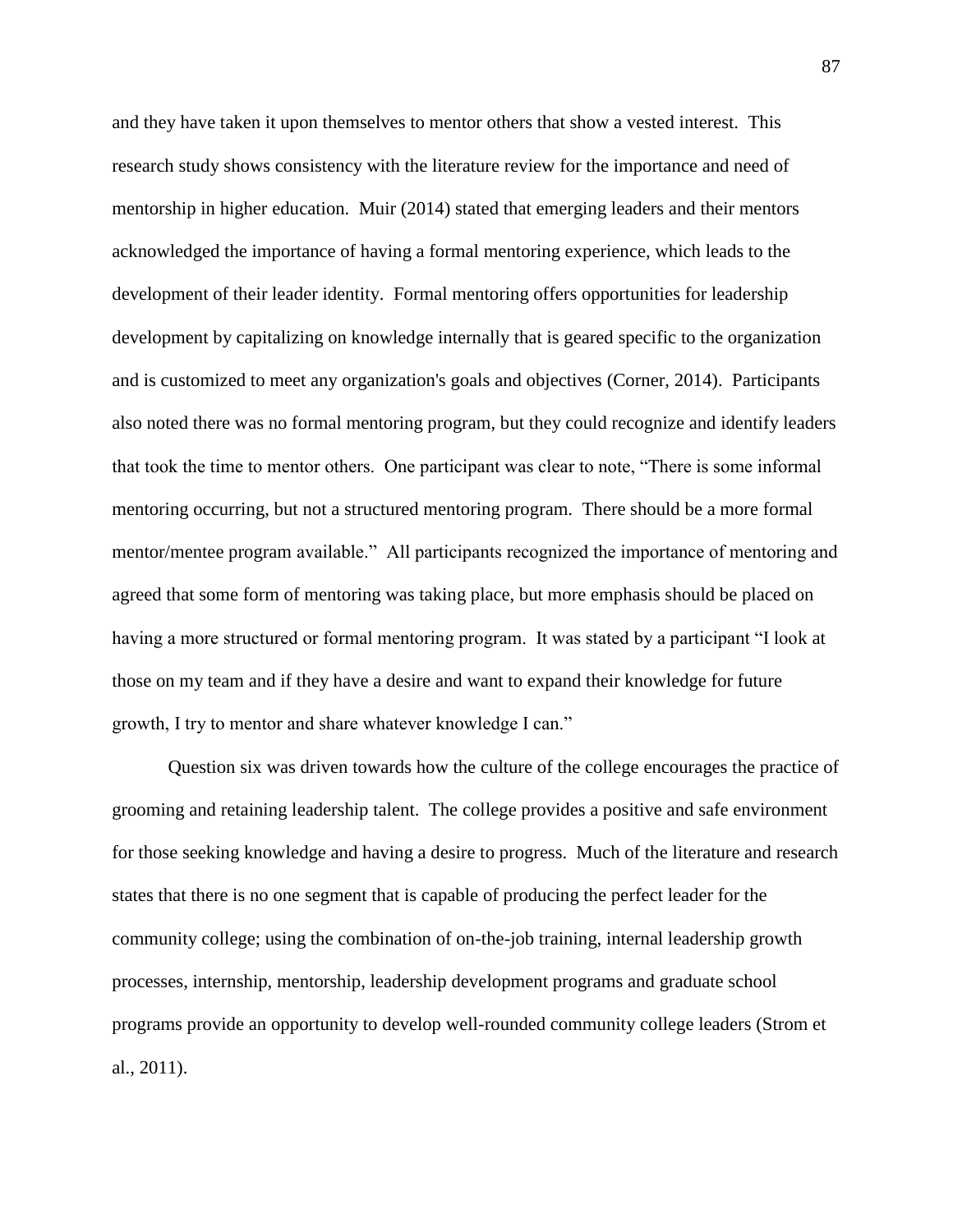and they have taken it upon themselves to mentor others that show a vested interest. This research study shows consistency with the literature review for the importance and need of mentorship in higher education. Muir (2014) stated that emerging leaders and their mentors acknowledged the importance of having a formal mentoring experience, which leads to the development of their leader identity. Formal mentoring offers opportunities for leadership development by capitalizing on knowledge internally that is geared specific to the organization and is customized to meet any organization's goals and objectives (Corner, 2014). Participants also noted there was no formal mentoring program, but they could recognize and identify leaders that took the time to mentor others. One participant was clear to note, "There is some informal mentoring occurring, but not a structured mentoring program. There should be a more formal mentor/mentee program available." All participants recognized the importance of mentoring and agreed that some form of mentoring was taking place, but more emphasis should be placed on having a more structured or formal mentoring program. It was stated by a participant "I look at those on my team and if they have a desire and want to expand their knowledge for future growth, I try to mentor and share whatever knowledge I can."

Question six was driven towards how the culture of the college encourages the practice of grooming and retaining leadership talent. The college provides a positive and safe environment for those seeking knowledge and having a desire to progress. Much of the literature and research states that there is no one segment that is capable of producing the perfect leader for the community college; using the combination of on-the-job training, internal leadership growth processes, internship, mentorship, leadership development programs and graduate school programs provide an opportunity to develop well-rounded community college leaders (Strom et al., 2011).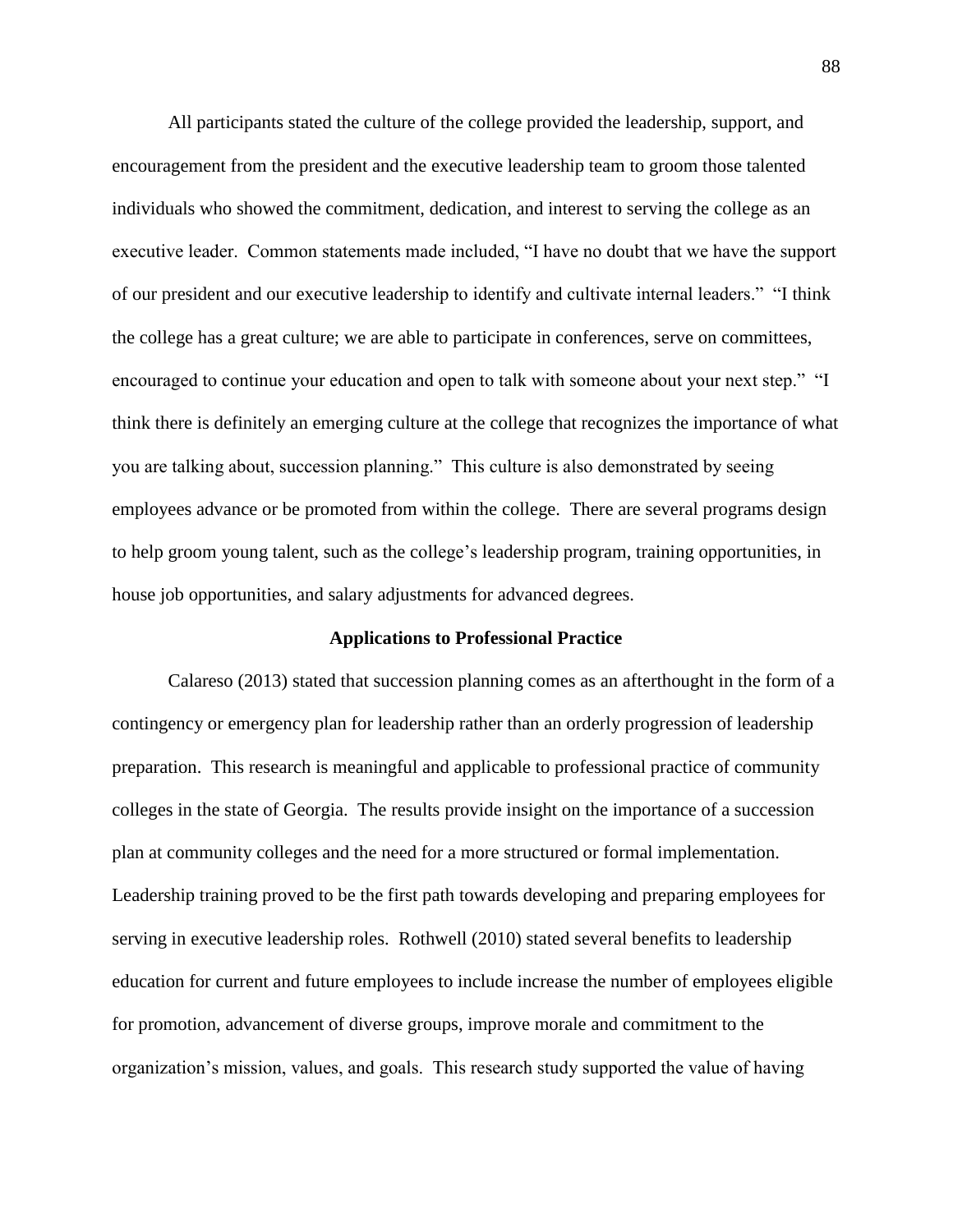All participants stated the culture of the college provided the leadership, support, and encouragement from the president and the executive leadership team to groom those talented individuals who showed the commitment, dedication, and interest to serving the college as an executive leader. Common statements made included, "I have no doubt that we have the support of our president and our executive leadership to identify and cultivate internal leaders." "I think the college has a great culture; we are able to participate in conferences, serve on committees, encouraged to continue your education and open to talk with someone about your next step." "I think there is definitely an emerging culture at the college that recognizes the importance of what you are talking about, succession planning." This culture is also demonstrated by seeing employees advance or be promoted from within the college. There are several programs design to help groom young talent, such as the college's leadership program, training opportunities, in house job opportunities, and salary adjustments for advanced degrees.

### **Applications to Professional Practice**

Calareso (2013) stated that succession planning comes as an afterthought in the form of a contingency or emergency plan for leadership rather than an orderly progression of leadership preparation. This research is meaningful and applicable to professional practice of community colleges in the state of Georgia. The results provide insight on the importance of a succession plan at community colleges and the need for a more structured or formal implementation. Leadership training proved to be the first path towards developing and preparing employees for serving in executive leadership roles. Rothwell (2010) stated several benefits to leadership education for current and future employees to include increase the number of employees eligible for promotion, advancement of diverse groups, improve morale and commitment to the organization's mission, values, and goals. This research study supported the value of having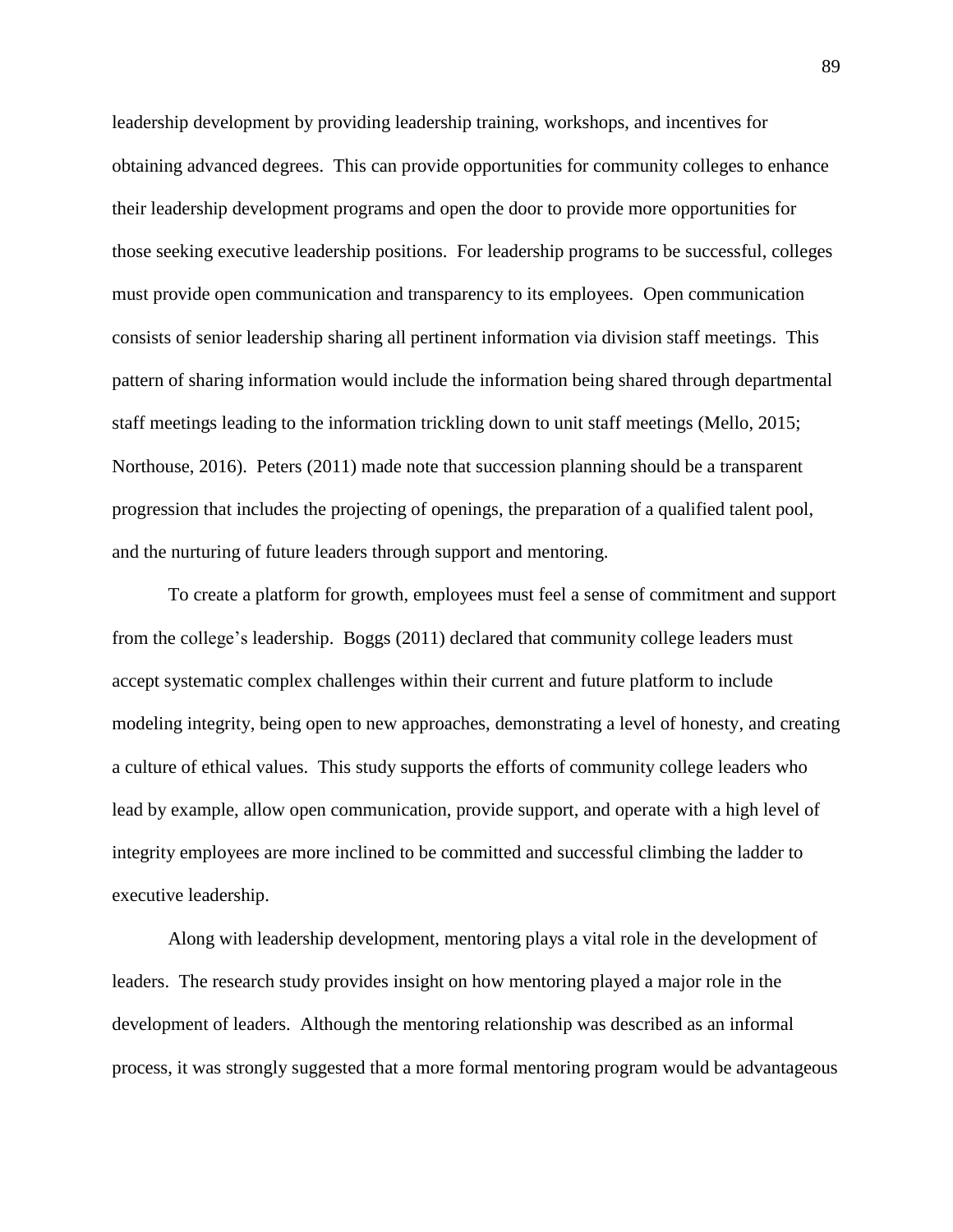leadership development by providing leadership training, workshops, and incentives for obtaining advanced degrees. This can provide opportunities for community colleges to enhance their leadership development programs and open the door to provide more opportunities for those seeking executive leadership positions. For leadership programs to be successful, colleges must provide open communication and transparency to its employees. Open communication consists of senior leadership sharing all pertinent information via division staff meetings. This pattern of sharing information would include the information being shared through departmental staff meetings leading to the information trickling down to unit staff meetings (Mello, 2015; Northouse, 2016). Peters (2011) made note that succession planning should be a transparent progression that includes the projecting of openings, the preparation of a qualified talent pool, and the nurturing of future leaders through support and mentoring.

To create a platform for growth, employees must feel a sense of commitment and support from the college's leadership. Boggs (2011) declared that community college leaders must accept systematic complex challenges within their current and future platform to include modeling integrity, being open to new approaches, demonstrating a level of honesty, and creating a culture of ethical values. This study supports the efforts of community college leaders who lead by example, allow open communication, provide support, and operate with a high level of integrity employees are more inclined to be committed and successful climbing the ladder to executive leadership.

Along with leadership development, mentoring plays a vital role in the development of leaders. The research study provides insight on how mentoring played a major role in the development of leaders. Although the mentoring relationship was described as an informal process, it was strongly suggested that a more formal mentoring program would be advantageous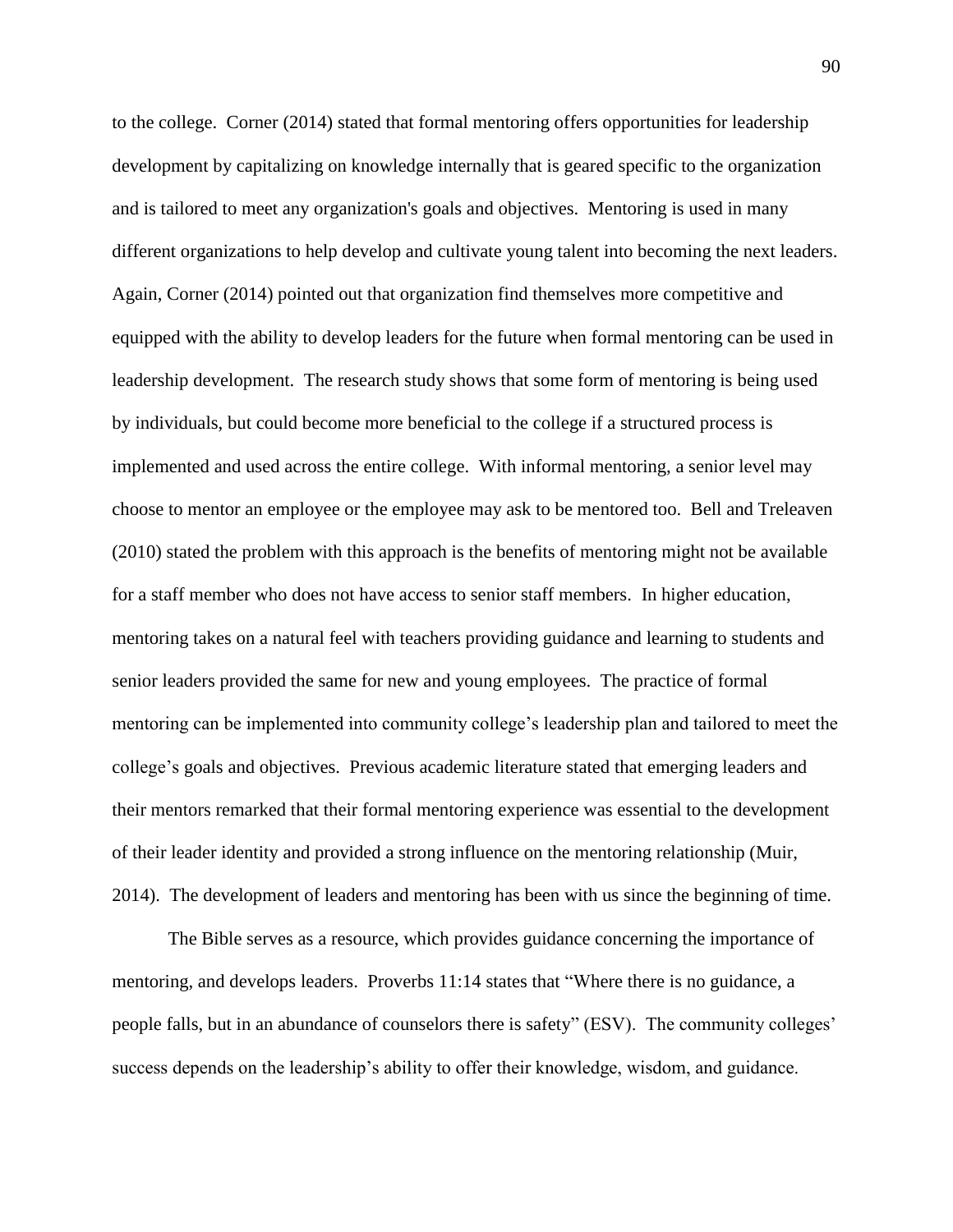to the college. Corner (2014) stated that formal mentoring offers opportunities for leadership development by capitalizing on knowledge internally that is geared specific to the organization and is tailored to meet any organization's goals and objectives. Mentoring is used in many different organizations to help develop and cultivate young talent into becoming the next leaders. Again, Corner (2014) pointed out that organization find themselves more competitive and equipped with the ability to develop leaders for the future when formal mentoring can be used in leadership development. The research study shows that some form of mentoring is being used by individuals, but could become more beneficial to the college if a structured process is implemented and used across the entire college. With informal mentoring, a senior level may choose to mentor an employee or the employee may ask to be mentored too. Bell and Treleaven (2010) stated the problem with this approach is the benefits of mentoring might not be available for a staff member who does not have access to senior staff members. In higher education, mentoring takes on a natural feel with teachers providing guidance and learning to students and senior leaders provided the same for new and young employees. The practice of formal mentoring can be implemented into community college's leadership plan and tailored to meet the college's goals and objectives. Previous academic literature stated that emerging leaders and their mentors remarked that their formal mentoring experience was essential to the development of their leader identity and provided a strong influence on the mentoring relationship (Muir, 2014). The development of leaders and mentoring has been with us since the beginning of time.

The Bible serves as a resource, which provides guidance concerning the importance of mentoring, and develops leaders. Proverbs 11:14 states that "Where there is no guidance, a people falls, but in an abundance of counselors there is safety" (ESV). The community colleges' success depends on the leadership's ability to offer their knowledge, wisdom, and guidance.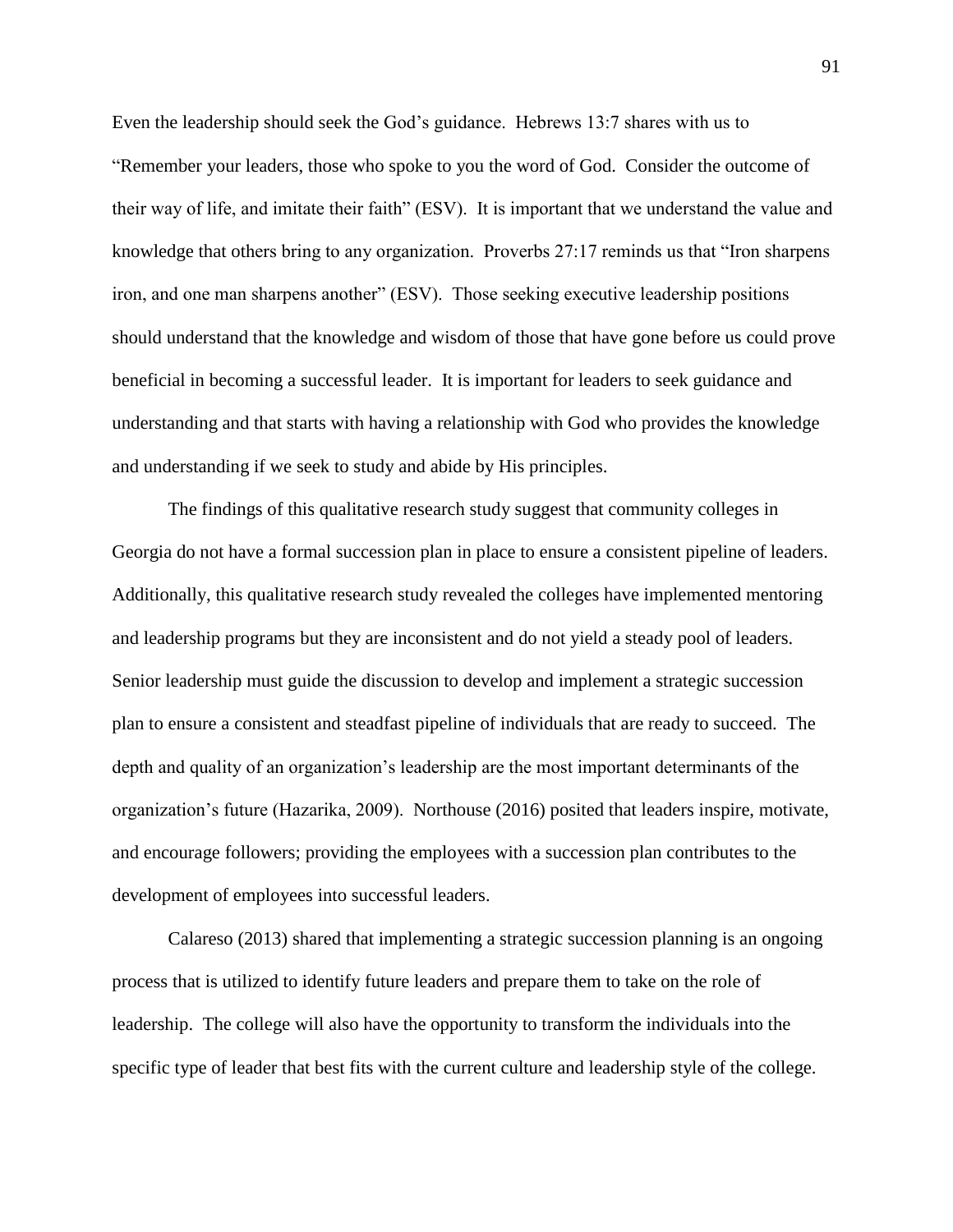Even the leadership should seek the God's guidance. Hebrews 13:7 shares with us to "Remember your leaders, those who spoke to you the word of God. Consider the outcome of their way of life, and imitate their faith" (ESV). It is important that we understand the value and knowledge that others bring to any organization. Proverbs 27:17 reminds us that "Iron sharpens iron, and one man sharpens another" (ESV). Those seeking executive leadership positions should understand that the knowledge and wisdom of those that have gone before us could prove beneficial in becoming a successful leader. It is important for leaders to seek guidance and understanding and that starts with having a relationship with God who provides the knowledge and understanding if we seek to study and abide by His principles.

The findings of this qualitative research study suggest that community colleges in Georgia do not have a formal succession plan in place to ensure a consistent pipeline of leaders. Additionally, this qualitative research study revealed the colleges have implemented mentoring and leadership programs but they are inconsistent and do not yield a steady pool of leaders. Senior leadership must guide the discussion to develop and implement a strategic succession plan to ensure a consistent and steadfast pipeline of individuals that are ready to succeed. The depth and quality of an organization's leadership are the most important determinants of the organization's future (Hazarika, 2009). Northouse (2016) posited that leaders inspire, motivate, and encourage followers; providing the employees with a succession plan contributes to the development of employees into successful leaders.

Calareso (2013) shared that implementing a strategic succession planning is an ongoing process that is utilized to identify future leaders and prepare them to take on the role of leadership. The college will also have the opportunity to transform the individuals into the specific type of leader that best fits with the current culture and leadership style of the college.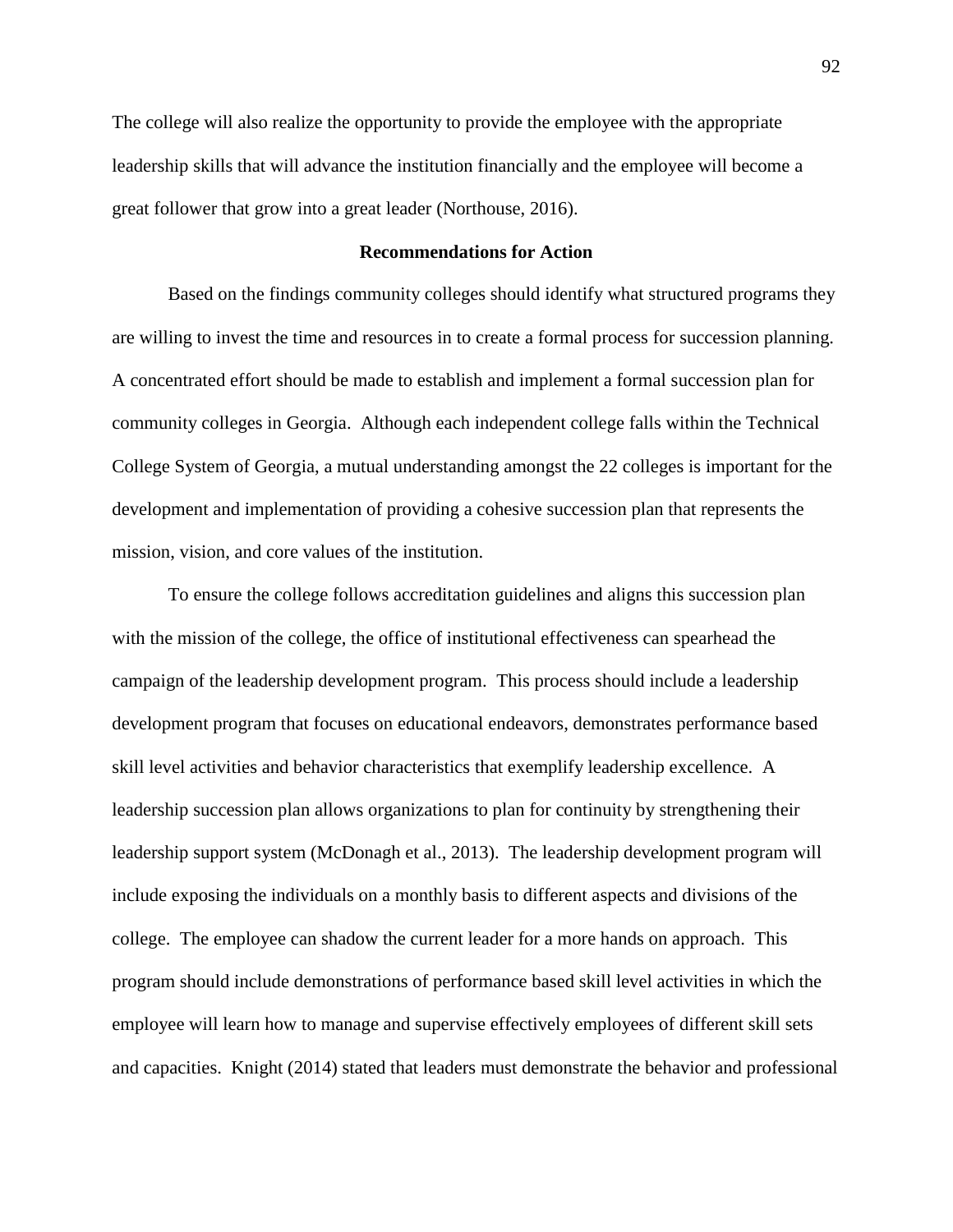The college will also realize the opportunity to provide the employee with the appropriate leadership skills that will advance the institution financially and the employee will become a great follower that grow into a great leader (Northouse, 2016).

# **Recommendations for Action**

Based on the findings community colleges should identify what structured programs they are willing to invest the time and resources in to create a formal process for succession planning. A concentrated effort should be made to establish and implement a formal succession plan for community colleges in Georgia. Although each independent college falls within the Technical College System of Georgia, a mutual understanding amongst the 22 colleges is important for the development and implementation of providing a cohesive succession plan that represents the mission, vision, and core values of the institution.

To ensure the college follows accreditation guidelines and aligns this succession plan with the mission of the college, the office of institutional effectiveness can spearhead the campaign of the leadership development program. This process should include a leadership development program that focuses on educational endeavors, demonstrates performance based skill level activities and behavior characteristics that exemplify leadership excellence. A leadership succession plan allows organizations to plan for continuity by strengthening their leadership support system (McDonagh et al., 2013). The leadership development program will include exposing the individuals on a monthly basis to different aspects and divisions of the college. The employee can shadow the current leader for a more hands on approach. This program should include demonstrations of performance based skill level activities in which the employee will learn how to manage and supervise effectively employees of different skill sets and capacities. Knight (2014) stated that leaders must demonstrate the behavior and professional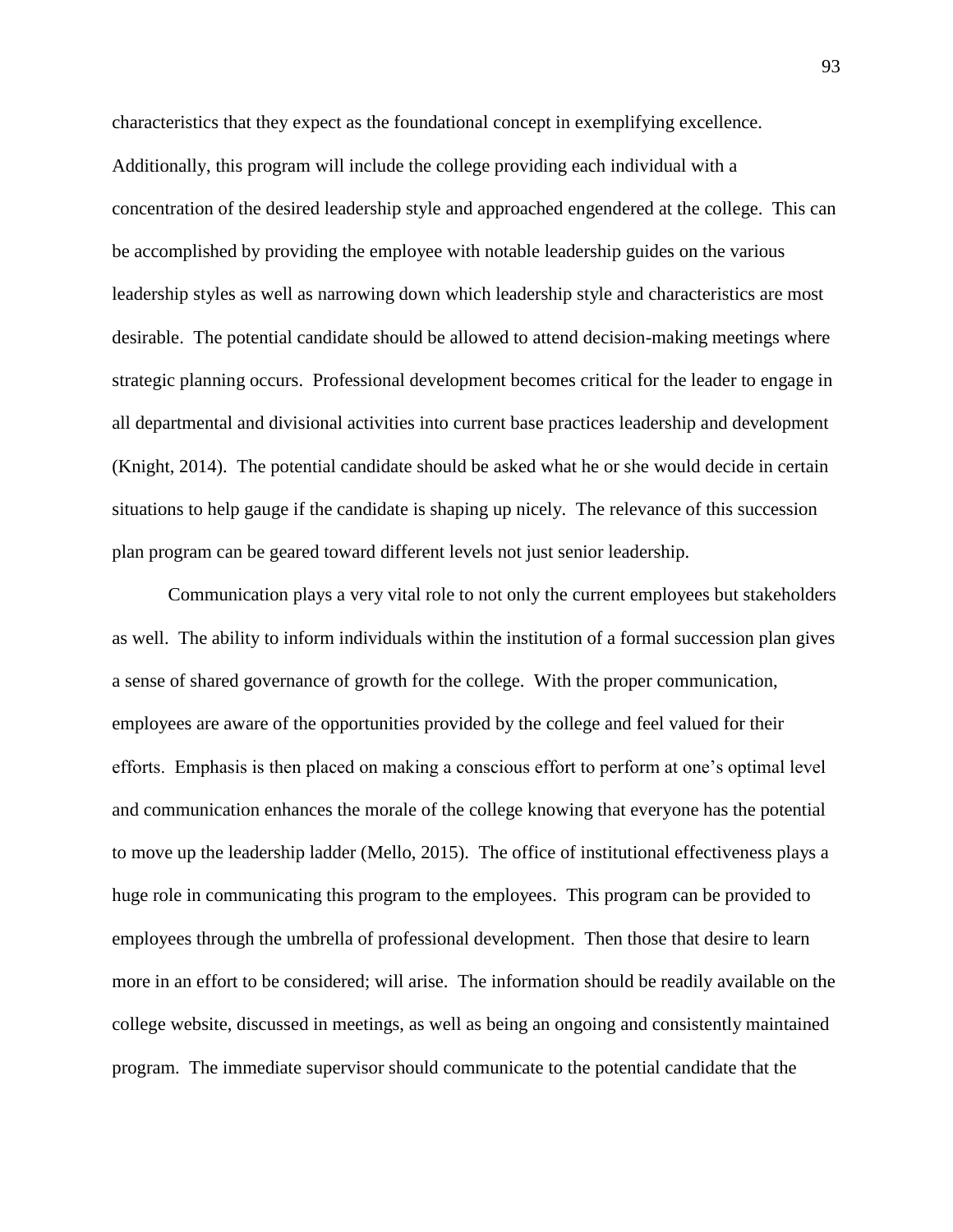characteristics that they expect as the foundational concept in exemplifying excellence. Additionally, this program will include the college providing each individual with a concentration of the desired leadership style and approached engendered at the college. This can be accomplished by providing the employee with notable leadership guides on the various leadership styles as well as narrowing down which leadership style and characteristics are most desirable. The potential candidate should be allowed to attend decision-making meetings where strategic planning occurs. Professional development becomes critical for the leader to engage in all departmental and divisional activities into current base practices leadership and development (Knight, 2014). The potential candidate should be asked what he or she would decide in certain situations to help gauge if the candidate is shaping up nicely. The relevance of this succession plan program can be geared toward different levels not just senior leadership.

Communication plays a very vital role to not only the current employees but stakeholders as well. The ability to inform individuals within the institution of a formal succession plan gives a sense of shared governance of growth for the college. With the proper communication, employees are aware of the opportunities provided by the college and feel valued for their efforts. Emphasis is then placed on making a conscious effort to perform at one's optimal level and communication enhances the morale of the college knowing that everyone has the potential to move up the leadership ladder (Mello, 2015). The office of institutional effectiveness plays a huge role in communicating this program to the employees. This program can be provided to employees through the umbrella of professional development. Then those that desire to learn more in an effort to be considered; will arise. The information should be readily available on the college website, discussed in meetings, as well as being an ongoing and consistently maintained program. The immediate supervisor should communicate to the potential candidate that the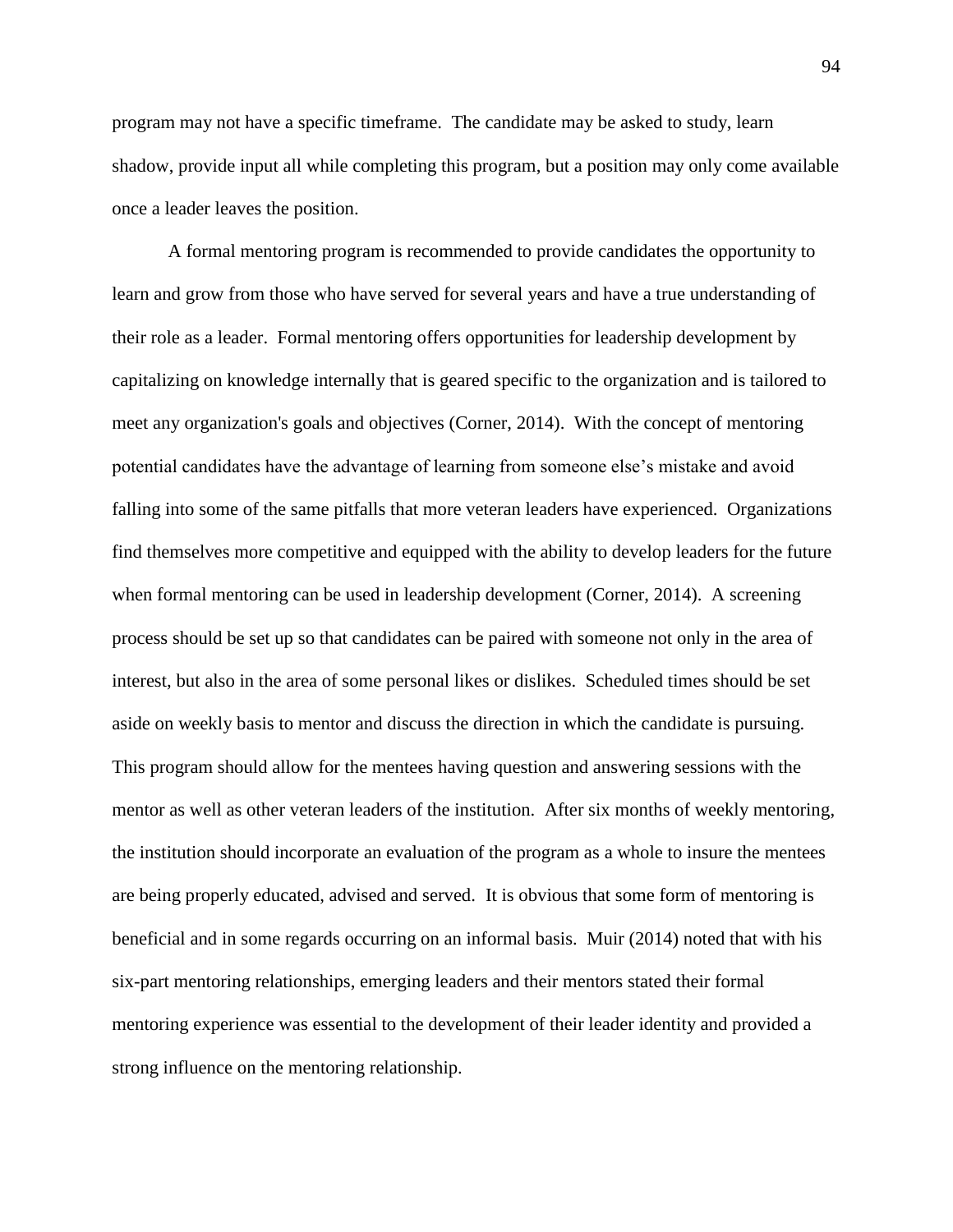program may not have a specific timeframe. The candidate may be asked to study, learn shadow, provide input all while completing this program, but a position may only come available once a leader leaves the position.

A formal mentoring program is recommended to provide candidates the opportunity to learn and grow from those who have served for several years and have a true understanding of their role as a leader. Formal mentoring offers opportunities for leadership development by capitalizing on knowledge internally that is geared specific to the organization and is tailored to meet any organization's goals and objectives (Corner, 2014). With the concept of mentoring potential candidates have the advantage of learning from someone else's mistake and avoid falling into some of the same pitfalls that more veteran leaders have experienced. Organizations find themselves more competitive and equipped with the ability to develop leaders for the future when formal mentoring can be used in leadership development (Corner, 2014). A screening process should be set up so that candidates can be paired with someone not only in the area of interest, but also in the area of some personal likes or dislikes. Scheduled times should be set aside on weekly basis to mentor and discuss the direction in which the candidate is pursuing. This program should allow for the mentees having question and answering sessions with the mentor as well as other veteran leaders of the institution. After six months of weekly mentoring, the institution should incorporate an evaluation of the program as a whole to insure the mentees are being properly educated, advised and served. It is obvious that some form of mentoring is beneficial and in some regards occurring on an informal basis. Muir (2014) noted that with his six-part mentoring relationships, emerging leaders and their mentors stated their formal mentoring experience was essential to the development of their leader identity and provided a strong influence on the mentoring relationship.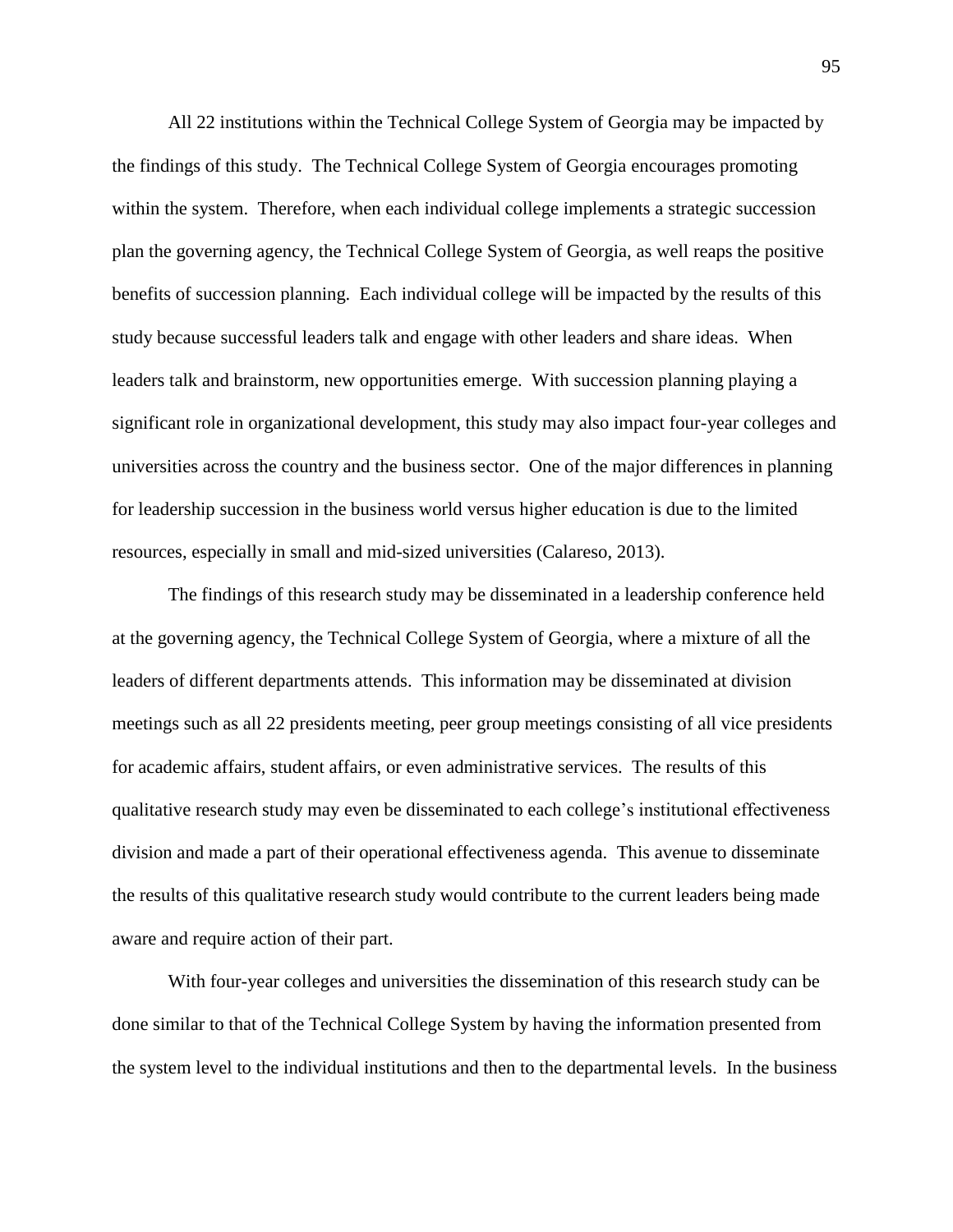All 22 institutions within the Technical College System of Georgia may be impacted by the findings of this study. The Technical College System of Georgia encourages promoting within the system. Therefore, when each individual college implements a strategic succession plan the governing agency, the Technical College System of Georgia, as well reaps the positive benefits of succession planning. Each individual college will be impacted by the results of this study because successful leaders talk and engage with other leaders and share ideas. When leaders talk and brainstorm, new opportunities emerge. With succession planning playing a significant role in organizational development, this study may also impact four-year colleges and universities across the country and the business sector. One of the major differences in planning for leadership succession in the business world versus higher education is due to the limited resources, especially in small and mid-sized universities (Calareso, 2013).

The findings of this research study may be disseminated in a leadership conference held at the governing agency, the Technical College System of Georgia, where a mixture of all the leaders of different departments attends. This information may be disseminated at division meetings such as all 22 presidents meeting, peer group meetings consisting of all vice presidents for academic affairs, student affairs, or even administrative services. The results of this qualitative research study may even be disseminated to each college's institutional effectiveness division and made a part of their operational effectiveness agenda. This avenue to disseminate the results of this qualitative research study would contribute to the current leaders being made aware and require action of their part.

With four-year colleges and universities the dissemination of this research study can be done similar to that of the Technical College System by having the information presented from the system level to the individual institutions and then to the departmental levels. In the business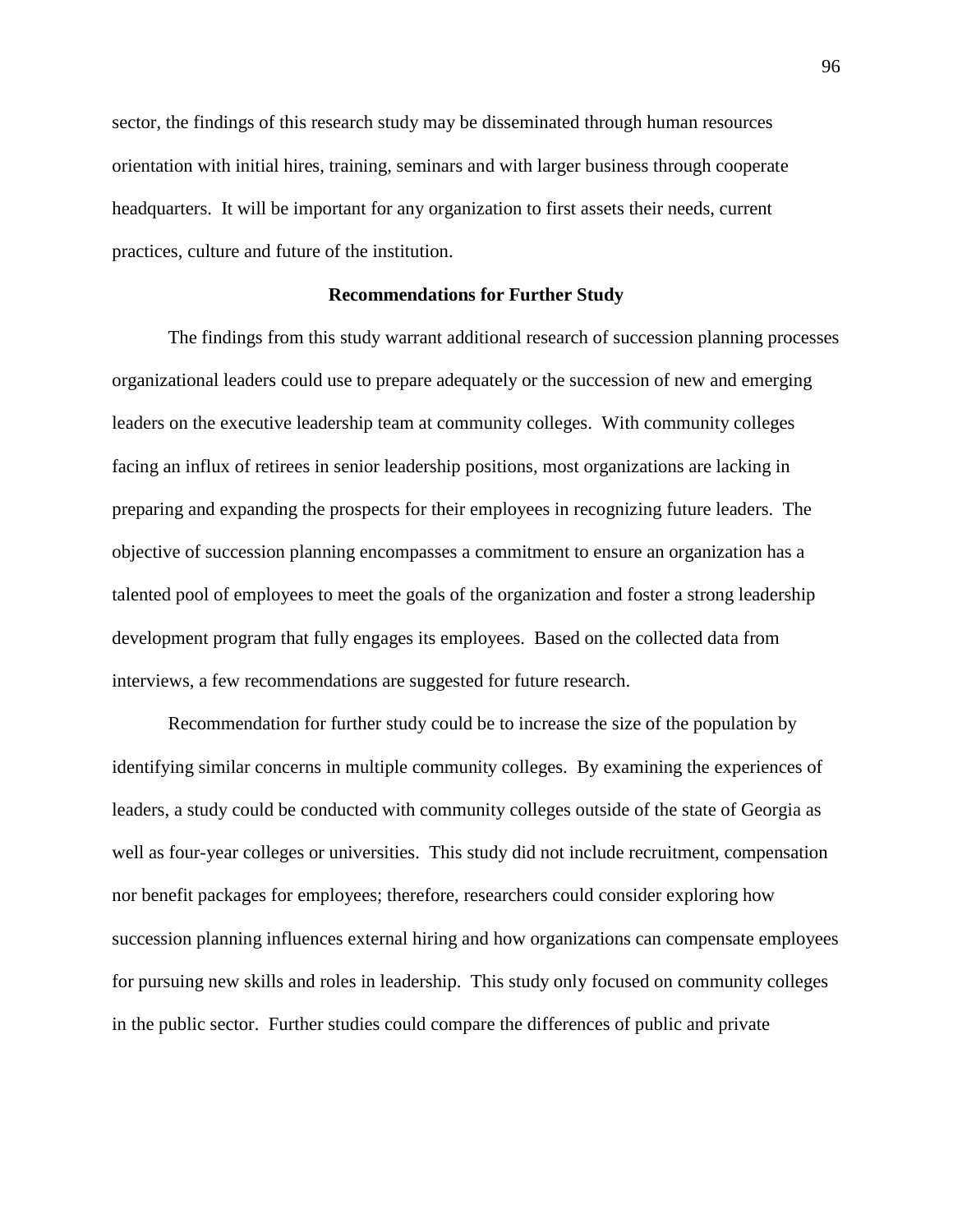sector, the findings of this research study may be disseminated through human resources orientation with initial hires, training, seminars and with larger business through cooperate headquarters. It will be important for any organization to first assets their needs, current practices, culture and future of the institution.

# **Recommendations for Further Study**

The findings from this study warrant additional research of succession planning processes organizational leaders could use to prepare adequately or the succession of new and emerging leaders on the executive leadership team at community colleges. With community colleges facing an influx of retirees in senior leadership positions, most organizations are lacking in preparing and expanding the prospects for their employees in recognizing future leaders. The objective of succession planning encompasses a commitment to ensure an organization has a talented pool of employees to meet the goals of the organization and foster a strong leadership development program that fully engages its employees. Based on the collected data from interviews, a few recommendations are suggested for future research.

Recommendation for further study could be to increase the size of the population by identifying similar concerns in multiple community colleges. By examining the experiences of leaders, a study could be conducted with community colleges outside of the state of Georgia as well as four-year colleges or universities. This study did not include recruitment, compensation nor benefit packages for employees; therefore, researchers could consider exploring how succession planning influences external hiring and how organizations can compensate employees for pursuing new skills and roles in leadership. This study only focused on community colleges in the public sector. Further studies could compare the differences of public and private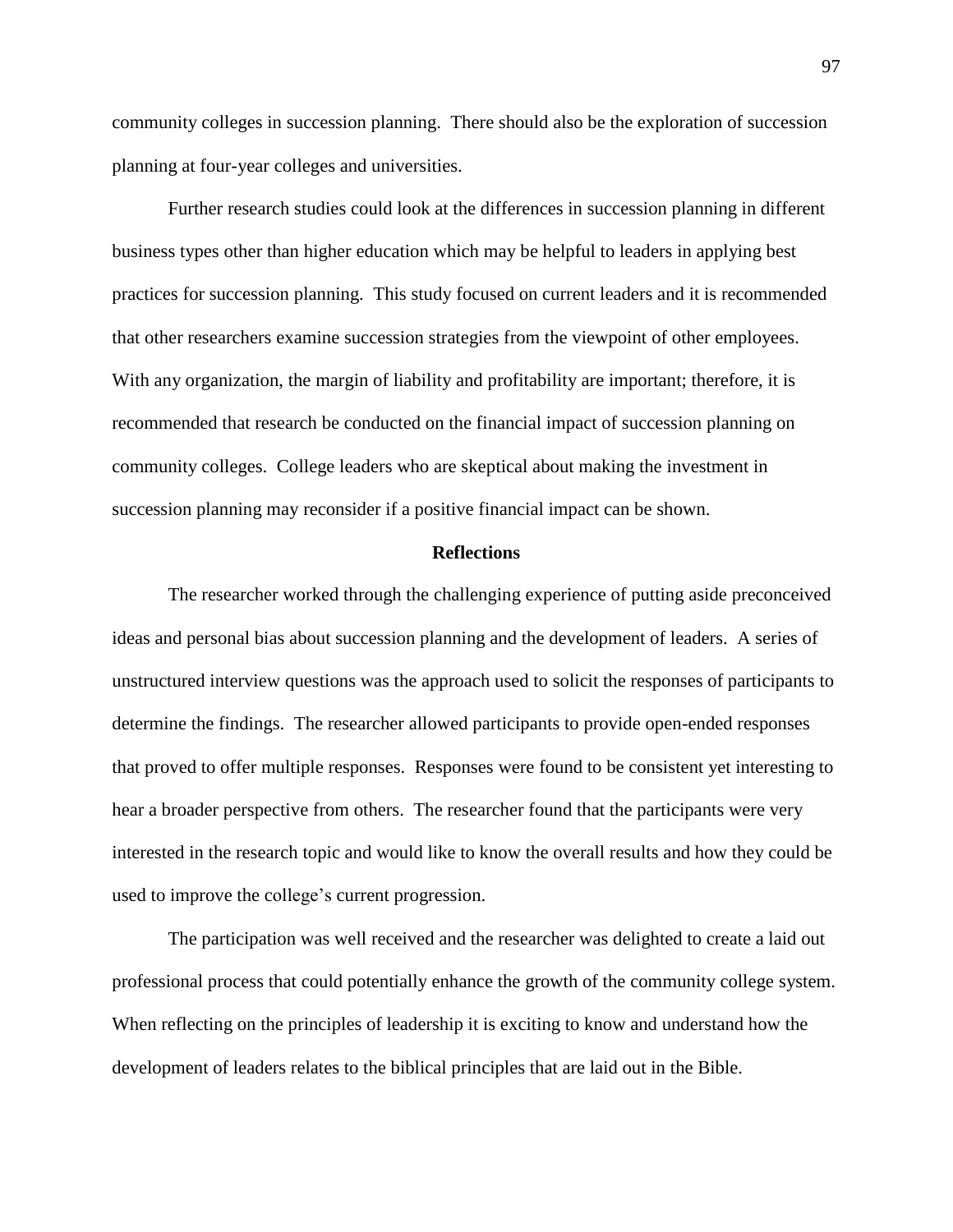community colleges in succession planning. There should also be the exploration of succession planning at four-year colleges and universities.

Further research studies could look at the differences in succession planning in different business types other than higher education which may be helpful to leaders in applying best practices for succession planning. This study focused on current leaders and it is recommended that other researchers examine succession strategies from the viewpoint of other employees. With any organization, the margin of liability and profitability are important; therefore, it is recommended that research be conducted on the financial impact of succession planning on community colleges. College leaders who are skeptical about making the investment in succession planning may reconsider if a positive financial impact can be shown.

# **Reflections**

The researcher worked through the challenging experience of putting aside preconceived ideas and personal bias about succession planning and the development of leaders. A series of unstructured interview questions was the approach used to solicit the responses of participants to determine the findings. The researcher allowed participants to provide open-ended responses that proved to offer multiple responses. Responses were found to be consistent yet interesting to hear a broader perspective from others. The researcher found that the participants were very interested in the research topic and would like to know the overall results and how they could be used to improve the college's current progression.

The participation was well received and the researcher was delighted to create a laid out professional process that could potentially enhance the growth of the community college system. When reflecting on the principles of leadership it is exciting to know and understand how the development of leaders relates to the biblical principles that are laid out in the Bible.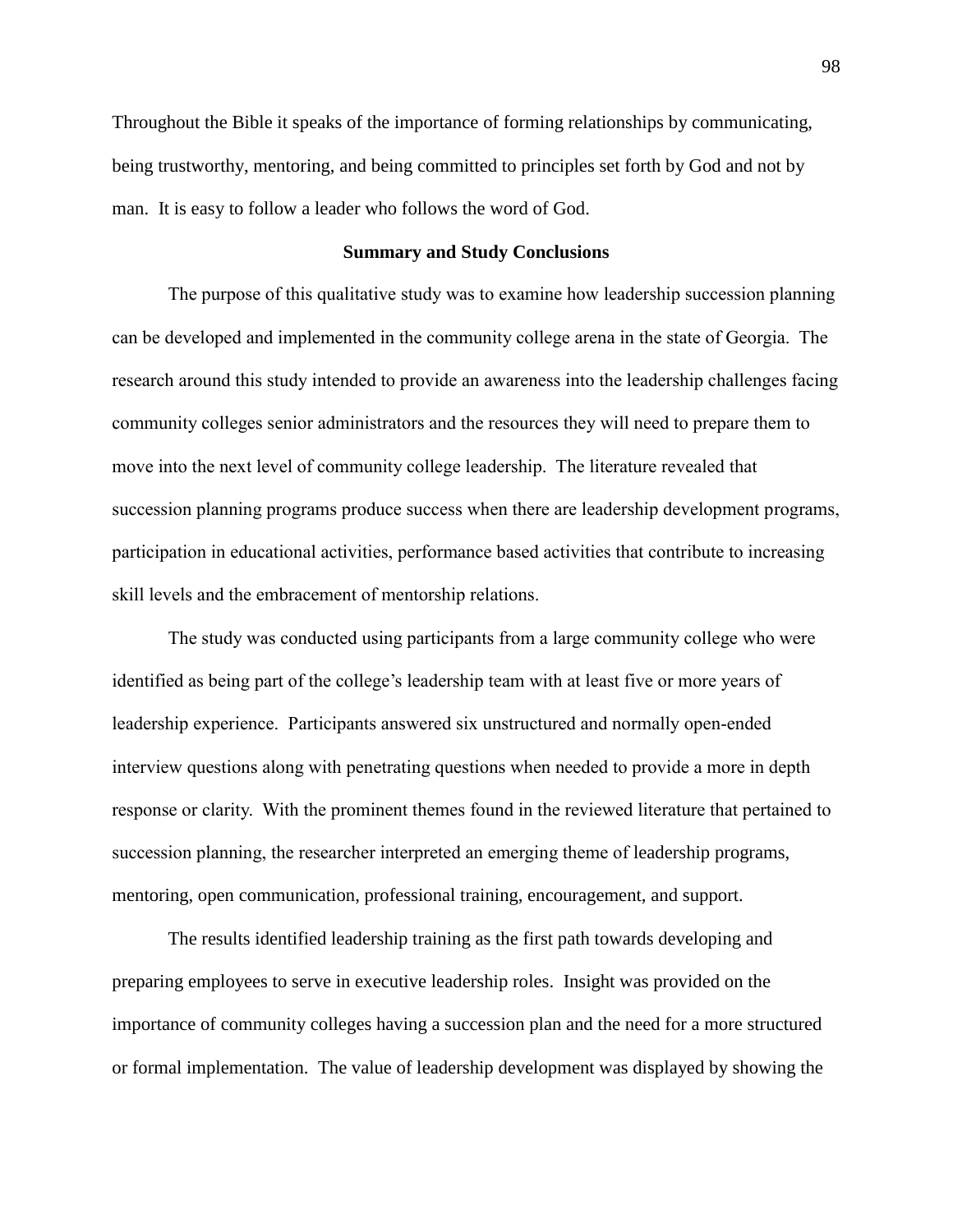Throughout the Bible it speaks of the importance of forming relationships by communicating, being trustworthy, mentoring, and being committed to principles set forth by God and not by man. It is easy to follow a leader who follows the word of God.

# **Summary and Study Conclusions**

The purpose of this qualitative study was to examine how leadership succession planning can be developed and implemented in the community college arena in the state of Georgia. The research around this study intended to provide an awareness into the leadership challenges facing community colleges senior administrators and the resources they will need to prepare them to move into the next level of community college leadership. The literature revealed that succession planning programs produce success when there are leadership development programs, participation in educational activities, performance based activities that contribute to increasing skill levels and the embracement of mentorship relations.

The study was conducted using participants from a large community college who were identified as being part of the college's leadership team with at least five or more years of leadership experience. Participants answered six unstructured and normally open-ended interview questions along with penetrating questions when needed to provide a more in depth response or clarity. With the prominent themes found in the reviewed literature that pertained to succession planning, the researcher interpreted an emerging theme of leadership programs, mentoring, open communication, professional training, encouragement, and support.

The results identified leadership training as the first path towards developing and preparing employees to serve in executive leadership roles. Insight was provided on the importance of community colleges having a succession plan and the need for a more structured or formal implementation. The value of leadership development was displayed by showing the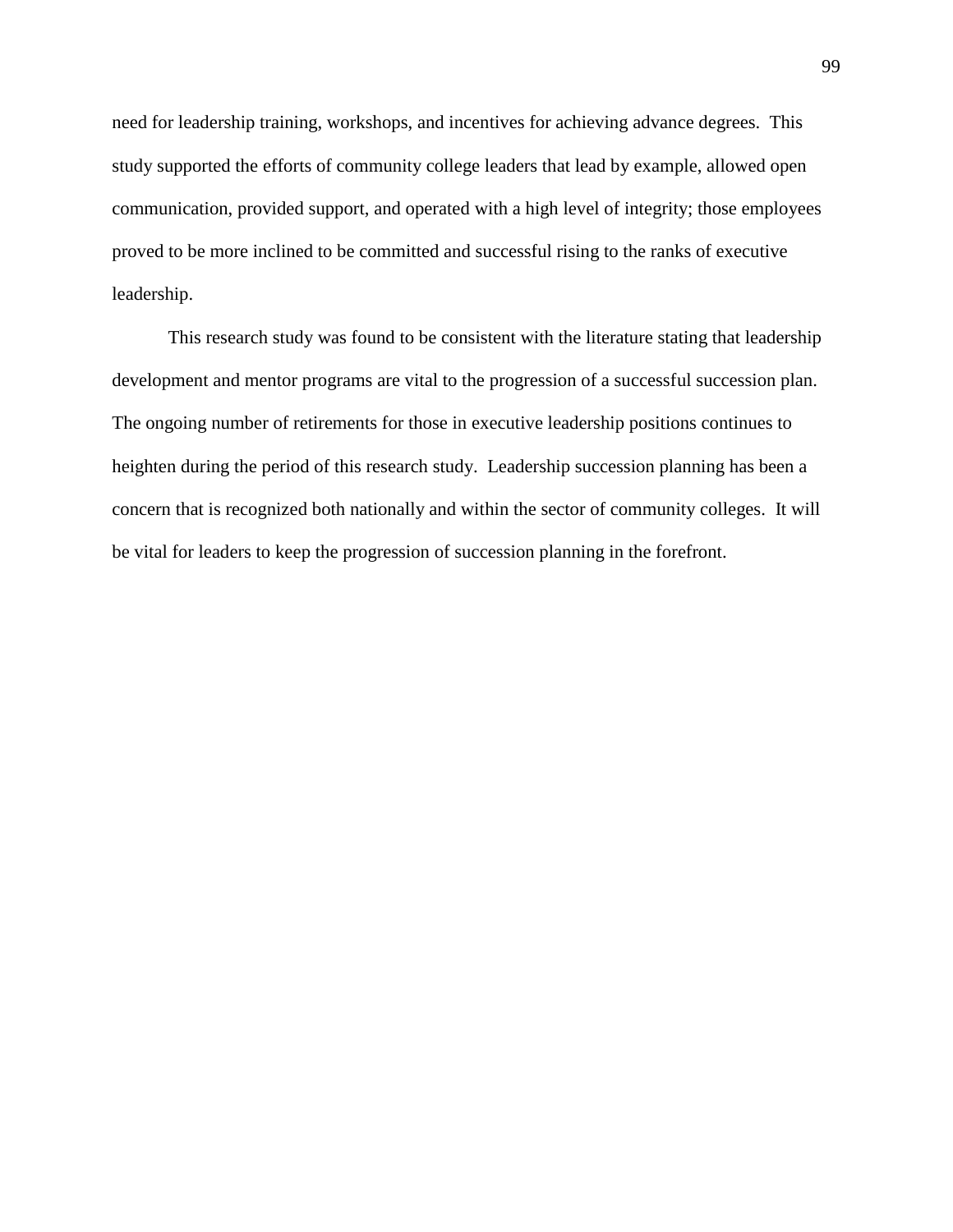need for leadership training, workshops, and incentives for achieving advance degrees. This study supported the efforts of community college leaders that lead by example, allowed open communication, provided support, and operated with a high level of integrity; those employees proved to be more inclined to be committed and successful rising to the ranks of executive leadership.

This research study was found to be consistent with the literature stating that leadership development and mentor programs are vital to the progression of a successful succession plan. The ongoing number of retirements for those in executive leadership positions continues to heighten during the period of this research study. Leadership succession planning has been a concern that is recognized both nationally and within the sector of community colleges. It will be vital for leaders to keep the progression of succession planning in the forefront.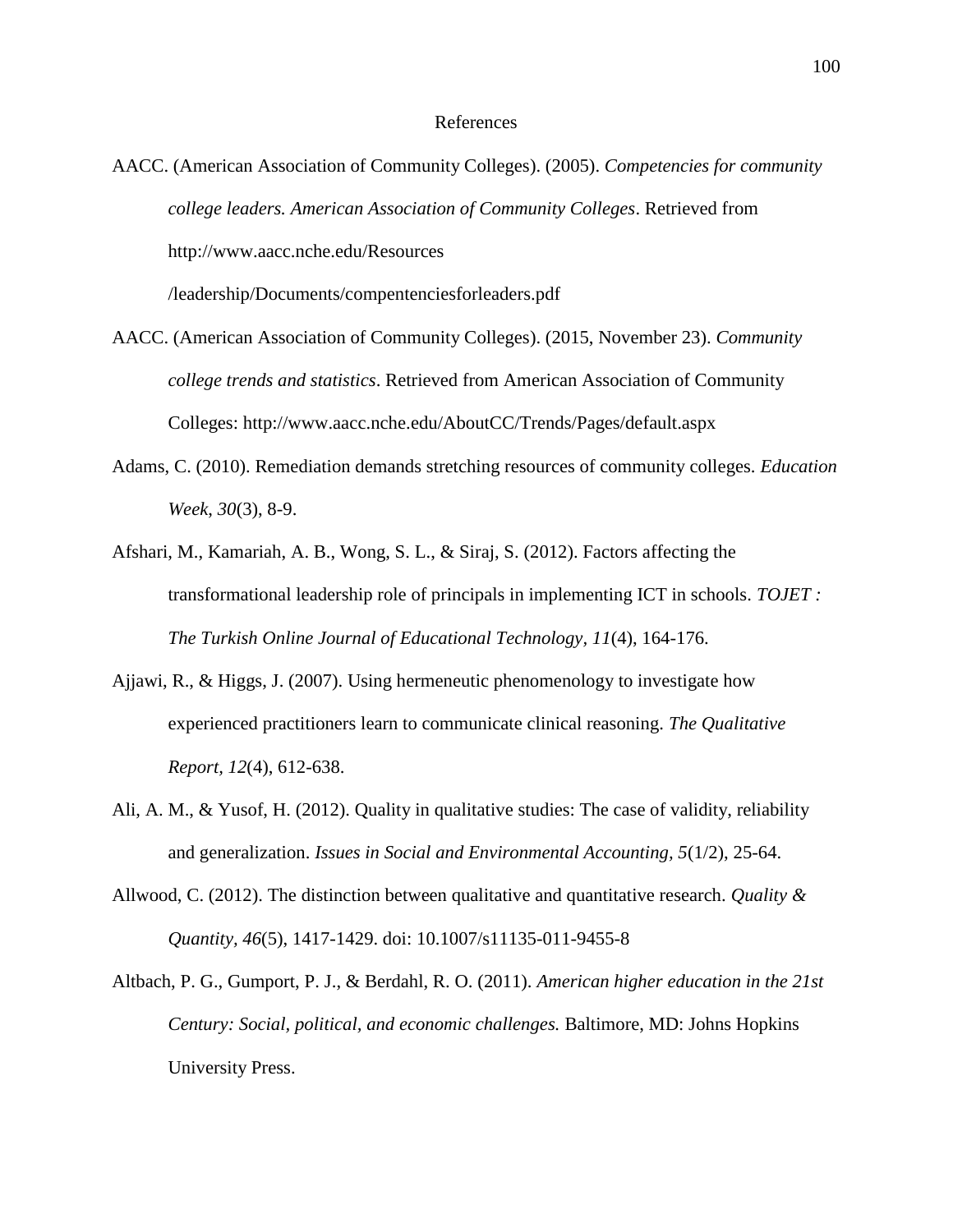### References

AACC. (American Association of Community Colleges). (2005). *Competencies for community college leaders. American Association of Community Colleges*. Retrieved from <http://www.aacc.nche.edu/Resources>

/leadership/Documents/compentenciesforleaders.pdf

- AACC. (American Association of Community Colleges). (2015, November 23). *Community college trends and statistics*. Retrieved from American Association of Community Colleges: [http://www.aacc.nche.](http://www.aacc.nche/)edu/AboutCC/Trends/Pages/default.aspx
- Adams, C. (2010). Remediation demands stretching resources of community colleges. *Education Week*, *30*(3), 8-9.
- Afshari, M., Kamariah, A. B., Wong, S. L., & Siraj, S. (2012). Factors affecting the transformational leadership role of principals in implementing ICT in schools. *TOJET : The Turkish Online Journal of Educational Technology, 11*(4), 164-176.
- Ajjawi, R., & Higgs, J. (2007). Using hermeneutic phenomenology to investigate how experienced practitioners learn to communicate clinical reasoning. *The Qualitative Report, 12*(4), 612-638.
- Ali, A. M., & Yusof, H. (2012). Quality in qualitative studies: The case of validity, reliability and generalization. *Issues in Social and Environmental Accounting, 5*(1/2), 25-64.
- Allwood, C. (2012). The distinction between qualitative and quantitative research. *Quality & Quantity, 46*(5), 1417-1429. doi: 10.1007/s11135-011-9455-8
- Altbach, P. G., Gumport, P. J., & Berdahl, R. O. (2011). *American higher education in the 21st Century: Social, political, and economic challenges.* Baltimore, MD: Johns Hopkins University Press.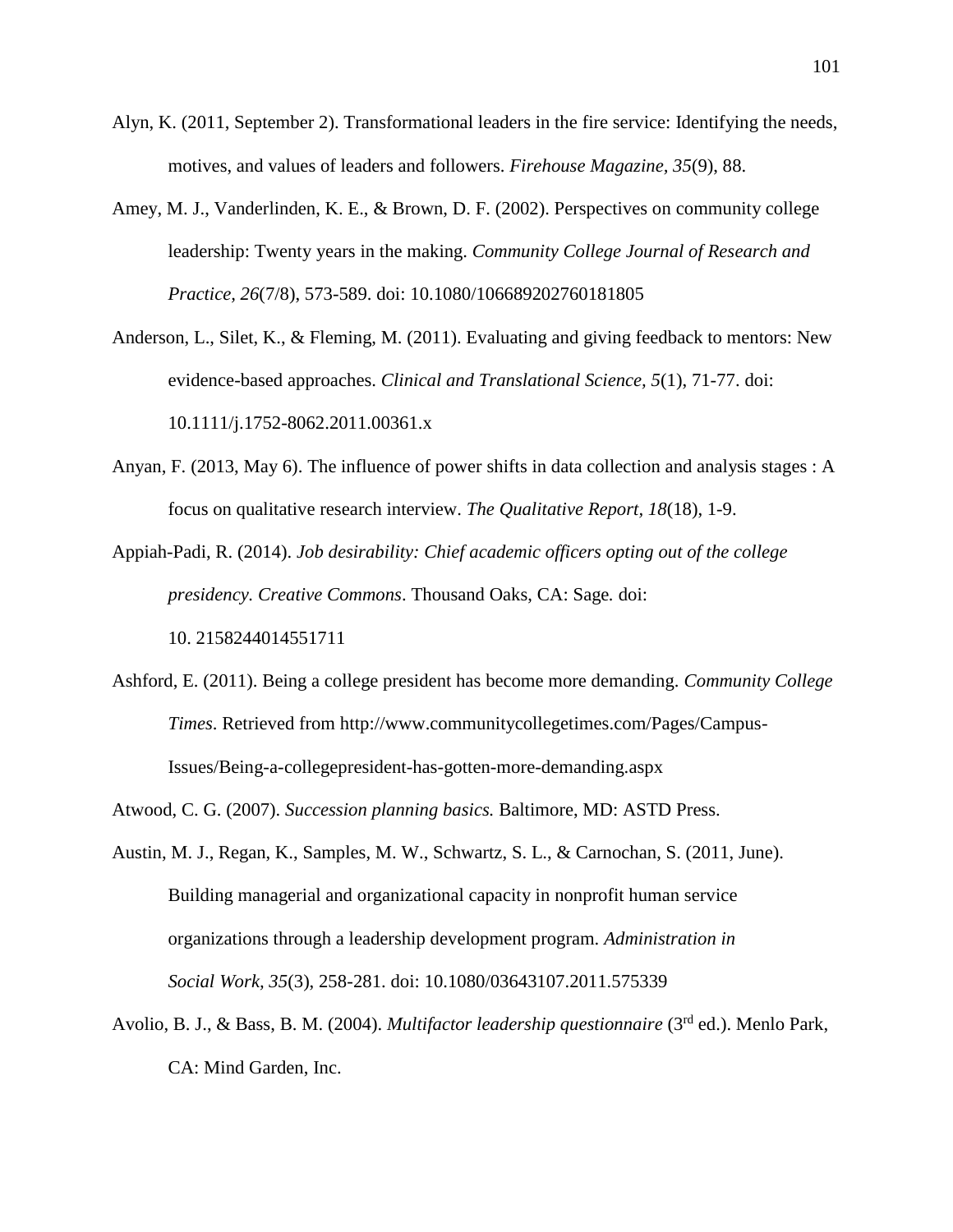- Alyn, K. (2011, September 2). Transformational leaders in the fire service: Identifying the needs, motives, and values of leaders and followers. *Firehouse Magazine, 35*(9), 88.
- Amey, M. J., Vanderlinden, K. E., & Brown, D. F. (2002). Perspectives on community college leadership: Twenty years in the making. *Community College Journal of Research and Practice, 26*(7/8), 573-589. doi: 10.1080/106689202760181805
- Anderson, L., Silet, K., & Fleming, M. (2011). Evaluating and giving feedback to mentors: New evidence-based approaches. *Clinical and Translational Science, 5*(1), 71-77. doi: 10.1111/j.1752-8062.2011.00361.x
- Anyan, F. (2013, May 6). The influence of power shifts in data collection and analysis stages : A focus on qualitative research interview. *The Qualitative Report, 18*(18), 1-9.
- Appiah-Padi, R. (2014). *Job desirability: Chief academic officers opting out of the college presidency. Creative Commons*. Thousand Oaks, CA: Sage*.* doi: 10. 2158244014551711
- Ashford, E. (2011). Being a college president has become more demanding. *Community College Times*. Retrieved from [http://www.communitycollegetimes.](http://www.communitycollegetimes/)com/Pages/Campus-Issues/Being-a-collegepresident-has-gotten-more-demanding.aspx
- Atwood, C. G. (2007). *Succession planning basics.* Baltimore, MD: ASTD Press.
- Austin, M. J., Regan, K., Samples, M. W., Schwartz, S. L., & Carnochan, S. (2011, June). Building managerial and organizational capacity in nonprofit human service organizations through a leadership development program. *Administration in Social Work, 35*(3), 258-281. doi: 10.1080/03643107.2011.575339
- Avolio, B. J., & Bass, B. M. (2004). *Multifactor leadership questionnaire* (3rd ed.). Menlo Park, CA: Mind Garden, Inc.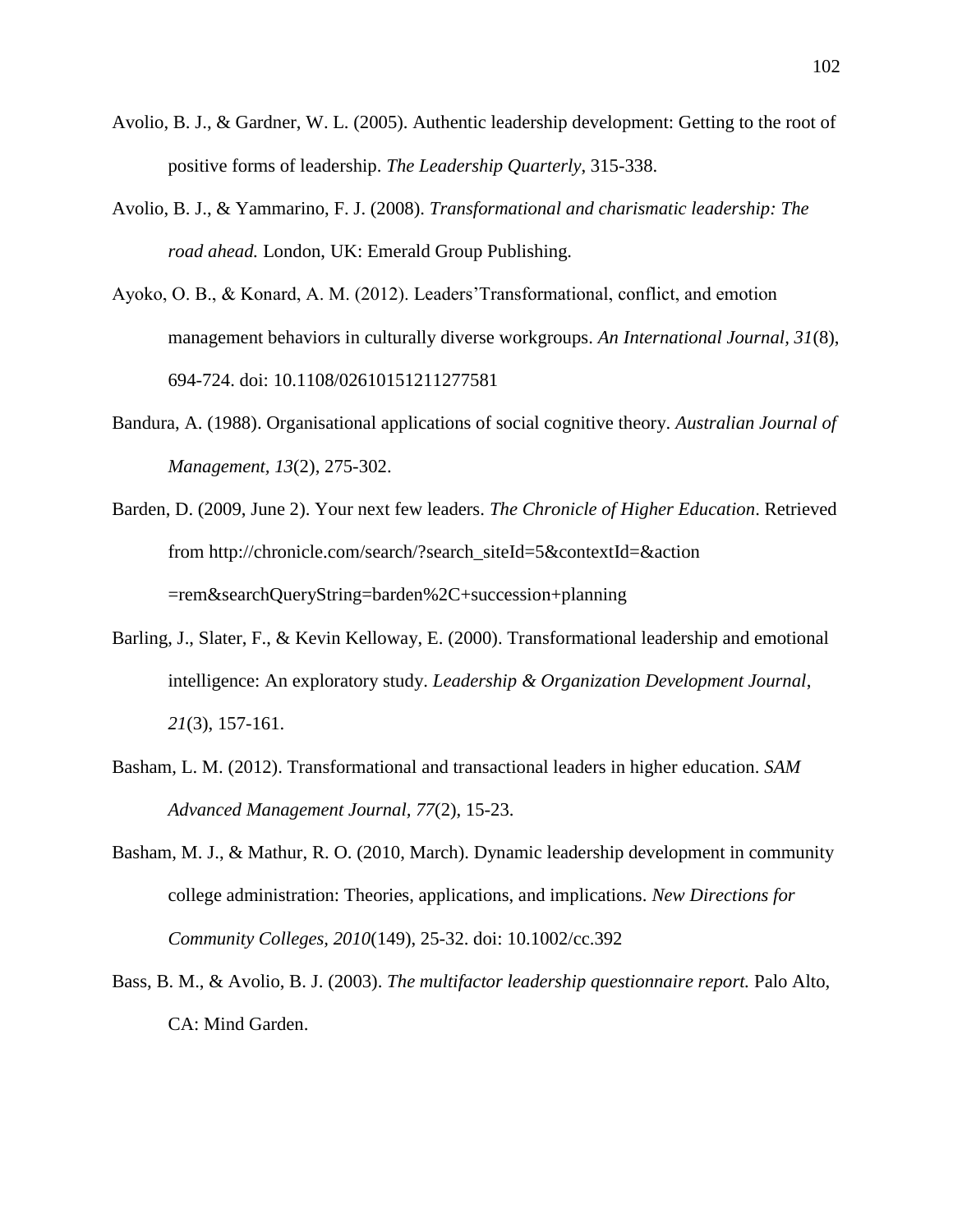- Avolio, B. J., & Gardner, W. L. (2005). Authentic leadership development: Getting to the root of positive forms of leadership. *The Leadership Quarterly*, 315-338.
- Avolio, B. J., & Yammarino, F. J. (2008). *Transformational and charismatic leadership: The road ahead.* London, UK: Emerald Group Publishing.
- Ayoko, O. B., & Konard, A. M. (2012). Leaders'Transformational, conflict, and emotion management behaviors in culturally diverse workgroups. *An International Journal, 31*(8), 694-724. doi: 10.1108/02610151211277581
- Bandura, A. (1988). Organisational applications of social cognitive theory. *Australian Journal of Management, 13*(2), 275-302.
- Barden, D. (2009, June 2). Your next few leaders. *The Chronicle of Higher Education*. Retrieved from http://chronicle.com/search/?search\_siteId=5&contextId=&action =rem&searchQueryString=barden%2C+succession+planning
- Barling, J., Slater, F., & Kevin Kelloway, E. (2000). Transformational leadership and emotional intelligence: An exploratory study. *Leadership & Organization Development Journal*, *21*(3), 157-161.
- Basham, L. M. (2012). Transformational and transactional leaders in higher education. *SAM Advanced Management Journal, 77*(2), 15-23.
- Basham, M. J., & Mathur, R. O. (2010, March). Dynamic leadership development in community college administration: Theories, applications, and implications. *New Directions for Community Colleges, 2010*(149), 25-32. doi: 10.1002/cc.392
- Bass, B. M., & Avolio, B. J. (2003). *The multifactor leadership questionnaire report.* Palo Alto, CA: Mind Garden.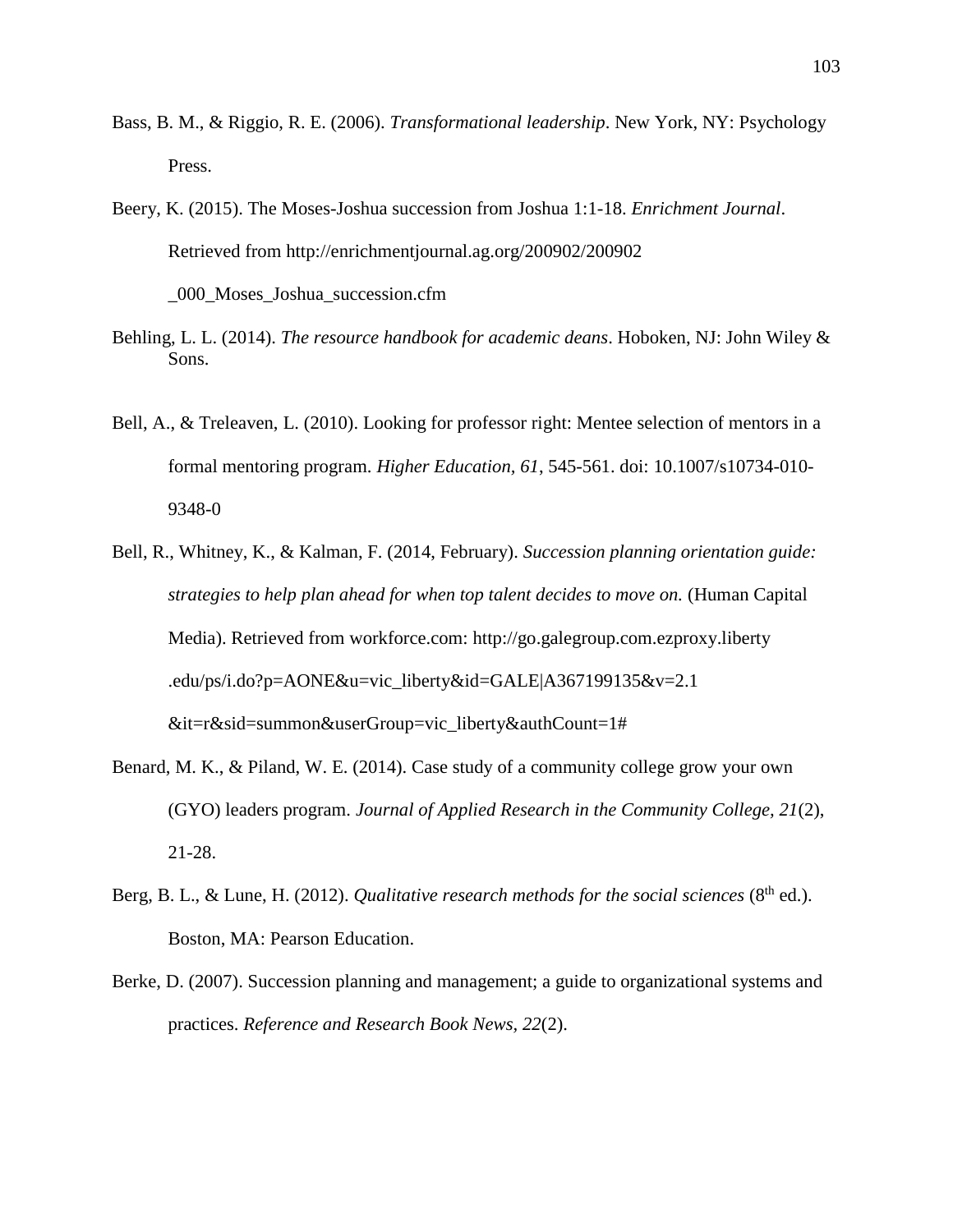- Bass, B. M., & Riggio, R. E. (2006). *Transformational leadership*. New York, NY: Psychology Press.
- Beery, K. (2015). The Moses-Joshua succession from Joshua 1:1-18. *Enrichment Journal*. Retrieved from<http://enrichmentjournal.ag.org/200902/200902> \_000\_Moses\_Joshua\_succession.cfm
- Behling, L. L. (2014). *The resource handbook for academic deans*. Hoboken, NJ: John Wiley & Sons.
- Bell, A., & Treleaven, L. (2010). Looking for professor right: Mentee selection of mentors in a formal mentoring program. *Higher Education, 61*, 545-561. doi: 10.1007/s10734-010- 9348-0
- Bell, R., Whitney, K., & Kalman, F. (2014, February). *Succession planning orientation guide: strategies to help plan ahead for when top talent decides to move on.* (Human Capital Media). Retrieved from workforce.com: [http://go.](http://go/)galegroup.com.ezproxy.liberty .edu/ps/i.do?p=AONE&u=vic\_liberty&id=GALE|A367199135&v=2.1 &it=r&sid=summon&userGroup=vic\_liberty&authCount=1#
- Benard, M. K., & Piland, W. E. (2014). Case study of a community college grow your own (GYO) leaders program. *Journal of Applied Research in the Community College, 21*(2), 21-28.
- Berg, B. L., & Lune, H. (2012). *Qualitative research methods for the social sciences* (8<sup>th</sup> ed.). Boston, MA: Pearson Education.
- Berke, D. (2007). Succession planning and management; a guide to organizational systems and practices. *Reference and Research Book News, 22*(2).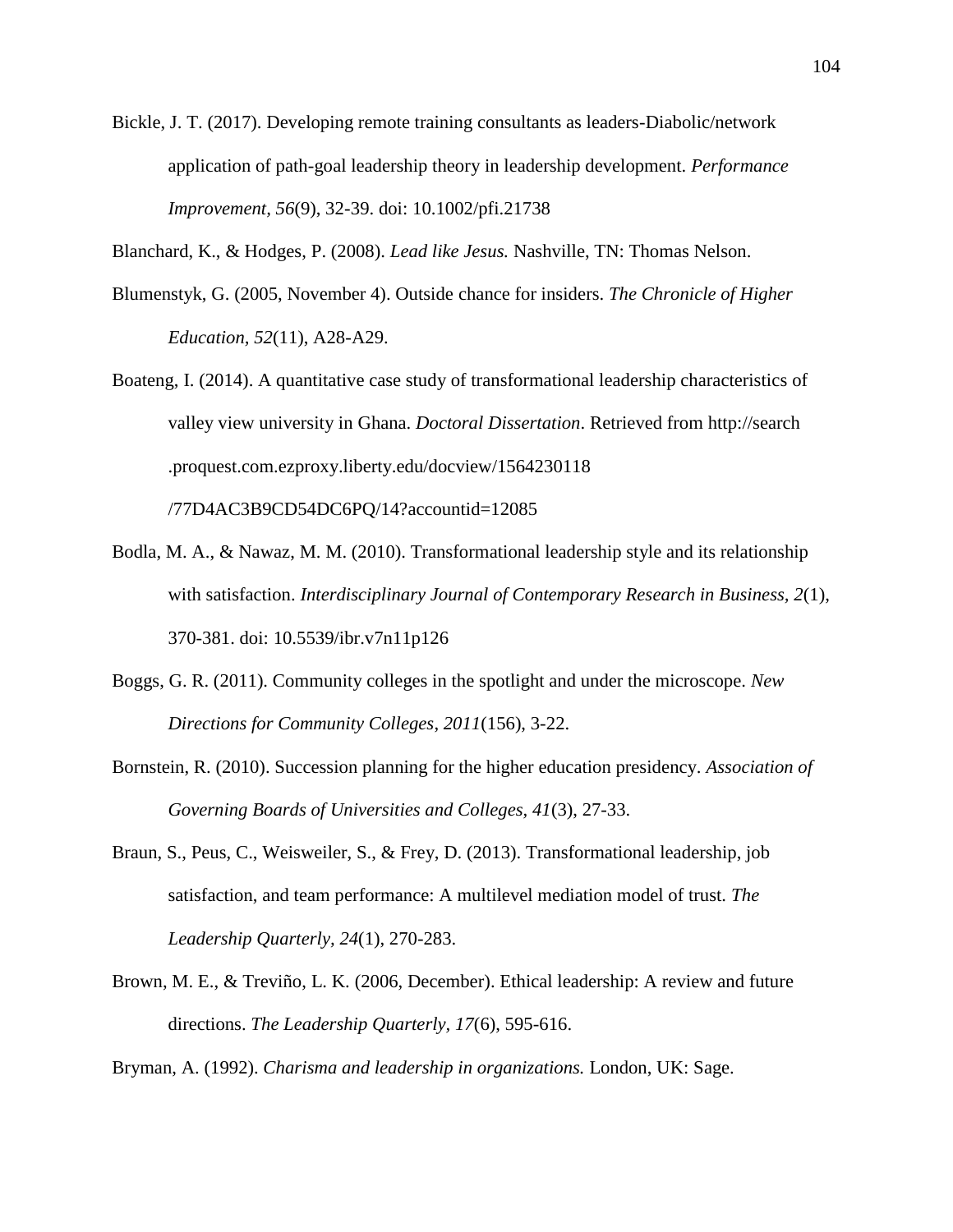Bickle, J. T. (2017). Developing remote training consultants as leaders-Diabolic/network application of path-goal leadership theory in leadership development. *Performance Improvement, 56*(9), 32-39. doi: 10.1002/pfi.21738

Blanchard, K., & Hodges, P. (2008). *Lead like Jesus.* Nashville, TN: Thomas Nelson.

- Blumenstyk, G. (2005, November 4). Outside chance for insiders. *The Chronicle of Higher Education, 52*(11), A28-A29.
- Boateng, I. (2014). A quantitative case study of transformational leadership characteristics of valley view university in Ghana. *Doctoral Dissertation*. Retrieved from http://search .proquest.com.ezproxy.liberty.edu/docview/1564230118 /77D4AC3B9CD54DC6PQ/14?accountid=12085
- Bodla, M. A., & Nawaz, M. M. (2010). Transformational leadership style and its relationship with satisfaction. *Interdisciplinary Journal of Contemporary Research in Business, 2*(1), 370-381. doi: 10.5539/ibr.v7n11p126
- Boggs, G. R. (2011). Community colleges in the spotlight and under the microscope. *New Directions for Community Colleges*, *2011*(156), 3-22.
- Bornstein, R. (2010). Succession planning for the higher education presidency. *Association of Governing Boards of Universities and Colleges, 41*(3), 27-33.
- Braun, S., Peus, C., Weisweiler, S., & Frey, D. (2013). Transformational leadership, job satisfaction, and team performance: A multilevel mediation model of trust. *The Leadership Quarterly, 24*(1), 270-283.
- Brown, M. E., & Treviño, L. K. (2006, December). Ethical leadership: A review and future directions. *The Leadership Quarterly, 17*(6), 595-616.

Bryman, A. (1992). *Charisma and leadership in organizations.* London, UK: Sage.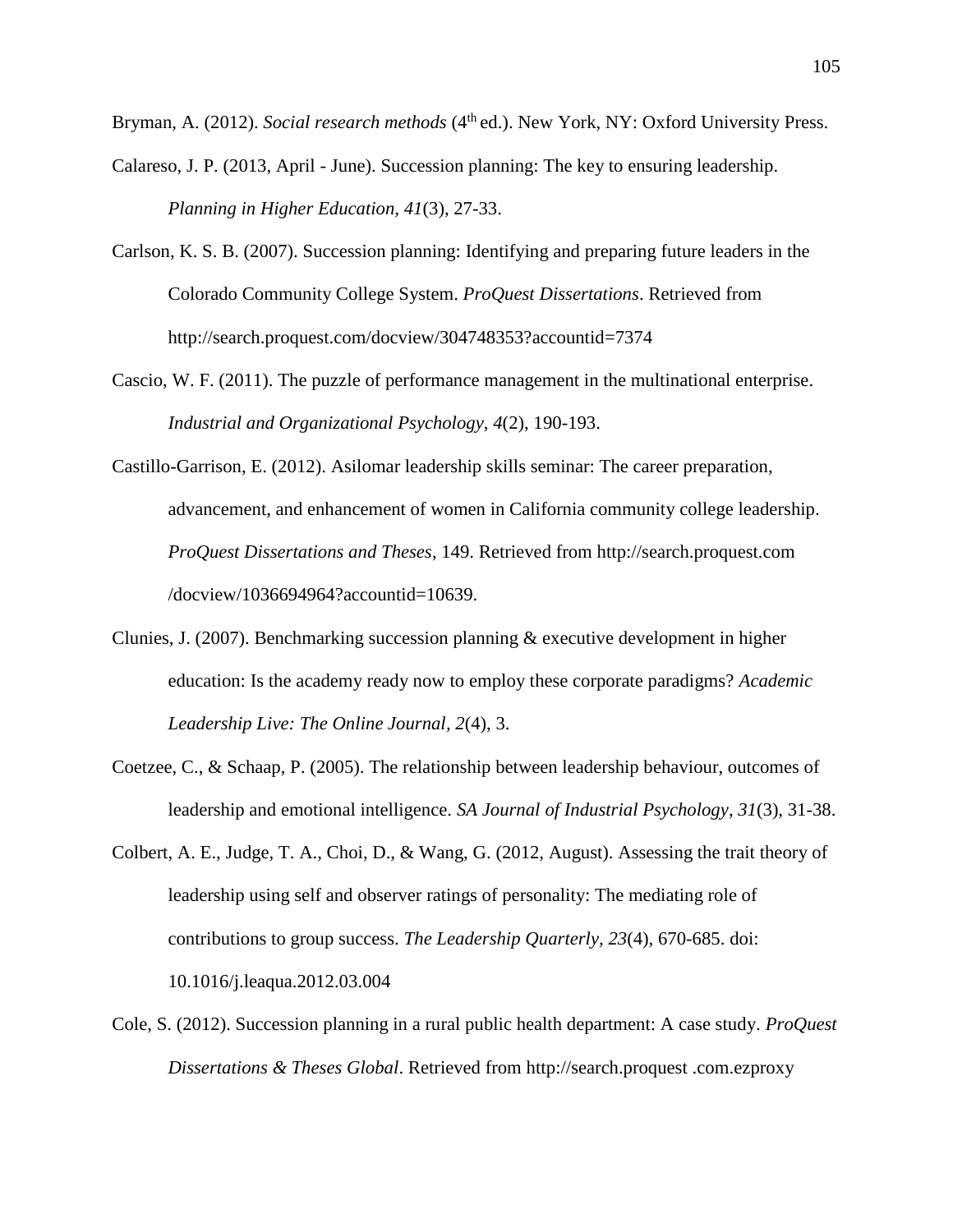Bryman, A. (2012). *Social research methods* (4<sup>th</sup> ed.). New York, NY: Oxford University Press.

- Calareso, J. P. (2013, April June). Succession planning: The key to ensuring leadership. *Planning in Higher Education, 41*(3), 27-33.
- Carlson, K. S. B. (2007). Succession planning: Identifying and preparing future leaders in the Colorado Community College System. *ProQuest Dissertations*. Retrieved from [http://search.proquest.com/docview/304748353?accountid=](http://search.proquest.com/docview/304748353?accountid)7374
- Cascio, W. F. (2011). The puzzle of performance management in the multinational enterprise. *Industrial and Organizational Psychology*, *4*(2), 190-193.
- Castillo-Garrison, E. (2012). Asilomar leadership skills seminar: The career preparation, advancement, and enhancement of women in California community college leadership. *ProQuest Dissertations and Theses*, 149. Retrieved from [http://search.proquest.com](http://search.proquest.com/) /docview/1036694964?accountid=10639.
- Clunies, J. (2007). Benchmarking succession planning & executive development in higher education: Is the academy ready now to employ these corporate paradigms? *Academic Leadership Live: The Online Journal, 2*(4), 3.
- Coetzee, C., & Schaap, P. (2005). The relationship between leadership behaviour, outcomes of leadership and emotional intelligence. *SA Journal of Industrial Psychology*, *31*(3), 31-38.
- Colbert, A. E., Judge, T. A., Choi, D., & Wang, G. (2012, August). Assessing the trait theory of leadership using self and observer ratings of personality: The mediating role of contributions to group success. *The Leadership Quarterly, 23*(4), 670-685. doi: 10.1016/j.leaqua.2012.03.004
- Cole, S. (2012). Succession planning in a rural public health department: A case study. *ProQuest Dissertations & Theses Global*. Retrieved from [http://search.proquest](http://search.proquest/) .com.ezproxy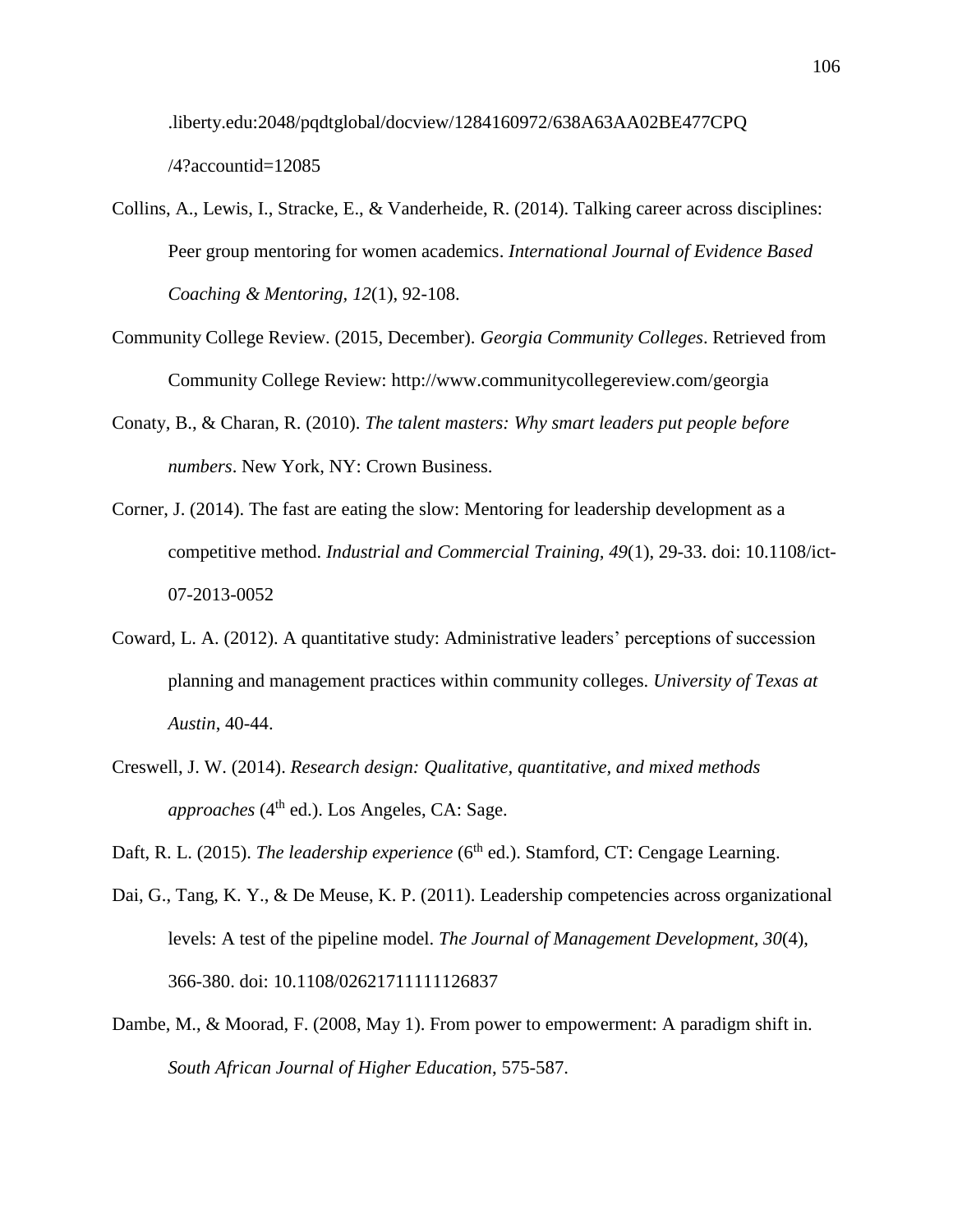.liberty.edu:2048/pqdtglobal/docview/1284160972/638A63AA02BE477CPQ /4?accountid=12085

- Collins, A., Lewis, I., Stracke, E., & Vanderheide, R. (2014). Talking career across disciplines: Peer group mentoring for women academics. *International Journal of Evidence Based Coaching & Mentoring, 12*(1), 92-108.
- Community College Review. (2015, December). *Georgia Community Colleges*. Retrieved from Community College Review: [http://www.communityc](http://www.community/)ollegereview.com/georgia
- Conaty, B., & Charan, R. (2010). *The talent masters: Why smart leaders put people before numbers*. New York, NY: Crown Business.
- Corner, J. (2014). The fast are eating the slow: Mentoring for leadership development as a competitive method. *Industrial and Commercial Training, 49*(1), 29-33. doi: 10.1108/ict-07-2013-0052
- Coward, L. A. (2012). A quantitative study: Administrative leaders' perceptions of succession planning and management practices within community colleges. *University of Texas at Austin*, 40-44.
- Creswell, J. W. (2014). *Research design: Qualitative, quantitative, and mixed methods approaches* ( $4<sup>th</sup>$  ed.). Los Angeles, CA: Sage.
- Daft, R. L. (2015). *The leadership experience* (6<sup>th</sup> ed.). Stamford, CT: Cengage Learning.
- Dai, G., Tang, K. Y., & De Meuse, K. P. (2011). Leadership competencies across organizational levels: A test of the pipeline model. *The Journal of Management Development, 30*(4), 366-380. doi: 10.1108/02621711111126837
- Dambe, M., & Moorad, F. (2008, May 1). From power to empowerment: A paradigm shift in. *South African Journal of Higher Education*, 575-587.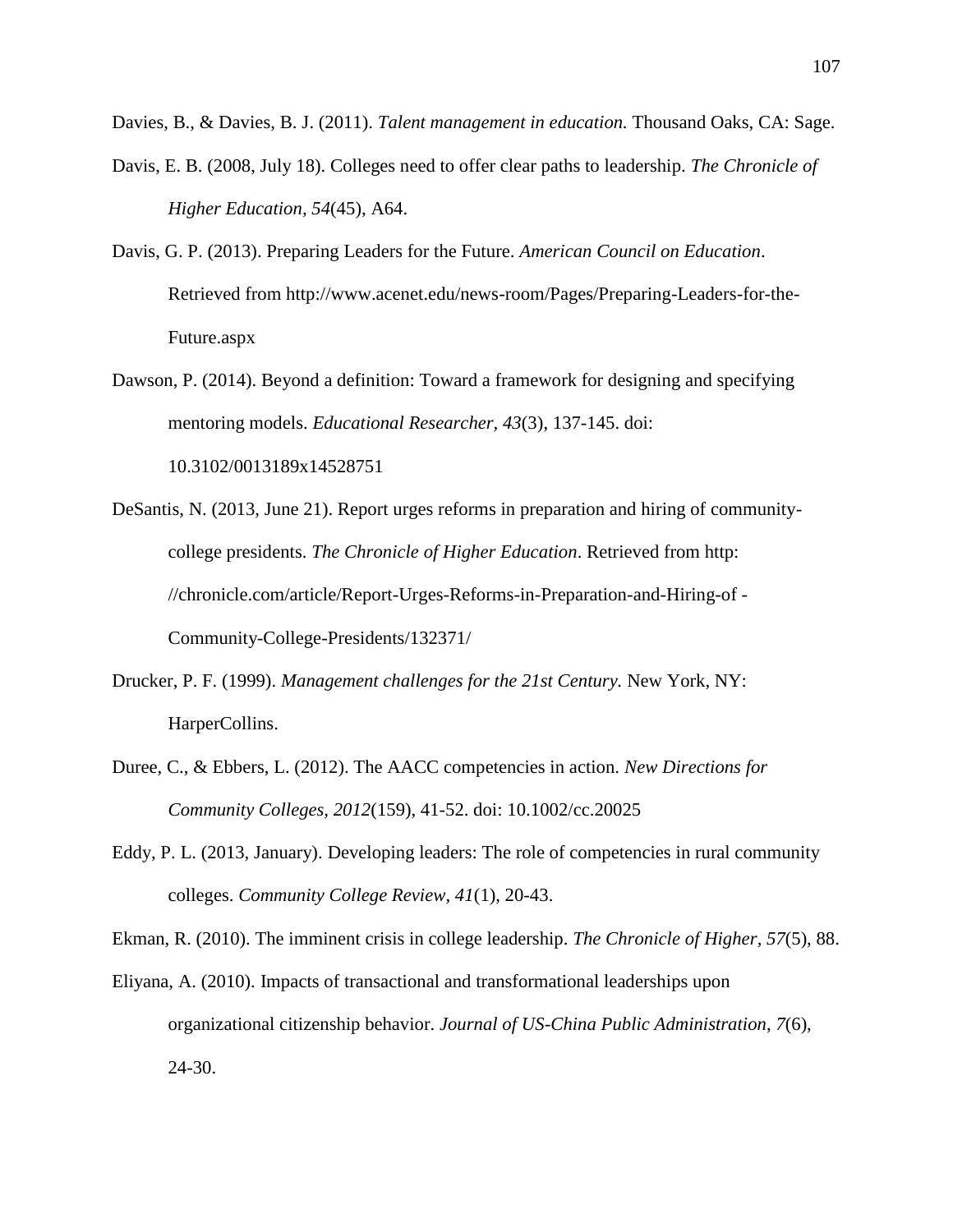Davies, B., & Davies, B. J. (2011). *Talent management in education.* Thousand Oaks, CA: Sage.

- Davis, E. B. (2008, July 18). Colleges need to offer clear paths to leadership. *The Chronicle of Higher Education, 54*(45), A64.
- Davis, G. P. (2013). Preparing Leaders for the Future. *American Council on Education*. Retrieved from http://www.acenet.edu/news-room/Pages/Preparing-Leaders-for-the-Future.aspx
- Dawson, P. (2014). Beyond a definition: Toward a framework for designing and specifying mentoring models. *Educational Researcher, 43*(3), 137-145. doi: 10.3102/0013189x14528751
- DeSantis, N. (2013, June 21). Report urges reforms in preparation and hiring of communitycollege presidents. *The Chronicle of Higher Education*. Retrieved from http: //chronicle.com/article/Report-Urges-Reforms-in-Preparation-and-Hiring-of - Community-College-Presidents/132371/
- Drucker, P. F. (1999). *Management challenges for the 21st Century.* New York, NY: HarperCollins.
- Duree, C., & Ebbers, L. (2012). The AACC competencies in action. *New Directions for Community Colleges, 2012*(159), 41-52. doi: 10.1002/cc.20025
- Eddy, P. L. (2013, January). Developing leaders: The role of competencies in rural community colleges. *Community College Review, 41*(1), 20-43.

Ekman, R. (2010). The imminent crisis in college leadership. *The Chronicle of Higher, 57*(5), 88.

Eliyana, A. (2010). Impacts of transactional and transformational leaderships upon organizational citizenship behavior. *Journal of US-China Public Administration*, *7*(6), 24-30.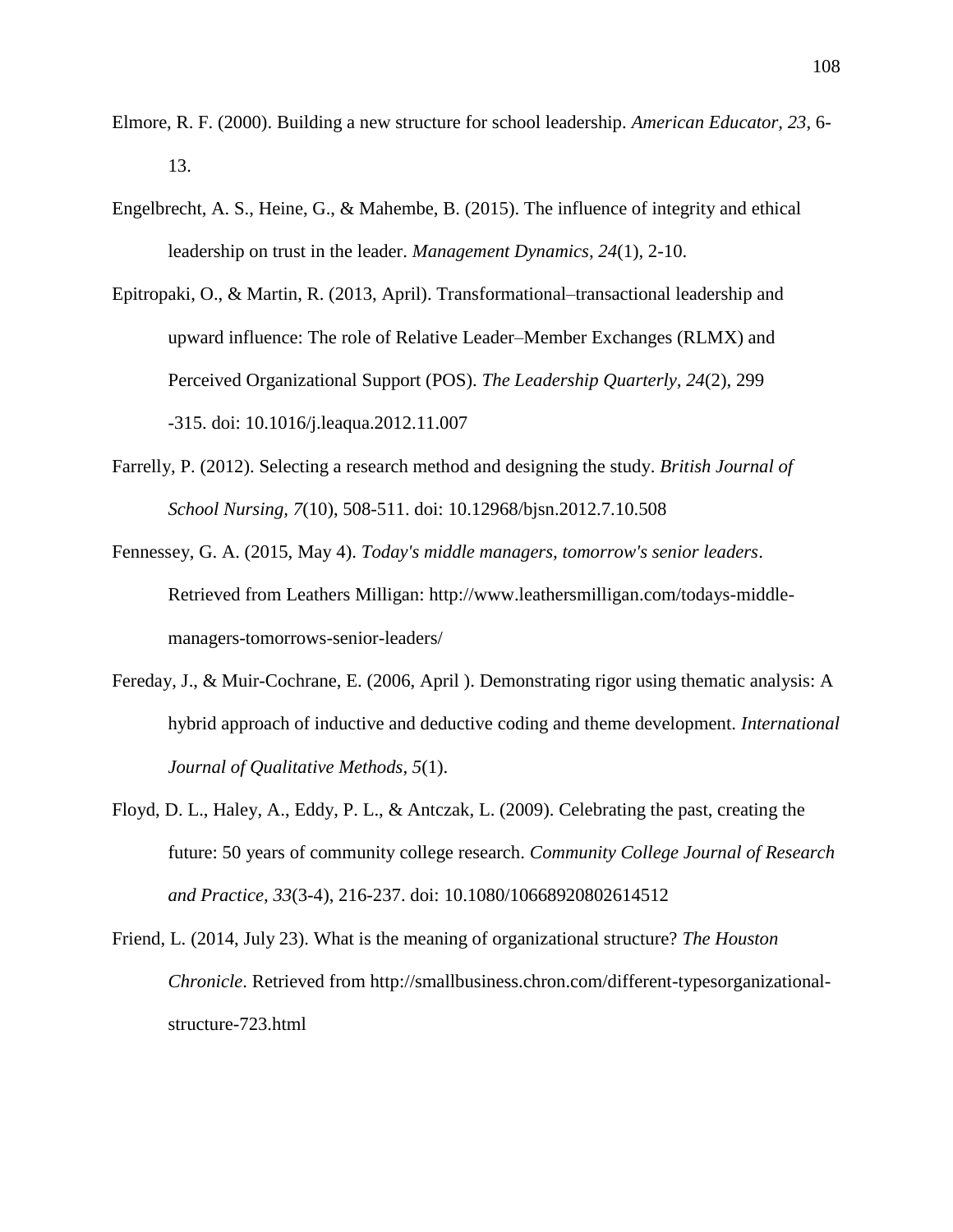- Elmore, R. F. (2000). Building a new structure for school leadership. *American Educator, 23*, 6- 13.
- Engelbrecht, A. S., Heine, G., & Mahembe, B. (2015). The influence of integrity and ethical leadership on trust in the leader. *Management Dynamics, 24*(1), 2-10.
- Epitropaki, O., & Martin, R. (2013, April). Transformational–transactional leadership and upward influence: The role of Relative Leader–Member Exchanges (RLMX) and Perceived Organizational Support (POS). *The Leadership Quarterly, 24*(2), 299 -315. doi: 10.1016/j.leaqua.2012.11.007
- Farrelly, P. (2012). Selecting a research method and designing the study. *British Journal of School Nursing, 7*(10), 508-511. doi: 10.12968/bjsn.2012.7.10.508
- Fennessey, G. A. (2015, May 4). *Today's middle managers, tomorrow's senior leaders*. Retrieved from Leathers Milligan: http://www.leathersmilligan.com/todays-middlemanagers-tomorrows-senior-leaders/
- Fereday, J., & Muir-Cochrane, E. (2006, April ). Demonstrating rigor using thematic analysis: A hybrid approach of inductive and deductive coding and theme development. *International Journal of Qualitative Methods, 5*(1).
- Floyd, D. L., Haley, A., Eddy, P. L., & Antczak, L. (2009). Celebrating the past, creating the future: 50 years of community college research. *Community College Journal of Research and Practice, 33*(3-4), 216-237. doi: 10.1080/10668920802614512
- Friend, L. (2014, July 23). What is the meaning of organizational structure? *The Houston Chronicle*. Retrieved from http://smallbusiness.chron.com/different-typesorganizationalstructure-723.html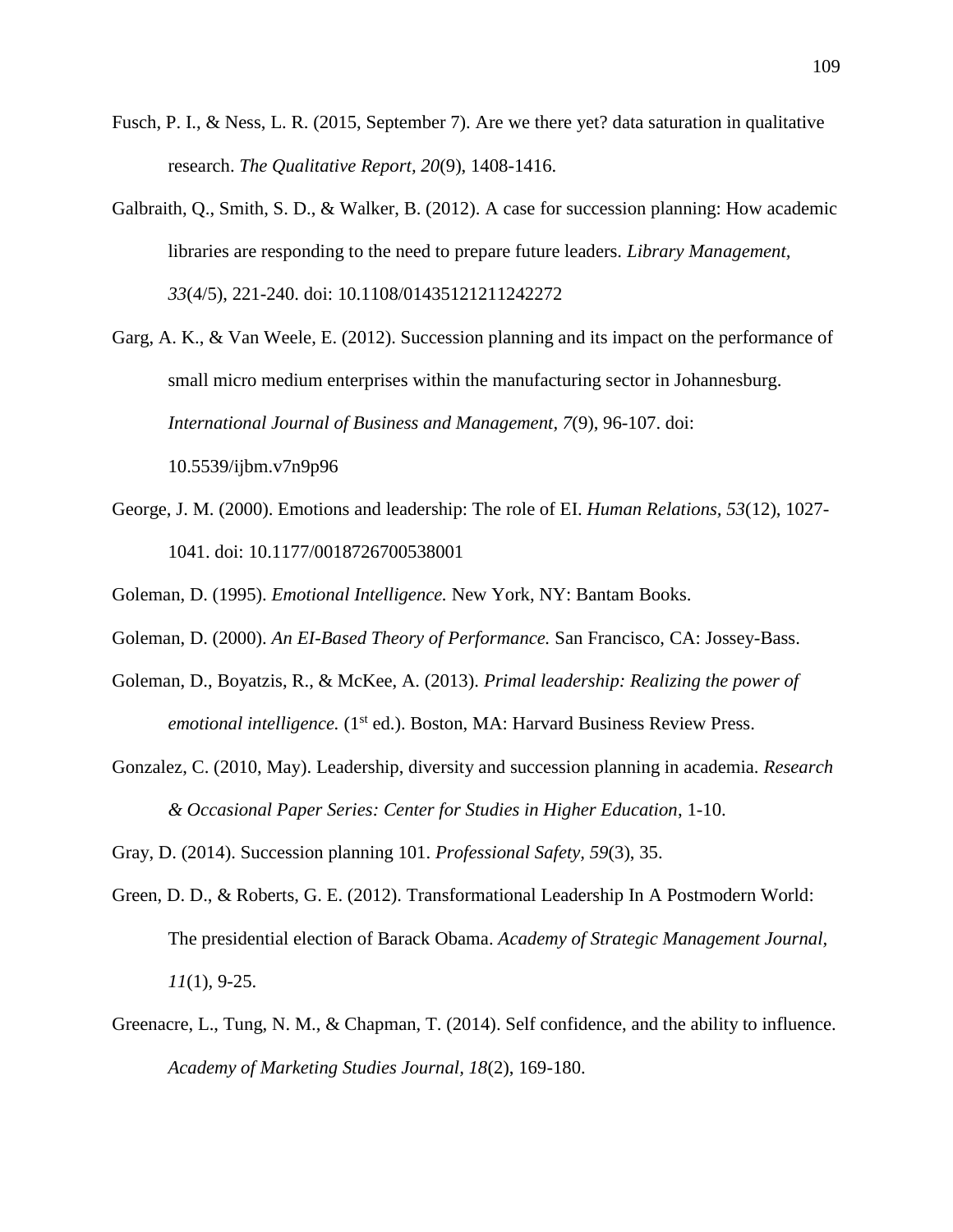- Fusch, P. I., & Ness, L. R. (2015, September 7). Are we there yet? data saturation in qualitative research. *The Qualitative Report, 20*(9), 1408-1416.
- Galbraith, Q., Smith, S. D., & Walker, B. (2012). A case for succession planning: How academic libraries are responding to the need to prepare future leaders. *Library Management, 33*(4/5), 221-240. doi: 10.1108/01435121211242272
- Garg, A. K., & Van Weele, E. (2012). Succession planning and its impact on the performance of small micro medium enterprises within the manufacturing sector in Johannesburg. *International Journal of Business and Management, 7*(9), 96-107. doi: 10.5539/ijbm.v7n9p96
- George, J. M. (2000). Emotions and leadership: The role of EI. *Human Relations, 53*(12), 1027- 1041. doi: 10.1177/0018726700538001

Goleman, D. (1995). *Emotional Intelligence.* New York, NY: Bantam Books.

- Goleman, D. (2000). *An EI-Based Theory of Performance.* San Francisco, CA: Jossey-Bass.
- Goleman, D., Boyatzis, R., & McKee, A. (2013). *Primal leadership: Realizing the power of emotional intelligence.* (1<sup>st</sup> ed.). Boston, MA: Harvard Business Review Press.
- Gonzalez, C. (2010, May). Leadership, diversity and succession planning in academia. *Research & Occasional Paper Series: Center for Studies in Higher Education*, 1-10.

Gray, D. (2014). Succession planning 101. *Professional Safety, 59*(3), 35.

- Green, D. D., & Roberts, G. E. (2012). Transformational Leadership In A Postmodern World: The presidential election of Barack Obama. *Academy of Strategic Management Journal, 11*(1), 9-25.
- Greenacre, L., Tung, N. M., & Chapman, T. (2014). Self confidence, and the ability to influence. *Academy of Marketing Studies Journal, 18*(2), 169-180.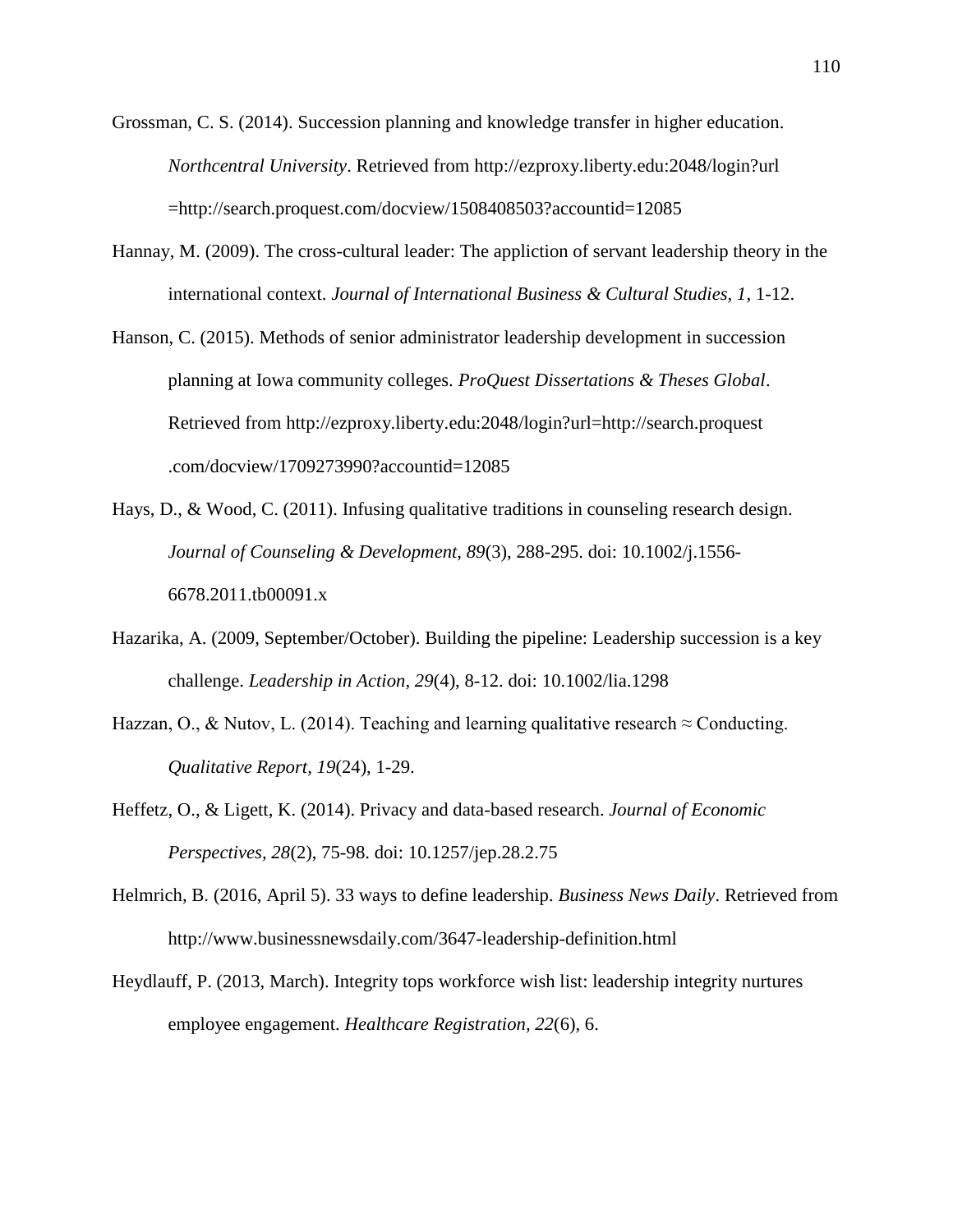Grossman, C. S. (2014). Succession planning and knowledge transfer in higher education. *Northcentral University*. Retrieved from<http://ezproxy.liberty.edu:2048/login?url> =http://search.proquest.com/docview/1508408503?accountid=12085

- Hannay, M. (2009). The cross-cultural leader: The appliction of servant leadership theory in the international context. *Journal of International Business & Cultural Studies, 1*, 1-12.
- Hanson, C. (2015). Methods of senior administrator leadership development in succession planning at Iowa community colleges. *ProQuest Dissertations & Theses Global*. Retrieved from [http://ezproxy.liberty.edu:2048/login?](http://ezproxy.liberty.edu:2048/login)url=http://search.proquest .com/docview/1709273990?accountid=12085
- Hays, D., & Wood, C. (2011). Infusing qualitative traditions in counseling research design. *Journal of Counseling & Development, 89*(3), 288-295. doi: 10.1002/j.1556- 6678.2011.tb00091.x
- Hazarika, A. (2009, September/October). Building the pipeline: Leadership succession is a key challenge. *Leadership in Action, 29*(4), 8-12. doi: 10.1002/lia.1298
- Hazzan, O., & Nutov, L. (2014). Teaching and learning qualitative research  $\approx$  Conducting. *Qualitative Report, 19*(24), 1-29.
- Heffetz, O., & Ligett, K. (2014). Privacy and data-based research. *Journal of Economic Perspectives, 28*(2), 75-98. doi: 10.1257/jep.28.2.75
- Helmrich, B. (2016, April 5). 33 ways to define leadership. *Business News Daily*. Retrieved from http://www.businessnewsdaily.com/3647-leadership-definition.html
- Heydlauff, P. (2013, March). Integrity tops workforce wish list: leadership integrity nurtures employee engagement. *Healthcare Registration, 22*(6), 6.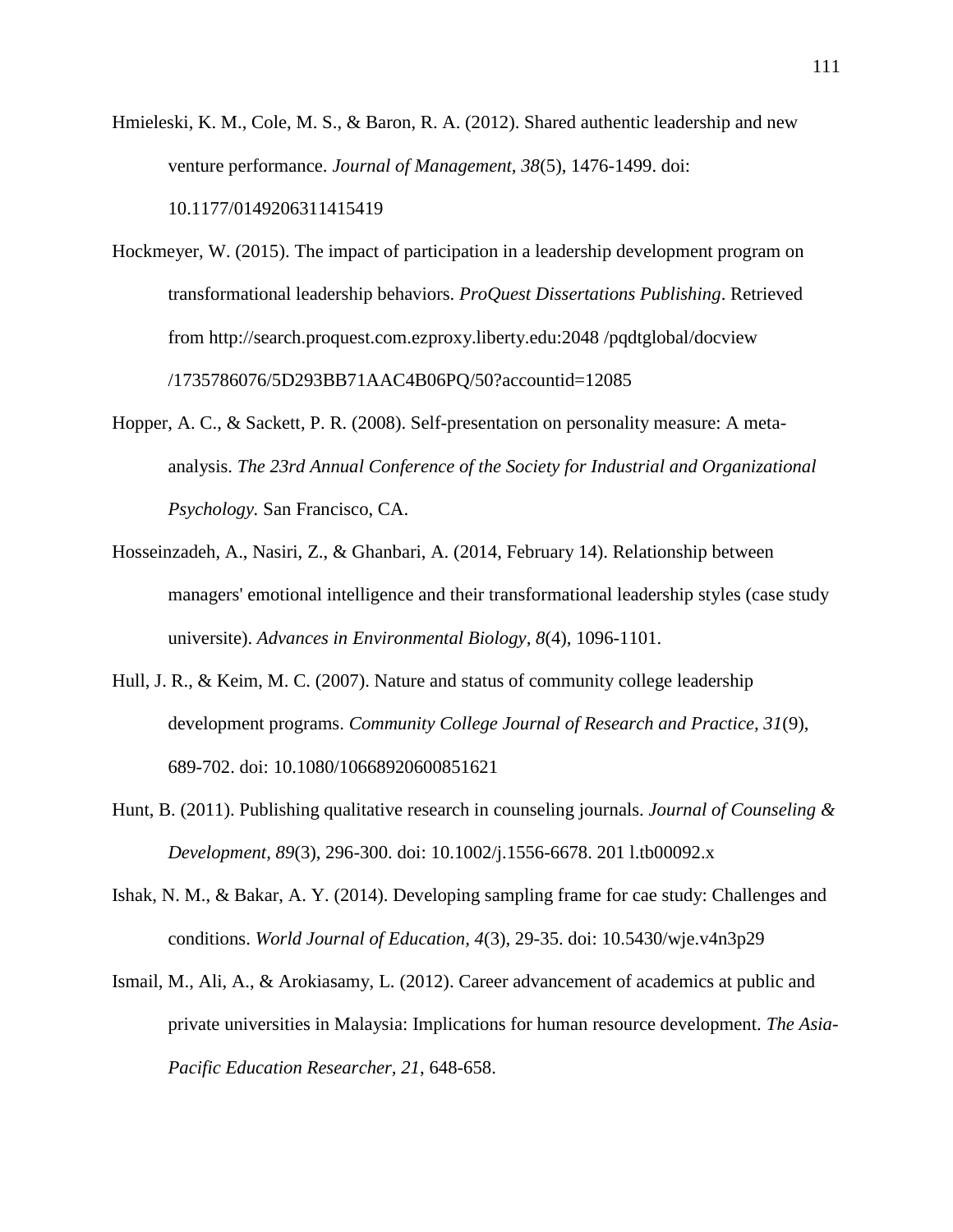Hmieleski, K. M., Cole, M. S., & Baron, R. A. (2012). Shared authentic leadership and new venture performance. *Journal of Management, 38*(5), 1476-1499. doi: 10.1177/0149206311415419

- Hockmeyer, W. (2015). The impact of participation in a leadership development program on transformational leadership behaviors. *ProQuest Dissertations Publishing*. Retrieved from [http://search.proquest.com.ezproxy.liberty.edu:2048 /pqdtglobal/](http://search.proquest.com.ezproxy.liberty.edu:2048%20/pqdtglobal)docview /1735786076/5D293BB71AAC4B06PQ/50?accountid=12085
- Hopper, A. C., & Sackett, P. R. (2008). Self-presentation on personality measure: A metaanalysis. *The 23rd Annual Conference of the Society for Industrial and Organizational Psychology.* San Francisco, CA.
- Hosseinzadeh, A., Nasiri, Z., & Ghanbari, A. (2014, February 14). Relationship between managers' emotional intelligence and their transformational leadership styles (case study universite). *Advances in Environmental Biology, 8*(4), 1096-1101.
- Hull, J. R., & Keim, M. C. (2007). Nature and status of community college leadership development programs. *Community College Journal of Research and Practice, 31*(9), 689-702. doi: 10.1080/10668920600851621
- Hunt, B. (2011). Publishing qualitative research in counseling journals. *Journal of Counseling & Development, 89*(3), 296-300. doi: 10.1002/j.1556-6678. 201 l.tb00092.x
- Ishak, N. M., & Bakar, A. Y. (2014). Developing sampling frame for cae study: Challenges and conditions. *World Journal of Education, 4*(3), 29-35. doi: 10.5430/wje.v4n3p29
- Ismail, M., Ali, A., & Arokiasamy, L. (2012). Career advancement of academics at public and private universities in Malaysia: Implications for human resource development. *The Asia-Pacific Education Researcher, 21*, 648-658.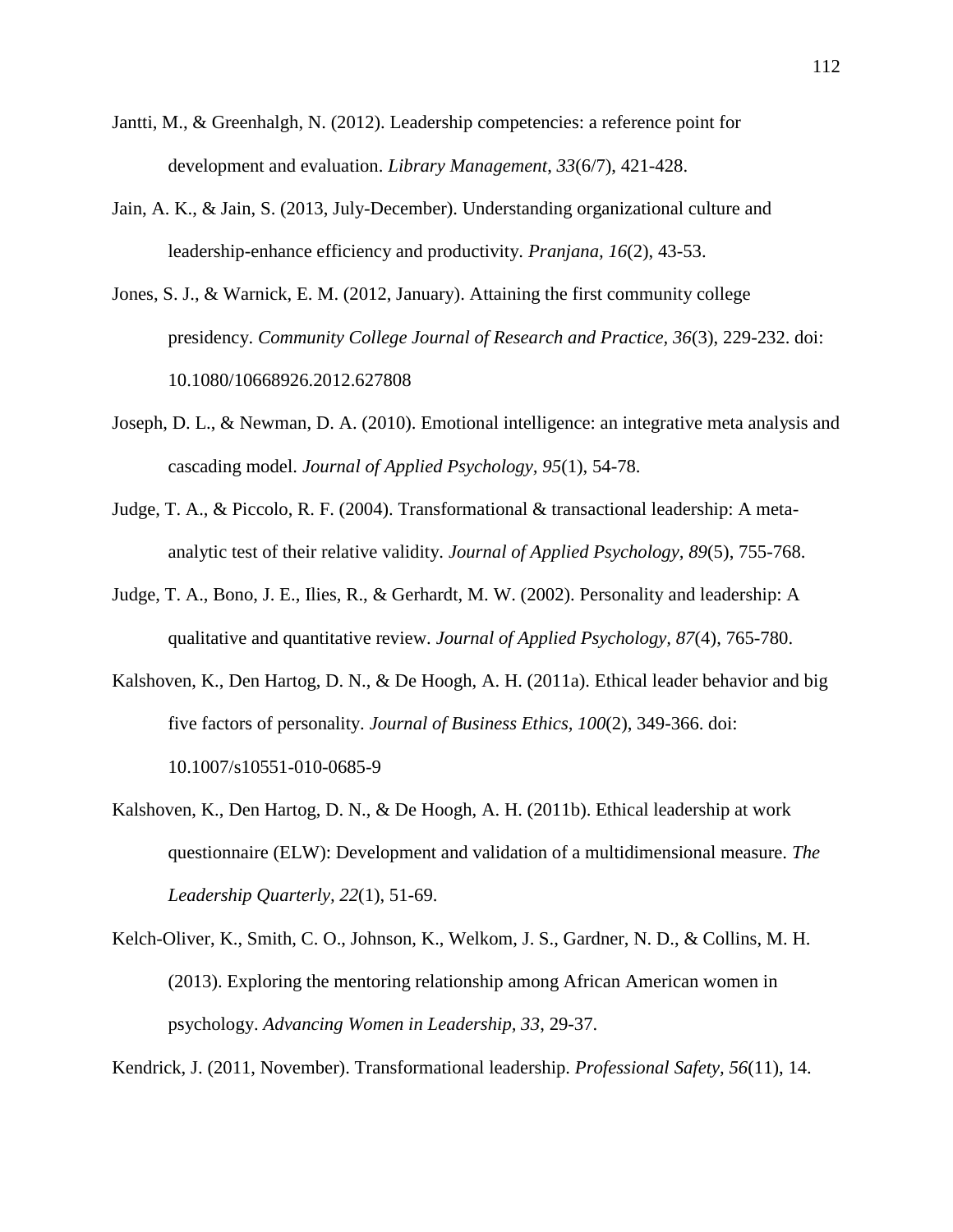- Jantti, M., & Greenhalgh, N. (2012). Leadership competencies: a reference point for development and evaluation. *Library Management*, *33*(6/7), 421-428.
- Jain, A. K., & Jain, S. (2013, July-December). Understanding organizational culture and leadership-enhance efficiency and productivity. *Pranjana, 16*(2), 43-53.
- Jones, S. J., & Warnick, E. M. (2012, January). Attaining the first community college presidency. *Community College Journal of Research and Practice, 36*(3), 229-232. doi: 10.1080/10668926.2012.627808
- Joseph, D. L., & Newman, D. A. (2010). Emotional intelligence: an integrative meta analysis and cascading model. *Journal of Applied Psychology, 95*(1), 54-78.
- Judge, T. A., & Piccolo, R. F. (2004). Transformational & transactional leadership: A metaanalytic test of their relative validity. *Journal of Applied Psychology, 89*(5), 755-768.
- Judge, T. A., Bono, J. E., Ilies, R., & Gerhardt, M. W. (2002). Personality and leadership: A qualitative and quantitative review. *Journal of Applied Psychology, 87*(4), 765-780.
- Kalshoven, K., Den Hartog, D. N., & De Hoogh, A. H. (2011a). Ethical leader behavior and big five factors of personality. *Journal of Business Ethics, 100*(2), 349-366. doi: 10.1007/s10551-010-0685-9
- Kalshoven, K., Den Hartog, D. N., & De Hoogh, A. H. (2011b). Ethical leadership at work questionnaire (ELW): Development and validation of a multidimensional measure. *The Leadership Quarterly, 22*(1), 51-69.
- Kelch-Oliver, K., Smith, C. O., Johnson, K., Welkom, J. S., Gardner, N. D., & Collins, M. H. (2013). Exploring the mentoring relationship among African American women in psychology. *Advancing Women in Leadership, 33*, 29-37.

Kendrick, J. (2011, November). Transformational leadership. *Professional Safety, 56*(11), 14.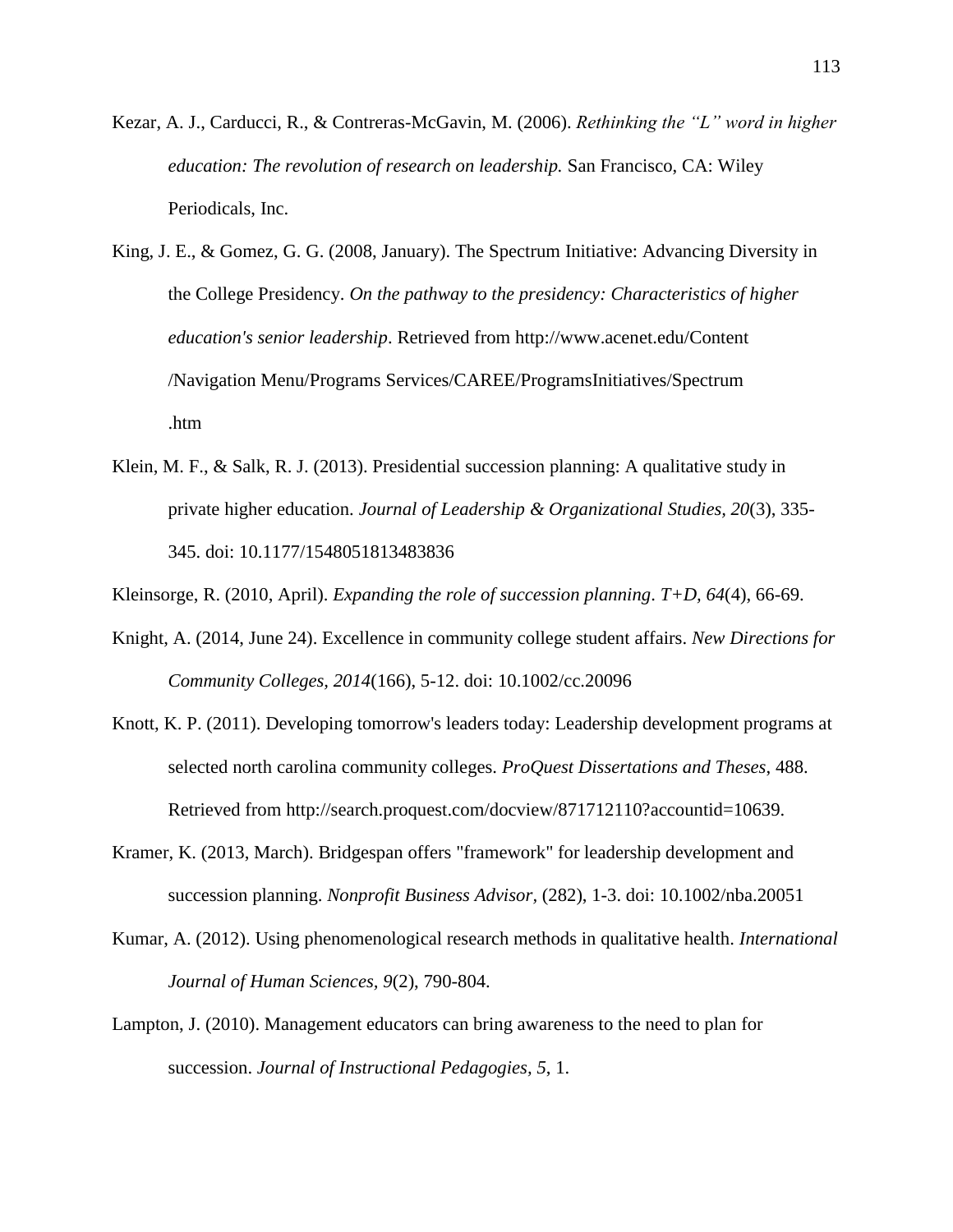- Kezar, A. J., Carducci, R., & Contreras-McGavin, M. (2006). *Rethinking the "L" word in higher education: The revolution of research on leadership.* San Francisco, CA: Wiley Periodicals, Inc.
- King, J. E., & Gomez, G. G. (2008, January). The Spectrum Initiative: Advancing Diversity in the College Presidency. *On the pathway to the presidency: Characteristics of higher education's senior leadership*. Retrieved from<http://www.acenet.edu/>Content /Navigation Menu/Programs Services/CAREE/ProgramsInitiatives/Spectrum .htm
- Klein, M. F., & Salk, R. J. (2013). Presidential succession planning: A qualitative study in private higher education. *Journal of Leadership & Organizational Studies, 20*(3), 335- 345. doi: 10.1177/1548051813483836

Kleinsorge, R. (2010, April). *Expanding the role of succession planning*. *T+D, 64*(4), 66-69.

- Knight, A. (2014, June 24). Excellence in community college student affairs. *New Directions for Community Colleges, 2014*(166), 5-12. doi: 10.1002/cc.20096
- Knott, K. P. (2011). Developing tomorrow's leaders today: Leadership development programs at selected north carolina community colleges. *ProQuest Dissertations and Theses*, 488. Retrieved from [http://search.proquest.com/docview/](http://search.proquest.com/docview)871712110?accountid=10639.
- Kramer, K. (2013, March). Bridgespan offers "framework" for leadership development and succession planning. *Nonprofit Business Advisor,* (282), 1-3. doi: 10.1002/nba.20051
- Kumar, A. (2012). Using phenomenological research methods in qualitative health. *International Journal of Human Sciences, 9*(2), 790-804.
- Lampton, J. (2010). Management educators can bring awareness to the need to plan for succession. *Journal of Instructional Pedagogies, 5*, 1.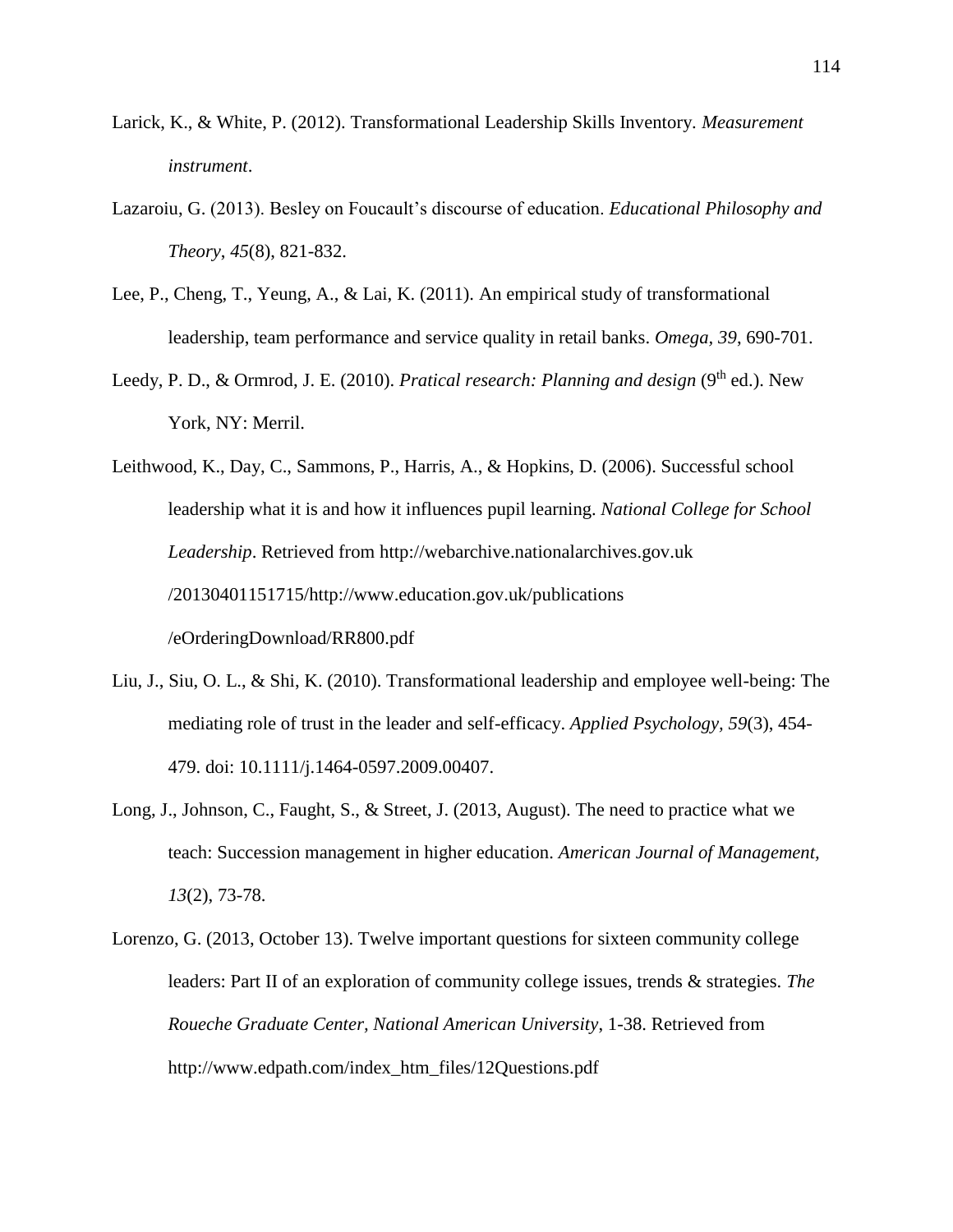- Larick, K., & White, P. (2012). Transformational Leadership Skills Inventory. *Measurement instrument*.
- Lazaroiu, G. (2013). Besley on Foucault's discourse of education. *Educational Philosophy and Theory*, *45*(8), 821-832.
- Lee, P., Cheng, T., Yeung, A., & Lai, K. (2011). An empirical study of transformational leadership, team performance and service quality in retail banks. *Omega, 39*, 690-701.
- Leedy, P. D., & Ormrod, J. E. (2010). *Pratical research: Planning and design* (9<sup>th</sup> ed.). New York, NY: Merril.
- Leithwood, K., Day, C., Sammons, P., Harris, A., & Hopkins, D. (2006). Successful school leadership what it is and how it influences pupil learning. *National College for School Leadership*. Retrieved from [http://webarchive.nationalarchives.](http://webarchive.nationalarchives/)gov.uk /20130401151715/http://www.education.gov.uk/publications /eOrderingDownload/RR800.pdf
- Liu, J., Siu, O. L., & Shi, K. (2010). Transformational leadership and employee well-being: The mediating role of trust in the leader and self-efficacy. *Applied Psychology, 59*(3), 454- 479. doi: 10.1111/j.1464-0597.2009.00407.
- Long, J., Johnson, C., Faught, S., & Street, J. (2013, August). The need to practice what we teach: Succession management in higher education. *American Journal of Management, 13*(2), 73-78.
- Lorenzo, G. (2013, October 13). Twelve important questions for sixteen community college leaders: Part II of an exploration of community college issues, trends & strategies. *The Roueche Graduate Center, National American University*, 1-38. Retrieved from http://www.edpath.com/index\_htm\_files/12Questions.pdf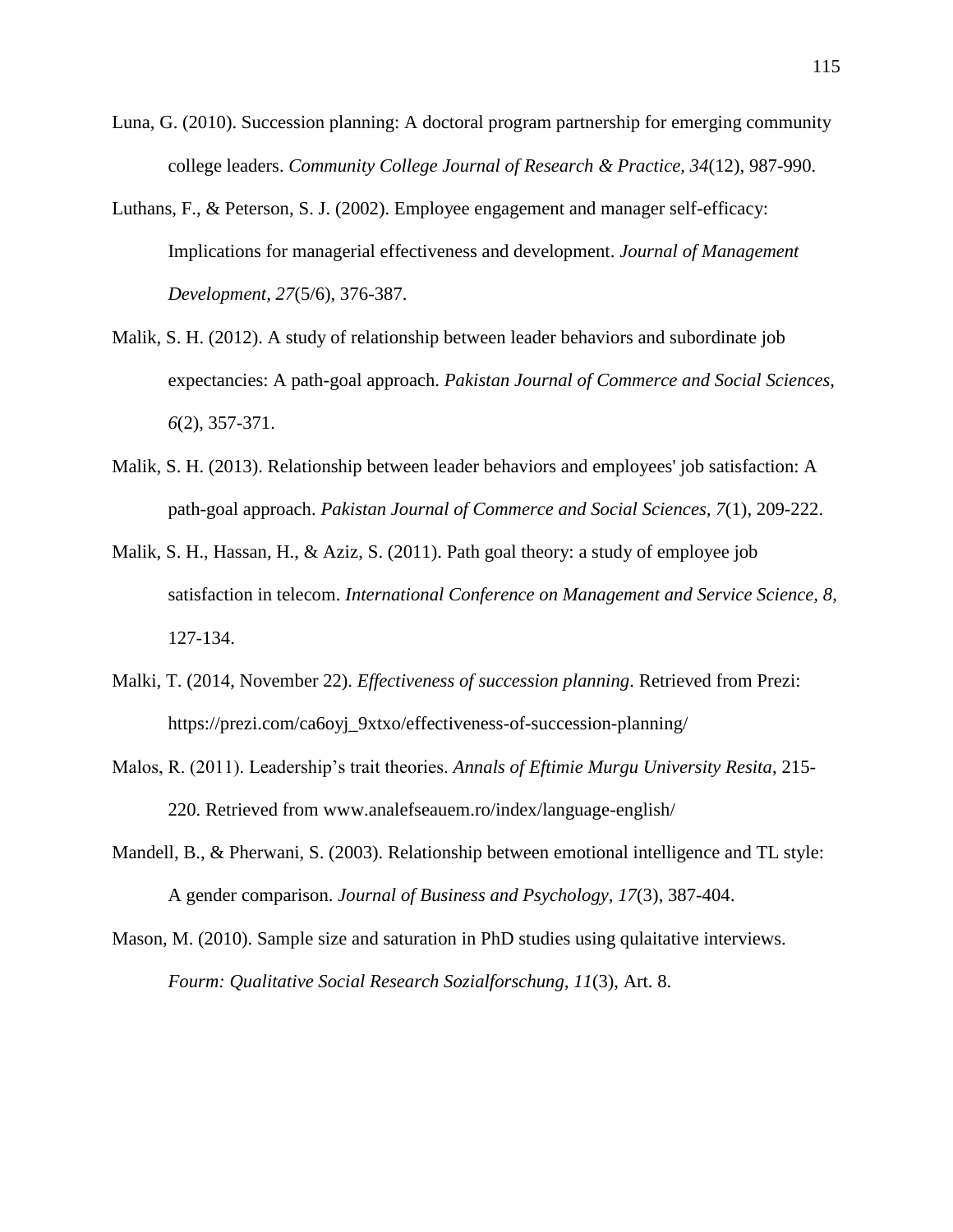- Luna, G. (2010). Succession planning: A doctoral program partnership for emerging community college leaders. *Community College Journal of Research & Practice, 34*(12), 987-990.
- Luthans, F., & Peterson, S. J. (2002). Employee engagement and manager self-efficacy: Implications for managerial effectiveness and development. *Journal of Management Development, 27*(5/6), 376-387.
- Malik, S. H. (2012). A study of relationship between leader behaviors and subordinate job expectancies: A path-goal approach. *Pakistan Journal of Commerce and Social Sciences, 6*(2), 357-371.
- Malik, S. H. (2013). Relationship between leader behaviors and employees' job satisfaction: A path-goal approach. *Pakistan Journal of Commerce and Social Sciences, 7*(1), 209-222.
- Malik, S. H., Hassan, H., & Aziz, S. (2011). Path goal theory: a study of employee job satisfaction in telecom. *International Conference on Management and Service Science, 8*, 127-134.
- Malki, T. (2014, November 22). *Effectiveness of succession planning*. Retrieved from Prezi: https://prezi.com/ca6oyj\_9xtxo/effectiveness-of-succession-planning/
- Malos, R. (2011). Leadership's trait theories. *Annals of Eftimie Murgu University Resita*, 215- 220. Retrieved from www.analefseauem.ro/index/language-english/
- Mandell, B., & Pherwani, S. (2003). Relationship between emotional intelligence and TL style: A gender comparison. *Journal of Business and Psychology, 17*(3), 387-404.
- Mason, M. (2010). Sample size and saturation in PhD studies using qulaitative interviews. *Fourm: Qualitative Social Research Sozialforschung, 11*(3), Art. 8.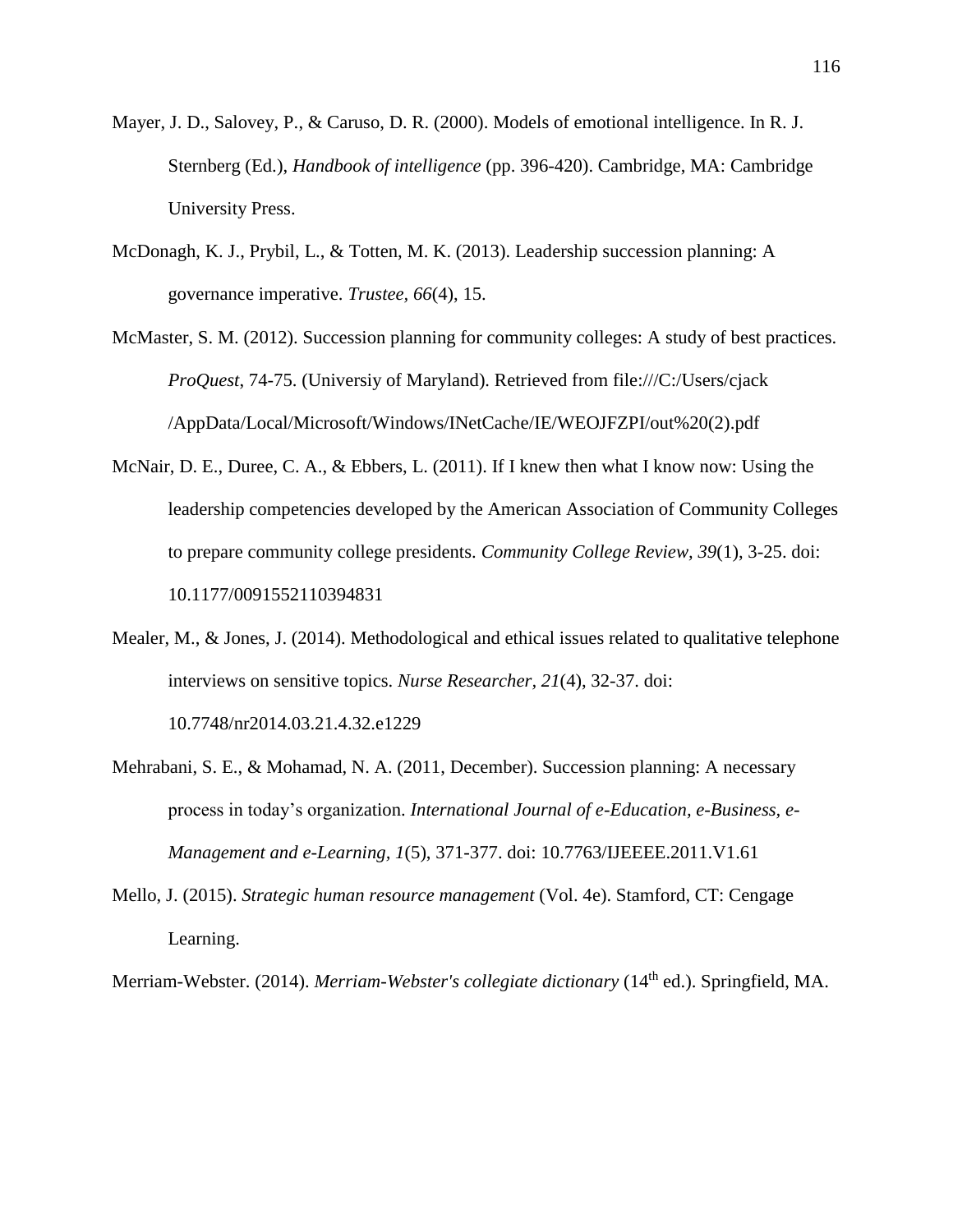- Mayer, J. D., Salovey, P., & Caruso, D. R. (2000). Models of emotional intelligence. In R. J. Sternberg (Ed.), *Handbook of intelligence* (pp. 396-420). Cambridge, MA: Cambridge University Press.
- McDonagh, K. J., Prybil, L., & Totten, M. K. (2013). Leadership succession planning: A governance imperative. *Trustee, 66*(4), 15.
- McMaster, S. M. (2012). Succession planning for community colleges: A study of best practices. *ProQuest*, 74-75. (Universiy of Maryland). Retrieved from [file:///C:/Users/cjack](file:///C:/Users/cjack%20/AppData/Local/Microsoft/Windows/INetCache)  [/AppData/Local/Microsoft/Windows/INetCache/](file:///C:/Users/cjack%20/AppData/Local/Microsoft/Windows/INetCache)IE/WEOJFZPI/out%20(2).pdf
- McNair, D. E., Duree, C. A., & Ebbers, L. (2011). If I knew then what I know now: Using the leadership competencies developed by the American Association of Community Colleges to prepare community college presidents. *Community College Review, 39*(1), 3-25. doi: 10.1177/0091552110394831
- Mealer, M., & Jones, J. (2014). Methodological and ethical issues related to qualitative telephone interviews on sensitive topics. *Nurse Researcher, 21*(4), 32-37. doi: 10.7748/nr2014.03.21.4.32.e1229
- Mehrabani, S. E., & Mohamad, N. A. (2011, December). Succession planning: A necessary process in today's organization. *International Journal of e-Education, e-Business, e-Management and e-Learning, 1*(5), 371-377. doi: 10.7763/IJEEEE.2011.V1.61
- Mello, J. (2015). *Strategic human resource management* (Vol. 4e). Stamford, CT: Cengage Learning.
- Merriam-Webster. (2014). *Merriam-Webster's collegiate dictionary* (14th ed.). Springfield, MA.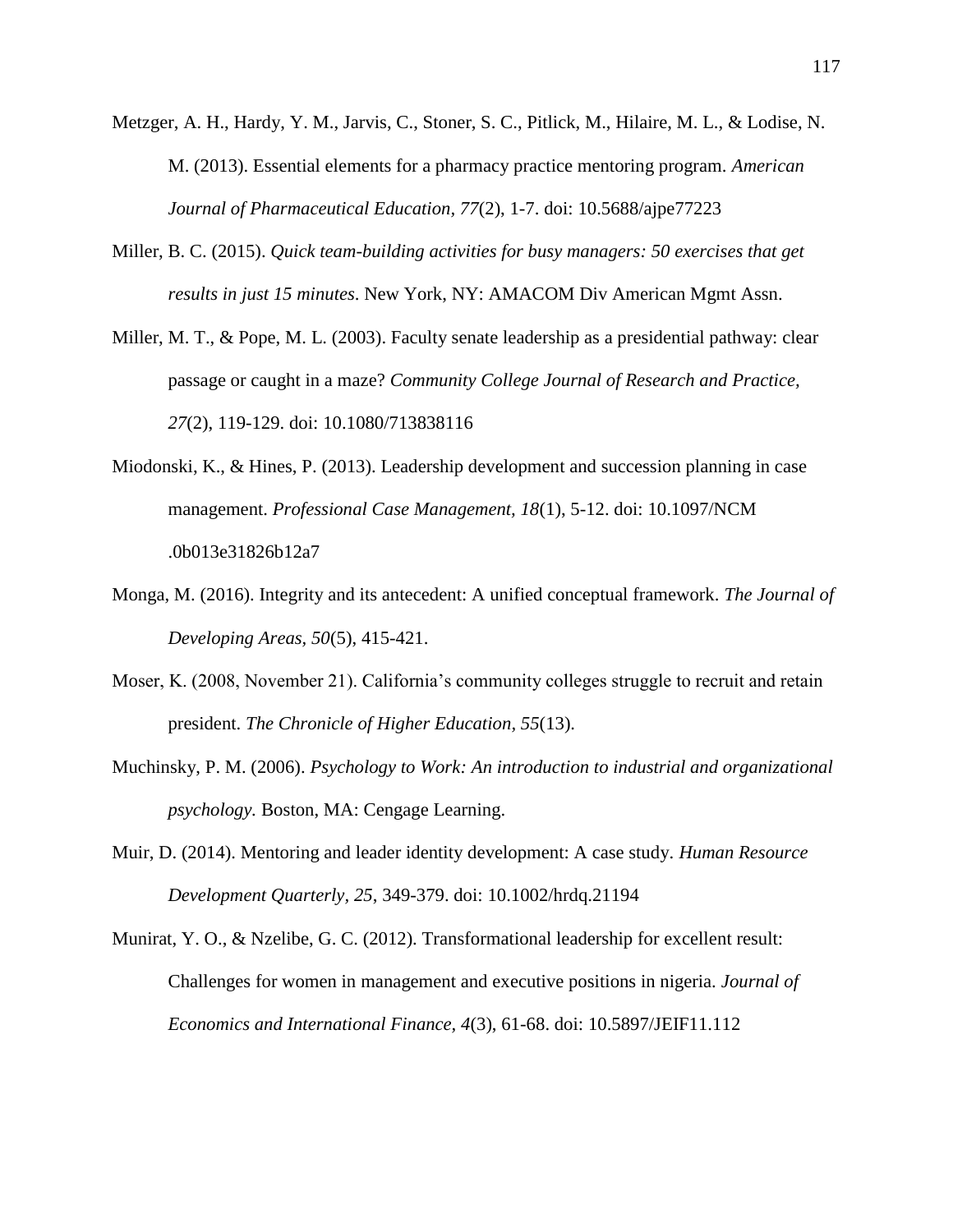- Metzger, A. H., Hardy, Y. M., Jarvis, C., Stoner, S. C., Pitlick, M., Hilaire, M. L., & Lodise, N. M. (2013). Essential elements for a pharmacy practice mentoring program. *American Journal of Pharmaceutical Education, 77*(2), 1-7. doi: 10.5688/ajpe77223
- Miller, B. C. (2015). *Quick team-building activities for busy managers: 50 exercises that get results in just 15 minutes*. New York, NY: AMACOM Div American Mgmt Assn.
- Miller, M. T., & Pope, M. L. (2003). Faculty senate leadership as a presidential pathway: clear passage or caught in a maze? *Community College Journal of Research and Practice, 27*(2), 119-129. doi: 10.1080/713838116
- Miodonski, K., & Hines, P. (2013). Leadership development and succession planning in case management. *Professional Case Management, 18*(1), 5-12. doi: 10.1097/NCM .0b013e31826b12a7
- Monga, M. (2016). Integrity and its antecedent: A unified conceptual framework. *The Journal of Developing Areas, 50*(5), 415-421.
- Moser, K. (2008, November 21). California's community colleges struggle to recruit and retain president. *The Chronicle of Higher Education, 55*(13).
- Muchinsky, P. M. (2006). *Psychology to Work: An introduction to industrial and organizational psychology.* Boston, MA: Cengage Learning.
- Muir, D. (2014). Mentoring and leader identity development: A case study. *Human Resource Development Quarterly, 25*, 349-379. doi: 10.1002/hrdq.21194
- Munirat, Y. O., & Nzelibe, G. C. (2012). Transformational leadership for excellent result: Challenges for women in management and executive positions in nigeria. *Journal of Economics and International Finance, 4*(3), 61-68. doi: 10.5897/JEIF11.112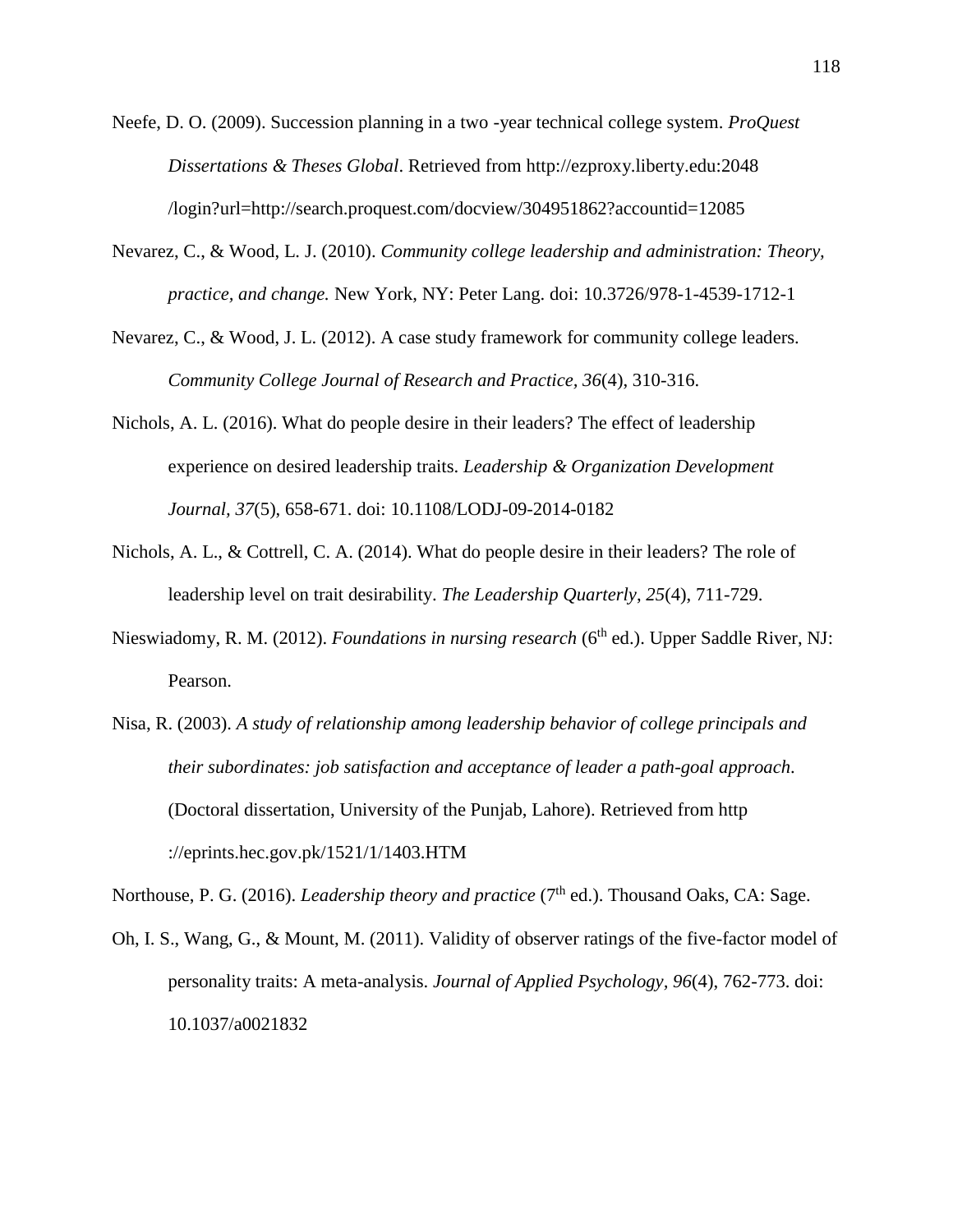Neefe, D. O. (2009). Succession planning in a two -year technical college system. *ProQuest Dissertations & Theses Global*. Retrieved from [http://ezproxy.liberty.](http://ezproxy.liberty/)edu:2048 /login?url=http://search.proquest.com/docview/304951862?accountid=12085

- Nevarez, C., & Wood, L. J. (2010). *Community college leadership and administration: Theory, practice, and change.* New York, NY: Peter Lang. doi: 10.3726/978-1-4539-1712-1
- Nevarez, C., & Wood, J. L. (2012). A case study framework for community college leaders. *Community College Journal of Research and Practice, 36*(4), 310-316.
- Nichols, A. L. (2016). What do people desire in their leaders? The effect of leadership experience on desired leadership traits. *Leadership & Organization Development Journal, 37*(5), 658-671. doi: 10.1108/LODJ-09-2014-0182
- Nichols, A. L., & Cottrell, C. A. (2014). What do people desire in their leaders? The role of leadership level on trait desirability. *The Leadership Quarterly*, *25*(4), 711-729.
- Nieswiadomy, R. M. (2012). *Foundations in nursing research* (6<sup>th</sup> ed.). Upper Saddle River, NJ: Pearson.
- Nisa, R. (2003). *A study of relationship among leadership behavior of college principals and their subordinates: job satisfaction and acceptance of leader a path-goal approach*. (Doctoral dissertation, University of the Punjab, Lahore). Retrieved from http ://eprints.hec.gov.pk/1521/1/1403.HTM

Northouse, P. G. (2016). *Leadership theory and practice* (7<sup>th</sup> ed.). Thousand Oaks, CA: Sage.

Oh, I. S., Wang, G., & Mount, M. (2011). Validity of observer ratings of the five-factor model of personality traits: A meta-analysis. *Journal of Applied Psychology, 96*(4), 762-773. doi: 10.1037/a0021832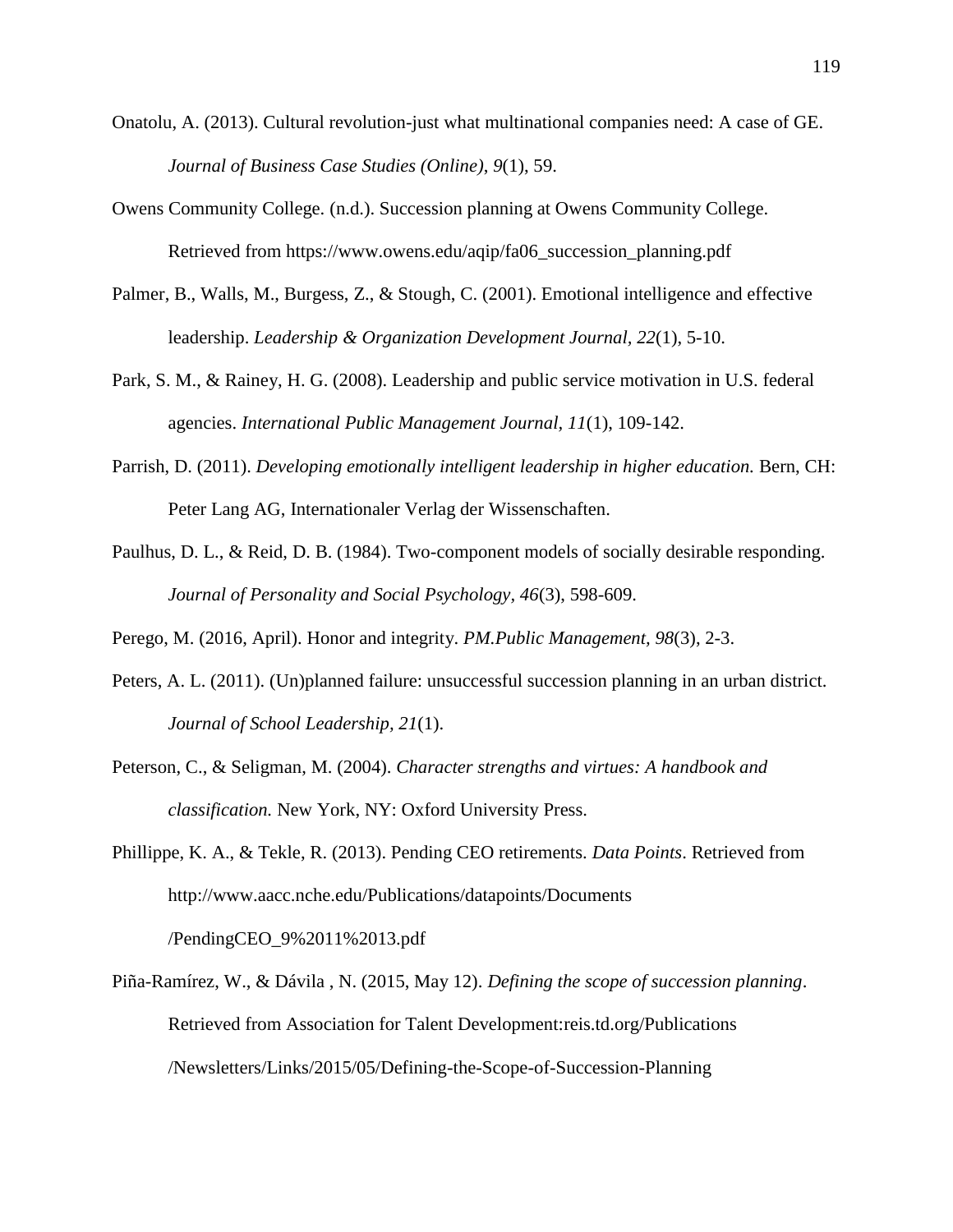- Onatolu, A. (2013). Cultural revolution-just what multinational companies need: A case of GE. *Journal of Business Case Studies (Online)*, *9*(1), 59.
- Owens Community College. (n.d.). Succession planning at Owens Community College. Retrieved from https://www.owens.edu/aqip/fa06\_succession\_planning.pdf
- Palmer, B., Walls, M., Burgess, Z., & Stough, C. (2001). Emotional intelligence and effective leadership. *Leadership & Organization Development Journal, 22*(1), 5-10.
- Park, S. M., & Rainey, H. G. (2008). Leadership and public service motivation in U.S. federal agencies. *International Public Management Journal, 11*(1), 109-142.
- Parrish, D. (2011). *Developing emotionally intelligent leadership in higher education.* Bern, CH: Peter Lang AG, Internationaler Verlag der Wissenschaften.
- Paulhus, D. L., & Reid, D. B. (1984). Two-component models of socially desirable responding. *Journal of Personality and Social Psychology, 46*(3), 598-609.

Perego, M. (2016, April). Honor and integrity. *PM.Public Management, 98*(3), 2-3.

- Peters, A. L. (2011). (Un)planned failure: unsuccessful succession planning in an urban district. *Journal of School Leadership, 21*(1).
- Peterson, C., & Seligman, M. (2004). *Character strengths and virtues: A handbook and classification.* New York, NY: Oxford University Press.
- Phillippe, K. A., & Tekle, R. (2013). Pending CEO retirements. *Data Points*. Retrieved from <http://www.aacc.nche.edu/Publications/datapoints/Documents> /PendingCEO\_9%2011%2013.pdf
- Piña-Ramírez, W., & Dávila , N. (2015, May 12). *Defining the scope of succession planning*. Retrieved from Association for Talent Development:reis.td.org/Publications /Newsletters/Links/2015/05/Defining-the-Scope-of-Succession-Planning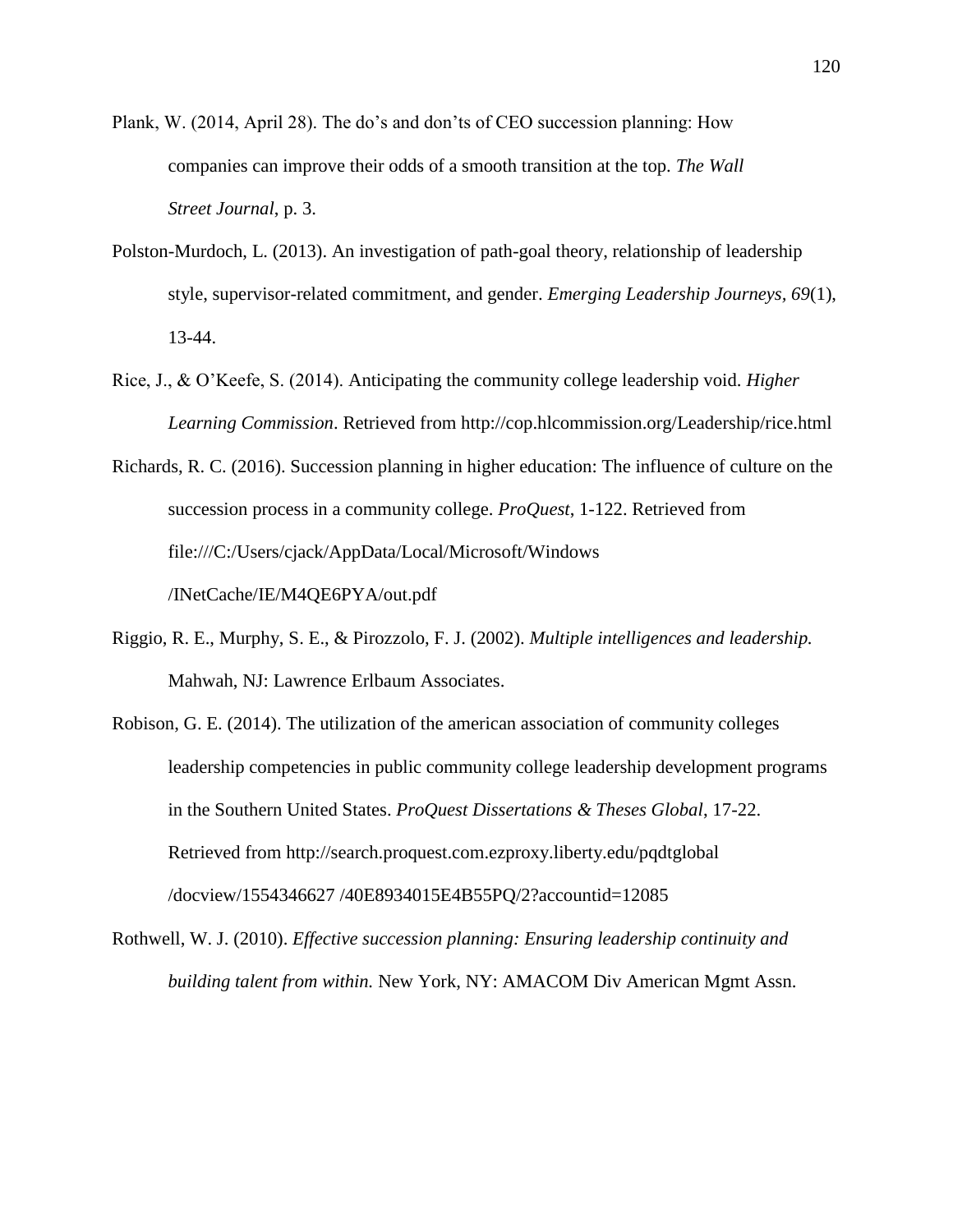Plank, W. (2014, April 28). The do's and don'ts of CEO succession planning: How companies can improve their odds of a smooth transition at the top. *The Wall Street Journal*, p. 3.

- Polston-Murdoch, L. (2013). An investigation of path-goal theory, relationship of leadership style, supervisor-related commitment, and gender. *Emerging Leadership Journeys, 69*(1), 13-44.
- Rice, J., & O'Keefe, S. (2014). Anticipating the community college leadership void. *Higher Learning Commission*. Retrieved from<http://cop.hlcommission.org/>Leadership/rice.html
- Richards, R. C. (2016). Succession planning in higher education: The influence of culture on the succession process in a community college. *ProQuest*, 1-122. Retrieved from <file:///C:/Users/cjack/AppData/Local/Microsoft/Windows> /INetCache/IE/M4QE6PYA/out.pdf
- Riggio, R. E., Murphy, S. E., & Pirozzolo, F. J. (2002). *Multiple intelligences and leadership.* Mahwah, NJ: Lawrence Erlbaum Associates.
- Robison, G. E. (2014). The utilization of the american association of community colleges leadership competencies in public community college leadership development programs in the Southern United States. *ProQuest Dissertations & Theses Global*, 17-22. Retrieved from [http://search.proquest.com.ezproxy.](http://search.proquest.com.ezproxy/)liberty.edu/pqdtglobal /docview/1554346627 /40E8934015E4B55PQ/2?accountid=12085
- Rothwell, W. J. (2010). *Effective succession planning: Ensuring leadership continuity and building talent from within.* New York, NY: AMACOM Div American Mgmt Assn.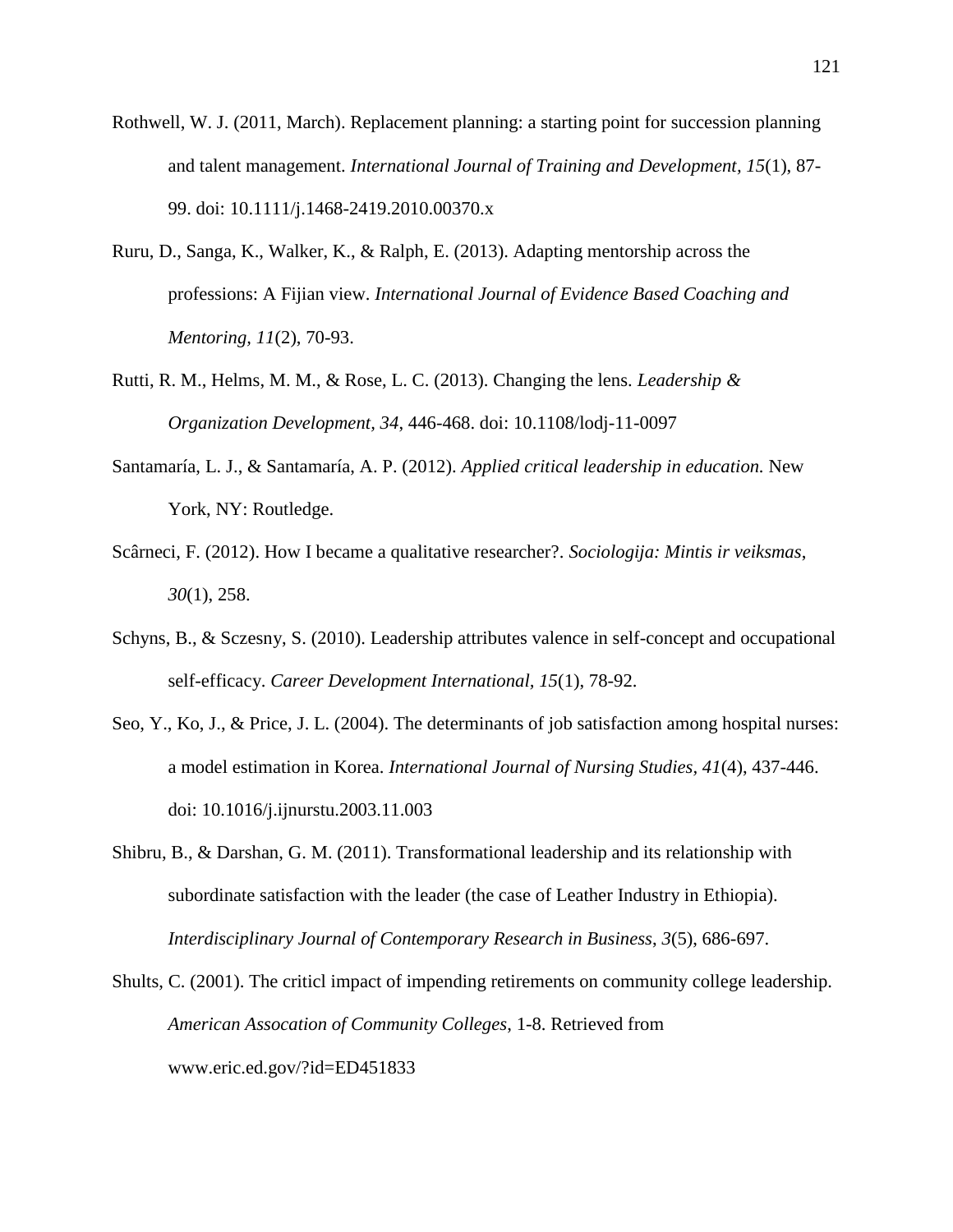- Rothwell, W. J. (2011, March). Replacement planning: a starting point for succession planning and talent management. *International Journal of Training and Development, 15*(1), 87- 99. doi: 10.1111/j.1468-2419.2010.00370.x
- Ruru, D., Sanga, K., Walker, K., & Ralph, E. (2013). Adapting mentorship across the professions: A Fijian view. *International Journal of Evidence Based Coaching and Mentoring, 11*(2), 70-93.
- Rutti, R. M., Helms, M. M., & Rose, L. C. (2013). Changing the lens. *Leadership & Organization Development, 34*, 446-468. doi: 10.1108/lodj-11-0097
- Santamaría, L. J., & Santamaría, A. P. (2012). *Applied critical leadership in education.* New York, NY: Routledge.
- Scârneci, F. (2012). How I became a qualitative researcher?. *Sociologija: Mintis ir veiksmas*, *30*(1), 258.
- Schyns, B., & Sczesny, S. (2010). Leadership attributes valence in self-concept and occupational self-efficacy. *Career Development International, 15*(1), 78-92.
- Seo, Y., Ko, J., & Price, J. L. (2004). The determinants of job satisfaction among hospital nurses: a model estimation in Korea. *International Journal of Nursing Studies, 41*(4), 437-446. doi: 10.1016/j.ijnurstu.2003.11.003
- Shibru, B., & Darshan, G. M. (2011). Transformational leadership and its relationship with subordinate satisfaction with the leader (the case of Leather Industry in Ethiopia). *Interdisciplinary Journal of Contemporary Research in Business*, *3*(5), 686-697.
- Shults, C. (2001). The criticl impact of impending retirements on community college leadership. *American Assocation of Community Colleges*, 1-8. Retrieved from www.eric.ed.gov/?id=ED451833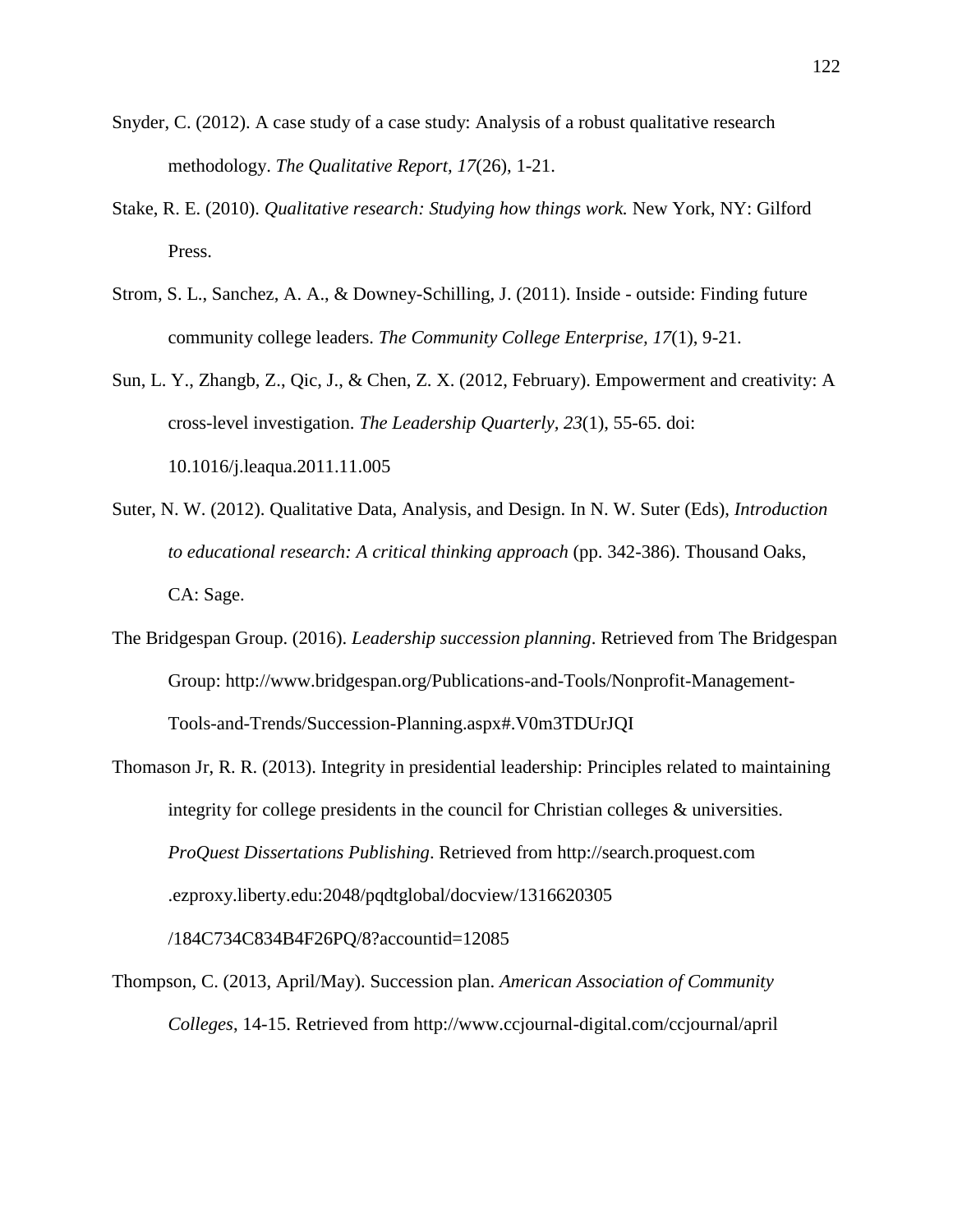- Snyder, C. (2012). A case study of a case study: Analysis of a robust qualitative research methodology. *The Qualitative Report, 17*(26), 1-21.
- Stake, R. E. (2010). *Qualitative research: Studying how things work.* New York, NY: Gilford Press.
- Strom, S. L., Sanchez, A. A., & Downey-Schilling, J. (2011). Inside outside: Finding future community college leaders. *The Community College Enterprise, 17*(1), 9-21.
- Sun, L. Y., Zhangb, Z., Qic, J., & Chen, Z. X. (2012, February). Empowerment and creativity: A cross-level investigation. *The Leadership Quarterly, 23*(1), 55-65. doi: 10.1016/j.leaqua.2011.11.005
- Suter, N. W. (2012). Qualitative Data, Analysis, and Design. In N. W. Suter (Eds), *Introduction to educational research: A critical thinking approach* (pp. 342-386). Thousand Oaks, CA: Sage.
- The Bridgespan Group. (2016). *Leadership succession planning*. Retrieved from The Bridgespan Group: http://www.bridgespan.org/Publications-and-Tools/Nonprofit-Management-Tools-and-Trends/Succession-Planning.aspx#.V0m3TDUrJQI
- Thomason Jr, R. R. (2013). Integrity in presidential leadership: Principles related to maintaining integrity for college presidents in the council for Christian colleges & universities. *ProQuest Dissertations Publishing*. Retrieved from [http://search.](http://search/)proquest.com .ezproxy.liberty.edu:2048/pqdtglobal/docview/1316620305 /184C734C834B4F26PQ/8?accountid=12085
- Thompson, C. (2013, April/May). Succession plan. *American Association of Community Colleges*, 14-15. Retrieved from <http://www.ccjournal-digital.com/ccjournal/april>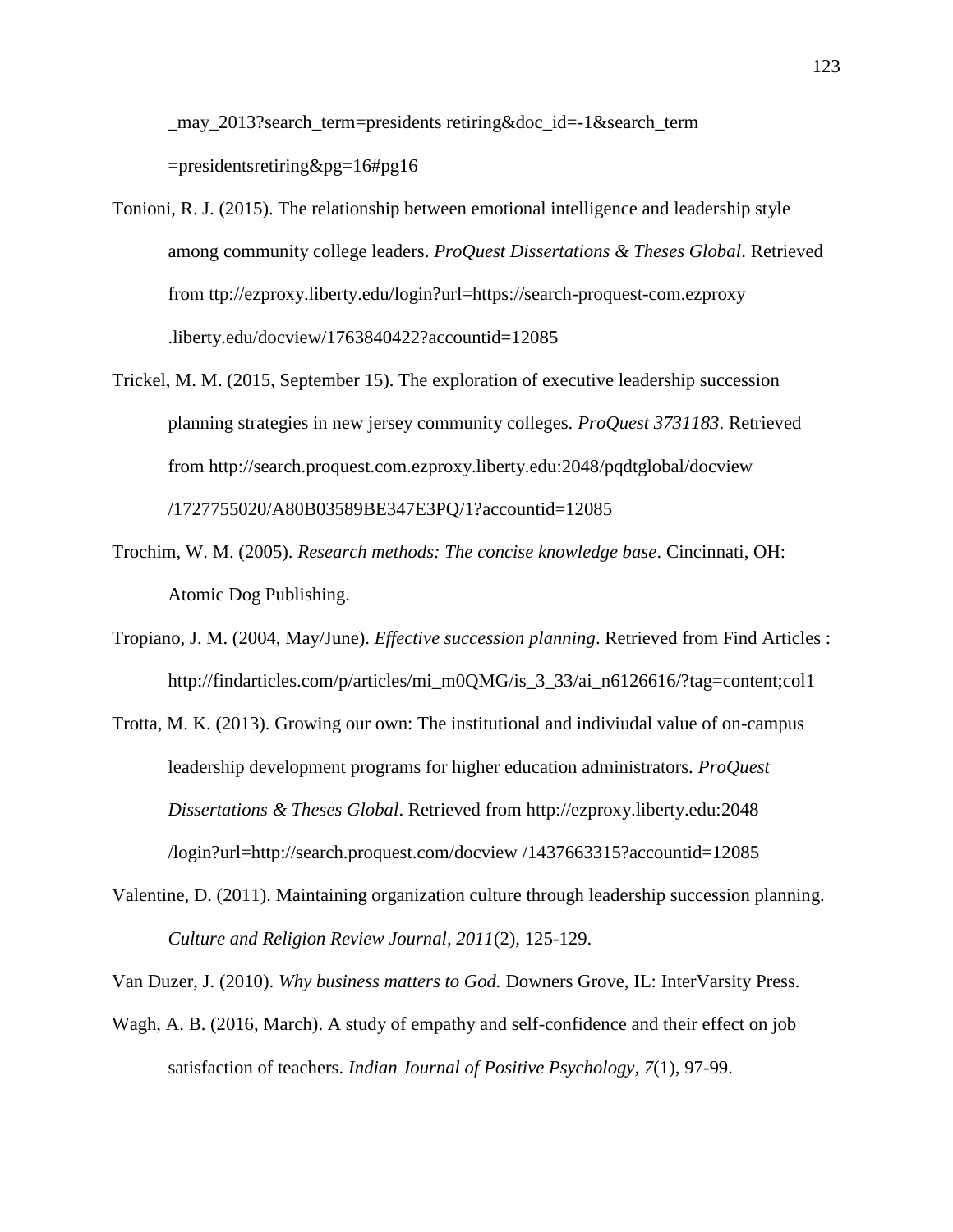may 2013?search\_term=presidents retiring&doc\_id=-1&search\_term =presidentsretiring&pg=16#pg16

- Tonioni, R. J. (2015). The relationship between emotional intelligence and leadership style among community college leaders. *ProQuest Dissertations & Theses Global*. Retrieved from ttp://ezproxy.liberty.edu/login?url=https://search-proquest-com.ezproxy .liberty.edu/docview/1763840422?accountid=12085
- Trickel, M. M. (2015, September 15). The exploration of executive leadership succession planning strategies in new jersey community colleges. *ProQuest 3731183*. Retrieved from <http://search.proquest.com.ezproxy.liberty.edu:2048/>pqdtglobal/docview /1727755020/A80B03589BE347E3PQ/1?accountid=12085
- Trochim, W. M. (2005). *Research methods: The concise knowledge base*. Cincinnati, OH: Atomic Dog Publishing.
- Tropiano, J. M. (2004, May/June). *Effective succession planning*. Retrieved from Find Articles : [http://findarticles.com/p/articles/mi\\_m0QMG/is\\_3\\_33/](http://findarticles.com/p/articles/mi_m0QMG/is_3_33)ai\_n6126616/?tag=content;col1
- Trotta, M. K. (2013). Growing our own: The institutional and indiviudal value of on-campus leadership development programs for higher education administrators. *ProQuest Dissertations & Theses Global*. Retrieved from [http://ezproxy.](http://ezproxy/)liberty.edu:2048 /login?url=http://search.proquest.com/docview /1437663315?accountid=12085
- Valentine, D. (2011). Maintaining organization culture through leadership succession planning. *Culture and Religion Review Journal, 2011*(2), 125-129.

Van Duzer, J. (2010). *Why business matters to God.* Downers Grove, IL: InterVarsity Press.

Wagh, A. B. (2016, March). A study of empathy and self-confidence and their effect on job satisfaction of teachers. *Indian Journal of Positive Psychology, 7*(1), 97-99.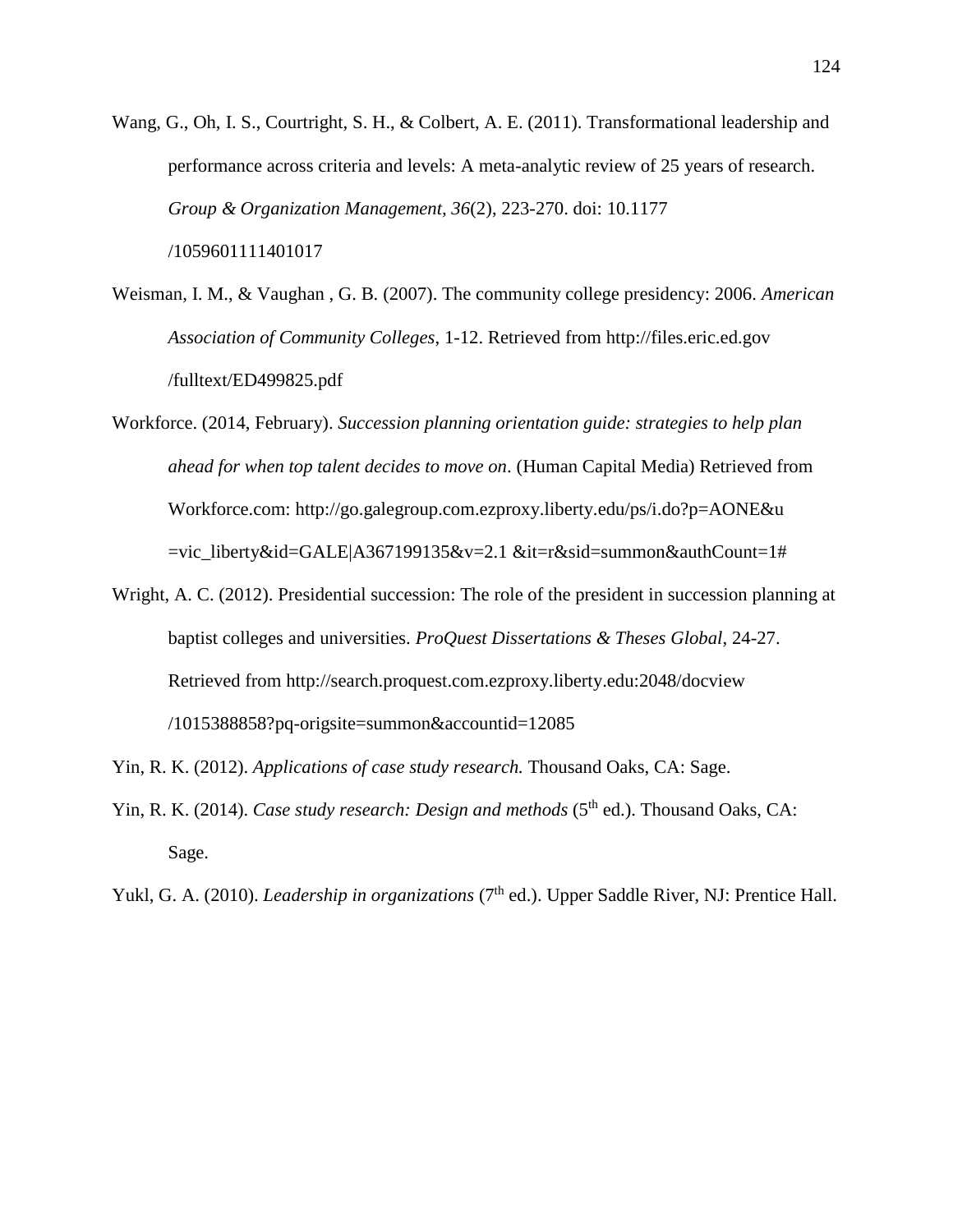Wang, G., Oh, I. S., Courtright, S. H., & Colbert, A. E. (2011). Transformational leadership and performance across criteria and levels: A meta-analytic review of 25 years of research. *Group & Organization Management, 36*(2), 223-270. doi: 10.1177 /1059601111401017

- Weisman, I. M., & Vaughan , G. B. (2007). The community college presidency: 2006. *American Association of Community Colleges*, 1-12. Retrieved from [http://files.eric.ed.gov](http://files.eric.ed.gov/) /fulltext/ED499825.pdf
- Workforce. (2014, February). *Succession planning orientation guide: strategies to help plan ahead for when top talent decides to move on*. (Human Capital Media) Retrieved from Workforce.com: [http://go.galegroup.com.ezproxy.liberty.](http://go.galegroup.com.ezproxy.liberty/)edu/ps/i.do?p=AONE&u =vic\_liberty&id=GALE|A367199135&v=2.1 &it=r&sid=summon&authCount=1#
- Wright, A. C. (2012). Presidential succession: The role of the president in succession planning at baptist colleges and universities. *ProQuest Dissertations & Theses Global*, 24-27. Retrieved from [http://search.proquest.com.ezproxy.liberty.](http://search.proquest.com.ezproxy.liberty/)edu:2048/docview /1015388858?pq-origsite=summon&accountid=12085
- Yin, R. K. (2012). *Applications of case study research.* Thousand Oaks, CA: Sage.
- Yin, R. K. (2014). *Case study research: Design and methods* (5<sup>th</sup> ed.). Thousand Oaks, CA: Sage.
- Yukl, G. A. (2010). *Leadership in organizations* (7<sup>th</sup> ed.). Upper Saddle River, NJ: Prentice Hall.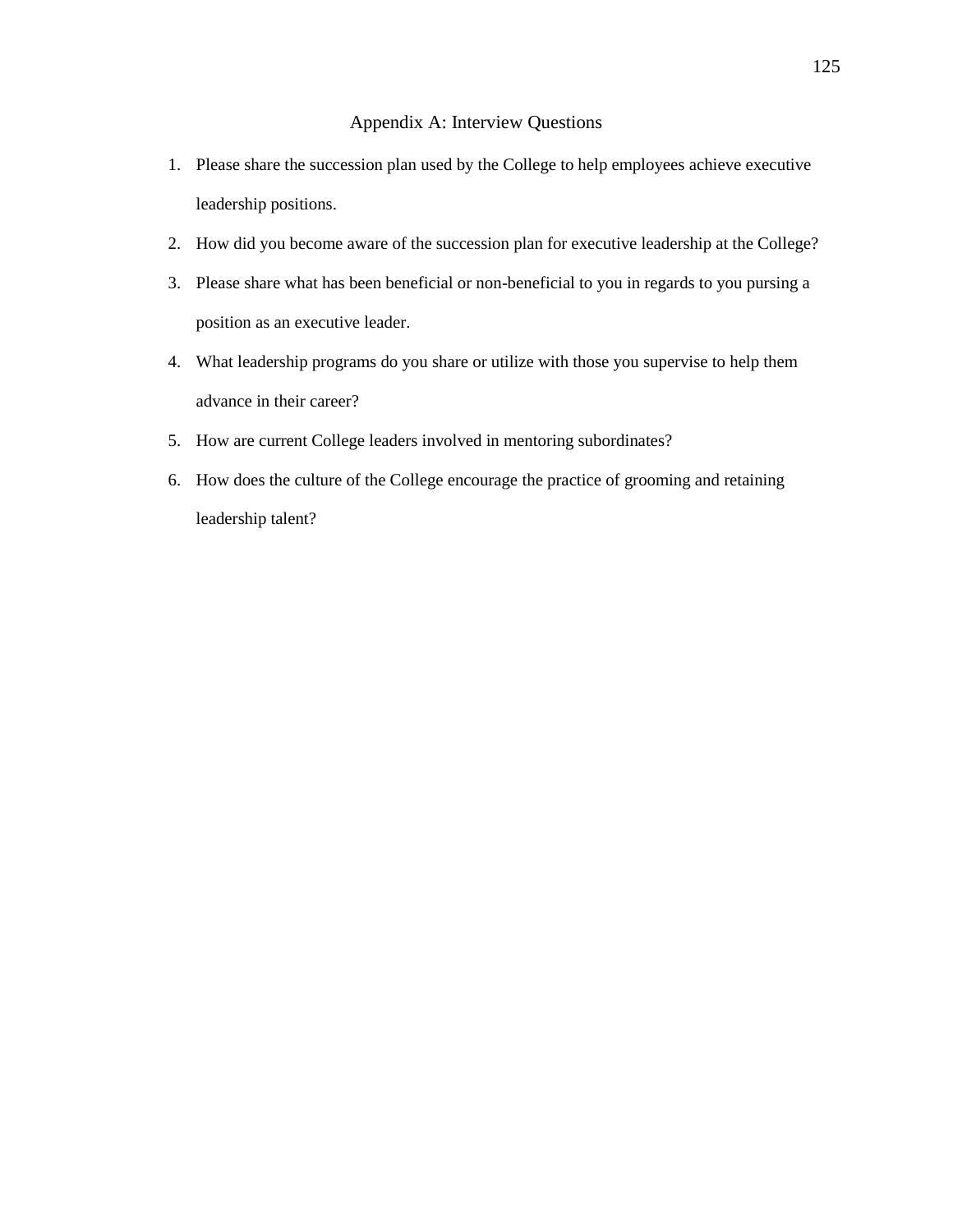- 1. Please share the succession plan used by the College to help employees achieve executive leadership positions.
- 2. How did you become aware of the succession plan for executive leadership at the College?
- 3. Please share what has been beneficial or non-beneficial to you in regards to you pursing a position as an executive leader.
- 4. What leadership programs do you share or utilize with those you supervise to help them advance in their career?
- 5. How are current College leaders involved in mentoring subordinates?
- 6. How does the culture of the College encourage the practice of grooming and retaining leadership talent?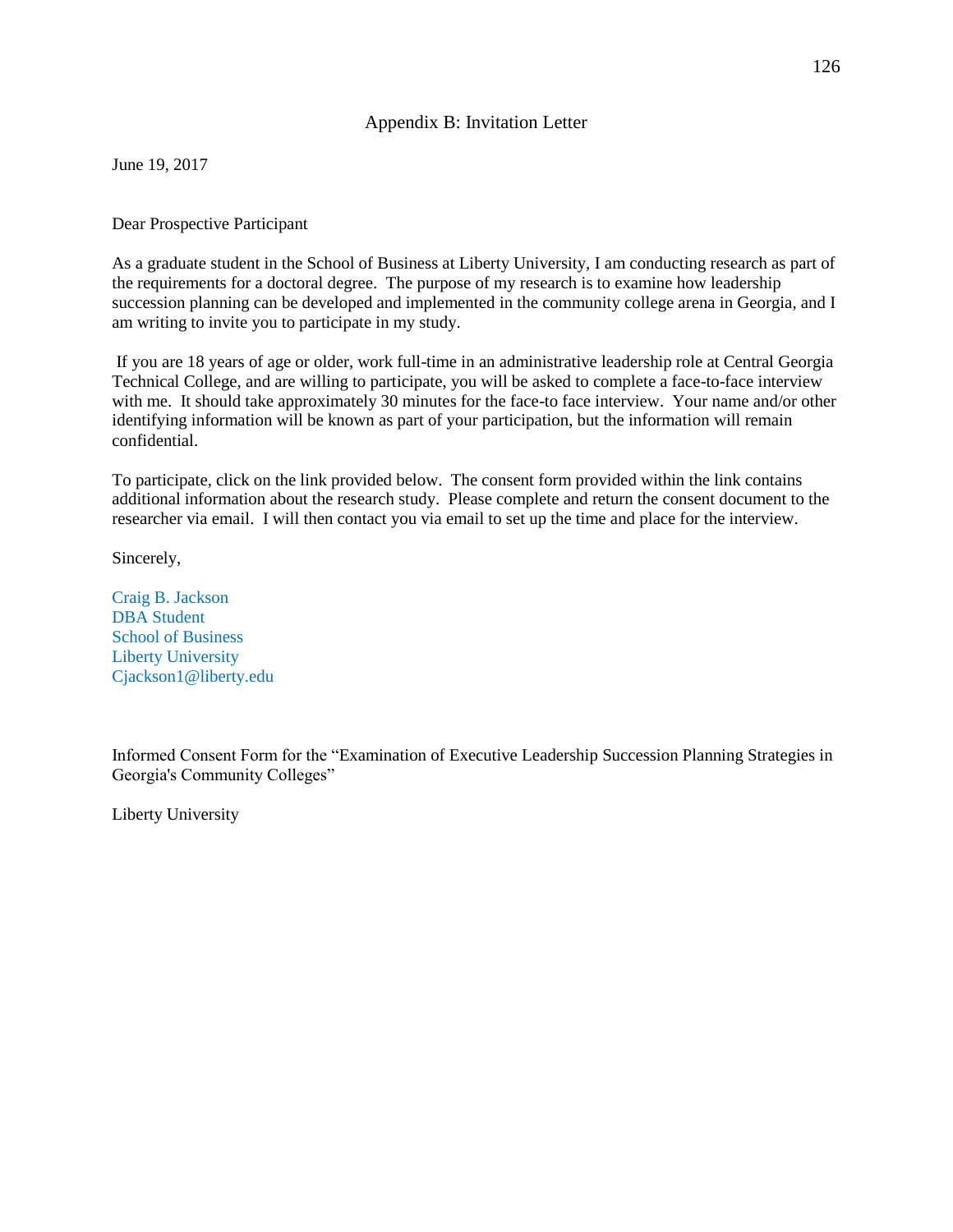## Appendix B: Invitation Letter

June 19, 2017

### Dear Prospective Participant

As a graduate student in the School of Business at Liberty University, I am conducting research as part of the requirements for a doctoral degree. The purpose of my research is to examine how leadership succession planning can be developed and implemented in the community college arena in Georgia, and I am writing to invite you to participate in my study.

If you are 18 years of age or older, work full-time in an administrative leadership role at Central Georgia Technical College, and are willing to participate, you will be asked to complete a face-to-face interview with me. It should take approximately 30 minutes for the face-to face interview. Your name and/or other identifying information will be known as part of your participation, but the information will remain confidential.

To participate, click on the link provided below. The consent form provided within the link contains additional information about the research study. Please complete and return the consent document to the researcher via email. I will then contact you via email to set up the time and place for the interview.

Sincerely,

Craig B. Jackson DBA Student School of Business Liberty University Cjackson1@liberty.edu

Informed Consent Form for the "Examination of Executive Leadership Succession Planning Strategies in Georgia's Community Colleges"

Liberty University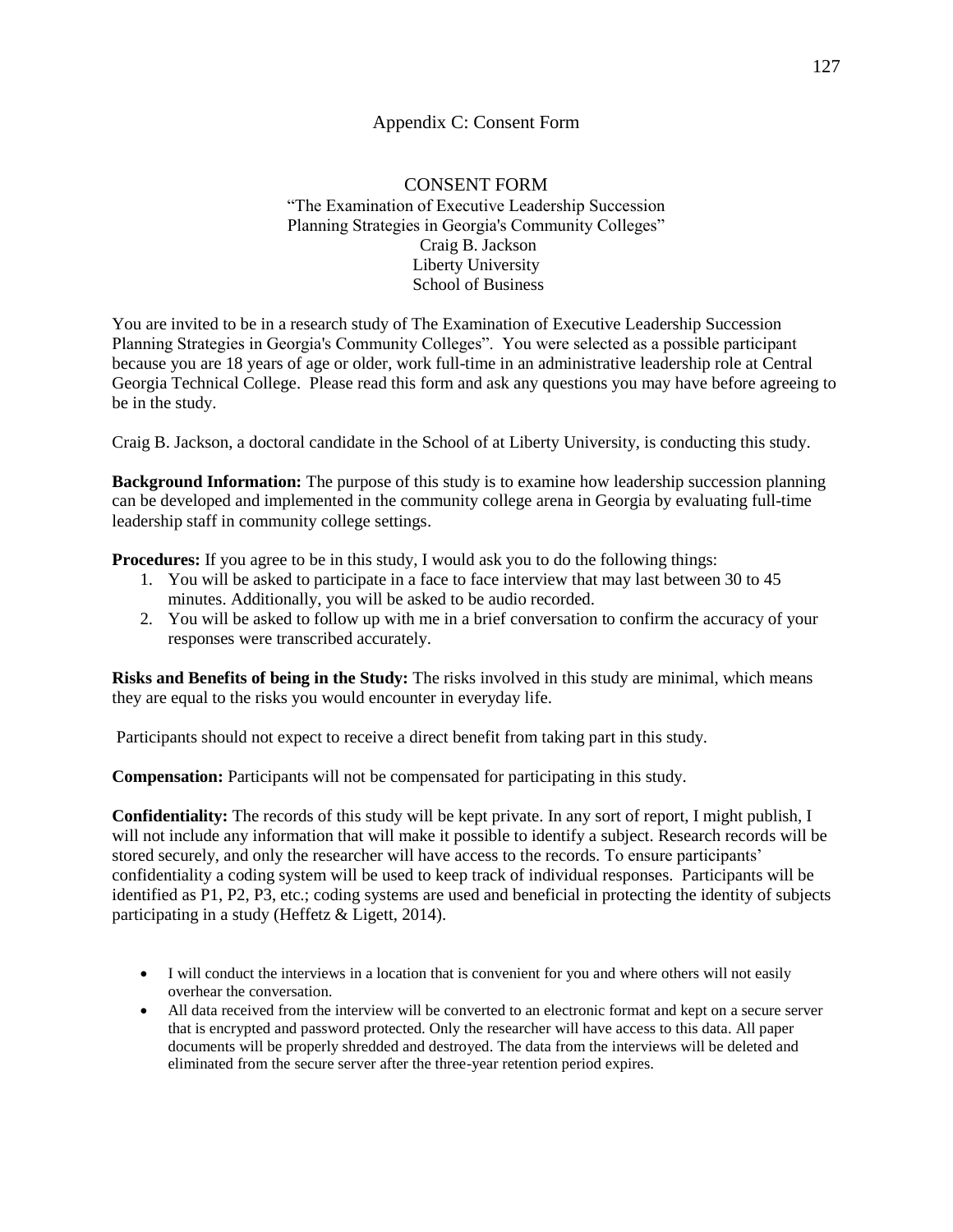## Appendix C: Consent Form

## CONSENT FORM "The Examination of Executive Leadership Succession Planning Strategies in Georgia's Community Colleges" Craig B. Jackson Liberty University School of Business

You are invited to be in a research study of The Examination of Executive Leadership Succession Planning Strategies in Georgia's Community Colleges". You were selected as a possible participant because you are 18 years of age or older, work full-time in an administrative leadership role at Central Georgia Technical College. Please read this form and ask any questions you may have before agreeing to be in the study.

Craig B. Jackson, a doctoral candidate in the School of at Liberty University, is conducting this study.

**Background Information:** The purpose of this study is to examine how leadership succession planning can be developed and implemented in the community college arena in Georgia by evaluating full-time leadership staff in community college settings.

**Procedures:** If you agree to be in this study, I would ask you to do the following things:

- 1. You will be asked to participate in a face to face interview that may last between 30 to 45 minutes. Additionally, you will be asked to be audio recorded.
- 2. You will be asked to follow up with me in a brief conversation to confirm the accuracy of your responses were transcribed accurately.

**Risks and Benefits of being in the Study:** The risks involved in this study are minimal, which means they are equal to the risks you would encounter in everyday life.

Participants should not expect to receive a direct benefit from taking part in this study.

**Compensation:** Participants will not be compensated for participating in this study.

**Confidentiality:** The records of this study will be kept private. In any sort of report, I might publish, I will not include any information that will make it possible to identify a subject. Research records will be stored securely, and only the researcher will have access to the records. To ensure participants' confidentiality a coding system will be used to keep track of individual responses. Participants will be identified as P1, P2, P3, etc.; coding systems are used and beneficial in protecting the identity of subjects participating in a study (Heffetz & Ligett, 2014).

- I will conduct the interviews in a location that is convenient for you and where others will not easily overhear the conversation.
- All data received from the interview will be converted to an electronic format and kept on a secure server that is encrypted and password protected. Only the researcher will have access to this data. All paper documents will be properly shredded and destroyed. The data from the interviews will be deleted and eliminated from the secure server after the three-year retention period expires.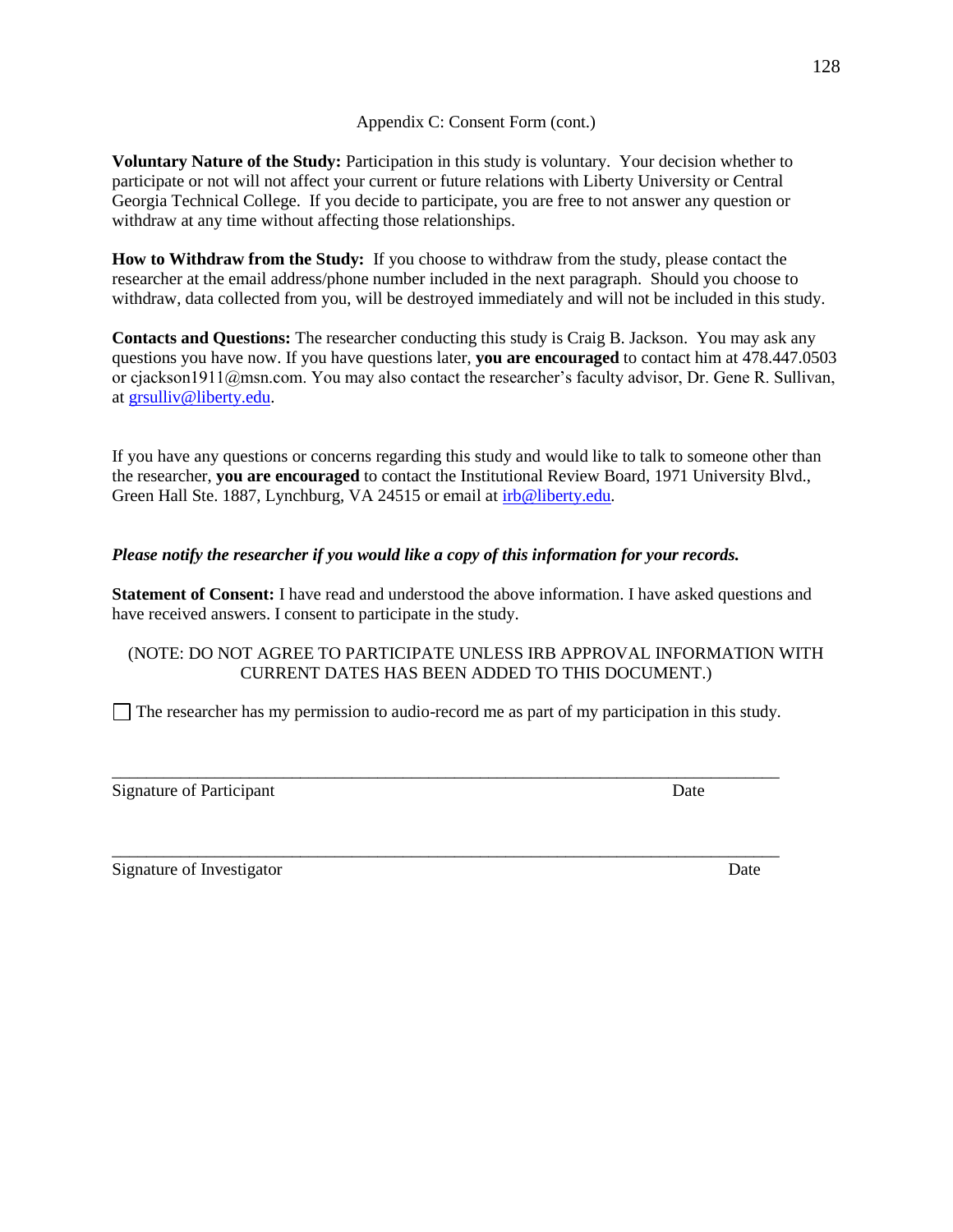### Appendix C: Consent Form (cont.)

**Voluntary Nature of the Study:** Participation in this study is voluntary. Your decision whether to participate or not will not affect your current or future relations with Liberty University or Central Georgia Technical College. If you decide to participate, you are free to not answer any question or withdraw at any time without affecting those relationships.

**How to Withdraw from the Study:** If you choose to withdraw from the study, please contact the researcher at the email address/phone number included in the next paragraph. Should you choose to withdraw, data collected from you, will be destroyed immediately and will not be included in this study.

**Contacts and Questions:** The researcher conducting this study is Craig B. Jackson. You may ask any questions you have now. If you have questions later, **you are encouraged** to contact him at 478.447.0503 or cjackson1911@msn.com. You may also contact the researcher's faculty advisor, Dr. Gene R. Sullivan, at [grsulliv@liberty.edu.](mailto:grsulliv@liberty.edu)

If you have any questions or concerns regarding this study and would like to talk to someone other than the researcher, **you are encouraged** to contact the Institutional Review Board, 1971 University Blvd., Green Hall Ste. 1887, Lynchburg, VA 24515 or email at [irb@liberty.edu](mailto:irb@liberty.edu)*.* 

# *Please notify the researcher if you would like a copy of this information for your records.*

**Statement of Consent:** I have read and understood the above information. I have asked questions and have received answers. I consent to participate in the study.

# (NOTE: DO NOT AGREE TO PARTICIPATE UNLESS IRB APPROVAL INFORMATION WITH CURRENT DATES HAS BEEN ADDED TO THIS DOCUMENT.)

 $\Box$  The researcher has my permission to audio-record me as part of my participation in this study.

\_\_\_\_\_\_\_\_\_\_\_\_\_\_\_\_\_\_\_\_\_\_\_\_\_\_\_\_\_\_\_\_\_\_\_\_\_\_\_\_\_\_\_\_\_\_\_\_\_\_\_\_\_\_\_\_\_\_\_\_\_\_\_\_\_\_\_\_\_\_\_\_\_\_\_\_\_\_

\_\_\_\_\_\_\_\_\_\_\_\_\_\_\_\_\_\_\_\_\_\_\_\_\_\_\_\_\_\_\_\_\_\_\_\_\_\_\_\_\_\_\_\_\_\_\_\_\_\_\_\_\_\_\_\_\_\_\_\_\_\_\_\_\_\_\_\_\_\_\_\_\_\_\_\_\_\_

Signature of Participant Date

Signature of Investigator Date Date and Signature of Investigator Date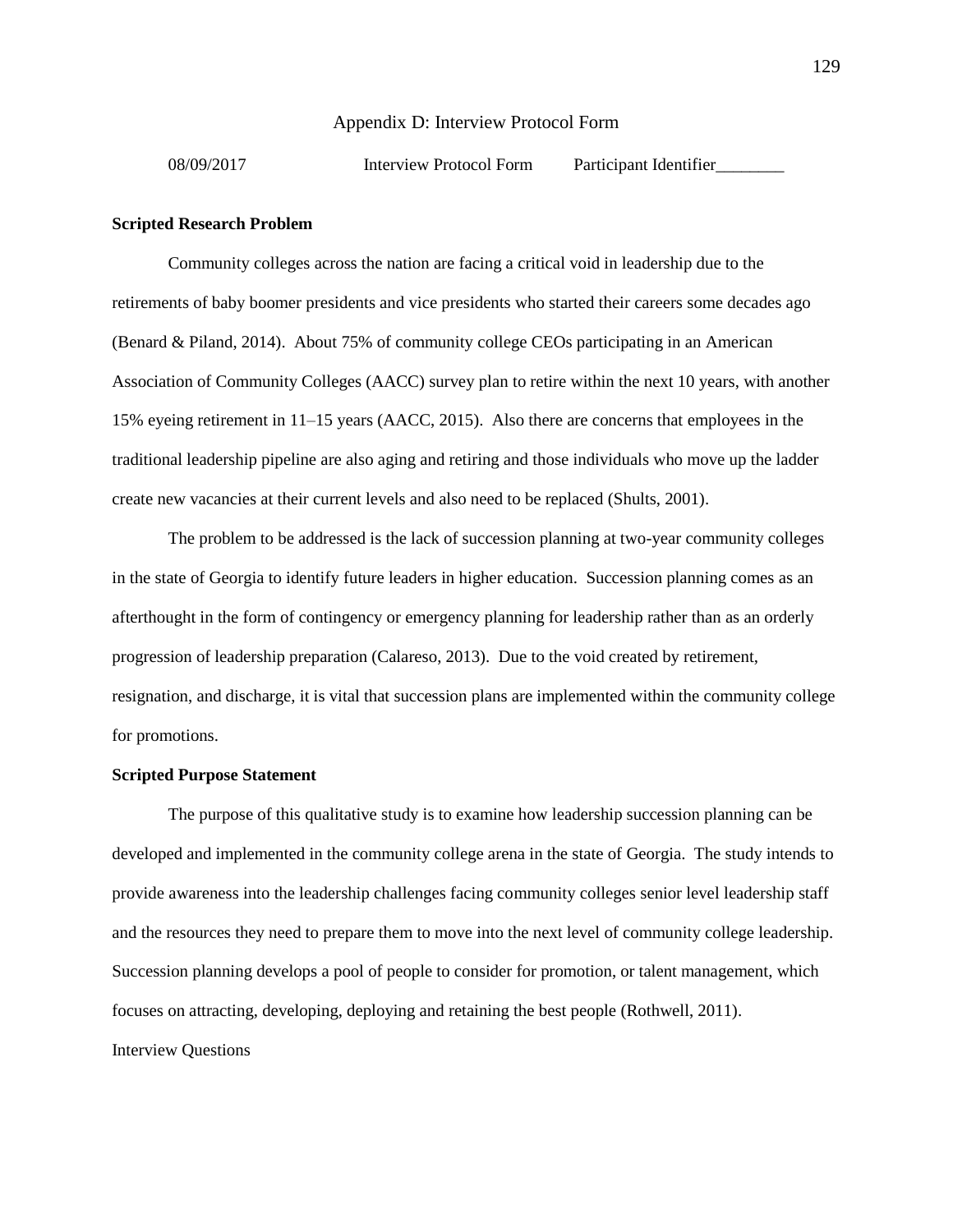#### Appendix D: Interview Protocol Form

08/09/2017 Interview Protocol Form Participant Identifier

#### **Scripted Research Problem**

Community colleges across the nation are facing a critical void in leadership due to the retirements of baby boomer presidents and vice presidents who started their careers some decades ago (Benard & Piland, 2014). About 75% of community college CEOs participating in an American Association of Community Colleges (AACC) survey plan to retire within the next 10 years, with another 15% eyeing retirement in 11–15 years (AACC, 2015). Also there are concerns that employees in the traditional leadership pipeline are also aging and retiring and those individuals who move up the ladder create new vacancies at their current levels and also need to be replaced (Shults, 2001).

The problem to be addressed is the lack of succession planning at two-year community colleges in the state of Georgia to identify future leaders in higher education. Succession planning comes as an afterthought in the form of contingency or emergency planning for leadership rather than as an orderly progression of leadership preparation (Calareso, 2013). Due to the void created by retirement, resignation, and discharge, it is vital that succession plans are implemented within the community college for promotions.

#### **Scripted Purpose Statement**

The purpose of this qualitative study is to examine how leadership succession planning can be developed and implemented in the community college arena in the state of Georgia. The study intends to provide awareness into the leadership challenges facing community colleges senior level leadership staff and the resources they need to prepare them to move into the next level of community college leadership. Succession planning develops a pool of people to consider for promotion, or talent management, which focuses on attracting, developing, deploying and retaining the best people (Rothwell, 2011). Interview Questions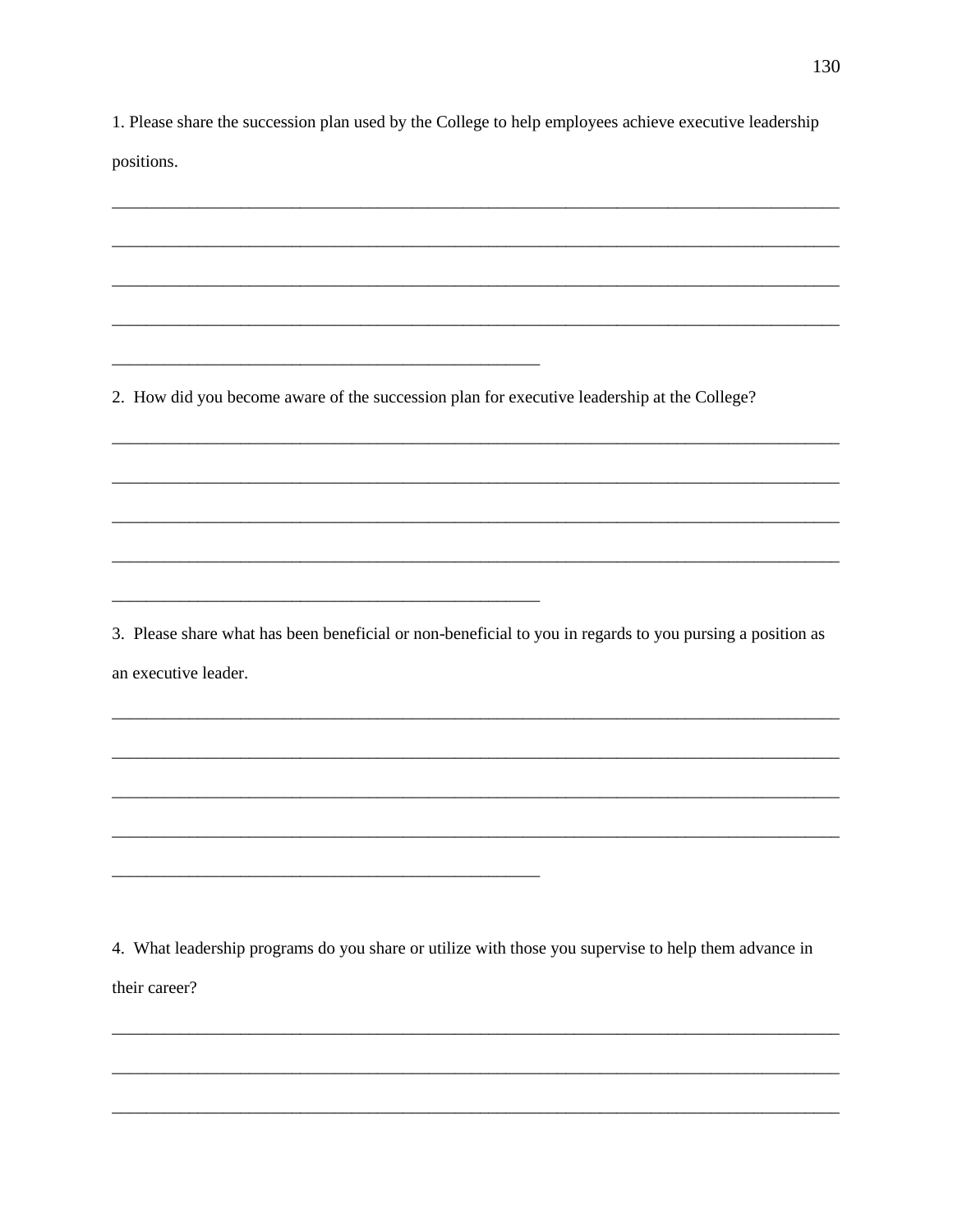1. Please share the succession plan used by the College to help employees achieve executive leadership

positions.

2. How did you become aware of the succession plan for executive leadership at the College?

3. Please share what has been beneficial or non-beneficial to you in regards to you pursing a position as an executive leader.

4. What leadership programs do you share or utilize with those you supervise to help them advance in their career?